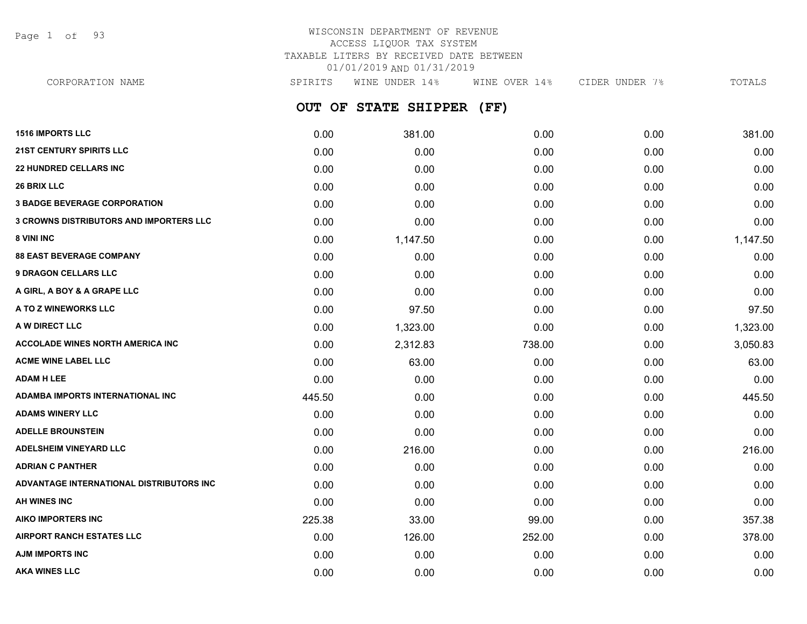Page 1 of 93

## WISCONSIN DEPARTMENT OF REVENUE ACCESS LIQUOR TAX SYSTEM TAXABLE LITERS BY RECEIVED DATE BETWEEN 01/01/2019 AND 01/31/2019

| CORPORATION NAME                        | SPIRITS | WINE UNDER 14%       | WINE OVER 14% | CIDER UNDER 7% | TOTALS   |
|-----------------------------------------|---------|----------------------|---------------|----------------|----------|
|                                         | OUT OF  | <b>STATE SHIPPER</b> | (FF)          |                |          |
| <b>1516 IMPORTS LLC</b>                 | 0.00    | 381.00               | 0.00          | 0.00           | 381.00   |
| <b>21ST CENTURY SPIRITS LLC</b>         | 0.00    | 0.00                 | 0.00          | 0.00           | 0.00     |
| <b>22 HUNDRED CELLARS INC</b>           | 0.00    | 0.00                 | 0.00          | 0.00           | 0.00     |
| <b>26 BRIX LLC</b>                      | 0.00    | 0.00                 | 0.00          | 0.00           | 0.00     |
| <b>3 BADGE BEVERAGE CORPORATION</b>     | 0.00    | 0.00                 | 0.00          | 0.00           | 0.00     |
| 3 CROWNS DISTRIBUTORS AND IMPORTERS LLC | 0.00    | 0.00                 | 0.00          | 0.00           | 0.00     |
| 8 VINI INC                              | 0.00    | 1,147.50             | 0.00          | 0.00           | 1,147.50 |
| <b>88 EAST BEVERAGE COMPANY</b>         | 0.00    | 0.00                 | 0.00          | 0.00           | 0.00     |
| <b>9 DRAGON CELLARS LLC</b>             | 0.00    | 0.00                 | 0.00          | 0.00           | 0.00     |
| A GIRL, A BOY & A GRAPE LLC             | 0.00    | 0.00                 | 0.00          | 0.00           | 0.00     |
| <b>A TO Z WINEWORKS LLC</b>             | 0.00    | 97.50                | 0.00          | 0.00           | 97.50    |
| <b>A W DIRECT LLC</b>                   | 0.00    | 1,323.00             | 0.00          | 0.00           | 1,323.00 |
| <b>ACCOLADE WINES NORTH AMERICA INC</b> | 0.00    | 2,312.83             | 738.00        | 0.00           | 3,050.83 |
| <b>ACME WINE LABEL LLC</b>              | 0.00    | 63.00                | 0.00          | 0.00           | 63.00    |
| <b>ADAM H LEE</b>                       | 0.00    | 0.00                 | 0.00          | 0.00           | 0.00     |
| ADAMBA IMPORTS INTERNATIONAL INC        | 445.50  | 0.00                 | 0.00          | 0.00           | 445.50   |
| <b>ADAMS WINERY LLC</b>                 | 0.00    | 0.00                 | 0.00          | 0.00           | 0.00     |
|                                         |         |                      |               |                |          |

| <b>ADAMS WINERY LLC</b>                  | 0.00   | 0.00   | 0.00   | 0.00 | 0.00   |
|------------------------------------------|--------|--------|--------|------|--------|
| <b>ADELLE BROUNSTEIN</b>                 | 0.00   | 0.00   | 0.00   | 0.00 | 0.00   |
| <b>ADELSHEIM VINEYARD LLC</b>            | 0.00   | 216.00 | 0.00   | 0.00 | 216.00 |
| <b>ADRIAN C PANTHER</b>                  | 0.00   | 0.00   | 0.00   | 0.00 | 0.00   |
| ADVANTAGE INTERNATIONAL DISTRIBUTORS INC | 0.00   | 0.00   | 0.00   | 0.00 | 0.00   |
| AH WINES INC                             | 0.00   | 0.00   | 0.00   | 0.00 | 0.00   |
| AIKO IMPORTERS INC                       | 225.38 | 33.00  | 99.00  | 0.00 | 357.38 |
| <b>AIRPORT RANCH ESTATES LLC</b>         | 0.00   | 126.00 | 252.00 | 0.00 | 378.00 |
| AJM IMPORTS INC                          | 0.00   | 0.00   | 0.00   | 0.00 | 0.00   |
| <b>AKA WINES LLC</b>                     | 0.00   | 0.00   | 0.00   | 0.00 | 0.00   |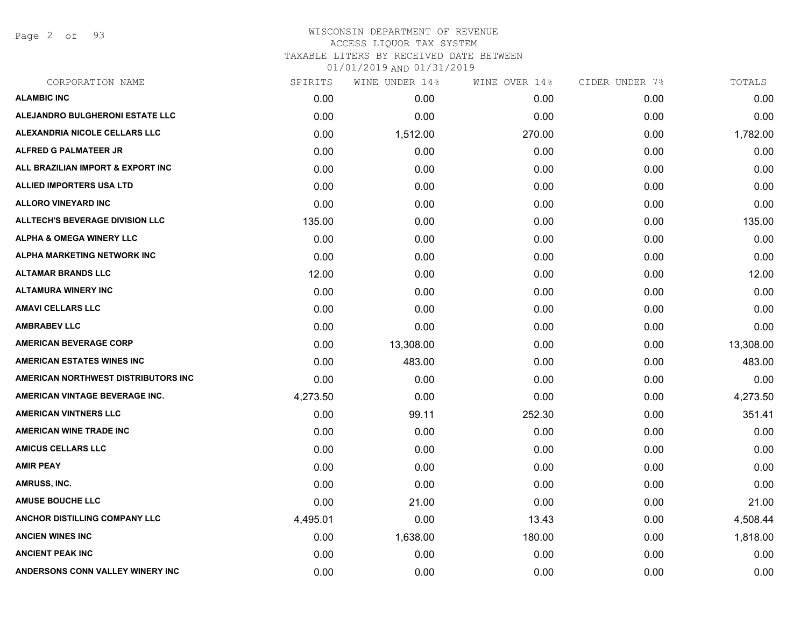Page 2 of 93

#### WISCONSIN DEPARTMENT OF REVENUE ACCESS LIQUOR TAX SYSTEM TAXABLE LITERS BY RECEIVED DATE BETWEEN

| CORPORATION NAME                       | SPIRITS  | WINE UNDER 14% | WINE OVER 14% | CIDER UNDER 7% | TOTALS    |
|----------------------------------------|----------|----------------|---------------|----------------|-----------|
| <b>ALAMBIC INC</b>                     | 0.00     | 0.00           | 0.00          | 0.00           | 0.00      |
| ALEJANDRO BULGHERONI ESTATE LLC        | 0.00     | 0.00           | 0.00          | 0.00           | 0.00      |
| ALEXANDRIA NICOLE CELLARS LLC          | 0.00     | 1,512.00       | 270.00        | 0.00           | 1,782.00  |
| ALFRED G PALMATEER JR                  | 0.00     | 0.00           | 0.00          | 0.00           | 0.00      |
| ALL BRAZILIAN IMPORT & EXPORT INC      | 0.00     | 0.00           | 0.00          | 0.00           | 0.00      |
| <b>ALLIED IMPORTERS USA LTD</b>        | 0.00     | 0.00           | 0.00          | 0.00           | 0.00      |
| <b>ALLORO VINEYARD INC</b>             | 0.00     | 0.00           | 0.00          | 0.00           | 0.00      |
| <b>ALLTECH'S BEVERAGE DIVISION LLC</b> | 135.00   | 0.00           | 0.00          | 0.00           | 135.00    |
| <b>ALPHA &amp; OMEGA WINERY LLC</b>    | 0.00     | 0.00           | 0.00          | 0.00           | 0.00      |
| ALPHA MARKETING NETWORK INC            | 0.00     | 0.00           | 0.00          | 0.00           | 0.00      |
| <b>ALTAMAR BRANDS LLC</b>              | 12.00    | 0.00           | 0.00          | 0.00           | 12.00     |
| <b>ALTAMURA WINERY INC</b>             | 0.00     | 0.00           | 0.00          | 0.00           | 0.00      |
| <b>AMAVI CELLARS LLC</b>               | 0.00     | 0.00           | 0.00          | 0.00           | 0.00      |
| <b>AMBRABEV LLC</b>                    | 0.00     | 0.00           | 0.00          | 0.00           | 0.00      |
| <b>AMERICAN BEVERAGE CORP</b>          | 0.00     | 13,308.00      | 0.00          | 0.00           | 13,308.00 |
| <b>AMERICAN ESTATES WINES INC</b>      | 0.00     | 483.00         | 0.00          | 0.00           | 483.00    |
| AMERICAN NORTHWEST DISTRIBUTORS INC    | 0.00     | 0.00           | 0.00          | 0.00           | 0.00      |
| AMERICAN VINTAGE BEVERAGE INC.         | 4,273.50 | 0.00           | 0.00          | 0.00           | 4,273.50  |
| <b>AMERICAN VINTNERS LLC</b>           | 0.00     | 99.11          | 252.30        | 0.00           | 351.41    |
| <b>AMERICAN WINE TRADE INC</b>         | 0.00     | 0.00           | 0.00          | 0.00           | 0.00      |
| <b>AMICUS CELLARS LLC</b>              | 0.00     | 0.00           | 0.00          | 0.00           | 0.00      |
| <b>AMIR PEAY</b>                       | 0.00     | 0.00           | 0.00          | 0.00           | 0.00      |
| AMRUSS, INC.                           | 0.00     | 0.00           | 0.00          | 0.00           | 0.00      |
| <b>AMUSE BOUCHE LLC</b>                | 0.00     | 21.00          | 0.00          | 0.00           | 21.00     |
| ANCHOR DISTILLING COMPANY LLC          | 4,495.01 | 0.00           | 13.43         | 0.00           | 4,508.44  |
| <b>ANCIEN WINES INC</b>                | 0.00     | 1,638.00       | 180.00        | 0.00           | 1,818.00  |
| <b>ANCIENT PEAK INC</b>                | 0.00     | 0.00           | 0.00          | 0.00           | 0.00      |
| ANDERSONS CONN VALLEY WINERY INC       | 0.00     | 0.00           | 0.00          | 0.00           | 0.00      |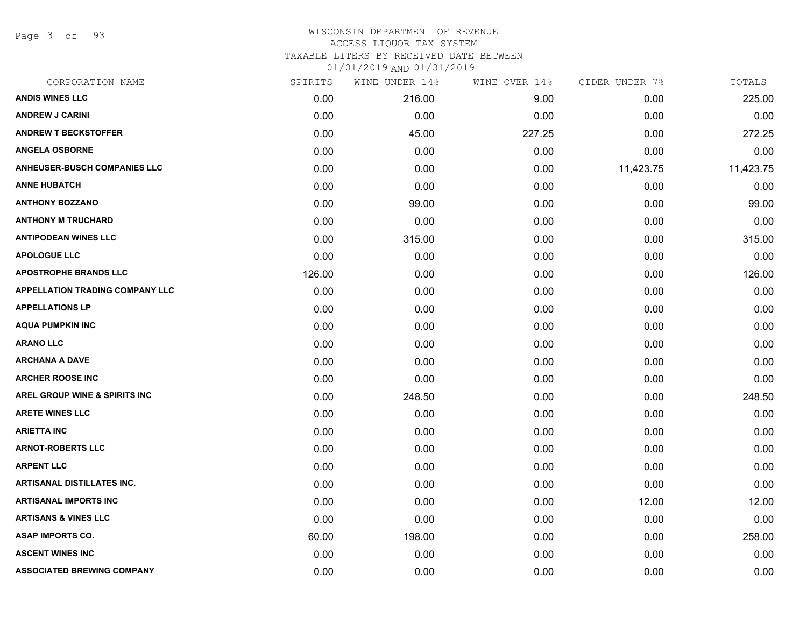Page 3 of 93

#### WISCONSIN DEPARTMENT OF REVENUE ACCESS LIQUOR TAX SYSTEM

TAXABLE LITERS BY RECEIVED DATE BETWEEN

| CORPORATION NAME                         | SPIRITS | WINE UNDER 14% | WINE OVER 14% | CIDER UNDER 7% | TOTALS    |
|------------------------------------------|---------|----------------|---------------|----------------|-----------|
| <b>ANDIS WINES LLC</b>                   | 0.00    | 216.00         | 9.00          | 0.00           | 225.00    |
| <b>ANDREW J CARINI</b>                   | 0.00    | 0.00           | 0.00          | 0.00           | 0.00      |
| <b>ANDREW T BECKSTOFFER</b>              | 0.00    | 45.00          | 227.25        | 0.00           | 272.25    |
| <b>ANGELA OSBORNE</b>                    | 0.00    | 0.00           | 0.00          | 0.00           | 0.00      |
| <b>ANHEUSER-BUSCH COMPANIES LLC</b>      | 0.00    | 0.00           | 0.00          | 11,423.75      | 11,423.75 |
| <b>ANNE HUBATCH</b>                      | 0.00    | 0.00           | 0.00          | 0.00           | 0.00      |
| <b>ANTHONY BOZZANO</b>                   | 0.00    | 99.00          | 0.00          | 0.00           | 99.00     |
| <b>ANTHONY M TRUCHARD</b>                | 0.00    | 0.00           | 0.00          | 0.00           | 0.00      |
| <b>ANTIPODEAN WINES LLC</b>              | 0.00    | 315.00         | 0.00          | 0.00           | 315.00    |
| <b>APOLOGUE LLC</b>                      | 0.00    | 0.00           | 0.00          | 0.00           | 0.00      |
| <b>APOSTROPHE BRANDS LLC</b>             | 126.00  | 0.00           | 0.00          | 0.00           | 126.00    |
| <b>APPELLATION TRADING COMPANY LLC</b>   | 0.00    | 0.00           | 0.00          | 0.00           | 0.00      |
| <b>APPELLATIONS LP</b>                   | 0.00    | 0.00           | 0.00          | 0.00           | 0.00      |
| <b>AQUA PUMPKIN INC</b>                  | 0.00    | 0.00           | 0.00          | 0.00           | 0.00      |
| <b>ARANO LLC</b>                         | 0.00    | 0.00           | 0.00          | 0.00           | 0.00      |
| <b>ARCHANA A DAVE</b>                    | 0.00    | 0.00           | 0.00          | 0.00           | 0.00      |
| <b>ARCHER ROOSE INC</b>                  | 0.00    | 0.00           | 0.00          | 0.00           | 0.00      |
| <b>AREL GROUP WINE &amp; SPIRITS INC</b> | 0.00    | 248.50         | 0.00          | 0.00           | 248.50    |
| <b>ARETE WINES LLC</b>                   | 0.00    | 0.00           | 0.00          | 0.00           | 0.00      |
| <b>ARIETTA INC</b>                       | 0.00    | 0.00           | 0.00          | 0.00           | 0.00      |
| <b>ARNOT-ROBERTS LLC</b>                 | 0.00    | 0.00           | 0.00          | 0.00           | 0.00      |
| <b>ARPENT LLC</b>                        | 0.00    | 0.00           | 0.00          | 0.00           | 0.00      |
| <b>ARTISANAL DISTILLATES INC.</b>        | 0.00    | 0.00           | 0.00          | 0.00           | 0.00      |
| <b>ARTISANAL IMPORTS INC</b>             | 0.00    | 0.00           | 0.00          | 12.00          | 12.00     |
| <b>ARTISANS &amp; VINES LLC</b>          | 0.00    | 0.00           | 0.00          | 0.00           | 0.00      |
| <b>ASAP IMPORTS CO.</b>                  | 60.00   | 198.00         | 0.00          | 0.00           | 258.00    |
| <b>ASCENT WINES INC</b>                  | 0.00    | 0.00           | 0.00          | 0.00           | 0.00      |
| <b>ASSOCIATED BREWING COMPANY</b>        | 0.00    | 0.00           | 0.00          | 0.00           | 0.00      |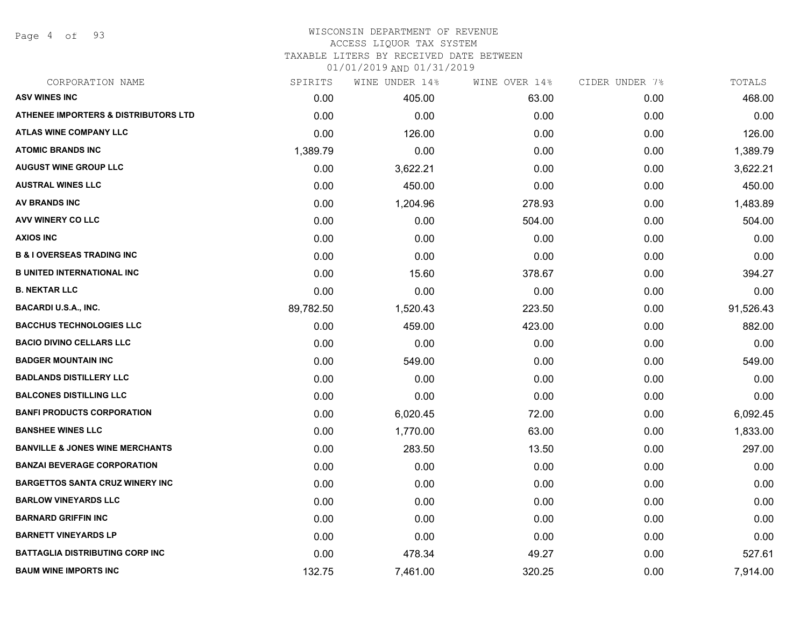Page 4 of 93

#### WISCONSIN DEPARTMENT OF REVENUE ACCESS LIQUOR TAX SYSTEM

TAXABLE LITERS BY RECEIVED DATE BETWEEN

| CORPORATION NAME                                | SPIRITS   | WINE UNDER 14% | WINE OVER 14% | CIDER UNDER 7% | TOTALS    |
|-------------------------------------------------|-----------|----------------|---------------|----------------|-----------|
| <b>ASV WINES INC</b>                            | 0.00      | 405.00         | 63.00         | 0.00           | 468.00    |
| <b>ATHENEE IMPORTERS &amp; DISTRIBUTORS LTD</b> | 0.00      | 0.00           | 0.00          | 0.00           | 0.00      |
| <b>ATLAS WINE COMPANY LLC</b>                   | 0.00      | 126.00         | 0.00          | 0.00           | 126.00    |
| <b>ATOMIC BRANDS INC</b>                        | 1,389.79  | 0.00           | 0.00          | 0.00           | 1,389.79  |
| <b>AUGUST WINE GROUP LLC</b>                    | 0.00      | 3,622.21       | 0.00          | 0.00           | 3,622.21  |
| <b>AUSTRAL WINES LLC</b>                        | 0.00      | 450.00         | 0.00          | 0.00           | 450.00    |
| <b>AV BRANDS INC</b>                            | 0.00      | 1,204.96       | 278.93        | 0.00           | 1,483.89  |
| <b>AVV WINERY CO LLC</b>                        | 0.00      | 0.00           | 504.00        | 0.00           | 504.00    |
| <b>AXIOS INC</b>                                | 0.00      | 0.00           | 0.00          | 0.00           | 0.00      |
| <b>B &amp; I OVERSEAS TRADING INC</b>           | 0.00      | 0.00           | 0.00          | 0.00           | 0.00      |
| <b>B UNITED INTERNATIONAL INC</b>               | 0.00      | 15.60          | 378.67        | 0.00           | 394.27    |
| <b>B. NEKTAR LLC</b>                            | 0.00      | 0.00           | 0.00          | 0.00           | 0.00      |
| <b>BACARDI U.S.A., INC.</b>                     | 89,782.50 | 1,520.43       | 223.50        | 0.00           | 91,526.43 |
| <b>BACCHUS TECHNOLOGIES LLC</b>                 | 0.00      | 459.00         | 423.00        | 0.00           | 882.00    |
| <b>BACIO DIVINO CELLARS LLC</b>                 | 0.00      | 0.00           | 0.00          | 0.00           | 0.00      |
| <b>BADGER MOUNTAIN INC</b>                      | 0.00      | 549.00         | 0.00          | 0.00           | 549.00    |
| <b>BADLANDS DISTILLERY LLC</b>                  | 0.00      | 0.00           | 0.00          | 0.00           | 0.00      |
| <b>BALCONES DISTILLING LLC</b>                  | 0.00      | 0.00           | 0.00          | 0.00           | 0.00      |
| <b>BANFI PRODUCTS CORPORATION</b>               | 0.00      | 6,020.45       | 72.00         | 0.00           | 6,092.45  |
| <b>BANSHEE WINES LLC</b>                        | 0.00      | 1,770.00       | 63.00         | 0.00           | 1,833.00  |
| <b>BANVILLE &amp; JONES WINE MERCHANTS</b>      | 0.00      | 283.50         | 13.50         | 0.00           | 297.00    |
| <b>BANZAI BEVERAGE CORPORATION</b>              | 0.00      | 0.00           | 0.00          | 0.00           | 0.00      |
| <b>BARGETTOS SANTA CRUZ WINERY INC</b>          | 0.00      | 0.00           | 0.00          | 0.00           | 0.00      |
| <b>BARLOW VINEYARDS LLC</b>                     | 0.00      | 0.00           | 0.00          | 0.00           | 0.00      |
| <b>BARNARD GRIFFIN INC</b>                      | 0.00      | 0.00           | 0.00          | 0.00           | 0.00      |
| <b>BARNETT VINEYARDS LP</b>                     | 0.00      | 0.00           | 0.00          | 0.00           | 0.00      |
| <b>BATTAGLIA DISTRIBUTING CORP INC</b>          | 0.00      | 478.34         | 49.27         | 0.00           | 527.61    |
| <b>BAUM WINE IMPORTS INC</b>                    | 132.75    | 7,461.00       | 320.25        | 0.00           | 7,914.00  |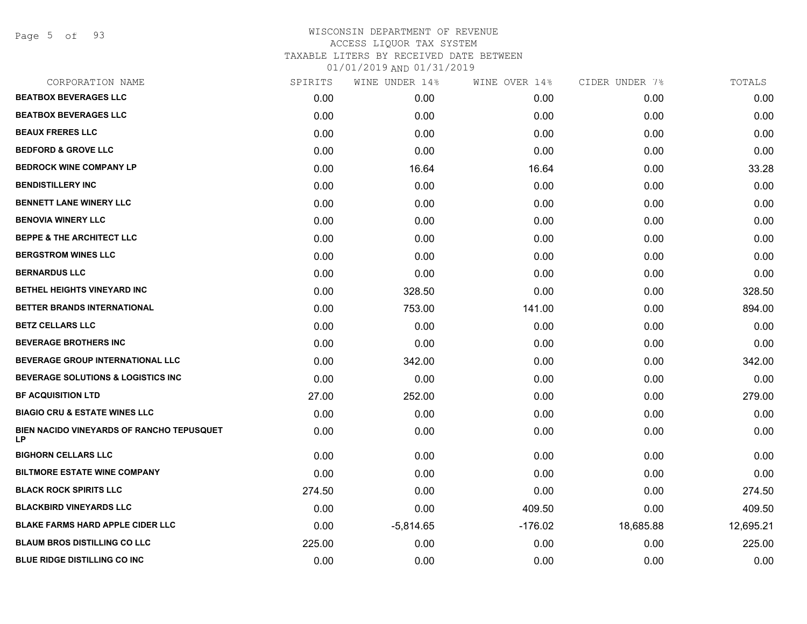Page 5 of 93

## WISCONSIN DEPARTMENT OF REVENUE ACCESS LIQUOR TAX SYSTEM TAXABLE LITERS BY RECEIVED DATE BETWEEN 01/01/2019 AND 01/31/2019

| CORPORATION NAME                                | SPIRITS | WINE UNDER 14% | WINE OVER 14% | CIDER UNDER 7% | TOTALS    |
|-------------------------------------------------|---------|----------------|---------------|----------------|-----------|
| <b>BEATBOX BEVERAGES LLC</b>                    | 0.00    | 0.00           | 0.00          | 0.00           | 0.00      |
| <b>BEATBOX BEVERAGES LLC</b>                    | 0.00    | 0.00           | 0.00          | 0.00           | 0.00      |
| <b>BEAUX FRERES LLC</b>                         | 0.00    | 0.00           | 0.00          | 0.00           | 0.00      |
| <b>BEDFORD &amp; GROVE LLC</b>                  | 0.00    | 0.00           | 0.00          | 0.00           | 0.00      |
| <b>BEDROCK WINE COMPANY LP</b>                  | 0.00    | 16.64          | 16.64         | 0.00           | 33.28     |
| <b>BENDISTILLERY INC</b>                        | 0.00    | 0.00           | 0.00          | 0.00           | 0.00      |
| <b>BENNETT LANE WINERY LLC</b>                  | 0.00    | 0.00           | 0.00          | 0.00           | 0.00      |
| <b>BENOVIA WINERY LLC</b>                       | 0.00    | 0.00           | 0.00          | 0.00           | 0.00      |
| <b>BEPPE &amp; THE ARCHITECT LLC</b>            | 0.00    | 0.00           | 0.00          | 0.00           | 0.00      |
| <b>BERGSTROM WINES LLC</b>                      | 0.00    | 0.00           | 0.00          | 0.00           | 0.00      |
| <b>BERNARDUS LLC</b>                            | 0.00    | 0.00           | 0.00          | 0.00           | 0.00      |
| <b>BETHEL HEIGHTS VINEYARD INC</b>              | 0.00    | 328.50         | 0.00          | 0.00           | 328.50    |
| BETTER BRANDS INTERNATIONAL                     | 0.00    | 753.00         | 141.00        | 0.00           | 894.00    |
| <b>BETZ CELLARS LLC</b>                         | 0.00    | 0.00           | 0.00          | 0.00           | 0.00      |
| <b>BEVERAGE BROTHERS INC</b>                    | 0.00    | 0.00           | 0.00          | 0.00           | 0.00      |
| <b>BEVERAGE GROUP INTERNATIONAL LLC</b>         | 0.00    | 342.00         | 0.00          | 0.00           | 342.00    |
| <b>BEVERAGE SOLUTIONS &amp; LOGISTICS INC</b>   | 0.00    | 0.00           | 0.00          | 0.00           | 0.00      |
| <b>BF ACQUISITION LTD</b>                       | 27.00   | 252.00         | 0.00          | 0.00           | 279.00    |
| <b>BIAGIO CRU &amp; ESTATE WINES LLC</b>        | 0.00    | 0.00           | 0.00          | 0.00           | 0.00      |
| BIEN NACIDO VINEYARDS OF RANCHO TEPUSQUET<br>LP | 0.00    | 0.00           | 0.00          | 0.00           | 0.00      |
| <b>BIGHORN CELLARS LLC</b>                      | 0.00    | 0.00           | 0.00          | 0.00           | 0.00      |
| <b>BILTMORE ESTATE WINE COMPANY</b>             | 0.00    | 0.00           | 0.00          | 0.00           | 0.00      |
| <b>BLACK ROCK SPIRITS LLC</b>                   | 274.50  | 0.00           | 0.00          | 0.00           | 274.50    |
| <b>BLACKBIRD VINEYARDS LLC</b>                  | 0.00    | 0.00           | 409.50        | 0.00           | 409.50    |
| <b>BLAKE FARMS HARD APPLE CIDER LLC</b>         | 0.00    | $-5,814.65$    | $-176.02$     | 18,685.88      | 12,695.21 |
| <b>BLAUM BROS DISTILLING CO LLC</b>             | 225.00  | 0.00           | 0.00          | 0.00           | 225.00    |
| <b>BLUE RIDGE DISTILLING CO INC</b>             | 0.00    | 0.00           | 0.00          | 0.00           | 0.00      |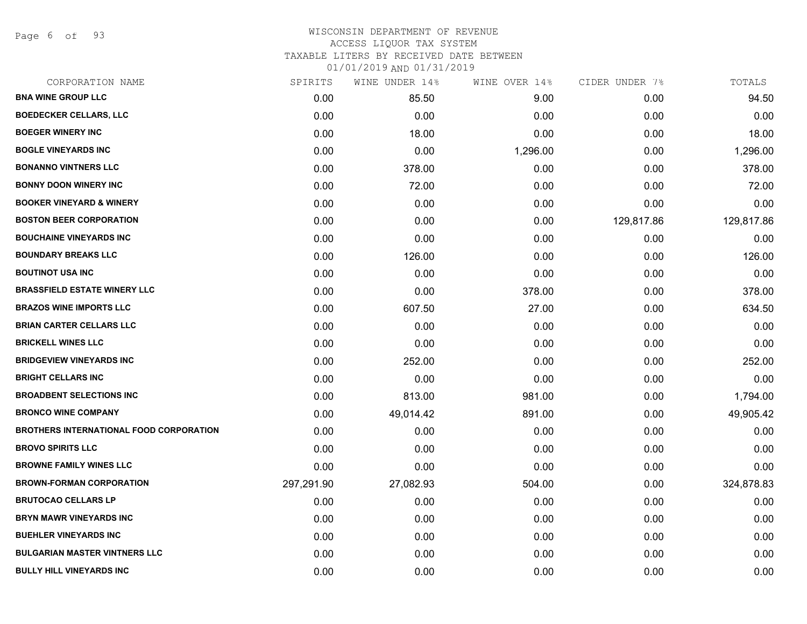Page 6 of 93

## WISCONSIN DEPARTMENT OF REVENUE ACCESS LIQUOR TAX SYSTEM TAXABLE LITERS BY RECEIVED DATE BETWEEN

| CORPORATION NAME                               | SPIRITS    | WINE UNDER 14% | WINE OVER 14% | CIDER UNDER 7% | TOTALS     |
|------------------------------------------------|------------|----------------|---------------|----------------|------------|
| <b>BNA WINE GROUP LLC</b>                      | 0.00       | 85.50          | 9.00          | 0.00           | 94.50      |
| <b>BOEDECKER CELLARS, LLC</b>                  | 0.00       | 0.00           | 0.00          | 0.00           | 0.00       |
| <b>BOEGER WINERY INC</b>                       | 0.00       | 18.00          | 0.00          | 0.00           | 18.00      |
| <b>BOGLE VINEYARDS INC</b>                     | 0.00       | 0.00           | 1,296.00      | 0.00           | 1,296.00   |
| <b>BONANNO VINTNERS LLC</b>                    | 0.00       | 378.00         | 0.00          | 0.00           | 378.00     |
| <b>BONNY DOON WINERY INC</b>                   | 0.00       | 72.00          | 0.00          | 0.00           | 72.00      |
| <b>BOOKER VINEYARD &amp; WINERY</b>            | 0.00       | 0.00           | 0.00          | 0.00           | 0.00       |
| <b>BOSTON BEER CORPORATION</b>                 | 0.00       | 0.00           | 0.00          | 129,817.86     | 129,817.86 |
| <b>BOUCHAINE VINEYARDS INC</b>                 | 0.00       | 0.00           | 0.00          | 0.00           | 0.00       |
| <b>BOUNDARY BREAKS LLC</b>                     | 0.00       | 126.00         | 0.00          | 0.00           | 126.00     |
| <b>BOUTINOT USA INC</b>                        | 0.00       | 0.00           | 0.00          | 0.00           | 0.00       |
| <b>BRASSFIELD ESTATE WINERY LLC</b>            | 0.00       | 0.00           | 378.00        | 0.00           | 378.00     |
| <b>BRAZOS WINE IMPORTS LLC</b>                 | 0.00       | 607.50         | 27.00         | 0.00           | 634.50     |
| <b>BRIAN CARTER CELLARS LLC</b>                | 0.00       | 0.00           | 0.00          | 0.00           | 0.00       |
| <b>BRICKELL WINES LLC</b>                      | 0.00       | 0.00           | 0.00          | 0.00           | 0.00       |
| <b>BRIDGEVIEW VINEYARDS INC</b>                | 0.00       | 252.00         | 0.00          | 0.00           | 252.00     |
| <b>BRIGHT CELLARS INC</b>                      | 0.00       | 0.00           | 0.00          | 0.00           | 0.00       |
| <b>BROADBENT SELECTIONS INC</b>                | 0.00       | 813.00         | 981.00        | 0.00           | 1,794.00   |
| <b>BRONCO WINE COMPANY</b>                     | 0.00       | 49,014.42      | 891.00        | 0.00           | 49,905.42  |
| <b>BROTHERS INTERNATIONAL FOOD CORPORATION</b> | 0.00       | 0.00           | 0.00          | 0.00           | 0.00       |
| <b>BROVO SPIRITS LLC</b>                       | 0.00       | 0.00           | 0.00          | 0.00           | 0.00       |
| <b>BROWNE FAMILY WINES LLC</b>                 | 0.00       | 0.00           | 0.00          | 0.00           | 0.00       |
| <b>BROWN-FORMAN CORPORATION</b>                | 297,291.90 | 27,082.93      | 504.00        | 0.00           | 324,878.83 |
| <b>BRUTOCAO CELLARS LP</b>                     | 0.00       | 0.00           | 0.00          | 0.00           | 0.00       |
| <b>BRYN MAWR VINEYARDS INC</b>                 | 0.00       | 0.00           | 0.00          | 0.00           | 0.00       |
| <b>BUEHLER VINEYARDS INC</b>                   | 0.00       | 0.00           | 0.00          | 0.00           | 0.00       |
| <b>BULGARIAN MASTER VINTNERS LLC</b>           | 0.00       | 0.00           | 0.00          | 0.00           | 0.00       |
| <b>BULLY HILL VINEYARDS INC</b>                | 0.00       | 0.00           | 0.00          | 0.00           | 0.00       |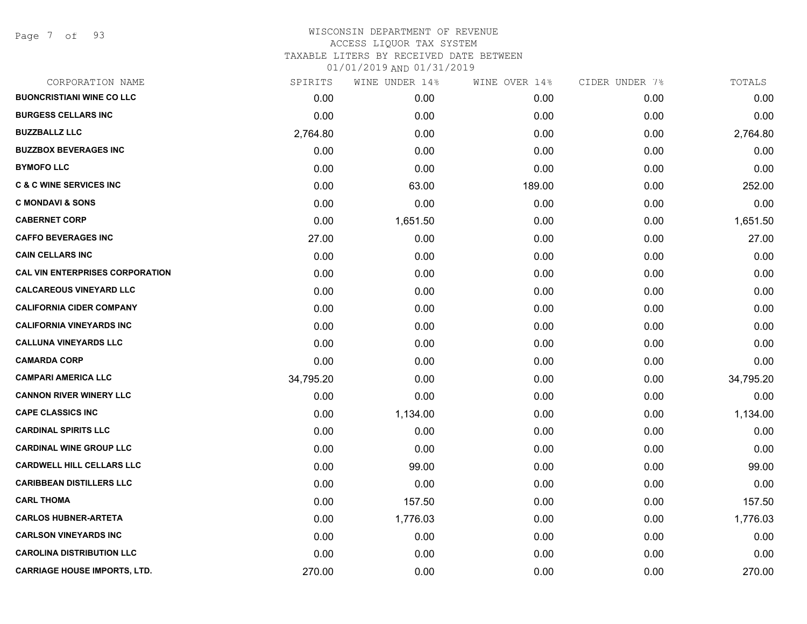Page 7 of 93

### WISCONSIN DEPARTMENT OF REVENUE ACCESS LIQUOR TAX SYSTEM TAXABLE LITERS BY RECEIVED DATE BETWEEN

| CORPORATION NAME                       | SPIRITS   | WINE UNDER 14% | WINE OVER 14% | CIDER UNDER 7% | TOTALS    |
|----------------------------------------|-----------|----------------|---------------|----------------|-----------|
| <b>BUONCRISTIANI WINE CO LLC</b>       | 0.00      | 0.00           | 0.00          | 0.00           | 0.00      |
| <b>BURGESS CELLARS INC</b>             | 0.00      | 0.00           | 0.00          | 0.00           | 0.00      |
| <b>BUZZBALLZ LLC</b>                   | 2,764.80  | 0.00           | 0.00          | 0.00           | 2,764.80  |
| <b>BUZZBOX BEVERAGES INC</b>           | 0.00      | 0.00           | 0.00          | 0.00           | 0.00      |
| <b>BYMOFO LLC</b>                      | 0.00      | 0.00           | 0.00          | 0.00           | 0.00      |
| <b>C &amp; C WINE SERVICES INC</b>     | 0.00      | 63.00          | 189.00        | 0.00           | 252.00    |
| <b>C MONDAVI &amp; SONS</b>            | 0.00      | 0.00           | 0.00          | 0.00           | 0.00      |
| <b>CABERNET CORP</b>                   | 0.00      | 1,651.50       | 0.00          | 0.00           | 1,651.50  |
| <b>CAFFO BEVERAGES INC</b>             | 27.00     | 0.00           | 0.00          | 0.00           | 27.00     |
| <b>CAIN CELLARS INC</b>                | 0.00      | 0.00           | 0.00          | 0.00           | 0.00      |
| <b>CAL VIN ENTERPRISES CORPORATION</b> | 0.00      | 0.00           | 0.00          | 0.00           | 0.00      |
| <b>CALCAREOUS VINEYARD LLC</b>         | 0.00      | 0.00           | 0.00          | 0.00           | 0.00      |
| <b>CALIFORNIA CIDER COMPANY</b>        | 0.00      | 0.00           | 0.00          | 0.00           | 0.00      |
| <b>CALIFORNIA VINEYARDS INC</b>        | 0.00      | 0.00           | 0.00          | 0.00           | 0.00      |
| <b>CALLUNA VINEYARDS LLC</b>           | 0.00      | 0.00           | 0.00          | 0.00           | 0.00      |
| <b>CAMARDA CORP</b>                    | 0.00      | 0.00           | 0.00          | 0.00           | 0.00      |
| <b>CAMPARI AMERICA LLC</b>             | 34,795.20 | 0.00           | 0.00          | 0.00           | 34,795.20 |
| <b>CANNON RIVER WINERY LLC</b>         | 0.00      | 0.00           | 0.00          | 0.00           | 0.00      |
| <b>CAPE CLASSICS INC</b>               | 0.00      | 1,134.00       | 0.00          | 0.00           | 1,134.00  |
| <b>CARDINAL SPIRITS LLC</b>            | 0.00      | 0.00           | 0.00          | 0.00           | 0.00      |
| <b>CARDINAL WINE GROUP LLC</b>         | 0.00      | 0.00           | 0.00          | 0.00           | 0.00      |
| <b>CARDWELL HILL CELLARS LLC</b>       | 0.00      | 99.00          | 0.00          | 0.00           | 99.00     |
| <b>CARIBBEAN DISTILLERS LLC</b>        | 0.00      | 0.00           | 0.00          | 0.00           | 0.00      |
| <b>CARL THOMA</b>                      | 0.00      | 157.50         | 0.00          | 0.00           | 157.50    |
| <b>CARLOS HUBNER-ARTETA</b>            | 0.00      | 1,776.03       | 0.00          | 0.00           | 1,776.03  |
| <b>CARLSON VINEYARDS INC</b>           | 0.00      | 0.00           | 0.00          | 0.00           | 0.00      |
| <b>CAROLINA DISTRIBUTION LLC</b>       | 0.00      | 0.00           | 0.00          | 0.00           | 0.00      |
| <b>CARRIAGE HOUSE IMPORTS, LTD.</b>    | 270.00    | 0.00           | 0.00          | 0.00           | 270.00    |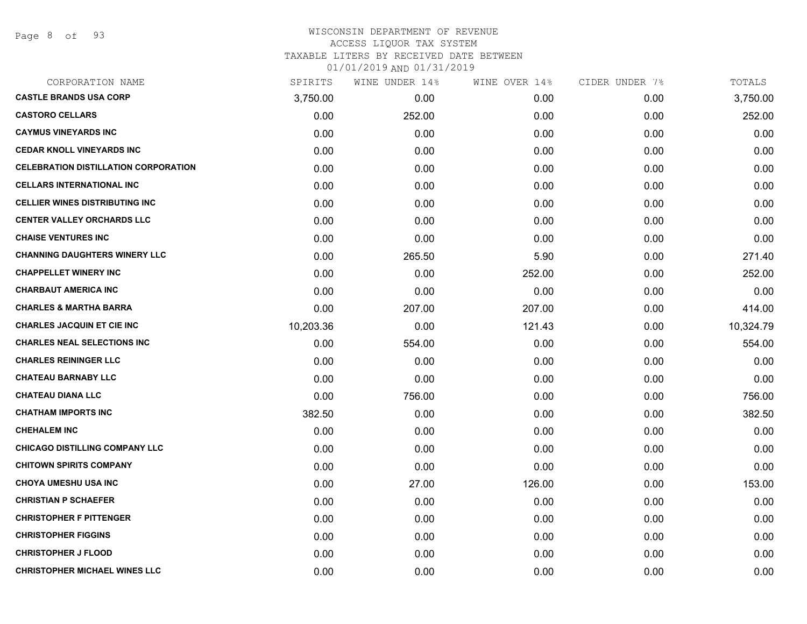## WISCONSIN DEPARTMENT OF REVENUE ACCESS LIQUOR TAX SYSTEM TAXABLE LITERS BY RECEIVED DATE BETWEEN

| CORPORATION NAME                            | SPIRITS   | WINE UNDER 14% | WINE OVER 14% | CIDER UNDER 7% | TOTALS    |
|---------------------------------------------|-----------|----------------|---------------|----------------|-----------|
| <b>CASTLE BRANDS USA CORP</b>               | 3,750.00  | 0.00           | 0.00          | 0.00           | 3,750.00  |
| <b>CASTORO CELLARS</b>                      | 0.00      | 252.00         | 0.00          | 0.00           | 252.00    |
| <b>CAYMUS VINEYARDS INC</b>                 | 0.00      | 0.00           | 0.00          | 0.00           | 0.00      |
| <b>CEDAR KNOLL VINEYARDS INC</b>            | 0.00      | 0.00           | 0.00          | 0.00           | 0.00      |
| <b>CELEBRATION DISTILLATION CORPORATION</b> | 0.00      | 0.00           | 0.00          | 0.00           | 0.00      |
| <b>CELLARS INTERNATIONAL INC</b>            | 0.00      | 0.00           | 0.00          | 0.00           | 0.00      |
| <b>CELLIER WINES DISTRIBUTING INC.</b>      | 0.00      | 0.00           | 0.00          | 0.00           | 0.00      |
| <b>CENTER VALLEY ORCHARDS LLC</b>           | 0.00      | 0.00           | 0.00          | 0.00           | 0.00      |
| <b>CHAISE VENTURES INC</b>                  | 0.00      | 0.00           | 0.00          | 0.00           | 0.00      |
| <b>CHANNING DAUGHTERS WINERY LLC</b>        | 0.00      | 265.50         | 5.90          | 0.00           | 271.40    |
| <b>CHAPPELLET WINERY INC</b>                | 0.00      | 0.00           | 252.00        | 0.00           | 252.00    |
| <b>CHARBAUT AMERICA INC</b>                 | 0.00      | 0.00           | 0.00          | 0.00           | 0.00      |
| <b>CHARLES &amp; MARTHA BARRA</b>           | 0.00      | 207.00         | 207.00        | 0.00           | 414.00    |
| <b>CHARLES JACQUIN ET CIE INC</b>           | 10,203.36 | 0.00           | 121.43        | 0.00           | 10,324.79 |
| <b>CHARLES NEAL SELECTIONS INC</b>          | 0.00      | 554.00         | 0.00          | 0.00           | 554.00    |
| <b>CHARLES REININGER LLC</b>                | 0.00      | 0.00           | 0.00          | 0.00           | 0.00      |
| <b>CHATEAU BARNABY LLC</b>                  | 0.00      | 0.00           | 0.00          | 0.00           | 0.00      |
| <b>CHATEAU DIANA LLC</b>                    | 0.00      | 756.00         | 0.00          | 0.00           | 756.00    |
| <b>CHATHAM IMPORTS INC</b>                  | 382.50    | 0.00           | 0.00          | 0.00           | 382.50    |
| <b>CHEHALEM INC</b>                         | 0.00      | 0.00           | 0.00          | 0.00           | 0.00      |
| <b>CHICAGO DISTILLING COMPANY LLC</b>       | 0.00      | 0.00           | 0.00          | 0.00           | 0.00      |
| <b>CHITOWN SPIRITS COMPANY</b>              | 0.00      | 0.00           | 0.00          | 0.00           | 0.00      |
| <b>CHOYA UMESHU USA INC</b>                 | 0.00      | 27.00          | 126.00        | 0.00           | 153.00    |
| <b>CHRISTIAN P SCHAEFER</b>                 | 0.00      | 0.00           | 0.00          | 0.00           | 0.00      |
| <b>CHRISTOPHER F PITTENGER</b>              | 0.00      | 0.00           | 0.00          | 0.00           | 0.00      |
| <b>CHRISTOPHER FIGGINS</b>                  | 0.00      | 0.00           | 0.00          | 0.00           | 0.00      |
| <b>CHRISTOPHER J FLOOD</b>                  | 0.00      | 0.00           | 0.00          | 0.00           | 0.00      |
| <b>CHRISTOPHER MICHAEL WINES LLC</b>        | 0.00      | 0.00           | 0.00          | 0.00           | 0.00      |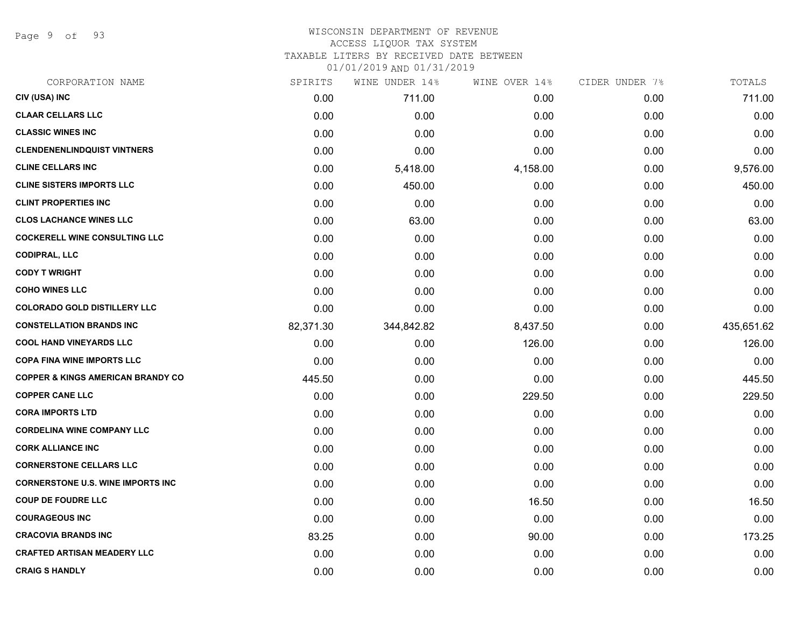Page 9 of 93

# WISCONSIN DEPARTMENT OF REVENUE ACCESS LIQUOR TAX SYSTEM

TAXABLE LITERS BY RECEIVED DATE BETWEEN

|     |                    | 01/01/2019 AND 01/31/2019 |       |
|-----|--------------------|---------------------------|-------|
| ᅚᆏᅌ | 14% מתחוווז תוחדות |                           | TAT T |

| CORPORATION NAME                             | SPIRITS   | WINE UNDER 14% | WINE OVER 14% | CIDER UNDER 7% | TOTALS     |
|----------------------------------------------|-----------|----------------|---------------|----------------|------------|
| CIV (USA) INC                                | 0.00      | 711.00         | 0.00          | 0.00           | 711.00     |
| <b>CLAAR CELLARS LLC</b>                     | 0.00      | 0.00           | 0.00          | 0.00           | 0.00       |
| <b>CLASSIC WINES INC</b>                     | 0.00      | 0.00           | 0.00          | 0.00           | 0.00       |
| <b>CLENDENENLINDQUIST VINTNERS</b>           | 0.00      | 0.00           | 0.00          | 0.00           | 0.00       |
| <b>CLINE CELLARS INC</b>                     | 0.00      | 5,418.00       | 4,158.00      | 0.00           | 9,576.00   |
| <b>CLINE SISTERS IMPORTS LLC</b>             | 0.00      | 450.00         | 0.00          | 0.00           | 450.00     |
| <b>CLINT PROPERTIES INC</b>                  | 0.00      | 0.00           | 0.00          | 0.00           | 0.00       |
| <b>CLOS LACHANCE WINES LLC</b>               | 0.00      | 63.00          | 0.00          | 0.00           | 63.00      |
| <b>COCKERELL WINE CONSULTING LLC</b>         | 0.00      | 0.00           | 0.00          | 0.00           | 0.00       |
| <b>CODIPRAL, LLC</b>                         | 0.00      | 0.00           | 0.00          | 0.00           | 0.00       |
| <b>CODY T WRIGHT</b>                         | 0.00      | 0.00           | 0.00          | 0.00           | 0.00       |
| <b>COHO WINES LLC</b>                        | 0.00      | 0.00           | 0.00          | 0.00           | 0.00       |
| <b>COLORADO GOLD DISTILLERY LLC</b>          | 0.00      | 0.00           | 0.00          | 0.00           | 0.00       |
| <b>CONSTELLATION BRANDS INC</b>              | 82,371.30 | 344,842.82     | 8,437.50      | 0.00           | 435,651.62 |
| <b>COOL HAND VINEYARDS LLC</b>               | 0.00      | 0.00           | 126.00        | 0.00           | 126.00     |
| <b>COPA FINA WINE IMPORTS LLC</b>            | 0.00      | 0.00           | 0.00          | 0.00           | 0.00       |
| <b>COPPER &amp; KINGS AMERICAN BRANDY CO</b> | 445.50    | 0.00           | 0.00          | 0.00           | 445.50     |
| <b>COPPER CANE LLC</b>                       | 0.00      | 0.00           | 229.50        | 0.00           | 229.50     |
| <b>CORA IMPORTS LTD</b>                      | 0.00      | 0.00           | 0.00          | 0.00           | 0.00       |
| <b>CORDELINA WINE COMPANY LLC</b>            | 0.00      | 0.00           | 0.00          | 0.00           | 0.00       |
| <b>CORK ALLIANCE INC</b>                     | 0.00      | 0.00           | 0.00          | 0.00           | 0.00       |
| <b>CORNERSTONE CELLARS LLC</b>               | 0.00      | 0.00           | 0.00          | 0.00           | 0.00       |
| <b>CORNERSTONE U.S. WINE IMPORTS INC</b>     | 0.00      | 0.00           | 0.00          | 0.00           | 0.00       |
| <b>COUP DE FOUDRE LLC</b>                    | 0.00      | 0.00           | 16.50         | 0.00           | 16.50      |
| <b>COURAGEOUS INC</b>                        | 0.00      | 0.00           | 0.00          | 0.00           | 0.00       |
| <b>CRACOVIA BRANDS INC</b>                   | 83.25     | 0.00           | 90.00         | 0.00           | 173.25     |
| <b>CRAFTED ARTISAN MEADERY LLC</b>           | 0.00      | 0.00           | 0.00          | 0.00           | 0.00       |
| <b>CRAIG S HANDLY</b>                        | 0.00      | 0.00           | 0.00          | 0.00           | 0.00       |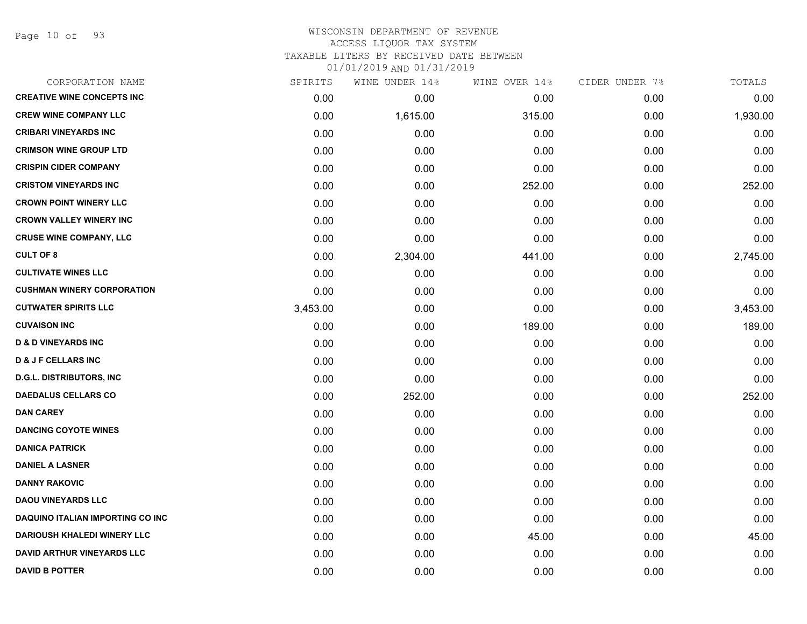Page 10 of 93

#### WISCONSIN DEPARTMENT OF REVENUE ACCESS LIQUOR TAX SYSTEM TAXABLE LITERS BY RECEIVED DATE BETWEEN

| CORPORATION NAME                   | SPIRITS  | WINE UNDER 14% | WINE OVER 14% | CIDER UNDER 7% | TOTALS   |
|------------------------------------|----------|----------------|---------------|----------------|----------|
| <b>CREATIVE WINE CONCEPTS INC</b>  | 0.00     | 0.00           | 0.00          | 0.00           | 0.00     |
| <b>CREW WINE COMPANY LLC</b>       | 0.00     | 1,615.00       | 315.00        | 0.00           | 1,930.00 |
| <b>CRIBARI VINEYARDS INC</b>       | 0.00     | 0.00           | 0.00          | 0.00           | 0.00     |
| <b>CRIMSON WINE GROUP LTD</b>      | 0.00     | 0.00           | 0.00          | 0.00           | 0.00     |
| <b>CRISPIN CIDER COMPANY</b>       | 0.00     | 0.00           | 0.00          | 0.00           | 0.00     |
| <b>CRISTOM VINEYARDS INC</b>       | 0.00     | 0.00           | 252.00        | 0.00           | 252.00   |
| <b>CROWN POINT WINERY LLC</b>      | 0.00     | 0.00           | 0.00          | 0.00           | 0.00     |
| <b>CROWN VALLEY WINERY INC</b>     | 0.00     | 0.00           | 0.00          | 0.00           | 0.00     |
| <b>CRUSE WINE COMPANY, LLC</b>     | 0.00     | 0.00           | 0.00          | 0.00           | 0.00     |
| <b>CULT OF 8</b>                   | 0.00     | 2,304.00       | 441.00        | 0.00           | 2,745.00 |
| <b>CULTIVATE WINES LLC</b>         | 0.00     | 0.00           | 0.00          | 0.00           | 0.00     |
| <b>CUSHMAN WINERY CORPORATION</b>  | 0.00     | 0.00           | 0.00          | 0.00           | 0.00     |
| <b>CUTWATER SPIRITS LLC</b>        | 3,453.00 | 0.00           | 0.00          | 0.00           | 3,453.00 |
| <b>CUVAISON INC</b>                | 0.00     | 0.00           | 189.00        | 0.00           | 189.00   |
| <b>D &amp; D VINEYARDS INC</b>     | 0.00     | 0.00           | 0.00          | 0.00           | 0.00     |
| <b>D &amp; J F CELLARS INC</b>     | 0.00     | 0.00           | 0.00          | 0.00           | 0.00     |
| <b>D.G.L. DISTRIBUTORS, INC</b>    | 0.00     | 0.00           | 0.00          | 0.00           | 0.00     |
| <b>DAEDALUS CELLARS CO</b>         | 0.00     | 252.00         | 0.00          | 0.00           | 252.00   |
| <b>DAN CAREY</b>                   | 0.00     | 0.00           | 0.00          | 0.00           | 0.00     |
| <b>DANCING COYOTE WINES</b>        | 0.00     | 0.00           | 0.00          | 0.00           | 0.00     |
| <b>DANICA PATRICK</b>              | 0.00     | 0.00           | 0.00          | 0.00           | 0.00     |
| <b>DANIEL A LASNER</b>             | 0.00     | 0.00           | 0.00          | 0.00           | 0.00     |
| <b>DANNY RAKOVIC</b>               | 0.00     | 0.00           | 0.00          | 0.00           | 0.00     |
| <b>DAOU VINEYARDS LLC</b>          | 0.00     | 0.00           | 0.00          | 0.00           | 0.00     |
| DAQUINO ITALIAN IMPORTING CO INC   | 0.00     | 0.00           | 0.00          | 0.00           | 0.00     |
| <b>DARIOUSH KHALEDI WINERY LLC</b> | 0.00     | 0.00           | 45.00         | 0.00           | 45.00    |
| <b>DAVID ARTHUR VINEYARDS LLC</b>  | 0.00     | 0.00           | 0.00          | 0.00           | 0.00     |
| <b>DAVID B POTTER</b>              | 0.00     | 0.00           | 0.00          | 0.00           | 0.00     |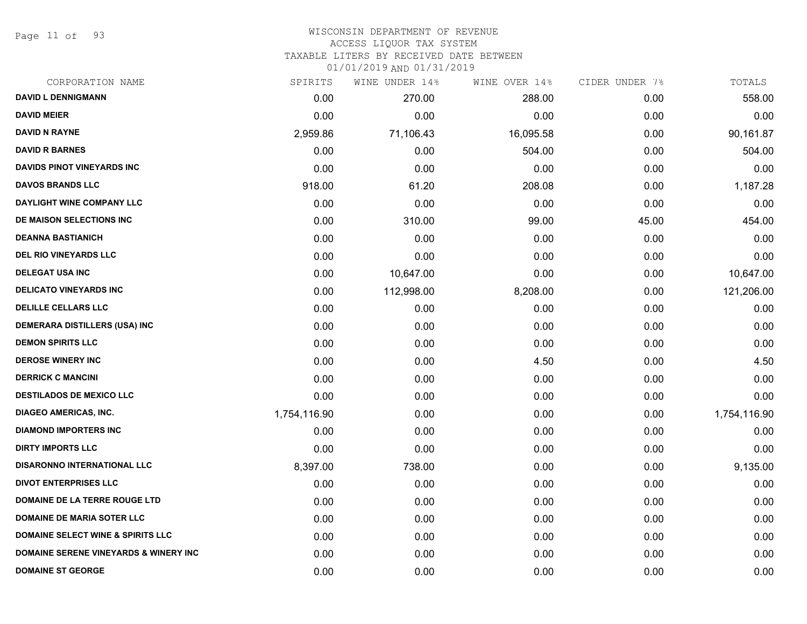Page 11 of 93

## WISCONSIN DEPARTMENT OF REVENUE ACCESS LIQUOR TAX SYSTEM

TAXABLE LITERS BY RECEIVED DATE BETWEEN

| CORPORATION NAME                                 | SPIRITS      | WINE UNDER 14% | WINE OVER 14% | CIDER UNDER 7% | TOTALS       |
|--------------------------------------------------|--------------|----------------|---------------|----------------|--------------|
| <b>DAVID L DENNIGMANN</b>                        | 0.00         | 270.00         | 288.00        | 0.00           | 558.00       |
| <b>DAVID MEIER</b>                               | 0.00         | 0.00           | 0.00          | 0.00           | 0.00         |
| <b>DAVID N RAYNE</b>                             | 2,959.86     | 71,106.43      | 16,095.58     | 0.00           | 90,161.87    |
| <b>DAVID R BARNES</b>                            | 0.00         | 0.00           | 504.00        | 0.00           | 504.00       |
| <b>DAVIDS PINOT VINEYARDS INC</b>                | 0.00         | 0.00           | 0.00          | 0.00           | 0.00         |
| <b>DAVOS BRANDS LLC</b>                          | 918.00       | 61.20          | 208.08        | 0.00           | 1,187.28     |
| DAYLIGHT WINE COMPANY LLC                        | 0.00         | 0.00           | 0.00          | 0.00           | 0.00         |
| DE MAISON SELECTIONS INC                         | 0.00         | 310.00         | 99.00         | 45.00          | 454.00       |
| <b>DEANNA BASTIANICH</b>                         | 0.00         | 0.00           | 0.00          | 0.00           | 0.00         |
| <b>DEL RIO VINEYARDS LLC</b>                     | 0.00         | 0.00           | 0.00          | 0.00           | 0.00         |
| <b>DELEGAT USA INC</b>                           | 0.00         | 10,647.00      | 0.00          | 0.00           | 10,647.00    |
| <b>DELICATO VINEYARDS INC</b>                    | 0.00         | 112,998.00     | 8,208.00      | 0.00           | 121,206.00   |
| <b>DELILLE CELLARS LLC</b>                       | 0.00         | 0.00           | 0.00          | 0.00           | 0.00         |
| <b>DEMERARA DISTILLERS (USA) INC</b>             | 0.00         | 0.00           | 0.00          | 0.00           | 0.00         |
| <b>DEMON SPIRITS LLC</b>                         | 0.00         | 0.00           | 0.00          | 0.00           | 0.00         |
| <b>DEROSE WINERY INC</b>                         | 0.00         | 0.00           | 4.50          | 0.00           | 4.50         |
| <b>DERRICK C MANCINI</b>                         | 0.00         | 0.00           | 0.00          | 0.00           | 0.00         |
| <b>DESTILADOS DE MEXICO LLC</b>                  | 0.00         | 0.00           | 0.00          | 0.00           | 0.00         |
| <b>DIAGEO AMERICAS, INC.</b>                     | 1,754,116.90 | 0.00           | 0.00          | 0.00           | 1,754,116.90 |
| <b>DIAMOND IMPORTERS INC</b>                     | 0.00         | 0.00           | 0.00          | 0.00           | 0.00         |
| <b>DIRTY IMPORTS LLC</b>                         | 0.00         | 0.00           | 0.00          | 0.00           | 0.00         |
| <b>DISARONNO INTERNATIONAL LLC</b>               | 8,397.00     | 738.00         | 0.00          | 0.00           | 9,135.00     |
| <b>DIVOT ENTERPRISES LLC</b>                     | 0.00         | 0.00           | 0.00          | 0.00           | 0.00         |
| DOMAINE DE LA TERRE ROUGE LTD                    | 0.00         | 0.00           | 0.00          | 0.00           | 0.00         |
| <b>DOMAINE DE MARIA SOTER LLC</b>                | 0.00         | 0.00           | 0.00          | 0.00           | 0.00         |
| <b>DOMAINE SELECT WINE &amp; SPIRITS LLC</b>     | 0.00         | 0.00           | 0.00          | 0.00           | 0.00         |
| <b>DOMAINE SERENE VINEYARDS &amp; WINERY INC</b> | 0.00         | 0.00           | 0.00          | 0.00           | 0.00         |
| <b>DOMAINE ST GEORGE</b>                         | 0.00         | 0.00           | 0.00          | 0.00           | 0.00         |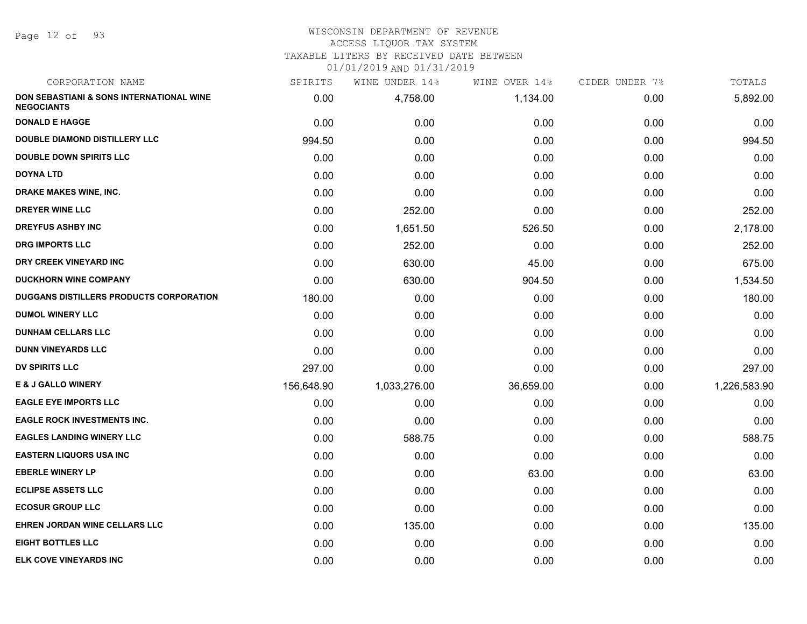Page 12 of 93

## WISCONSIN DEPARTMENT OF REVENUE

## ACCESS LIQUOR TAX SYSTEM

TAXABLE LITERS BY RECEIVED DATE BETWEEN

| CORPORATION NAME                                              | SPIRITS    | WINE UNDER 14% | WINE OVER 14% | CIDER UNDER 7% | TOTALS       |
|---------------------------------------------------------------|------------|----------------|---------------|----------------|--------------|
| DON SEBASTIANI & SONS INTERNATIONAL WINE<br><b>NEGOCIANTS</b> | 0.00       | 4,758.00       | 1,134.00      | 0.00           | 5,892.00     |
| <b>DONALD E HAGGE</b>                                         | 0.00       | 0.00           | 0.00          | 0.00           | 0.00         |
| DOUBLE DIAMOND DISTILLERY LLC                                 | 994.50     | 0.00           | 0.00          | 0.00           | 994.50       |
| <b>DOUBLE DOWN SPIRITS LLC</b>                                | 0.00       | 0.00           | 0.00          | 0.00           | 0.00         |
| <b>DOYNA LTD</b>                                              | 0.00       | 0.00           | 0.00          | 0.00           | 0.00         |
| DRAKE MAKES WINE, INC.                                        | 0.00       | 0.00           | 0.00          | 0.00           | 0.00         |
| <b>DREYER WINE LLC</b>                                        | 0.00       | 252.00         | 0.00          | 0.00           | 252.00       |
| <b>DREYFUS ASHBY INC</b>                                      | 0.00       | 1,651.50       | 526.50        | 0.00           | 2,178.00     |
| <b>DRG IMPORTS LLC</b>                                        | 0.00       | 252.00         | 0.00          | 0.00           | 252.00       |
| DRY CREEK VINEYARD INC                                        | 0.00       | 630.00         | 45.00         | 0.00           | 675.00       |
| <b>DUCKHORN WINE COMPANY</b>                                  | 0.00       | 630.00         | 904.50        | 0.00           | 1,534.50     |
| <b>DUGGANS DISTILLERS PRODUCTS CORPORATION</b>                | 180.00     | 0.00           | 0.00          | 0.00           | 180.00       |
| <b>DUMOL WINERY LLC</b>                                       | 0.00       | 0.00           | 0.00          | 0.00           | 0.00         |
| <b>DUNHAM CELLARS LLC</b>                                     | 0.00       | 0.00           | 0.00          | 0.00           | 0.00         |
| <b>DUNN VINEYARDS LLC</b>                                     | 0.00       | 0.00           | 0.00          | 0.00           | 0.00         |
| <b>DV SPIRITS LLC</b>                                         | 297.00     | 0.00           | 0.00          | 0.00           | 297.00       |
| <b>E &amp; J GALLO WINERY</b>                                 | 156,648.90 | 1,033,276.00   | 36,659.00     | 0.00           | 1,226,583.90 |
| <b>EAGLE EYE IMPORTS LLC</b>                                  | 0.00       | 0.00           | 0.00          | 0.00           | 0.00         |
| <b>EAGLE ROCK INVESTMENTS INC.</b>                            | 0.00       | 0.00           | 0.00          | 0.00           | 0.00         |
| <b>EAGLES LANDING WINERY LLC</b>                              | 0.00       | 588.75         | 0.00          | 0.00           | 588.75       |
| <b>EASTERN LIQUORS USA INC</b>                                | 0.00       | 0.00           | 0.00          | 0.00           | 0.00         |
| <b>EBERLE WINERY LP</b>                                       | 0.00       | 0.00           | 63.00         | 0.00           | 63.00        |
| <b>ECLIPSE ASSETS LLC</b>                                     | 0.00       | 0.00           | 0.00          | 0.00           | 0.00         |
| <b>ECOSUR GROUP LLC</b>                                       | 0.00       | 0.00           | 0.00          | 0.00           | 0.00         |
| EHREN JORDAN WINE CELLARS LLC                                 | 0.00       | 135.00         | 0.00          | 0.00           | 135.00       |
| <b>EIGHT BOTTLES LLC</b>                                      | 0.00       | 0.00           | 0.00          | 0.00           | 0.00         |
| <b>ELK COVE VINEYARDS INC</b>                                 | 0.00       | 0.00           | 0.00          | 0.00           | 0.00         |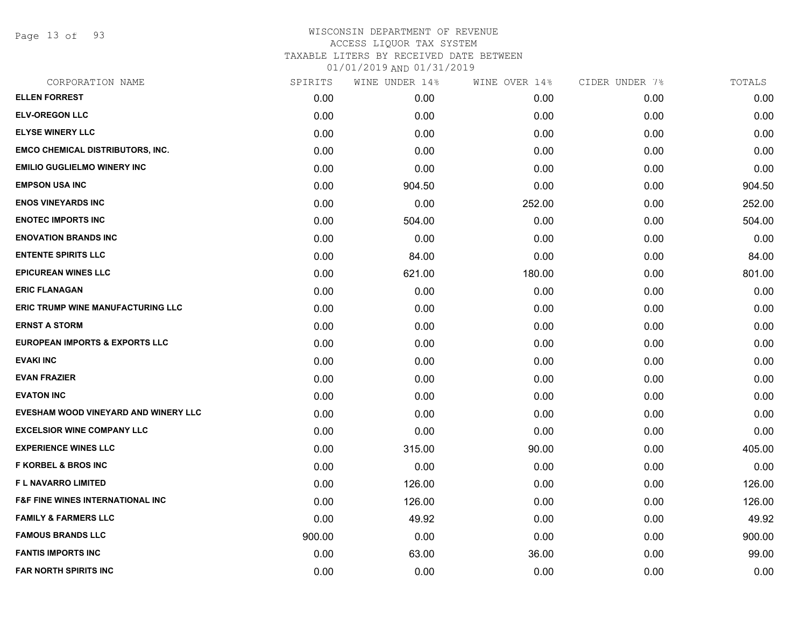Page 13 of 93

# WISCONSIN DEPARTMENT OF REVENUE ACCESS LIQUOR TAX SYSTEM TAXABLE LITERS BY RECEIVED DATE BETWEEN

| CORPORATION NAME                            | SPIRITS | WINE UNDER 14% | WINE OVER 14% | CIDER UNDER 7% | TOTALS |
|---------------------------------------------|---------|----------------|---------------|----------------|--------|
| <b>ELLEN FORREST</b>                        | 0.00    | 0.00           | 0.00          | 0.00           | 0.00   |
| <b>ELV-OREGON LLC</b>                       | 0.00    | 0.00           | 0.00          | 0.00           | 0.00   |
| <b>ELYSE WINERY LLC</b>                     | 0.00    | 0.00           | 0.00          | 0.00           | 0.00   |
| <b>EMCO CHEMICAL DISTRIBUTORS, INC.</b>     | 0.00    | 0.00           | 0.00          | 0.00           | 0.00   |
| <b>EMILIO GUGLIELMO WINERY INC</b>          | 0.00    | 0.00           | 0.00          | 0.00           | 0.00   |
| <b>EMPSON USA INC</b>                       | 0.00    | 904.50         | 0.00          | 0.00           | 904.50 |
| <b>ENOS VINEYARDS INC</b>                   | 0.00    | 0.00           | 252.00        | 0.00           | 252.00 |
| <b>ENOTEC IMPORTS INC</b>                   | 0.00    | 504.00         | 0.00          | 0.00           | 504.00 |
| <b>ENOVATION BRANDS INC</b>                 | 0.00    | 0.00           | 0.00          | 0.00           | 0.00   |
| <b>ENTENTE SPIRITS LLC</b>                  | 0.00    | 84.00          | 0.00          | 0.00           | 84.00  |
| <b>EPICUREAN WINES LLC</b>                  | 0.00    | 621.00         | 180.00        | 0.00           | 801.00 |
| <b>ERIC FLANAGAN</b>                        | 0.00    | 0.00           | 0.00          | 0.00           | 0.00   |
| <b>ERIC TRUMP WINE MANUFACTURING LLC</b>    | 0.00    | 0.00           | 0.00          | 0.00           | 0.00   |
| <b>ERNST A STORM</b>                        | 0.00    | 0.00           | 0.00          | 0.00           | 0.00   |
| <b>EUROPEAN IMPORTS &amp; EXPORTS LLC</b>   | 0.00    | 0.00           | 0.00          | 0.00           | 0.00   |
| <b>EVAKI INC</b>                            | 0.00    | 0.00           | 0.00          | 0.00           | 0.00   |
| <b>EVAN FRAZIER</b>                         | 0.00    | 0.00           | 0.00          | 0.00           | 0.00   |
| <b>EVATON INC</b>                           | 0.00    | 0.00           | 0.00          | 0.00           | 0.00   |
| EVESHAM WOOD VINEYARD AND WINERY LLC        | 0.00    | 0.00           | 0.00          | 0.00           | 0.00   |
| <b>EXCELSIOR WINE COMPANY LLC</b>           | 0.00    | 0.00           | 0.00          | 0.00           | 0.00   |
| <b>EXPERIENCE WINES LLC</b>                 | 0.00    | 315.00         | 90.00         | 0.00           | 405.00 |
| <b>F KORBEL &amp; BROS INC</b>              | 0.00    | 0.00           | 0.00          | 0.00           | 0.00   |
| F L NAVARRO LIMITED                         | 0.00    | 126.00         | 0.00          | 0.00           | 126.00 |
| <b>F&amp;F FINE WINES INTERNATIONAL INC</b> | 0.00    | 126.00         | 0.00          | 0.00           | 126.00 |
| <b>FAMILY &amp; FARMERS LLC</b>             | 0.00    | 49.92          | 0.00          | 0.00           | 49.92  |
| <b>FAMOUS BRANDS LLC</b>                    | 900.00  | 0.00           | 0.00          | 0.00           | 900.00 |
| <b>FANTIS IMPORTS INC</b>                   | 0.00    | 63.00          | 36.00         | 0.00           | 99.00  |
| <b>FAR NORTH SPIRITS INC</b>                | 0.00    | 0.00           | 0.00          | 0.00           | 0.00   |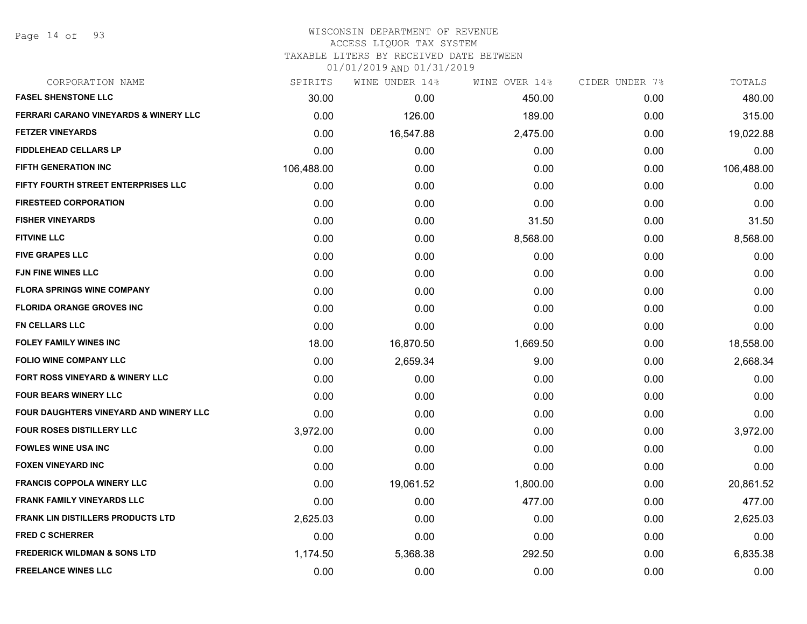Page 14 of 93

#### WISCONSIN DEPARTMENT OF REVENUE ACCESS LIQUOR TAX SYSTEM

TAXABLE LITERS BY RECEIVED DATE BETWEEN

| CORPORATION NAME                                 | SPIRITS    | WINE UNDER 14% | WINE OVER 14% | CIDER UNDER 7% | TOTALS     |
|--------------------------------------------------|------------|----------------|---------------|----------------|------------|
| <b>FASEL SHENSTONE LLC</b>                       | 30.00      | 0.00           | 450.00        | 0.00           | 480.00     |
| <b>FERRARI CARANO VINEYARDS &amp; WINERY LLC</b> | 0.00       | 126.00         | 189.00        | 0.00           | 315.00     |
| <b>FETZER VINEYARDS</b>                          | 0.00       | 16,547.88      | 2,475.00      | 0.00           | 19,022.88  |
| <b>FIDDLEHEAD CELLARS LP</b>                     | 0.00       | 0.00           | 0.00          | 0.00           | 0.00       |
| <b>FIFTH GENERATION INC</b>                      | 106,488.00 | 0.00           | 0.00          | 0.00           | 106,488.00 |
| FIFTY FOURTH STREET ENTERPRISES LLC              | 0.00       | 0.00           | 0.00          | 0.00           | 0.00       |
| <b>FIRESTEED CORPORATION</b>                     | 0.00       | 0.00           | 0.00          | 0.00           | 0.00       |
| <b>FISHER VINEYARDS</b>                          | 0.00       | 0.00           | 31.50         | 0.00           | 31.50      |
| <b>FITVINE LLC</b>                               | 0.00       | 0.00           | 8,568.00      | 0.00           | 8,568.00   |
| <b>FIVE GRAPES LLC</b>                           | 0.00       | 0.00           | 0.00          | 0.00           | 0.00       |
| <b>FJN FINE WINES LLC</b>                        | 0.00       | 0.00           | 0.00          | 0.00           | 0.00       |
| <b>FLORA SPRINGS WINE COMPANY</b>                | 0.00       | 0.00           | 0.00          | 0.00           | 0.00       |
| <b>FLORIDA ORANGE GROVES INC</b>                 | 0.00       | 0.00           | 0.00          | 0.00           | 0.00       |
| <b>FN CELLARS LLC</b>                            | 0.00       | 0.00           | 0.00          | 0.00           | 0.00       |
| <b>FOLEY FAMILY WINES INC</b>                    | 18.00      | 16,870.50      | 1,669.50      | 0.00           | 18,558.00  |
| <b>FOLIO WINE COMPANY LLC</b>                    | 0.00       | 2,659.34       | 9.00          | 0.00           | 2,668.34   |
| <b>FORT ROSS VINEYARD &amp; WINERY LLC</b>       | 0.00       | 0.00           | 0.00          | 0.00           | 0.00       |
| <b>FOUR BEARS WINERY LLC</b>                     | 0.00       | 0.00           | 0.00          | 0.00           | 0.00       |
| FOUR DAUGHTERS VINEYARD AND WINERY LLC           | 0.00       | 0.00           | 0.00          | 0.00           | 0.00       |
| <b>FOUR ROSES DISTILLERY LLC</b>                 | 3,972.00   | 0.00           | 0.00          | 0.00           | 3,972.00   |
| <b>FOWLES WINE USA INC</b>                       | 0.00       | 0.00           | 0.00          | 0.00           | 0.00       |
| <b>FOXEN VINEYARD INC</b>                        | 0.00       | 0.00           | 0.00          | 0.00           | 0.00       |
| <b>FRANCIS COPPOLA WINERY LLC</b>                | 0.00       | 19,061.52      | 1,800.00      | 0.00           | 20,861.52  |
| <b>FRANK FAMILY VINEYARDS LLC</b>                | 0.00       | 0.00           | 477.00        | 0.00           | 477.00     |
| <b>FRANK LIN DISTILLERS PRODUCTS LTD</b>         | 2,625.03   | 0.00           | 0.00          | 0.00           | 2,625.03   |
| <b>FRED C SCHERRER</b>                           | 0.00       | 0.00           | 0.00          | 0.00           | 0.00       |
| <b>FREDERICK WILDMAN &amp; SONS LTD</b>          | 1,174.50   | 5,368.38       | 292.50        | 0.00           | 6,835.38   |
| <b>FREELANCE WINES LLC</b>                       | 0.00       | 0.00           | 0.00          | 0.00           | 0.00       |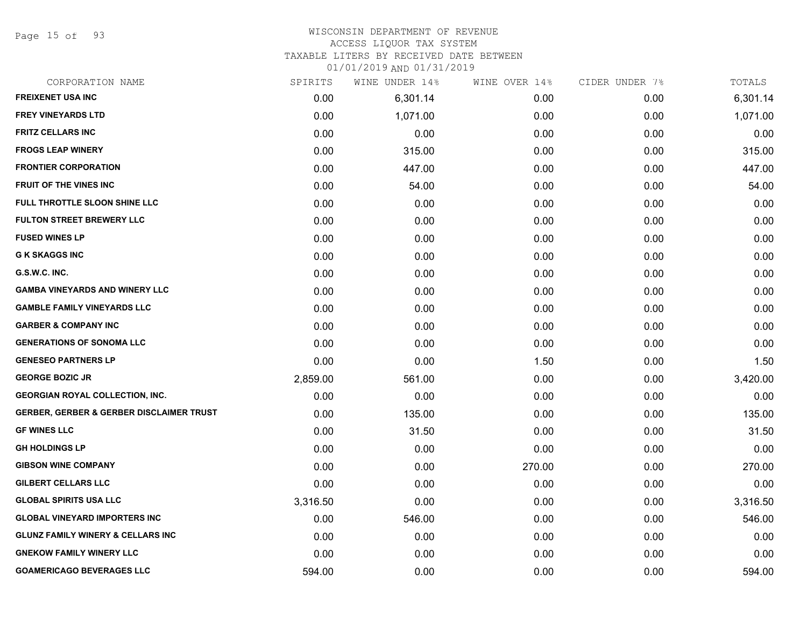Page 15 of 93

# WISCONSIN DEPARTMENT OF REVENUE

# ACCESS LIQUOR TAX SYSTEM

TAXABLE LITERS BY RECEIVED DATE BETWEEN

| CORPORATION NAME                                    | SPIRITS  | WINE UNDER 14% | WINE OVER 14% | CIDER UNDER 7% | TOTALS   |
|-----------------------------------------------------|----------|----------------|---------------|----------------|----------|
| <b>FREIXENET USA INC</b>                            | 0.00     | 6,301.14       | 0.00          | 0.00           | 6,301.14 |
| <b>FREY VINEYARDS LTD</b>                           | 0.00     | 1,071.00       | 0.00          | 0.00           | 1,071.00 |
| <b>FRITZ CELLARS INC</b>                            | 0.00     | 0.00           | 0.00          | 0.00           | 0.00     |
| <b>FROGS LEAP WINERY</b>                            | 0.00     | 315.00         | 0.00          | 0.00           | 315.00   |
| <b>FRONTIER CORPORATION</b>                         | 0.00     | 447.00         | 0.00          | 0.00           | 447.00   |
| FRUIT OF THE VINES INC                              | 0.00     | 54.00          | 0.00          | 0.00           | 54.00    |
| <b>FULL THROTTLE SLOON SHINE LLC</b>                | 0.00     | 0.00           | 0.00          | 0.00           | 0.00     |
| <b>FULTON STREET BREWERY LLC</b>                    | 0.00     | 0.00           | 0.00          | 0.00           | 0.00     |
| <b>FUSED WINES LP</b>                               | 0.00     | 0.00           | 0.00          | 0.00           | 0.00     |
| <b>G K SKAGGS INC</b>                               | 0.00     | 0.00           | 0.00          | 0.00           | 0.00     |
| G.S.W.C. INC.                                       | 0.00     | 0.00           | 0.00          | 0.00           | 0.00     |
| <b>GAMBA VINEYARDS AND WINERY LLC</b>               | 0.00     | 0.00           | 0.00          | 0.00           | 0.00     |
| <b>GAMBLE FAMILY VINEYARDS LLC</b>                  | 0.00     | 0.00           | 0.00          | 0.00           | 0.00     |
| <b>GARBER &amp; COMPANY INC</b>                     | 0.00     | 0.00           | 0.00          | 0.00           | 0.00     |
| <b>GENERATIONS OF SONOMA LLC</b>                    | 0.00     | 0.00           | 0.00          | 0.00           | 0.00     |
| <b>GENESEO PARTNERS LP</b>                          | 0.00     | 0.00           | 1.50          | 0.00           | 1.50     |
| <b>GEORGE BOZIC JR</b>                              | 2,859.00 | 561.00         | 0.00          | 0.00           | 3,420.00 |
| <b>GEORGIAN ROYAL COLLECTION, INC.</b>              | 0.00     | 0.00           | 0.00          | 0.00           | 0.00     |
| <b>GERBER, GERBER &amp; GERBER DISCLAIMER TRUST</b> | 0.00     | 135.00         | 0.00          | 0.00           | 135.00   |
| <b>GF WINES LLC</b>                                 | 0.00     | 31.50          | 0.00          | 0.00           | 31.50    |
| <b>GH HOLDINGS LP</b>                               | 0.00     | 0.00           | 0.00          | 0.00           | 0.00     |
| <b>GIBSON WINE COMPANY</b>                          | 0.00     | 0.00           | 270.00        | 0.00           | 270.00   |
| <b>GILBERT CELLARS LLC</b>                          | 0.00     | 0.00           | 0.00          | 0.00           | 0.00     |
| <b>GLOBAL SPIRITS USA LLC</b>                       | 3,316.50 | 0.00           | 0.00          | 0.00           | 3,316.50 |
| <b>GLOBAL VINEYARD IMPORTERS INC</b>                | 0.00     | 546.00         | 0.00          | 0.00           | 546.00   |
| <b>GLUNZ FAMILY WINERY &amp; CELLARS INC</b>        | 0.00     | 0.00           | 0.00          | 0.00           | 0.00     |
| <b>GNEKOW FAMILY WINERY LLC</b>                     | 0.00     | 0.00           | 0.00          | 0.00           | 0.00     |
| <b>GOAMERICAGO BEVERAGES LLC</b>                    | 594.00   | 0.00           | 0.00          | 0.00           | 594.00   |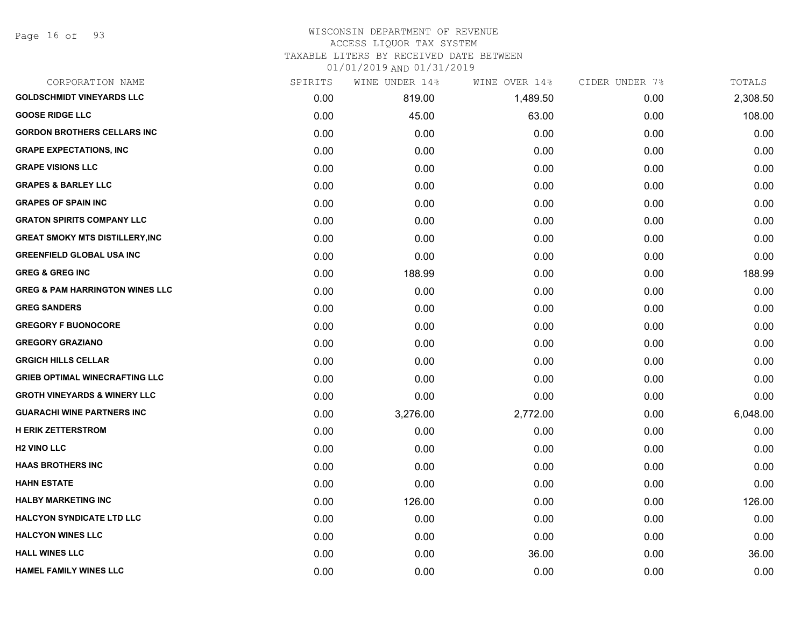Page 16 of 93

#### WISCONSIN DEPARTMENT OF REVENUE ACCESS LIQUOR TAX SYSTEM

TAXABLE LITERS BY RECEIVED DATE BETWEEN

| CORPORATION NAME                           | SPIRITS | WINE UNDER 14% | WINE OVER 14% | CIDER UNDER 7% | TOTALS   |
|--------------------------------------------|---------|----------------|---------------|----------------|----------|
| <b>GOLDSCHMIDT VINEYARDS LLC</b>           | 0.00    | 819.00         | 1,489.50      | 0.00           | 2,308.50 |
| <b>GOOSE RIDGE LLC</b>                     | 0.00    | 45.00          | 63.00         | 0.00           | 108.00   |
| <b>GORDON BROTHERS CELLARS INC</b>         | 0.00    | 0.00           | 0.00          | 0.00           | 0.00     |
| <b>GRAPE EXPECTATIONS, INC</b>             | 0.00    | 0.00           | 0.00          | 0.00           | 0.00     |
| <b>GRAPE VISIONS LLC</b>                   | 0.00    | 0.00           | 0.00          | 0.00           | 0.00     |
| <b>GRAPES &amp; BARLEY LLC</b>             | 0.00    | 0.00           | 0.00          | 0.00           | 0.00     |
| <b>GRAPES OF SPAIN INC</b>                 | 0.00    | 0.00           | 0.00          | 0.00           | 0.00     |
| <b>GRATON SPIRITS COMPANY LLC</b>          | 0.00    | 0.00           | 0.00          | 0.00           | 0.00     |
| <b>GREAT SMOKY MTS DISTILLERY, INC</b>     | 0.00    | 0.00           | 0.00          | 0.00           | 0.00     |
| <b>GREENFIELD GLOBAL USA INC</b>           | 0.00    | 0.00           | 0.00          | 0.00           | 0.00     |
| <b>GREG &amp; GREG INC</b>                 | 0.00    | 188.99         | 0.00          | 0.00           | 188.99   |
| <b>GREG &amp; PAM HARRINGTON WINES LLC</b> | 0.00    | 0.00           | 0.00          | 0.00           | 0.00     |
| <b>GREG SANDERS</b>                        | 0.00    | 0.00           | 0.00          | 0.00           | 0.00     |
| <b>GREGORY F BUONOCORE</b>                 | 0.00    | 0.00           | 0.00          | 0.00           | 0.00     |
| <b>GREGORY GRAZIANO</b>                    | 0.00    | 0.00           | 0.00          | 0.00           | 0.00     |
| <b>GRGICH HILLS CELLAR</b>                 | 0.00    | 0.00           | 0.00          | 0.00           | 0.00     |
| <b>GRIEB OPTIMAL WINECRAFTING LLC</b>      | 0.00    | 0.00           | 0.00          | 0.00           | 0.00     |
| <b>GROTH VINEYARDS &amp; WINERY LLC</b>    | 0.00    | 0.00           | 0.00          | 0.00           | 0.00     |
| <b>GUARACHI WINE PARTNERS INC</b>          | 0.00    | 3,276.00       | 2,772.00      | 0.00           | 6,048.00 |
| <b>H ERIK ZETTERSTROM</b>                  | 0.00    | 0.00           | 0.00          | 0.00           | 0.00     |
| <b>H2 VINO LLC</b>                         | 0.00    | 0.00           | 0.00          | 0.00           | 0.00     |
| <b>HAAS BROTHERS INC</b>                   | 0.00    | 0.00           | 0.00          | 0.00           | 0.00     |
| <b>HAHN ESTATE</b>                         | 0.00    | 0.00           | 0.00          | 0.00           | 0.00     |
| <b>HALBY MARKETING INC</b>                 | 0.00    | 126.00         | 0.00          | 0.00           | 126.00   |
| <b>HALCYON SYNDICATE LTD LLC</b>           | 0.00    | 0.00           | 0.00          | 0.00           | 0.00     |
| <b>HALCYON WINES LLC</b>                   | 0.00    | 0.00           | 0.00          | 0.00           | 0.00     |
| <b>HALL WINES LLC</b>                      | 0.00    | 0.00           | 36.00         | 0.00           | 36.00    |
| <b>HAMEL FAMILY WINES LLC</b>              | 0.00    | 0.00           | 0.00          | 0.00           | 0.00     |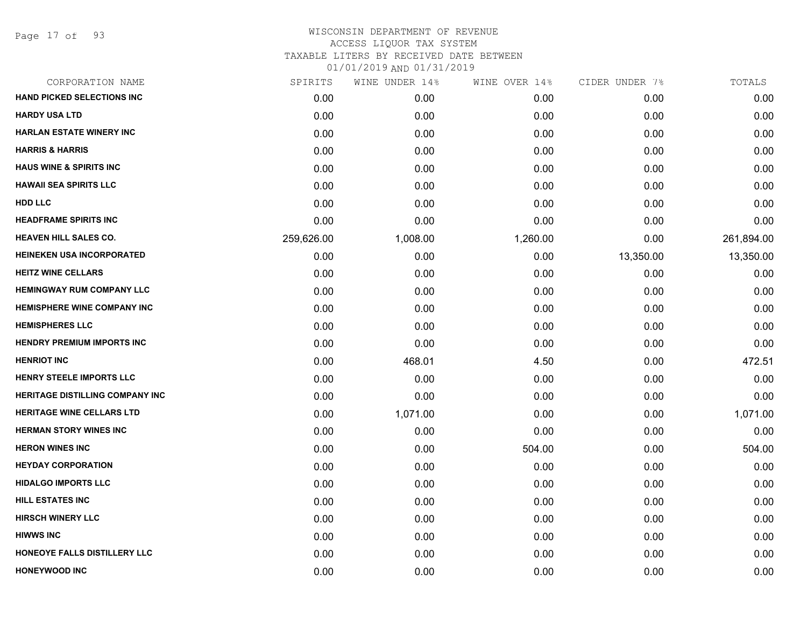Page 17 of 93

# WISCONSIN DEPARTMENT OF REVENUE ACCESS LIQUOR TAX SYSTEM TAXABLE LITERS BY RECEIVED DATE BETWEEN

| CORPORATION NAME                       | SPIRITS    | WINE UNDER 14% | WINE OVER 14% | CIDER UNDER 7% | TOTALS     |
|----------------------------------------|------------|----------------|---------------|----------------|------------|
| <b>HAND PICKED SELECTIONS INC</b>      | 0.00       | 0.00           | 0.00          | 0.00           | 0.00       |
| <b>HARDY USA LTD</b>                   | 0.00       | 0.00           | 0.00          | 0.00           | 0.00       |
| <b>HARLAN ESTATE WINERY INC</b>        | 0.00       | 0.00           | 0.00          | 0.00           | 0.00       |
| <b>HARRIS &amp; HARRIS</b>             | 0.00       | 0.00           | 0.00          | 0.00           | 0.00       |
| <b>HAUS WINE &amp; SPIRITS INC</b>     | 0.00       | 0.00           | 0.00          | 0.00           | 0.00       |
| <b>HAWAII SEA SPIRITS LLC</b>          | 0.00       | 0.00           | 0.00          | 0.00           | 0.00       |
| <b>HDD LLC</b>                         | 0.00       | 0.00           | 0.00          | 0.00           | 0.00       |
| <b>HEADFRAME SPIRITS INC</b>           | 0.00       | 0.00           | 0.00          | 0.00           | 0.00       |
| <b>HEAVEN HILL SALES CO.</b>           | 259,626.00 | 1,008.00       | 1,260.00      | 0.00           | 261,894.00 |
| <b>HEINEKEN USA INCORPORATED</b>       | 0.00       | 0.00           | 0.00          | 13,350.00      | 13,350.00  |
| <b>HEITZ WINE CELLARS</b>              | 0.00       | 0.00           | 0.00          | 0.00           | 0.00       |
| <b>HEMINGWAY RUM COMPANY LLC</b>       | 0.00       | 0.00           | 0.00          | 0.00           | 0.00       |
| <b>HEMISPHERE WINE COMPANY INC</b>     | 0.00       | 0.00           | 0.00          | 0.00           | 0.00       |
| <b>HEMISPHERES LLC</b>                 | 0.00       | 0.00           | 0.00          | 0.00           | 0.00       |
| <b>HENDRY PREMIUM IMPORTS INC</b>      | 0.00       | 0.00           | 0.00          | 0.00           | 0.00       |
| <b>HENRIOT INC</b>                     | 0.00       | 468.01         | 4.50          | 0.00           | 472.51     |
| <b>HENRY STEELE IMPORTS LLC</b>        | 0.00       | 0.00           | 0.00          | 0.00           | 0.00       |
| <b>HERITAGE DISTILLING COMPANY INC</b> | 0.00       | 0.00           | 0.00          | 0.00           | 0.00       |
| <b>HERITAGE WINE CELLARS LTD</b>       | 0.00       | 1,071.00       | 0.00          | 0.00           | 1,071.00   |
| <b>HERMAN STORY WINES INC</b>          | 0.00       | 0.00           | 0.00          | 0.00           | 0.00       |
| <b>HERON WINES INC</b>                 | 0.00       | 0.00           | 504.00        | 0.00           | 504.00     |
| <b>HEYDAY CORPORATION</b>              | 0.00       | 0.00           | 0.00          | 0.00           | 0.00       |
| <b>HIDALGO IMPORTS LLC</b>             | 0.00       | 0.00           | 0.00          | 0.00           | 0.00       |
| <b>HILL ESTATES INC</b>                | 0.00       | 0.00           | 0.00          | 0.00           | 0.00       |
| <b>HIRSCH WINERY LLC</b>               | 0.00       | 0.00           | 0.00          | 0.00           | 0.00       |
| <b>HIWWS INC</b>                       | 0.00       | 0.00           | 0.00          | 0.00           | 0.00       |
| HONEOYE FALLS DISTILLERY LLC           | 0.00       | 0.00           | 0.00          | 0.00           | 0.00       |
| <b>HONEYWOOD INC</b>                   | 0.00       | 0.00           | 0.00          | 0.00           | 0.00       |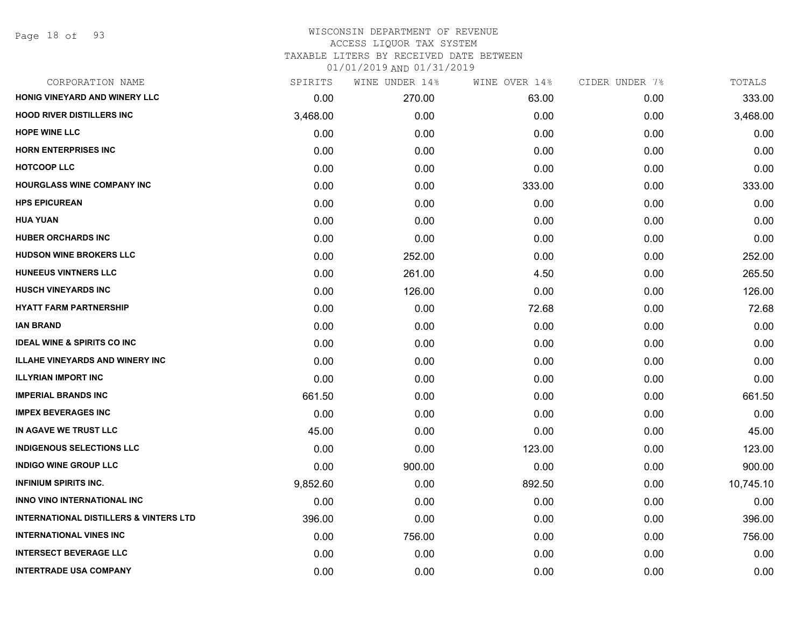Page 18 of 93

#### WISCONSIN DEPARTMENT OF REVENUE ACCESS LIQUOR TAX SYSTEM

TAXABLE LITERS BY RECEIVED DATE BETWEEN

| CORPORATION NAME                                  | SPIRITS  | WINE UNDER 14% | WINE OVER 14% | CIDER UNDER 7% | TOTALS    |
|---------------------------------------------------|----------|----------------|---------------|----------------|-----------|
| HONIG VINEYARD AND WINERY LLC                     | 0.00     | 270.00         | 63.00         | 0.00           | 333.00    |
| <b>HOOD RIVER DISTILLERS INC</b>                  | 3,468.00 | 0.00           | 0.00          | 0.00           | 3,468.00  |
| <b>HOPE WINE LLC</b>                              | 0.00     | 0.00           | 0.00          | 0.00           | 0.00      |
| <b>HORN ENTERPRISES INC</b>                       | 0.00     | 0.00           | 0.00          | 0.00           | 0.00      |
| <b>HOTCOOP LLC</b>                                | 0.00     | 0.00           | 0.00          | 0.00           | 0.00      |
| <b>HOURGLASS WINE COMPANY INC</b>                 | 0.00     | 0.00           | 333.00        | 0.00           | 333.00    |
| <b>HPS EPICUREAN</b>                              | 0.00     | 0.00           | 0.00          | 0.00           | 0.00      |
| <b>HUA YUAN</b>                                   | 0.00     | 0.00           | 0.00          | 0.00           | 0.00      |
| <b>HUBER ORCHARDS INC</b>                         | 0.00     | 0.00           | 0.00          | 0.00           | 0.00      |
| <b>HUDSON WINE BROKERS LLC</b>                    | 0.00     | 252.00         | 0.00          | 0.00           | 252.00    |
| <b>HUNEEUS VINTNERS LLC</b>                       | 0.00     | 261.00         | 4.50          | 0.00           | 265.50    |
| <b>HUSCH VINEYARDS INC</b>                        | 0.00     | 126.00         | 0.00          | 0.00           | 126.00    |
| <b>HYATT FARM PARTNERSHIP</b>                     | 0.00     | 0.00           | 72.68         | 0.00           | 72.68     |
| <b>IAN BRAND</b>                                  | 0.00     | 0.00           | 0.00          | 0.00           | 0.00      |
| <b>IDEAL WINE &amp; SPIRITS CO INC</b>            | 0.00     | 0.00           | 0.00          | 0.00           | 0.00      |
| <b>ILLAHE VINEYARDS AND WINERY INC</b>            | 0.00     | 0.00           | 0.00          | 0.00           | 0.00      |
| <b>ILLYRIAN IMPORT INC</b>                        | 0.00     | 0.00           | 0.00          | 0.00           | 0.00      |
| <b>IMPERIAL BRANDS INC</b>                        | 661.50   | 0.00           | 0.00          | 0.00           | 661.50    |
| <b>IMPEX BEVERAGES INC</b>                        | 0.00     | 0.00           | 0.00          | 0.00           | 0.00      |
| IN AGAVE WE TRUST LLC                             | 45.00    | 0.00           | 0.00          | 0.00           | 45.00     |
| <b>INDIGENOUS SELECTIONS LLC</b>                  | 0.00     | 0.00           | 123.00        | 0.00           | 123.00    |
| <b>INDIGO WINE GROUP LLC</b>                      | 0.00     | 900.00         | 0.00          | 0.00           | 900.00    |
| <b>INFINIUM SPIRITS INC.</b>                      | 9,852.60 | 0.00           | 892.50        | 0.00           | 10,745.10 |
| INNO VINO INTERNATIONAL INC                       | 0.00     | 0.00           | 0.00          | 0.00           | 0.00      |
| <b>INTERNATIONAL DISTILLERS &amp; VINTERS LTD</b> | 396.00   | 0.00           | 0.00          | 0.00           | 396.00    |
| <b>INTERNATIONAL VINES INC</b>                    | 0.00     | 756.00         | 0.00          | 0.00           | 756.00    |
| <b>INTERSECT BEVERAGE LLC</b>                     | 0.00     | 0.00           | 0.00          | 0.00           | 0.00      |
| <b>INTERTRADE USA COMPANY</b>                     | 0.00     | 0.00           | 0.00          | 0.00           | 0.00      |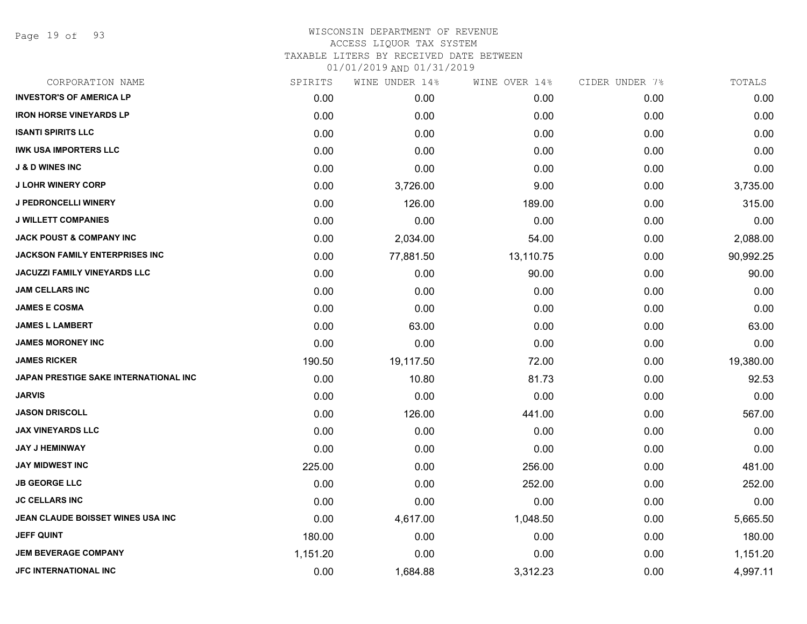Page 19 of 93

## WISCONSIN DEPARTMENT OF REVENUE ACCESS LIQUOR TAX SYSTEM TAXABLE LITERS BY RECEIVED DATE BETWEEN

| CORPORATION NAME                      | SPIRITS  | WINE UNDER 14% | WINE OVER 14% | CIDER UNDER 7% | TOTALS    |
|---------------------------------------|----------|----------------|---------------|----------------|-----------|
| <b>INVESTOR'S OF AMERICA LP</b>       | 0.00     | 0.00           | 0.00          | 0.00           | 0.00      |
| <b>IRON HORSE VINEYARDS LP</b>        | 0.00     | 0.00           | 0.00          | 0.00           | 0.00      |
| <b>ISANTI SPIRITS LLC</b>             | 0.00     | 0.00           | 0.00          | 0.00           | 0.00      |
| <b>IWK USA IMPORTERS LLC</b>          | 0.00     | 0.00           | 0.00          | 0.00           | 0.00      |
| <b>J &amp; D WINES INC</b>            | 0.00     | 0.00           | 0.00          | 0.00           | 0.00      |
| <b>J LOHR WINERY CORP</b>             | 0.00     | 3,726.00       | 9.00          | 0.00           | 3,735.00  |
| <b>J PEDRONCELLI WINERY</b>           | 0.00     | 126.00         | 189.00        | 0.00           | 315.00    |
| <b>J WILLETT COMPANIES</b>            | 0.00     | 0.00           | 0.00          | 0.00           | 0.00      |
| <b>JACK POUST &amp; COMPANY INC</b>   | 0.00     | 2,034.00       | 54.00         | 0.00           | 2,088.00  |
| JACKSON FAMILY ENTERPRISES INC        | 0.00     | 77,881.50      | 13,110.75     | 0.00           | 90,992.25 |
| JACUZZI FAMILY VINEYARDS LLC          | 0.00     | 0.00           | 90.00         | 0.00           | 90.00     |
| <b>JAM CELLARS INC</b>                | 0.00     | 0.00           | 0.00          | 0.00           | 0.00      |
| <b>JAMES E COSMA</b>                  | 0.00     | 0.00           | 0.00          | 0.00           | 0.00      |
| <b>JAMES L LAMBERT</b>                | 0.00     | 63.00          | 0.00          | 0.00           | 63.00     |
| <b>JAMES MORONEY INC</b>              | 0.00     | 0.00           | 0.00          | 0.00           | 0.00      |
| <b>JAMES RICKER</b>                   | 190.50   | 19,117.50      | 72.00         | 0.00           | 19,380.00 |
| JAPAN PRESTIGE SAKE INTERNATIONAL INC | 0.00     | 10.80          | 81.73         | 0.00           | 92.53     |
| <b>JARVIS</b>                         | 0.00     | 0.00           | 0.00          | 0.00           | 0.00      |
| <b>JASON DRISCOLL</b>                 | 0.00     | 126.00         | 441.00        | 0.00           | 567.00    |
| <b>JAX VINEYARDS LLC</b>              | 0.00     | 0.00           | 0.00          | 0.00           | 0.00      |
| <b>JAY J HEMINWAY</b>                 | 0.00     | 0.00           | 0.00          | 0.00           | 0.00      |
| <b>JAY MIDWEST INC</b>                | 225.00   | 0.00           | 256.00        | 0.00           | 481.00    |
| <b>JB GEORGE LLC</b>                  | 0.00     | 0.00           | 252.00        | 0.00           | 252.00    |
| <b>JC CELLARS INC</b>                 | 0.00     | 0.00           | 0.00          | 0.00           | 0.00      |
| JEAN CLAUDE BOISSET WINES USA INC     | 0.00     | 4,617.00       | 1,048.50      | 0.00           | 5,665.50  |
| <b>JEFF QUINT</b>                     | 180.00   | 0.00           | 0.00          | 0.00           | 180.00    |
| <b>JEM BEVERAGE COMPANY</b>           | 1,151.20 | 0.00           | 0.00          | 0.00           | 1,151.20  |
| <b>JFC INTERNATIONAL INC</b>          | 0.00     | 1,684.88       | 3,312.23      | 0.00           | 4,997.11  |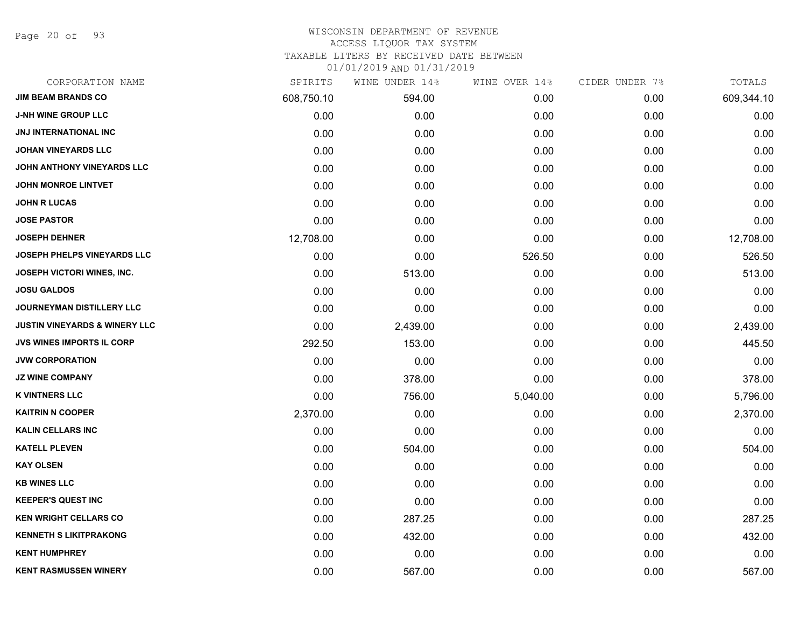Page 20 of 93

## WISCONSIN DEPARTMENT OF REVENUE

#### ACCESS LIQUOR TAX SYSTEM

TAXABLE LITERS BY RECEIVED DATE BETWEEN

| CORPORATION NAME                         | SPIRITS    | WINE UNDER 14% | WINE OVER 14% | CIDER UNDER 7% | TOTALS     |
|------------------------------------------|------------|----------------|---------------|----------------|------------|
| <b>JIM BEAM BRANDS CO</b>                | 608,750.10 | 594.00         | 0.00          | 0.00           | 609,344.10 |
| <b>J-NH WINE GROUP LLC</b>               | 0.00       | 0.00           | 0.00          | 0.00           | 0.00       |
| <b>JNJ INTERNATIONAL INC</b>             | 0.00       | 0.00           | 0.00          | 0.00           | 0.00       |
| <b>JOHAN VINEYARDS LLC</b>               | 0.00       | 0.00           | 0.00          | 0.00           | 0.00       |
| JOHN ANTHONY VINEYARDS LLC               | 0.00       | 0.00           | 0.00          | 0.00           | 0.00       |
| <b>JOHN MONROE LINTVET</b>               | 0.00       | 0.00           | 0.00          | 0.00           | 0.00       |
| <b>JOHN R LUCAS</b>                      | 0.00       | 0.00           | 0.00          | 0.00           | 0.00       |
| <b>JOSE PASTOR</b>                       | 0.00       | 0.00           | 0.00          | 0.00           | 0.00       |
| <b>JOSEPH DEHNER</b>                     | 12,708.00  | 0.00           | 0.00          | 0.00           | 12,708.00  |
| <b>JOSEPH PHELPS VINEYARDS LLC</b>       | 0.00       | 0.00           | 526.50        | 0.00           | 526.50     |
| JOSEPH VICTORI WINES, INC.               | 0.00       | 513.00         | 0.00          | 0.00           | 513.00     |
| <b>JOSU GALDOS</b>                       | 0.00       | 0.00           | 0.00          | 0.00           | 0.00       |
| JOURNEYMAN DISTILLERY LLC                | 0.00       | 0.00           | 0.00          | 0.00           | 0.00       |
| <b>JUSTIN VINEYARDS &amp; WINERY LLC</b> | 0.00       | 2,439.00       | 0.00          | 0.00           | 2,439.00   |
| <b>JVS WINES IMPORTS IL CORP</b>         | 292.50     | 153.00         | 0.00          | 0.00           | 445.50     |
| <b>JVW CORPORATION</b>                   | 0.00       | 0.00           | 0.00          | 0.00           | 0.00       |
| <b>JZ WINE COMPANY</b>                   | 0.00       | 378.00         | 0.00          | 0.00           | 378.00     |
| <b>K VINTNERS LLC</b>                    | 0.00       | 756.00         | 5,040.00      | 0.00           | 5,796.00   |
| <b>KAITRIN N COOPER</b>                  | 2,370.00   | 0.00           | 0.00          | 0.00           | 2,370.00   |
| <b>KALIN CELLARS INC</b>                 | 0.00       | 0.00           | 0.00          | 0.00           | 0.00       |
| <b>KATELL PLEVEN</b>                     | 0.00       | 504.00         | 0.00          | 0.00           | 504.00     |
| <b>KAY OLSEN</b>                         | 0.00       | 0.00           | 0.00          | 0.00           | 0.00       |
| <b>KB WINES LLC</b>                      | 0.00       | 0.00           | 0.00          | 0.00           | 0.00       |
| <b>KEEPER'S QUEST INC</b>                | 0.00       | 0.00           | 0.00          | 0.00           | 0.00       |
| <b>KEN WRIGHT CELLARS CO</b>             | 0.00       | 287.25         | 0.00          | 0.00           | 287.25     |
| <b>KENNETH S LIKITPRAKONG</b>            | 0.00       | 432.00         | 0.00          | 0.00           | 432.00     |
| <b>KENT HUMPHREY</b>                     | 0.00       | 0.00           | 0.00          | 0.00           | 0.00       |
| <b>KENT RASMUSSEN WINERY</b>             | 0.00       | 567.00         | 0.00          | 0.00           | 567.00     |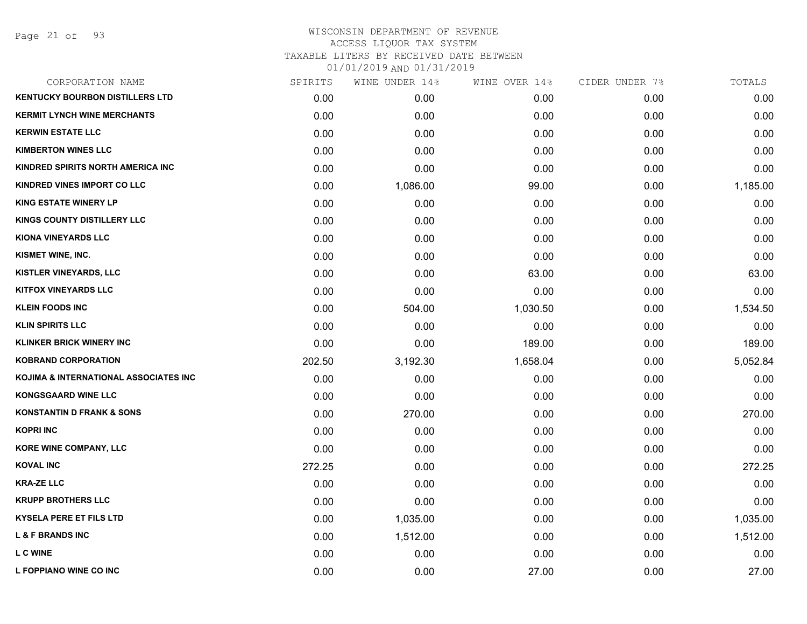Page 21 of 93

## WISCONSIN DEPARTMENT OF REVENUE ACCESS LIQUOR TAX SYSTEM TAXABLE LITERS BY RECEIVED DATE BETWEEN

| CORPORATION NAME                       | SPIRITS | WINE UNDER 14% | WINE OVER 14% | CIDER UNDER 7% | TOTALS   |
|----------------------------------------|---------|----------------|---------------|----------------|----------|
| <b>KENTUCKY BOURBON DISTILLERS LTD</b> | 0.00    | 0.00           | 0.00          | 0.00           | 0.00     |
| <b>KERMIT LYNCH WINE MERCHANTS</b>     | 0.00    | 0.00           | 0.00          | 0.00           | 0.00     |
| <b>KERWIN ESTATE LLC</b>               | 0.00    | 0.00           | 0.00          | 0.00           | 0.00     |
| <b>KIMBERTON WINES LLC</b>             | 0.00    | 0.00           | 0.00          | 0.00           | 0.00     |
| KINDRED SPIRITS NORTH AMERICA INC      | 0.00    | 0.00           | 0.00          | 0.00           | 0.00     |
| <b>KINDRED VINES IMPORT CO LLC</b>     | 0.00    | 1,086.00       | 99.00         | 0.00           | 1,185.00 |
| <b>KING ESTATE WINERY LP</b>           | 0.00    | 0.00           | 0.00          | 0.00           | 0.00     |
| KINGS COUNTY DISTILLERY LLC            | 0.00    | 0.00           | 0.00          | 0.00           | 0.00     |
| <b>KIONA VINEYARDS LLC</b>             | 0.00    | 0.00           | 0.00          | 0.00           | 0.00     |
| KISMET WINE, INC.                      | 0.00    | 0.00           | 0.00          | 0.00           | 0.00     |
| <b>KISTLER VINEYARDS, LLC</b>          | 0.00    | 0.00           | 63.00         | 0.00           | 63.00    |
| <b>KITFOX VINEYARDS LLC</b>            | 0.00    | 0.00           | 0.00          | 0.00           | 0.00     |
| <b>KLEIN FOODS INC</b>                 | 0.00    | 504.00         | 1,030.50      | 0.00           | 1,534.50 |
| <b>KLIN SPIRITS LLC</b>                | 0.00    | 0.00           | 0.00          | 0.00           | 0.00     |
| <b>KLINKER BRICK WINERY INC</b>        | 0.00    | 0.00           | 189.00        | 0.00           | 189.00   |
| <b>KOBRAND CORPORATION</b>             | 202.50  | 3,192.30       | 1,658.04      | 0.00           | 5,052.84 |
| KOJIMA & INTERNATIONAL ASSOCIATES INC  | 0.00    | 0.00           | 0.00          | 0.00           | 0.00     |
| <b>KONGSGAARD WINE LLC</b>             | 0.00    | 0.00           | 0.00          | 0.00           | 0.00     |
| <b>KONSTANTIN D FRANK &amp; SONS</b>   | 0.00    | 270.00         | 0.00          | 0.00           | 270.00   |
| <b>KOPRI INC</b>                       | 0.00    | 0.00           | 0.00          | 0.00           | 0.00     |
| <b>KORE WINE COMPANY, LLC</b>          | 0.00    | 0.00           | 0.00          | 0.00           | 0.00     |
| <b>KOVAL INC</b>                       | 272.25  | 0.00           | 0.00          | 0.00           | 272.25   |
| <b>KRA-ZE LLC</b>                      | 0.00    | 0.00           | 0.00          | 0.00           | 0.00     |
| <b>KRUPP BROTHERS LLC</b>              | 0.00    | 0.00           | 0.00          | 0.00           | 0.00     |
| <b>KYSELA PERE ET FILS LTD</b>         | 0.00    | 1,035.00       | 0.00          | 0.00           | 1,035.00 |
| <b>L &amp; F BRANDS INC</b>            | 0.00    | 1,512.00       | 0.00          | 0.00           | 1,512.00 |
| <b>LCWINE</b>                          | 0.00    | 0.00           | 0.00          | 0.00           | 0.00     |
| L FOPPIANO WINE CO INC                 | 0.00    | 0.00           | 27.00         | 0.00           | 27.00    |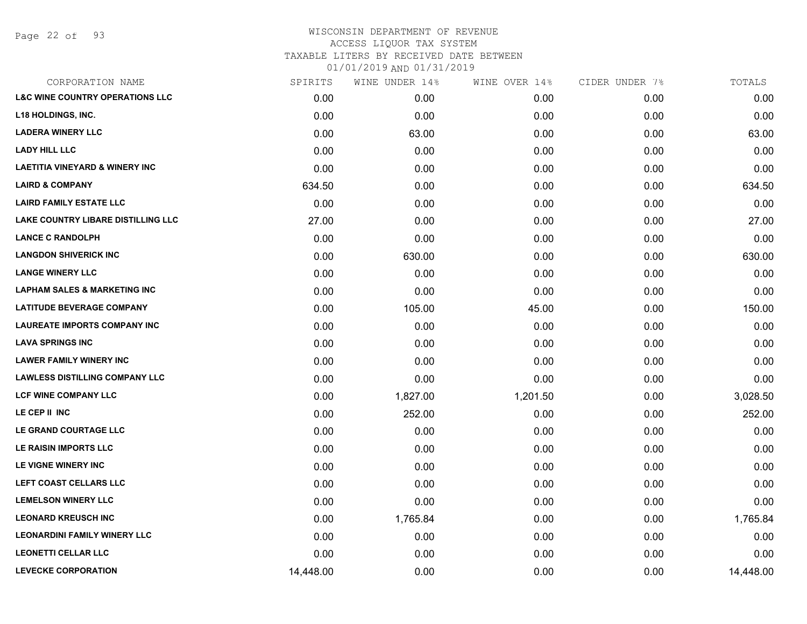Page 22 of 93

## WISCONSIN DEPARTMENT OF REVENUE ACCESS LIQUOR TAX SYSTEM TAXABLE LITERS BY RECEIVED DATE BETWEEN 01/01/2019 AND 01/31/2019

| CORPORATION NAME                           | SPIRITS   | WINE UNDER 14% | WINE OVER 14% | CIDER UNDER 7% | TOTALS    |
|--------------------------------------------|-----------|----------------|---------------|----------------|-----------|
| <b>L&amp;C WINE COUNTRY OPERATIONS LLC</b> | 0.00      | 0.00           | 0.00          | 0.00           | 0.00      |
| <b>L18 HOLDINGS, INC.</b>                  | 0.00      | 0.00           | 0.00          | 0.00           | 0.00      |
| <b>LADERA WINERY LLC</b>                   | 0.00      | 63.00          | 0.00          | 0.00           | 63.00     |
| <b>LADY HILL LLC</b>                       | 0.00      | 0.00           | 0.00          | 0.00           | 0.00      |
| <b>LAETITIA VINEYARD &amp; WINERY INC</b>  | 0.00      | 0.00           | 0.00          | 0.00           | 0.00      |
| <b>LAIRD &amp; COMPANY</b>                 | 634.50    | 0.00           | 0.00          | 0.00           | 634.50    |
| <b>LAIRD FAMILY ESTATE LLC</b>             | 0.00      | 0.00           | 0.00          | 0.00           | 0.00      |
| LAKE COUNTRY LIBARE DISTILLING LLC         | 27.00     | 0.00           | 0.00          | 0.00           | 27.00     |
| <b>LANCE C RANDOLPH</b>                    | 0.00      | 0.00           | 0.00          | 0.00           | 0.00      |
| <b>LANGDON SHIVERICK INC</b>               | 0.00      | 630.00         | 0.00          | 0.00           | 630.00    |
| <b>LANGE WINERY LLC</b>                    | 0.00      | 0.00           | 0.00          | 0.00           | 0.00      |
| <b>LAPHAM SALES &amp; MARKETING INC</b>    | 0.00      | 0.00           | 0.00          | 0.00           | 0.00      |
| <b>LATITUDE BEVERAGE COMPANY</b>           | 0.00      | 105.00         | 45.00         | 0.00           | 150.00    |
| <b>LAUREATE IMPORTS COMPANY INC</b>        | 0.00      | 0.00           | 0.00          | 0.00           | 0.00      |
| <b>LAVA SPRINGS INC</b>                    | 0.00      | 0.00           | 0.00          | 0.00           | 0.00      |
| <b>LAWER FAMILY WINERY INC</b>             | 0.00      | 0.00           | 0.00          | 0.00           | 0.00      |
| <b>LAWLESS DISTILLING COMPANY LLC</b>      | 0.00      | 0.00           | 0.00          | 0.00           | 0.00      |
| LCF WINE COMPANY LLC                       | 0.00      | 1,827.00       | 1,201.50      | 0.00           | 3,028.50  |
| LE CEP II INC                              | 0.00      | 252.00         | 0.00          | 0.00           | 252.00    |
| LE GRAND COURTAGE LLC                      | 0.00      | 0.00           | 0.00          | 0.00           | 0.00      |
| LE RAISIN IMPORTS LLC                      | 0.00      | 0.00           | 0.00          | 0.00           | 0.00      |
| LE VIGNE WINERY INC                        | 0.00      | 0.00           | 0.00          | 0.00           | 0.00      |
| LEFT COAST CELLARS LLC                     | 0.00      | 0.00           | 0.00          | 0.00           | 0.00      |
| <b>LEMELSON WINERY LLC</b>                 | 0.00      | 0.00           | 0.00          | 0.00           | 0.00      |
| <b>LEONARD KREUSCH INC</b>                 | 0.00      | 1,765.84       | 0.00          | 0.00           | 1,765.84  |
| <b>LEONARDINI FAMILY WINERY LLC</b>        | 0.00      | 0.00           | 0.00          | 0.00           | 0.00      |
| <b>LEONETTI CELLAR LLC</b>                 | 0.00      | 0.00           | 0.00          | 0.00           | 0.00      |
| <b>LEVECKE CORPORATION</b>                 | 14,448.00 | 0.00           | 0.00          | 0.00           | 14,448.00 |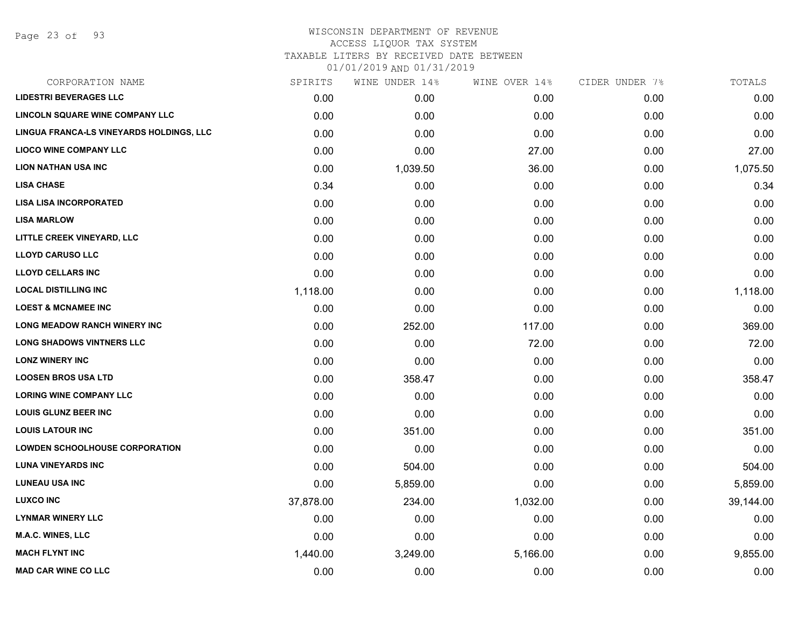Page 23 of 93

#### WISCONSIN DEPARTMENT OF REVENUE ACCESS LIQUOR TAX SYSTEM

TAXABLE LITERS BY RECEIVED DATE BETWEEN

| CORPORATION NAME                         | SPIRITS   | WINE UNDER 14% | WINE OVER 14% | CIDER UNDER 7% | TOTALS    |
|------------------------------------------|-----------|----------------|---------------|----------------|-----------|
| <b>LIDESTRI BEVERAGES LLC</b>            | 0.00      | 0.00           | 0.00          | 0.00           | 0.00      |
| LINCOLN SQUARE WINE COMPANY LLC          | 0.00      | 0.00           | 0.00          | 0.00           | 0.00      |
| LINGUA FRANCA-LS VINEYARDS HOLDINGS, LLC | 0.00      | 0.00           | 0.00          | 0.00           | 0.00      |
| <b>LIOCO WINE COMPANY LLC</b>            | 0.00      | 0.00           | 27.00         | 0.00           | 27.00     |
| <b>LION NATHAN USA INC</b>               | 0.00      | 1,039.50       | 36.00         | 0.00           | 1,075.50  |
| <b>LISA CHASE</b>                        | 0.34      | 0.00           | 0.00          | 0.00           | 0.34      |
| <b>LISA LISA INCORPORATED</b>            | 0.00      | 0.00           | 0.00          | 0.00           | 0.00      |
| <b>LISA MARLOW</b>                       | 0.00      | 0.00           | 0.00          | 0.00           | 0.00      |
| LITTLE CREEK VINEYARD, LLC               | 0.00      | 0.00           | 0.00          | 0.00           | 0.00      |
| <b>LLOYD CARUSO LLC</b>                  | 0.00      | 0.00           | 0.00          | 0.00           | 0.00      |
| <b>LLOYD CELLARS INC</b>                 | 0.00      | 0.00           | 0.00          | 0.00           | 0.00      |
| <b>LOCAL DISTILLING INC</b>              | 1,118.00  | 0.00           | 0.00          | 0.00           | 1,118.00  |
| <b>LOEST &amp; MCNAMEE INC</b>           | 0.00      | 0.00           | 0.00          | 0.00           | 0.00      |
| <b>LONG MEADOW RANCH WINERY INC</b>      | 0.00      | 252.00         | 117.00        | 0.00           | 369.00    |
| <b>LONG SHADOWS VINTNERS LLC</b>         | 0.00      | 0.00           | 72.00         | 0.00           | 72.00     |
| <b>LONZ WINERY INC</b>                   | 0.00      | 0.00           | 0.00          | 0.00           | 0.00      |
| <b>LOOSEN BROS USA LTD</b>               | 0.00      | 358.47         | 0.00          | 0.00           | 358.47    |
| <b>LORING WINE COMPANY LLC</b>           | 0.00      | 0.00           | 0.00          | 0.00           | 0.00      |
| <b>LOUIS GLUNZ BEER INC</b>              | 0.00      | 0.00           | 0.00          | 0.00           | 0.00      |
| <b>LOUIS LATOUR INC</b>                  | 0.00      | 351.00         | 0.00          | 0.00           | 351.00    |
| <b>LOWDEN SCHOOLHOUSE CORPORATION</b>    | 0.00      | 0.00           | 0.00          | 0.00           | 0.00      |
| <b>LUNA VINEYARDS INC</b>                | 0.00      | 504.00         | 0.00          | 0.00           | 504.00    |
| <b>LUNEAU USA INC</b>                    | 0.00      | 5,859.00       | 0.00          | 0.00           | 5,859.00  |
| <b>LUXCO INC</b>                         | 37,878.00 | 234.00         | 1,032.00      | 0.00           | 39,144.00 |
| <b>LYNMAR WINERY LLC</b>                 | 0.00      | 0.00           | 0.00          | 0.00           | 0.00      |
| M.A.C. WINES, LLC                        | 0.00      | 0.00           | 0.00          | 0.00           | 0.00      |
| <b>MACH FLYNT INC</b>                    | 1,440.00  | 3,249.00       | 5,166.00      | 0.00           | 9,855.00  |
| <b>MAD CAR WINE CO LLC</b>               | 0.00      | 0.00           | 0.00          | 0.00           | 0.00      |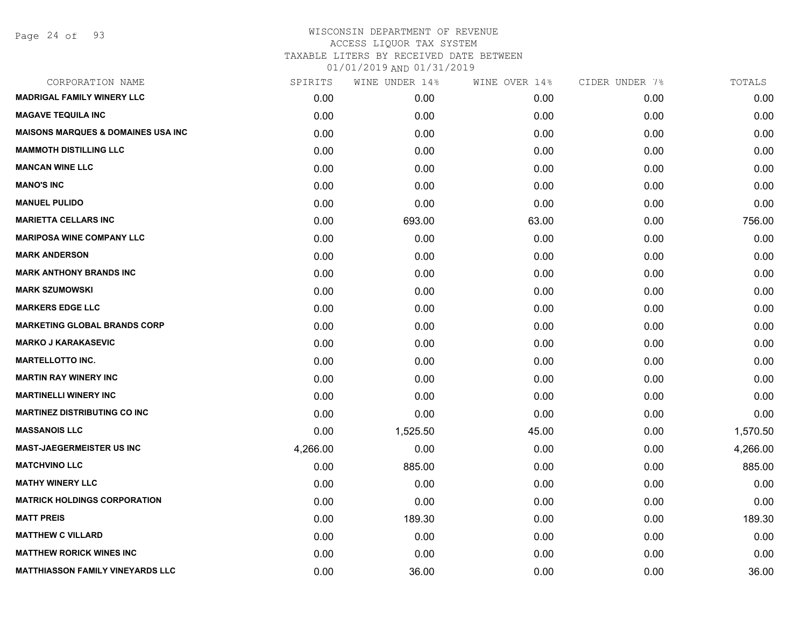## WISCONSIN DEPARTMENT OF REVENUE ACCESS LIQUOR TAX SYSTEM TAXABLE LITERS BY RECEIVED DATE BETWEEN

| CORPORATION NAME                              | SPIRITS  | WINE UNDER 14% | WINE OVER 14% | CIDER UNDER 7% | TOTALS   |
|-----------------------------------------------|----------|----------------|---------------|----------------|----------|
| <b>MADRIGAL FAMILY WINERY LLC</b>             | 0.00     | 0.00           | 0.00          | 0.00           | 0.00     |
| <b>MAGAVE TEQUILA INC</b>                     | 0.00     | 0.00           | 0.00          | 0.00           | 0.00     |
| <b>MAISONS MARQUES &amp; DOMAINES USA INC</b> | 0.00     | 0.00           | 0.00          | 0.00           | 0.00     |
| <b>MAMMOTH DISTILLING LLC</b>                 | 0.00     | 0.00           | 0.00          | 0.00           | 0.00     |
| <b>MANCAN WINE LLC</b>                        | 0.00     | 0.00           | 0.00          | 0.00           | 0.00     |
| <b>MANO'S INC</b>                             | 0.00     | 0.00           | 0.00          | 0.00           | 0.00     |
| <b>MANUEL PULIDO</b>                          | 0.00     | 0.00           | 0.00          | 0.00           | 0.00     |
| <b>MARIETTA CELLARS INC</b>                   | 0.00     | 693.00         | 63.00         | 0.00           | 756.00   |
| <b>MARIPOSA WINE COMPANY LLC</b>              | 0.00     | 0.00           | 0.00          | 0.00           | 0.00     |
| <b>MARK ANDERSON</b>                          | 0.00     | 0.00           | 0.00          | 0.00           | 0.00     |
| <b>MARK ANTHONY BRANDS INC</b>                | 0.00     | 0.00           | 0.00          | 0.00           | 0.00     |
| <b>MARK SZUMOWSKI</b>                         | 0.00     | 0.00           | 0.00          | 0.00           | 0.00     |
| <b>MARKERS EDGE LLC</b>                       | 0.00     | 0.00           | 0.00          | 0.00           | 0.00     |
| <b>MARKETING GLOBAL BRANDS CORP</b>           | 0.00     | 0.00           | 0.00          | 0.00           | 0.00     |
| <b>MARKO J KARAKASEVIC</b>                    | 0.00     | 0.00           | 0.00          | 0.00           | 0.00     |
| <b>MARTELLOTTO INC.</b>                       | 0.00     | 0.00           | 0.00          | 0.00           | 0.00     |
| <b>MARTIN RAY WINERY INC</b>                  | 0.00     | 0.00           | 0.00          | 0.00           | 0.00     |
| <b>MARTINELLI WINERY INC</b>                  | 0.00     | 0.00           | 0.00          | 0.00           | 0.00     |
| <b>MARTINEZ DISTRIBUTING CO INC</b>           | 0.00     | 0.00           | 0.00          | 0.00           | 0.00     |
| <b>MASSANOIS LLC</b>                          | 0.00     | 1,525.50       | 45.00         | 0.00           | 1,570.50 |
| <b>MAST-JAEGERMEISTER US INC</b>              | 4,266.00 | 0.00           | 0.00          | 0.00           | 4,266.00 |
| <b>MATCHVINO LLC</b>                          | 0.00     | 885.00         | 0.00          | 0.00           | 885.00   |
| <b>MATHY WINERY LLC</b>                       | 0.00     | 0.00           | 0.00          | 0.00           | 0.00     |
| <b>MATRICK HOLDINGS CORPORATION</b>           | 0.00     | 0.00           | 0.00          | 0.00           | 0.00     |
| <b>MATT PREIS</b>                             | 0.00     | 189.30         | 0.00          | 0.00           | 189.30   |
| <b>MATTHEW C VILLARD</b>                      | 0.00     | 0.00           | 0.00          | 0.00           | 0.00     |
| <b>MATTHEW RORICK WINES INC</b>               | 0.00     | 0.00           | 0.00          | 0.00           | 0.00     |
| <b>MATTHIASSON FAMILY VINEYARDS LLC</b>       | 0.00     | 36.00          | 0.00          | 0.00           | 36.00    |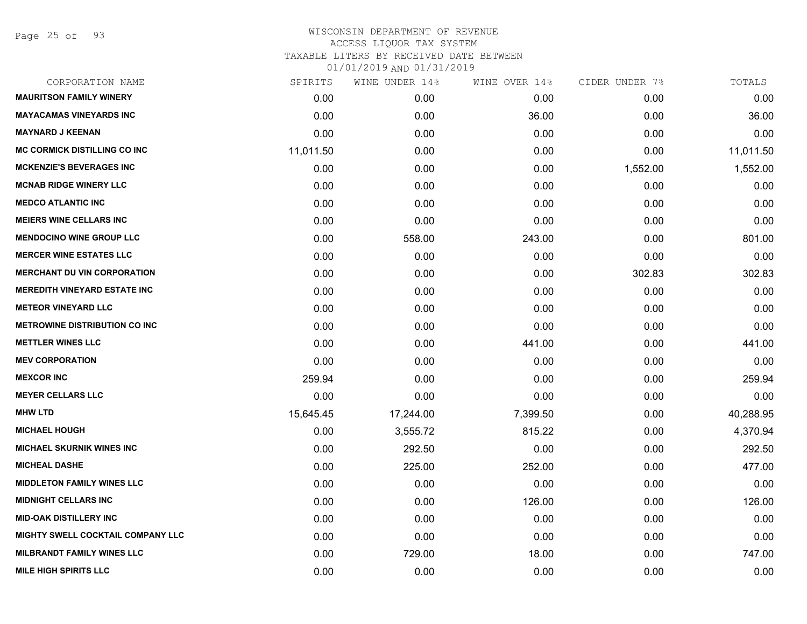Page 25 of 93

## WISCONSIN DEPARTMENT OF REVENUE ACCESS LIQUOR TAX SYSTEM TAXABLE LITERS BY RECEIVED DATE BETWEEN 01/01/2019 AND 01/31/2019

| CORPORATION NAME                         | SPIRITS   | WINE UNDER 14% | WINE OVER 14% | CIDER UNDER 7% | TOTALS    |
|------------------------------------------|-----------|----------------|---------------|----------------|-----------|
| <b>MAURITSON FAMILY WINERY</b>           | 0.00      | 0.00           | 0.00          | 0.00           | 0.00      |
| <b>MAYACAMAS VINEYARDS INC</b>           | 0.00      | 0.00           | 36.00         | 0.00           | 36.00     |
| <b>MAYNARD J KEENAN</b>                  | 0.00      | 0.00           | 0.00          | 0.00           | 0.00      |
| <b>MC CORMICK DISTILLING CO INC</b>      | 11,011.50 | 0.00           | 0.00          | 0.00           | 11,011.50 |
| <b>MCKENZIE'S BEVERAGES INC</b>          | 0.00      | 0.00           | 0.00          | 1,552.00       | 1,552.00  |
| <b>MCNAB RIDGE WINERY LLC</b>            | 0.00      | 0.00           | 0.00          | 0.00           | 0.00      |
| <b>MEDCO ATLANTIC INC</b>                | 0.00      | 0.00           | 0.00          | 0.00           | 0.00      |
| <b>MEIERS WINE CELLARS INC</b>           | 0.00      | 0.00           | 0.00          | 0.00           | 0.00      |
| <b>MENDOCINO WINE GROUP LLC</b>          | 0.00      | 558.00         | 243.00        | 0.00           | 801.00    |
| <b>MERCER WINE ESTATES LLC</b>           | 0.00      | 0.00           | 0.00          | 0.00           | 0.00      |
| <b>MERCHANT DU VIN CORPORATION</b>       | 0.00      | 0.00           | 0.00          | 302.83         | 302.83    |
| <b>MEREDITH VINEYARD ESTATE INC</b>      | 0.00      | 0.00           | 0.00          | 0.00           | 0.00      |
| <b>METEOR VINEYARD LLC</b>               | 0.00      | 0.00           | 0.00          | 0.00           | 0.00      |
| <b>METROWINE DISTRIBUTION CO INC</b>     | 0.00      | 0.00           | 0.00          | 0.00           | 0.00      |
| <b>METTLER WINES LLC</b>                 | 0.00      | 0.00           | 441.00        | 0.00           | 441.00    |
| <b>MEV CORPORATION</b>                   | 0.00      | 0.00           | 0.00          | 0.00           | 0.00      |
| <b>MEXCOR INC</b>                        | 259.94    | 0.00           | 0.00          | 0.00           | 259.94    |
| <b>MEYER CELLARS LLC</b>                 | 0.00      | 0.00           | 0.00          | 0.00           | 0.00      |
| <b>MHW LTD</b>                           | 15,645.45 | 17,244.00      | 7,399.50      | 0.00           | 40,288.95 |
| <b>MICHAEL HOUGH</b>                     | 0.00      | 3,555.72       | 815.22        | 0.00           | 4,370.94  |
| <b>MICHAEL SKURNIK WINES INC</b>         | 0.00      | 292.50         | 0.00          | 0.00           | 292.50    |
| <b>MICHEAL DASHE</b>                     | 0.00      | 225.00         | 252.00        | 0.00           | 477.00    |
| <b>MIDDLETON FAMILY WINES LLC</b>        | 0.00      | 0.00           | 0.00          | 0.00           | 0.00      |
| <b>MIDNIGHT CELLARS INC</b>              | 0.00      | 0.00           | 126.00        | 0.00           | 126.00    |
| <b>MID-OAK DISTILLERY INC</b>            | 0.00      | 0.00           | 0.00          | 0.00           | 0.00      |
| <b>MIGHTY SWELL COCKTAIL COMPANY LLC</b> | 0.00      | 0.00           | 0.00          | 0.00           | 0.00      |
| <b>MILBRANDT FAMILY WINES LLC</b>        | 0.00      | 729.00         | 18.00         | 0.00           | 747.00    |
| <b>MILE HIGH SPIRITS LLC</b>             | 0.00      | 0.00           | 0.00          | 0.00           | 0.00      |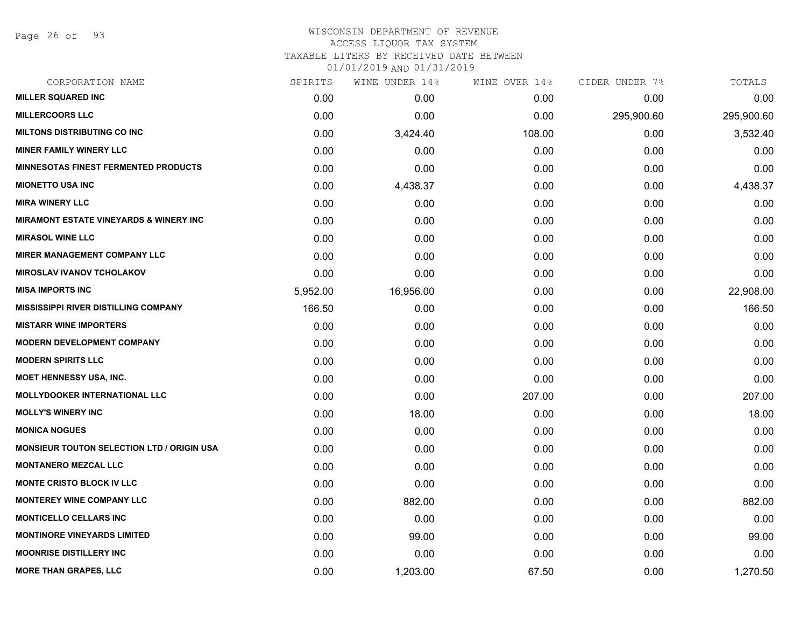Page 26 of 93

# WISCONSIN DEPARTMENT OF REVENUE ACCESS LIQUOR TAX SYSTEM

TAXABLE LITERS BY RECEIVED DATE BETWEEN

| CORPORATION NAME                                  | SPIRITS  | WINE UNDER 14% | WINE OVER 14% | CIDER UNDER 7% | TOTALS     |
|---------------------------------------------------|----------|----------------|---------------|----------------|------------|
| <b>MILLER SQUARED INC</b>                         | 0.00     | 0.00           | 0.00          | 0.00           | 0.00       |
| <b>MILLERCOORS LLC</b>                            | 0.00     | 0.00           | 0.00          | 295,900.60     | 295,900.60 |
| <b>MILTONS DISTRIBUTING CO INC</b>                | 0.00     | 3,424.40       | 108.00        | 0.00           | 3,532.40   |
| <b>MINER FAMILY WINERY LLC</b>                    | 0.00     | 0.00           | 0.00          | 0.00           | 0.00       |
| <b>MINNESOTAS FINEST FERMENTED PRODUCTS</b>       | 0.00     | 0.00           | 0.00          | 0.00           | 0.00       |
| <b>MIONETTO USA INC</b>                           | 0.00     | 4,438.37       | 0.00          | 0.00           | 4,438.37   |
| <b>MIRA WINERY LLC</b>                            | 0.00     | 0.00           | 0.00          | 0.00           | 0.00       |
| <b>MIRAMONT ESTATE VINEYARDS &amp; WINERY INC</b> | 0.00     | 0.00           | 0.00          | 0.00           | 0.00       |
| <b>MIRASOL WINE LLC</b>                           | 0.00     | 0.00           | 0.00          | 0.00           | 0.00       |
| <b>MIRER MANAGEMENT COMPANY LLC</b>               | 0.00     | 0.00           | 0.00          | 0.00           | 0.00       |
| <b>MIROSLAV IVANOV TCHOLAKOV</b>                  | 0.00     | 0.00           | 0.00          | 0.00           | 0.00       |
| <b>MISA IMPORTS INC</b>                           | 5,952.00 | 16,956.00      | 0.00          | 0.00           | 22,908.00  |
| <b>MISSISSIPPI RIVER DISTILLING COMPANY</b>       | 166.50   | 0.00           | 0.00          | 0.00           | 166.50     |
| <b>MISTARR WINE IMPORTERS</b>                     | 0.00     | 0.00           | 0.00          | 0.00           | 0.00       |
| <b>MODERN DEVELOPMENT COMPANY</b>                 | 0.00     | 0.00           | 0.00          | 0.00           | 0.00       |
| <b>MODERN SPIRITS LLC</b>                         | 0.00     | 0.00           | 0.00          | 0.00           | 0.00       |
| <b>MOET HENNESSY USA, INC.</b>                    | 0.00     | 0.00           | 0.00          | 0.00           | 0.00       |
| <b>MOLLYDOOKER INTERNATIONAL LLC</b>              | 0.00     | 0.00           | 207.00        | 0.00           | 207.00     |
| <b>MOLLY'S WINERY INC</b>                         | 0.00     | 18.00          | 0.00          | 0.00           | 18.00      |
| <b>MONICA NOGUES</b>                              | 0.00     | 0.00           | 0.00          | 0.00           | 0.00       |
| <b>MONSIEUR TOUTON SELECTION LTD / ORIGIN USA</b> | 0.00     | 0.00           | 0.00          | 0.00           | 0.00       |
| <b>MONTANERO MEZCAL LLC</b>                       | 0.00     | 0.00           | 0.00          | 0.00           | 0.00       |
| <b>MONTE CRISTO BLOCK IV LLC</b>                  | 0.00     | 0.00           | 0.00          | 0.00           | 0.00       |
| <b>MONTEREY WINE COMPANY LLC</b>                  | 0.00     | 882.00         | 0.00          | 0.00           | 882.00     |
| <b>MONTICELLO CELLARS INC</b>                     | 0.00     | 0.00           | 0.00          | 0.00           | 0.00       |
| <b>MONTINORE VINEYARDS LIMITED</b>                | 0.00     | 99.00          | 0.00          | 0.00           | 99.00      |
| <b>MOONRISE DISTILLERY INC</b>                    | 0.00     | 0.00           | 0.00          | 0.00           | 0.00       |
| <b>MORE THAN GRAPES, LLC</b>                      | 0.00     | 1,203.00       | 67.50         | 0.00           | 1,270.50   |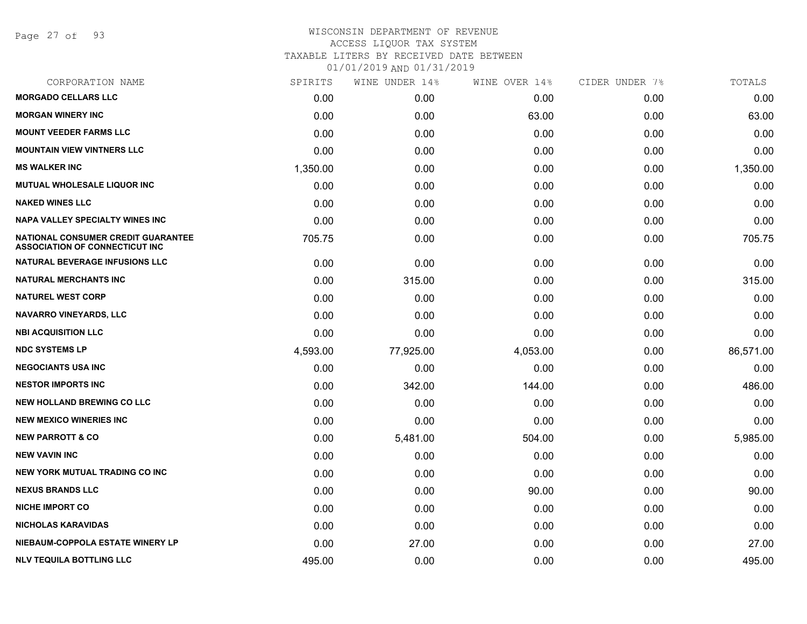Page 27 of 93

## WISCONSIN DEPARTMENT OF REVENUE ACCESS LIQUOR TAX SYSTEM TAXABLE LITERS BY RECEIVED DATE BETWEEN 01/01/2019 AND 01/31/2019

| CORPORATION NAME                                                                   | SPIRITS  | WINE UNDER 14% | WINE OVER 14% | CIDER UNDER 7% | TOTALS    |
|------------------------------------------------------------------------------------|----------|----------------|---------------|----------------|-----------|
| <b>MORGADO CELLARS LLC</b>                                                         | 0.00     | 0.00           | 0.00          | 0.00           | 0.00      |
| <b>MORGAN WINERY INC</b>                                                           | 0.00     | 0.00           | 63.00         | 0.00           | 63.00     |
| <b>MOUNT VEEDER FARMS LLC</b>                                                      | 0.00     | 0.00           | 0.00          | 0.00           | 0.00      |
| <b>MOUNTAIN VIEW VINTNERS LLC</b>                                                  | 0.00     | 0.00           | 0.00          | 0.00           | 0.00      |
| <b>MS WALKER INC</b>                                                               | 1,350.00 | 0.00           | 0.00          | 0.00           | 1,350.00  |
| <b>MUTUAL WHOLESALE LIQUOR INC</b>                                                 | 0.00     | 0.00           | 0.00          | 0.00           | 0.00      |
| <b>NAKED WINES LLC</b>                                                             | 0.00     | 0.00           | 0.00          | 0.00           | 0.00      |
| <b>NAPA VALLEY SPECIALTY WINES INC</b>                                             | 0.00     | 0.00           | 0.00          | 0.00           | 0.00      |
| <b>NATIONAL CONSUMER CREDIT GUARANTEE</b><br><b>ASSOCIATION OF CONNECTICUT INC</b> | 705.75   | 0.00           | 0.00          | 0.00           | 705.75    |
| NATURAL BEVERAGE INFUSIONS LLC                                                     | 0.00     | 0.00           | 0.00          | 0.00           | 0.00      |
| <b>NATURAL MERCHANTS INC</b>                                                       | 0.00     | 315.00         | 0.00          | 0.00           | 315.00    |
| <b>NATUREL WEST CORP</b>                                                           | 0.00     | 0.00           | 0.00          | 0.00           | 0.00      |
| <b>NAVARRO VINEYARDS, LLC</b>                                                      | 0.00     | 0.00           | 0.00          | 0.00           | 0.00      |
| <b>NBI ACQUISITION LLC</b>                                                         | 0.00     | 0.00           | 0.00          | 0.00           | 0.00      |
| <b>NDC SYSTEMS LP</b>                                                              | 4,593.00 | 77,925.00      | 4,053.00      | 0.00           | 86,571.00 |
| <b>NEGOCIANTS USA INC</b>                                                          | 0.00     | 0.00           | 0.00          | 0.00           | 0.00      |
| <b>NESTOR IMPORTS INC</b>                                                          | 0.00     | 342.00         | 144.00        | 0.00           | 486.00    |
| <b>NEW HOLLAND BREWING CO LLC</b>                                                  | 0.00     | 0.00           | 0.00          | 0.00           | 0.00      |
| <b>NEW MEXICO WINERIES INC</b>                                                     | 0.00     | 0.00           | 0.00          | 0.00           | 0.00      |
| <b>NEW PARROTT &amp; CO</b>                                                        | 0.00     | 5,481.00       | 504.00        | 0.00           | 5,985.00  |
| <b>NEW VAVIN INC</b>                                                               | 0.00     | 0.00           | 0.00          | 0.00           | 0.00      |
| NEW YORK MUTUAL TRADING CO INC                                                     | 0.00     | 0.00           | 0.00          | 0.00           | 0.00      |
| <b>NEXUS BRANDS LLC</b>                                                            | 0.00     | 0.00           | 90.00         | 0.00           | 90.00     |
| <b>NICHE IMPORT CO</b>                                                             | 0.00     | 0.00           | 0.00          | 0.00           | 0.00      |
| <b>NICHOLAS KARAVIDAS</b>                                                          | 0.00     | 0.00           | 0.00          | 0.00           | 0.00      |
| NIEBAUM-COPPOLA ESTATE WINERY LP                                                   | 0.00     | 27.00          | 0.00          | 0.00           | 27.00     |
| <b>NLV TEQUILA BOTTLING LLC</b>                                                    | 495.00   | 0.00           | 0.00          | 0.00           | 495.00    |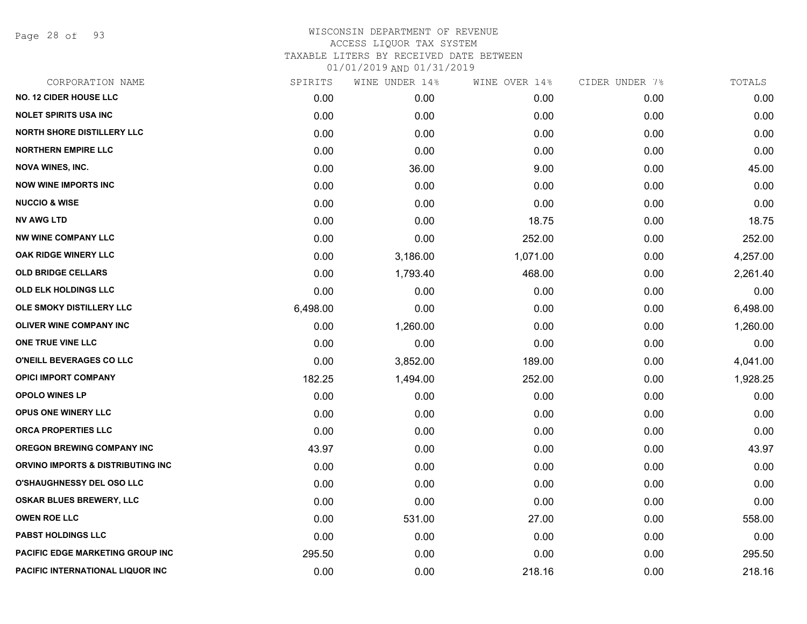Page 28 of 93

## WISCONSIN DEPARTMENT OF REVENUE ACCESS LIQUOR TAX SYSTEM TAXABLE LITERS BY RECEIVED DATE BETWEEN 01/01/2019 AND 01/31/2019

| CORPORATION NAME                        | SPIRITS  | WINE UNDER 14% | WINE OVER 14% | CIDER UNDER 7% | TOTALS   |
|-----------------------------------------|----------|----------------|---------------|----------------|----------|
| <b>NO. 12 CIDER HOUSE LLC</b>           | 0.00     | 0.00           | 0.00          | 0.00           | 0.00     |
| <b>NOLET SPIRITS USA INC</b>            | 0.00     | 0.00           | 0.00          | 0.00           | 0.00     |
| <b>NORTH SHORE DISTILLERY LLC</b>       | 0.00     | 0.00           | 0.00          | 0.00           | 0.00     |
| <b>NORTHERN EMPIRE LLC</b>              | 0.00     | 0.00           | 0.00          | 0.00           | 0.00     |
| <b>NOVA WINES, INC.</b>                 | 0.00     | 36.00          | 9.00          | 0.00           | 45.00    |
| <b>NOW WINE IMPORTS INC</b>             | 0.00     | 0.00           | 0.00          | 0.00           | 0.00     |
| <b>NUCCIO &amp; WISE</b>                | 0.00     | 0.00           | 0.00          | 0.00           | 0.00     |
| <b>NV AWG LTD</b>                       | 0.00     | 0.00           | 18.75         | 0.00           | 18.75    |
| <b>NW WINE COMPANY LLC</b>              | 0.00     | 0.00           | 252.00        | 0.00           | 252.00   |
| OAK RIDGE WINERY LLC                    | 0.00     | 3,186.00       | 1,071.00      | 0.00           | 4,257.00 |
| <b>OLD BRIDGE CELLARS</b>               | 0.00     | 1,793.40       | 468.00        | 0.00           | 2,261.40 |
| <b>OLD ELK HOLDINGS LLC</b>             | 0.00     | 0.00           | 0.00          | 0.00           | 0.00     |
| OLE SMOKY DISTILLERY LLC                | 6,498.00 | 0.00           | 0.00          | 0.00           | 6,498.00 |
| <b>OLIVER WINE COMPANY INC</b>          | 0.00     | 1,260.00       | 0.00          | 0.00           | 1,260.00 |
| ONE TRUE VINE LLC                       | 0.00     | 0.00           | 0.00          | 0.00           | 0.00     |
| O'NEILL BEVERAGES CO LLC                | 0.00     | 3,852.00       | 189.00        | 0.00           | 4,041.00 |
| <b>OPICI IMPORT COMPANY</b>             | 182.25   | 1,494.00       | 252.00        | 0.00           | 1,928.25 |
| <b>OPOLO WINES LP</b>                   | 0.00     | 0.00           | 0.00          | 0.00           | 0.00     |
| <b>OPUS ONE WINERY LLC</b>              | 0.00     | 0.00           | 0.00          | 0.00           | 0.00     |
| ORCA PROPERTIES LLC                     | 0.00     | 0.00           | 0.00          | 0.00           | 0.00     |
| <b>OREGON BREWING COMPANY INC</b>       | 43.97    | 0.00           | 0.00          | 0.00           | 43.97    |
| ORVINO IMPORTS & DISTRIBUTING INC       | 0.00     | 0.00           | 0.00          | 0.00           | 0.00     |
| <b>O'SHAUGHNESSY DEL OSO LLC</b>        | 0.00     | 0.00           | 0.00          | 0.00           | 0.00     |
| <b>OSKAR BLUES BREWERY, LLC</b>         | 0.00     | 0.00           | 0.00          | 0.00           | 0.00     |
| <b>OWEN ROE LLC</b>                     | 0.00     | 531.00         | 27.00         | 0.00           | 558.00   |
| <b>PABST HOLDINGS LLC</b>               | 0.00     | 0.00           | 0.00          | 0.00           | 0.00     |
| <b>PACIFIC EDGE MARKETING GROUP INC</b> | 295.50   | 0.00           | 0.00          | 0.00           | 295.50   |
| PACIFIC INTERNATIONAL LIQUOR INC        | 0.00     | 0.00           | 218.16        | 0.00           | 218.16   |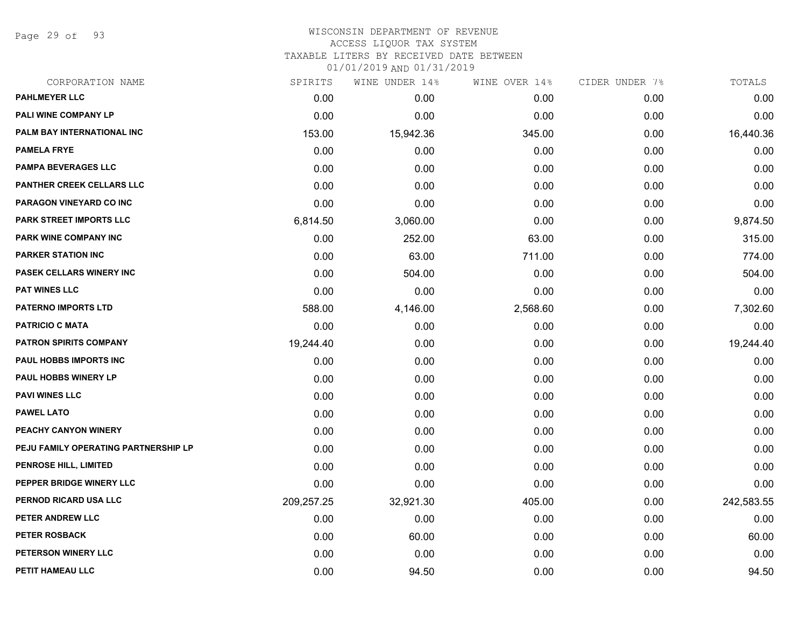Page 29 of 93

#### WISCONSIN DEPARTMENT OF REVENUE ACCESS LIQUOR TAX SYSTEM TAXABLE LITERS BY RECEIVED DATE BETWEEN

| CORPORATION NAME                     | SPIRITS    | WINE UNDER 14% | WINE OVER 14% | CIDER UNDER 7% | TOTALS     |
|--------------------------------------|------------|----------------|---------------|----------------|------------|
| <b>PAHLMEYER LLC</b>                 | 0.00       | 0.00           | 0.00          | 0.00           | 0.00       |
| <b>PALI WINE COMPANY LP</b>          | 0.00       | 0.00           | 0.00          | 0.00           | 0.00       |
| PALM BAY INTERNATIONAL INC           | 153.00     | 15,942.36      | 345.00        | 0.00           | 16,440.36  |
| <b>PAMELA FRYE</b>                   | 0.00       | 0.00           | 0.00          | 0.00           | 0.00       |
| <b>PAMPA BEVERAGES LLC</b>           | 0.00       | 0.00           | 0.00          | 0.00           | 0.00       |
| <b>PANTHER CREEK CELLARS LLC</b>     | 0.00       | 0.00           | 0.00          | 0.00           | 0.00       |
| PARAGON VINEYARD CO INC              | 0.00       | 0.00           | 0.00          | 0.00           | 0.00       |
| <b>PARK STREET IMPORTS LLC</b>       | 6,814.50   | 3,060.00       | 0.00          | 0.00           | 9,874.50   |
| PARK WINE COMPANY INC                | 0.00       | 252.00         | 63.00         | 0.00           | 315.00     |
| <b>PARKER STATION INC</b>            | 0.00       | 63.00          | 711.00        | 0.00           | 774.00     |
| PASEK CELLARS WINERY INC             | 0.00       | 504.00         | 0.00          | 0.00           | 504.00     |
| <b>PAT WINES LLC</b>                 | 0.00       | 0.00           | 0.00          | 0.00           | 0.00       |
| <b>PATERNO IMPORTS LTD</b>           | 588.00     | 4,146.00       | 2,568.60      | 0.00           | 7,302.60   |
| <b>PATRICIO C MATA</b>               | 0.00       | 0.00           | 0.00          | 0.00           | 0.00       |
| <b>PATRON SPIRITS COMPANY</b>        | 19,244.40  | 0.00           | 0.00          | 0.00           | 19,244.40  |
| PAUL HOBBS IMPORTS INC               | 0.00       | 0.00           | 0.00          | 0.00           | 0.00       |
| <b>PAUL HOBBS WINERY LP</b>          | 0.00       | 0.00           | 0.00          | 0.00           | 0.00       |
| <b>PAVI WINES LLC</b>                | 0.00       | 0.00           | 0.00          | 0.00           | 0.00       |
| <b>PAWEL LATO</b>                    | 0.00       | 0.00           | 0.00          | 0.00           | 0.00       |
| PEACHY CANYON WINERY                 | 0.00       | 0.00           | 0.00          | 0.00           | 0.00       |
| PEJU FAMILY OPERATING PARTNERSHIP LP | 0.00       | 0.00           | 0.00          | 0.00           | 0.00       |
| PENROSE HILL, LIMITED                | 0.00       | 0.00           | 0.00          | 0.00           | 0.00       |
| PEPPER BRIDGE WINERY LLC             | 0.00       | 0.00           | 0.00          | 0.00           | 0.00       |
| PERNOD RICARD USA LLC                | 209,257.25 | 32,921.30      | 405.00        | 0.00           | 242,583.55 |
| PETER ANDREW LLC                     | 0.00       | 0.00           | 0.00          | 0.00           | 0.00       |
| <b>PETER ROSBACK</b>                 | 0.00       | 60.00          | 0.00          | 0.00           | 60.00      |
| PETERSON WINERY LLC                  | 0.00       | 0.00           | 0.00          | 0.00           | 0.00       |
| PETIT HAMEAU LLC                     | 0.00       | 94.50          | 0.00          | 0.00           | 94.50      |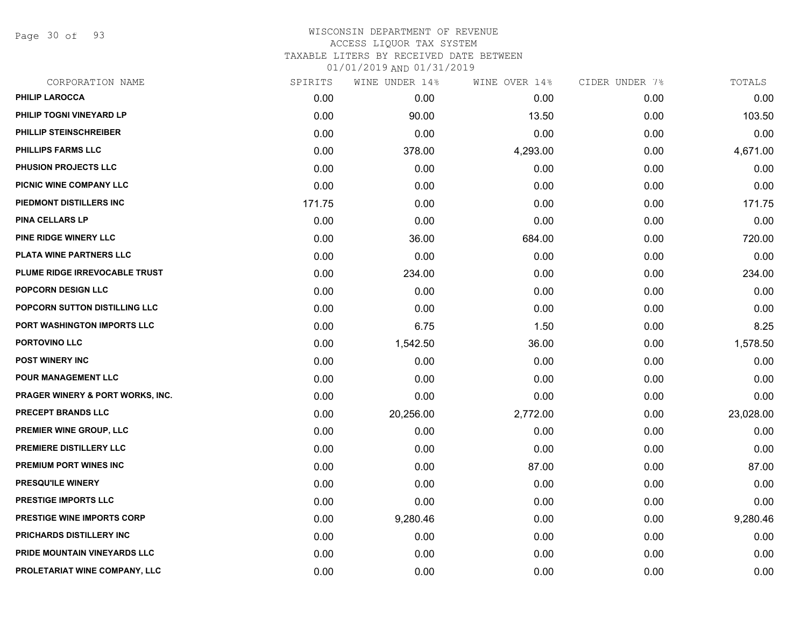Page 30 of 93

# WISCONSIN DEPARTMENT OF REVENUE ACCESS LIQUOR TAX SYSTEM TAXABLE LITERS BY RECEIVED DATE BETWEEN

| CORPORATION NAME                     | SPIRITS | WINE UNDER 14% | WINE OVER 14% | CIDER UNDER 7% | TOTALS    |
|--------------------------------------|---------|----------------|---------------|----------------|-----------|
| <b>PHILIP LAROCCA</b>                | 0.00    | 0.00           | 0.00          | 0.00           | 0.00      |
| PHILIP TOGNI VINEYARD LP             | 0.00    | 90.00          | 13.50         | 0.00           | 103.50    |
| PHILLIP STEINSCHREIBER               | 0.00    | 0.00           | 0.00          | 0.00           | 0.00      |
| <b>PHILLIPS FARMS LLC</b>            | 0.00    | 378.00         | 4,293.00      | 0.00           | 4,671.00  |
| PHUSION PROJECTS LLC                 | 0.00    | 0.00           | 0.00          | 0.00           | 0.00      |
| PICNIC WINE COMPANY LLC              | 0.00    | 0.00           | 0.00          | 0.00           | 0.00      |
| PIEDMONT DISTILLERS INC              | 171.75  | 0.00           | 0.00          | 0.00           | 171.75    |
| <b>PINA CELLARS LP</b>               | 0.00    | 0.00           | 0.00          | 0.00           | 0.00      |
| PINE RIDGE WINERY LLC                | 0.00    | 36.00          | 684.00        | 0.00           | 720.00    |
| PLATA WINE PARTNERS LLC              | 0.00    | 0.00           | 0.00          | 0.00           | 0.00      |
| PLUME RIDGE IRREVOCABLE TRUST        | 0.00    | 234.00         | 0.00          | 0.00           | 234.00    |
| POPCORN DESIGN LLC                   | 0.00    | 0.00           | 0.00          | 0.00           | 0.00      |
| <b>POPCORN SUTTON DISTILLING LLC</b> | 0.00    | 0.00           | 0.00          | 0.00           | 0.00      |
| PORT WASHINGTON IMPORTS LLC          | 0.00    | 6.75           | 1.50          | 0.00           | 8.25      |
| PORTOVINO LLC                        | 0.00    | 1,542.50       | 36.00         | 0.00           | 1,578.50  |
| <b>POST WINERY INC</b>               | 0.00    | 0.00           | 0.00          | 0.00           | 0.00      |
| POUR MANAGEMENT LLC                  | 0.00    | 0.00           | 0.00          | 0.00           | 0.00      |
| PRAGER WINERY & PORT WORKS, INC.     | 0.00    | 0.00           | 0.00          | 0.00           | 0.00      |
| <b>PRECEPT BRANDS LLC</b>            | 0.00    | 20,256.00      | 2,772.00      | 0.00           | 23,028.00 |
| PREMIER WINE GROUP, LLC              | 0.00    | 0.00           | 0.00          | 0.00           | 0.00      |
| PREMIERE DISTILLERY LLC              | 0.00    | 0.00           | 0.00          | 0.00           | 0.00      |
| PREMIUM PORT WINES INC               | 0.00    | 0.00           | 87.00         | 0.00           | 87.00     |
| PRESQU'ILE WINERY                    | 0.00    | 0.00           | 0.00          | 0.00           | 0.00      |
| <b>PRESTIGE IMPORTS LLC</b>          | 0.00    | 0.00           | 0.00          | 0.00           | 0.00      |
| PRESTIGE WINE IMPORTS CORP           | 0.00    | 9,280.46       | 0.00          | 0.00           | 9,280.46  |
| PRICHARDS DISTILLERY INC             | 0.00    | 0.00           | 0.00          | 0.00           | 0.00      |
| PRIDE MOUNTAIN VINEYARDS LLC         | 0.00    | 0.00           | 0.00          | 0.00           | 0.00      |
| PROLETARIAT WINE COMPANY, LLC        | 0.00    | 0.00           | 0.00          | 0.00           | 0.00      |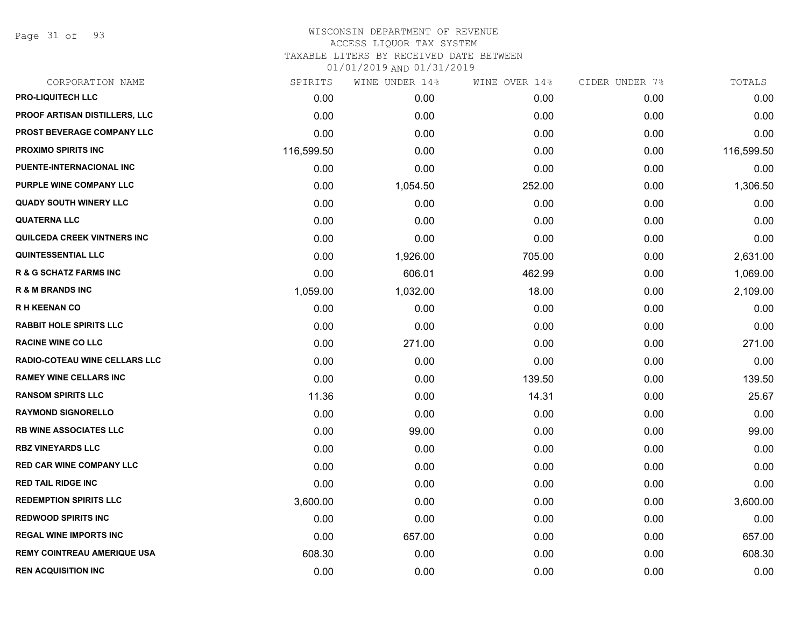Page 31 of 93

## WISCONSIN DEPARTMENT OF REVENUE ACCESS LIQUOR TAX SYSTEM TAXABLE LITERS BY RECEIVED DATE BETWEEN

| CORPORATION NAME                     | SPIRITS    | WINE UNDER 14% | WINE OVER 14% | CIDER UNDER 7% | TOTALS     |
|--------------------------------------|------------|----------------|---------------|----------------|------------|
| <b>PRO-LIQUITECH LLC</b>             | 0.00       | 0.00           | 0.00          | 0.00           | 0.00       |
| <b>PROOF ARTISAN DISTILLERS, LLC</b> | 0.00       | 0.00           | 0.00          | 0.00           | 0.00       |
| <b>PROST BEVERAGE COMPANY LLC</b>    | 0.00       | 0.00           | 0.00          | 0.00           | 0.00       |
| <b>PROXIMO SPIRITS INC</b>           | 116,599.50 | 0.00           | 0.00          | 0.00           | 116,599.50 |
| PUENTE-INTERNACIONAL INC             | 0.00       | 0.00           | 0.00          | 0.00           | 0.00       |
| PURPLE WINE COMPANY LLC              | 0.00       | 1,054.50       | 252.00        | 0.00           | 1,306.50   |
| <b>QUADY SOUTH WINERY LLC</b>        | 0.00       | 0.00           | 0.00          | 0.00           | 0.00       |
| <b>QUATERNA LLC</b>                  | 0.00       | 0.00           | 0.00          | 0.00           | 0.00       |
| QUILCEDA CREEK VINTNERS INC          | 0.00       | 0.00           | 0.00          | 0.00           | 0.00       |
| <b>QUINTESSENTIAL LLC</b>            | 0.00       | 1,926.00       | 705.00        | 0.00           | 2,631.00   |
| <b>R &amp; G SCHATZ FARMS INC</b>    | 0.00       | 606.01         | 462.99        | 0.00           | 1,069.00   |
| <b>R &amp; M BRANDS INC</b>          | 1,059.00   | 1,032.00       | 18.00         | 0.00           | 2,109.00   |
| <b>RH KEENAN CO</b>                  | 0.00       | 0.00           | 0.00          | 0.00           | 0.00       |
| <b>RABBIT HOLE SPIRITS LLC</b>       | 0.00       | 0.00           | 0.00          | 0.00           | 0.00       |
| <b>RACINE WINE CO LLC</b>            | 0.00       | 271.00         | 0.00          | 0.00           | 271.00     |
| <b>RADIO-COTEAU WINE CELLARS LLC</b> | 0.00       | 0.00           | 0.00          | 0.00           | 0.00       |
| <b>RAMEY WINE CELLARS INC</b>        | 0.00       | 0.00           | 139.50        | 0.00           | 139.50     |
| <b>RANSOM SPIRITS LLC</b>            | 11.36      | 0.00           | 14.31         | 0.00           | 25.67      |
| <b>RAYMOND SIGNORELLO</b>            | 0.00       | 0.00           | 0.00          | 0.00           | 0.00       |
| <b>RB WINE ASSOCIATES LLC</b>        | 0.00       | 99.00          | 0.00          | 0.00           | 99.00      |
| <b>RBZ VINEYARDS LLC</b>             | 0.00       | 0.00           | 0.00          | 0.00           | 0.00       |
| <b>RED CAR WINE COMPANY LLC</b>      | 0.00       | 0.00           | 0.00          | 0.00           | 0.00       |
| <b>RED TAIL RIDGE INC</b>            | 0.00       | 0.00           | 0.00          | 0.00           | 0.00       |
| <b>REDEMPTION SPIRITS LLC</b>        | 3,600.00   | 0.00           | 0.00          | 0.00           | 3,600.00   |
| <b>REDWOOD SPIRITS INC</b>           | 0.00       | 0.00           | 0.00          | 0.00           | 0.00       |
| <b>REGAL WINE IMPORTS INC</b>        | 0.00       | 657.00         | 0.00          | 0.00           | 657.00     |
| <b>REMY COINTREAU AMERIQUE USA</b>   | 608.30     | 0.00           | 0.00          | 0.00           | 608.30     |
| <b>REN ACQUISITION INC</b>           | 0.00       | 0.00           | 0.00          | 0.00           | 0.00       |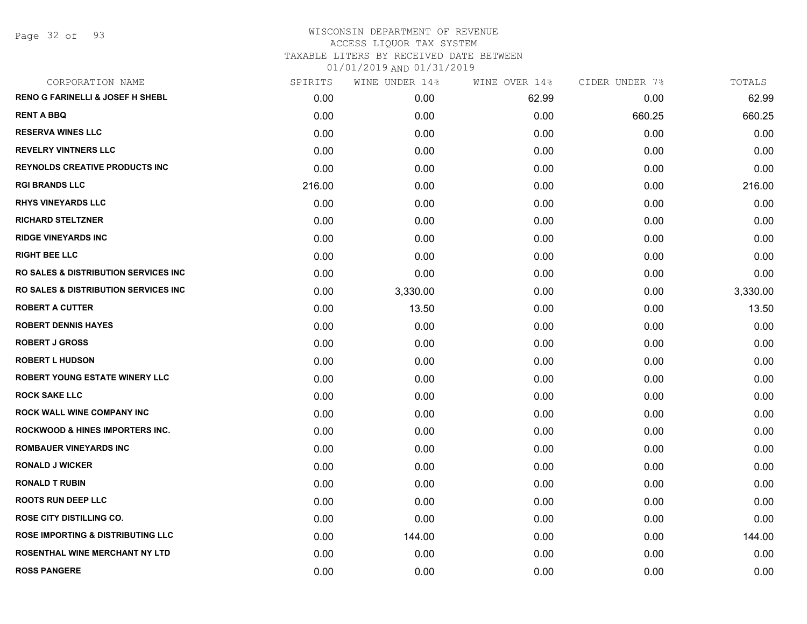Page 32 of 93

### WISCONSIN DEPARTMENT OF REVENUE ACCESS LIQUOR TAX SYSTEM TAXABLE LITERS BY RECEIVED DATE BETWEEN

| CORPORATION NAME                                 | SPIRITS | WINE UNDER 14% | WINE OVER 14% | CIDER UNDER 7% | TOTALS   |
|--------------------------------------------------|---------|----------------|---------------|----------------|----------|
| <b>RENO G FARINELLI &amp; JOSEF H SHEBL</b>      | 0.00    | 0.00           | 62.99         | 0.00           | 62.99    |
| <b>RENT A BBQ</b>                                | 0.00    | 0.00           | 0.00          | 660.25         | 660.25   |
| <b>RESERVA WINES LLC</b>                         | 0.00    | 0.00           | 0.00          | 0.00           | 0.00     |
| <b>REVELRY VINTNERS LLC</b>                      | 0.00    | 0.00           | 0.00          | 0.00           | 0.00     |
| <b>REYNOLDS CREATIVE PRODUCTS INC</b>            | 0.00    | 0.00           | 0.00          | 0.00           | 0.00     |
| <b>RGI BRANDS LLC</b>                            | 216.00  | 0.00           | 0.00          | 0.00           | 216.00   |
| <b>RHYS VINEYARDS LLC</b>                        | 0.00    | 0.00           | 0.00          | 0.00           | 0.00     |
| <b>RICHARD STELTZNER</b>                         | 0.00    | 0.00           | 0.00          | 0.00           | 0.00     |
| <b>RIDGE VINEYARDS INC</b>                       | 0.00    | 0.00           | 0.00          | 0.00           | 0.00     |
| <b>RIGHT BEE LLC</b>                             | 0.00    | 0.00           | 0.00          | 0.00           | 0.00     |
| <b>RO SALES &amp; DISTRIBUTION SERVICES INC.</b> | 0.00    | 0.00           | 0.00          | 0.00           | 0.00     |
| <b>RO SALES &amp; DISTRIBUTION SERVICES INC.</b> | 0.00    | 3,330.00       | 0.00          | 0.00           | 3,330.00 |
| <b>ROBERT A CUTTER</b>                           | 0.00    | 13.50          | 0.00          | 0.00           | 13.50    |
| <b>ROBERT DENNIS HAYES</b>                       | 0.00    | 0.00           | 0.00          | 0.00           | 0.00     |
| <b>ROBERT J GROSS</b>                            | 0.00    | 0.00           | 0.00          | 0.00           | 0.00     |
| <b>ROBERT L HUDSON</b>                           | 0.00    | 0.00           | 0.00          | 0.00           | 0.00     |
| <b>ROBERT YOUNG ESTATE WINERY LLC</b>            | 0.00    | 0.00           | 0.00          | 0.00           | 0.00     |
| <b>ROCK SAKE LLC</b>                             | 0.00    | 0.00           | 0.00          | 0.00           | 0.00     |
| <b>ROCK WALL WINE COMPANY INC</b>                | 0.00    | 0.00           | 0.00          | 0.00           | 0.00     |
| <b>ROCKWOOD &amp; HINES IMPORTERS INC.</b>       | 0.00    | 0.00           | 0.00          | 0.00           | 0.00     |
| <b>ROMBAUER VINEYARDS INC</b>                    | 0.00    | 0.00           | 0.00          | 0.00           | 0.00     |
| <b>RONALD J WICKER</b>                           | 0.00    | 0.00           | 0.00          | 0.00           | 0.00     |
| <b>RONALD T RUBIN</b>                            | 0.00    | 0.00           | 0.00          | 0.00           | 0.00     |
| <b>ROOTS RUN DEEP LLC</b>                        | 0.00    | 0.00           | 0.00          | 0.00           | 0.00     |
| <b>ROSE CITY DISTILLING CO.</b>                  | 0.00    | 0.00           | 0.00          | 0.00           | 0.00     |
| <b>ROSE IMPORTING &amp; DISTRIBUTING LLC</b>     | 0.00    | 144.00         | 0.00          | 0.00           | 144.00   |
| <b>ROSENTHAL WINE MERCHANT NY LTD</b>            | 0.00    | 0.00           | 0.00          | 0.00           | 0.00     |
| <b>ROSS PANGERE</b>                              | 0.00    | 0.00           | 0.00          | 0.00           | 0.00     |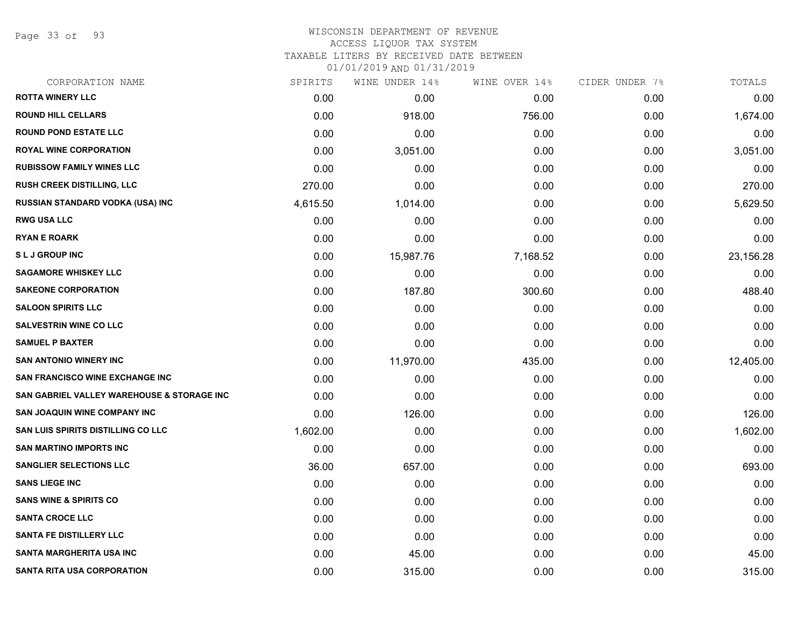Page 33 of 93

# WISCONSIN DEPARTMENT OF REVENUE

# ACCESS LIQUOR TAX SYSTEM

TAXABLE LITERS BY RECEIVED DATE BETWEEN

| CORPORATION NAME                           | SPIRITS  | WINE UNDER 14% | WINE OVER 14% | CIDER UNDER 7% | TOTALS    |
|--------------------------------------------|----------|----------------|---------------|----------------|-----------|
| <b>ROTTA WINERY LLC</b>                    | 0.00     | 0.00           | 0.00          | 0.00           | 0.00      |
| <b>ROUND HILL CELLARS</b>                  | 0.00     | 918.00         | 756.00        | 0.00           | 1,674.00  |
| <b>ROUND POND ESTATE LLC</b>               | 0.00     | 0.00           | 0.00          | 0.00           | 0.00      |
| <b>ROYAL WINE CORPORATION</b>              | 0.00     | 3,051.00       | 0.00          | 0.00           | 3,051.00  |
| <b>RUBISSOW FAMILY WINES LLC</b>           | 0.00     | 0.00           | 0.00          | 0.00           | 0.00      |
| RUSH CREEK DISTILLING, LLC                 | 270.00   | 0.00           | 0.00          | 0.00           | 270.00    |
| RUSSIAN STANDARD VODKA (USA) INC           | 4,615.50 | 1,014.00       | 0.00          | 0.00           | 5,629.50  |
| <b>RWG USA LLC</b>                         | 0.00     | 0.00           | 0.00          | 0.00           | 0.00      |
| <b>RYAN E ROARK</b>                        | 0.00     | 0.00           | 0.00          | 0.00           | 0.00      |
| <b>SLJ GROUP INC</b>                       | 0.00     | 15,987.76      | 7,168.52      | 0.00           | 23,156.28 |
| <b>SAGAMORE WHISKEY LLC</b>                | 0.00     | 0.00           | 0.00          | 0.00           | 0.00      |
| <b>SAKEONE CORPORATION</b>                 | 0.00     | 187.80         | 300.60        | 0.00           | 488.40    |
| <b>SALOON SPIRITS LLC</b>                  | 0.00     | 0.00           | 0.00          | 0.00           | 0.00      |
| <b>SALVESTRIN WINE CO LLC</b>              | 0.00     | 0.00           | 0.00          | 0.00           | 0.00      |
| <b>SAMUEL P BAXTER</b>                     | 0.00     | 0.00           | 0.00          | 0.00           | 0.00      |
| <b>SAN ANTONIO WINERY INC</b>              | 0.00     | 11,970.00      | 435.00        | 0.00           | 12,405.00 |
| <b>SAN FRANCISCO WINE EXCHANGE INC</b>     | 0.00     | 0.00           | 0.00          | 0.00           | 0.00      |
| SAN GABRIEL VALLEY WAREHOUSE & STORAGE INC | 0.00     | 0.00           | 0.00          | 0.00           | 0.00      |
| <b>SAN JOAQUIN WINE COMPANY INC</b>        | 0.00     | 126.00         | 0.00          | 0.00           | 126.00    |
| <b>SAN LUIS SPIRITS DISTILLING CO LLC</b>  | 1,602.00 | 0.00           | 0.00          | 0.00           | 1,602.00  |
| <b>SAN MARTINO IMPORTS INC</b>             | 0.00     | 0.00           | 0.00          | 0.00           | 0.00      |
| <b>SANGLIER SELECTIONS LLC</b>             | 36.00    | 657.00         | 0.00          | 0.00           | 693.00    |
| <b>SANS LIEGE INC</b>                      | 0.00     | 0.00           | 0.00          | 0.00           | 0.00      |
| <b>SANS WINE &amp; SPIRITS CO</b>          | 0.00     | 0.00           | 0.00          | 0.00           | 0.00      |
| <b>SANTA CROCE LLC</b>                     | 0.00     | 0.00           | 0.00          | 0.00           | 0.00      |
| <b>SANTA FE DISTILLERY LLC</b>             | 0.00     | 0.00           | 0.00          | 0.00           | 0.00      |
| <b>SANTA MARGHERITA USA INC</b>            | 0.00     | 45.00          | 0.00          | 0.00           | 45.00     |
| <b>SANTA RITA USA CORPORATION</b>          | 0.00     | 315.00         | 0.00          | 0.00           | 315.00    |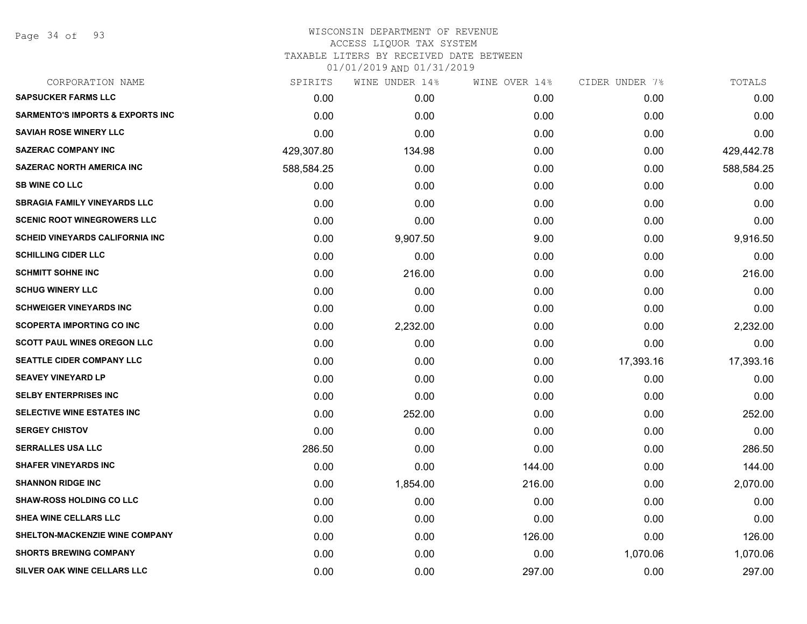Page 34 of 93

# WISCONSIN DEPARTMENT OF REVENUE ACCESS LIQUOR TAX SYSTEM TAXABLE LITERS BY RECEIVED DATE BETWEEN

| CORPORATION NAME                            | SPIRITS    | WINE UNDER 14% | WINE OVER 14% | CIDER UNDER 7% | TOTALS     |
|---------------------------------------------|------------|----------------|---------------|----------------|------------|
| <b>SAPSUCKER FARMS LLC</b>                  | 0.00       | 0.00           | 0.00          | 0.00           | 0.00       |
| <b>SARMENTO'S IMPORTS &amp; EXPORTS INC</b> | 0.00       | 0.00           | 0.00          | 0.00           | 0.00       |
| <b>SAVIAH ROSE WINERY LLC</b>               | 0.00       | 0.00           | 0.00          | 0.00           | 0.00       |
| <b>SAZERAC COMPANY INC</b>                  | 429,307.80 | 134.98         | 0.00          | 0.00           | 429,442.78 |
| <b>SAZERAC NORTH AMERICA INC</b>            | 588,584.25 | 0.00           | 0.00          | 0.00           | 588,584.25 |
| <b>SB WINE CO LLC</b>                       | 0.00       | 0.00           | 0.00          | 0.00           | 0.00       |
| <b>SBRAGIA FAMILY VINEYARDS LLC</b>         | 0.00       | 0.00           | 0.00          | 0.00           | 0.00       |
| <b>SCENIC ROOT WINEGROWERS LLC</b>          | 0.00       | 0.00           | 0.00          | 0.00           | 0.00       |
| <b>SCHEID VINEYARDS CALIFORNIA INC</b>      | 0.00       | 9,907.50       | 9.00          | 0.00           | 9,916.50   |
| <b>SCHILLING CIDER LLC</b>                  | 0.00       | 0.00           | 0.00          | 0.00           | 0.00       |
| <b>SCHMITT SOHNE INC</b>                    | 0.00       | 216.00         | 0.00          | 0.00           | 216.00     |
| <b>SCHUG WINERY LLC</b>                     | 0.00       | 0.00           | 0.00          | 0.00           | 0.00       |
| <b>SCHWEIGER VINEYARDS INC</b>              | 0.00       | 0.00           | 0.00          | 0.00           | 0.00       |
| <b>SCOPERTA IMPORTING CO INC</b>            | 0.00       | 2,232.00       | 0.00          | 0.00           | 2,232.00   |
| <b>SCOTT PAUL WINES OREGON LLC</b>          | 0.00       | 0.00           | 0.00          | 0.00           | 0.00       |
| <b>SEATTLE CIDER COMPANY LLC</b>            | 0.00       | 0.00           | 0.00          | 17,393.16      | 17,393.16  |
| <b>SEAVEY VINEYARD LP</b>                   | 0.00       | 0.00           | 0.00          | 0.00           | 0.00       |
| <b>SELBY ENTERPRISES INC</b>                | 0.00       | 0.00           | 0.00          | 0.00           | 0.00       |
| SELECTIVE WINE ESTATES INC                  | 0.00       | 252.00         | 0.00          | 0.00           | 252.00     |
| <b>SERGEY CHISTOV</b>                       | 0.00       | 0.00           | 0.00          | 0.00           | 0.00       |
| <b>SERRALLES USA LLC</b>                    | 286.50     | 0.00           | 0.00          | 0.00           | 286.50     |
| <b>SHAFER VINEYARDS INC</b>                 | 0.00       | 0.00           | 144.00        | 0.00           | 144.00     |
| <b>SHANNON RIDGE INC</b>                    | 0.00       | 1,854.00       | 216.00        | 0.00           | 2,070.00   |
| <b>SHAW-ROSS HOLDING CO LLC</b>             | 0.00       | 0.00           | 0.00          | 0.00           | 0.00       |
| <b>SHEA WINE CELLARS LLC</b>                | 0.00       | 0.00           | 0.00          | 0.00           | 0.00       |
| SHELTON-MACKENZIE WINE COMPANY              | 0.00       | 0.00           | 126.00        | 0.00           | 126.00     |
| <b>SHORTS BREWING COMPANY</b>               | 0.00       | 0.00           | 0.00          | 1,070.06       | 1,070.06   |
| SILVER OAK WINE CELLARS LLC                 | 0.00       | 0.00           | 297.00        | 0.00           | 297.00     |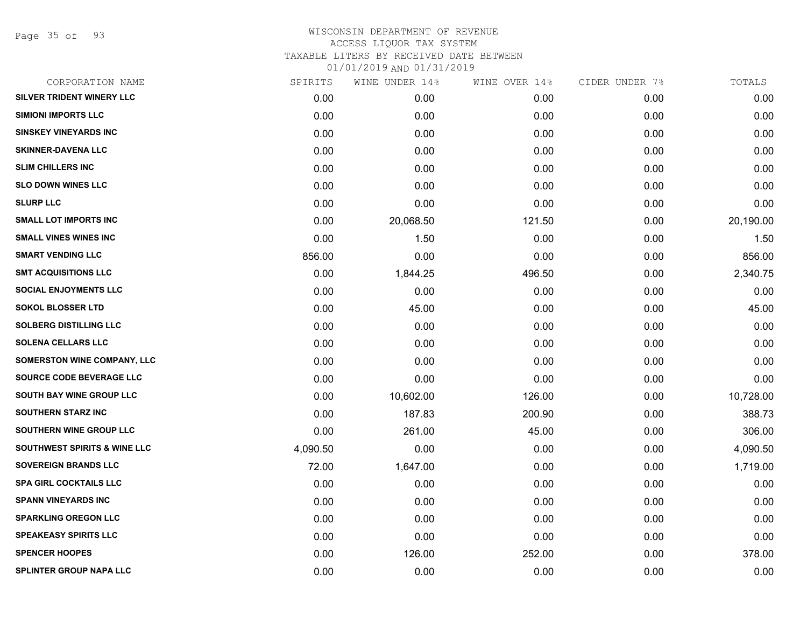Page 35 of 93

### WISCONSIN DEPARTMENT OF REVENUE ACCESS LIQUOR TAX SYSTEM TAXABLE LITERS BY RECEIVED DATE BETWEEN

| CORPORATION NAME                        | SPIRITS  | WINE UNDER 14% | WINE OVER 14% | CIDER UNDER 7% | TOTALS    |
|-----------------------------------------|----------|----------------|---------------|----------------|-----------|
| SILVER TRIDENT WINERY LLC               | 0.00     | 0.00           | 0.00          | 0.00           | 0.00      |
| <b>SIMIONI IMPORTS LLC</b>              | 0.00     | 0.00           | 0.00          | 0.00           | 0.00      |
| <b>SINSKEY VINEYARDS INC</b>            | 0.00     | 0.00           | 0.00          | 0.00           | 0.00      |
| <b>SKINNER-DAVENA LLC</b>               | 0.00     | 0.00           | 0.00          | 0.00           | 0.00      |
| <b>SLIM CHILLERS INC</b>                | 0.00     | 0.00           | 0.00          | 0.00           | 0.00      |
| <b>SLO DOWN WINES LLC</b>               | 0.00     | 0.00           | 0.00          | 0.00           | 0.00      |
| <b>SLURP LLC</b>                        | 0.00     | 0.00           | 0.00          | 0.00           | 0.00      |
| <b>SMALL LOT IMPORTS INC</b>            | 0.00     | 20,068.50      | 121.50        | 0.00           | 20,190.00 |
| <b>SMALL VINES WINES INC</b>            | 0.00     | 1.50           | 0.00          | 0.00           | 1.50      |
| <b>SMART VENDING LLC</b>                | 856.00   | 0.00           | 0.00          | 0.00           | 856.00    |
| <b>SMT ACQUISITIONS LLC</b>             | 0.00     | 1,844.25       | 496.50        | 0.00           | 2,340.75  |
| <b>SOCIAL ENJOYMENTS LLC</b>            | 0.00     | 0.00           | 0.00          | 0.00           | 0.00      |
| <b>SOKOL BLOSSER LTD</b>                | 0.00     | 45.00          | 0.00          | 0.00           | 45.00     |
| <b>SOLBERG DISTILLING LLC</b>           | 0.00     | 0.00           | 0.00          | 0.00           | 0.00      |
| <b>SOLENA CELLARS LLC</b>               | 0.00     | 0.00           | 0.00          | 0.00           | 0.00      |
| <b>SOMERSTON WINE COMPANY, LLC</b>      | 0.00     | 0.00           | 0.00          | 0.00           | 0.00      |
| SOURCE CODE BEVERAGE LLC                | 0.00     | 0.00           | 0.00          | 0.00           | 0.00      |
| SOUTH BAY WINE GROUP LLC                | 0.00     | 10,602.00      | 126.00        | 0.00           | 10,728.00 |
| SOUTHERN STARZ INC                      | 0.00     | 187.83         | 200.90        | 0.00           | 388.73    |
| SOUTHERN WINE GROUP LLC                 | 0.00     | 261.00         | 45.00         | 0.00           | 306.00    |
| <b>SOUTHWEST SPIRITS &amp; WINE LLC</b> | 4,090.50 | 0.00           | 0.00          | 0.00           | 4,090.50  |
| <b>SOVEREIGN BRANDS LLC</b>             | 72.00    | 1,647.00       | 0.00          | 0.00           | 1,719.00  |
| <b>SPA GIRL COCKTAILS LLC</b>           | 0.00     | 0.00           | 0.00          | 0.00           | 0.00      |
| <b>SPANN VINEYARDS INC</b>              | 0.00     | 0.00           | 0.00          | 0.00           | 0.00      |
| <b>SPARKLING OREGON LLC</b>             | 0.00     | 0.00           | 0.00          | 0.00           | 0.00      |
| <b>SPEAKEASY SPIRITS LLC</b>            | 0.00     | 0.00           | 0.00          | 0.00           | 0.00      |
| <b>SPENCER HOOPES</b>                   | 0.00     | 126.00         | 252.00        | 0.00           | 378.00    |
| <b>SPLINTER GROUP NAPA LLC</b>          | 0.00     | 0.00           | 0.00          | 0.00           | 0.00      |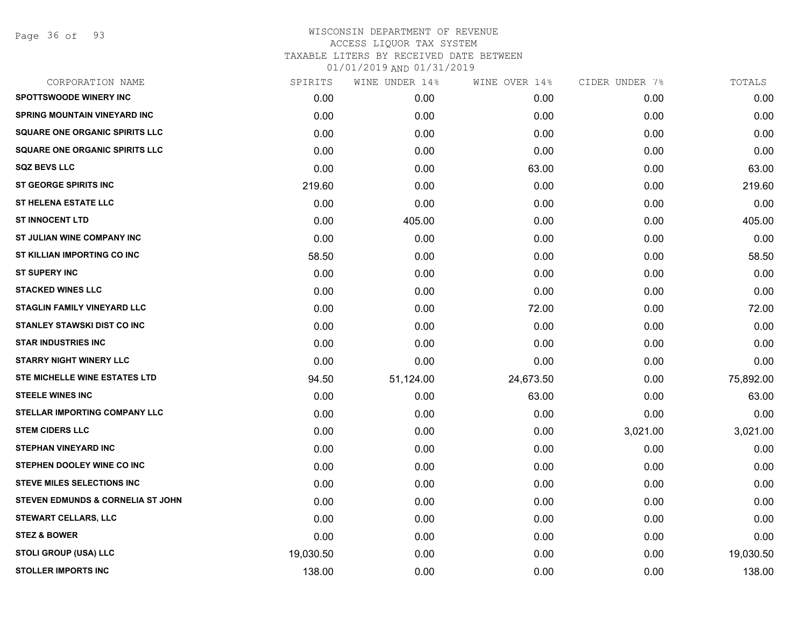Page 36 of 93

## WISCONSIN DEPARTMENT OF REVENUE ACCESS LIQUOR TAX SYSTEM TAXABLE LITERS BY RECEIVED DATE BETWEEN 01/01/2019 AND 01/31/2019

| CORPORATION NAME                             | SPIRITS   | WINE UNDER 14% | WINE OVER 14% | CIDER UNDER 7% | TOTALS    |
|----------------------------------------------|-----------|----------------|---------------|----------------|-----------|
| <b>SPOTTSWOODE WINERY INC</b>                | 0.00      | 0.00           | 0.00          | 0.00           | 0.00      |
| <b>SPRING MOUNTAIN VINEYARD INC</b>          | 0.00      | 0.00           | 0.00          | 0.00           | 0.00      |
| <b>SQUARE ONE ORGANIC SPIRITS LLC</b>        | 0.00      | 0.00           | 0.00          | 0.00           | 0.00      |
| <b>SQUARE ONE ORGANIC SPIRITS LLC</b>        | 0.00      | 0.00           | 0.00          | 0.00           | 0.00      |
| <b>SQZ BEVS LLC</b>                          | 0.00      | 0.00           | 63.00         | 0.00           | 63.00     |
| <b>ST GEORGE SPIRITS INC</b>                 | 219.60    | 0.00           | 0.00          | 0.00           | 219.60    |
| <b>ST HELENA ESTATE LLC</b>                  | 0.00      | 0.00           | 0.00          | 0.00           | 0.00      |
| <b>ST INNOCENT LTD</b>                       | 0.00      | 405.00         | 0.00          | 0.00           | 405.00    |
| ST JULIAN WINE COMPANY INC                   | 0.00      | 0.00           | 0.00          | 0.00           | 0.00      |
| ST KILLIAN IMPORTING CO INC                  | 58.50     | 0.00           | 0.00          | 0.00           | 58.50     |
| <b>ST SUPERY INC</b>                         | 0.00      | 0.00           | 0.00          | 0.00           | 0.00      |
| <b>STACKED WINES LLC</b>                     | 0.00      | 0.00           | 0.00          | 0.00           | 0.00      |
| STAGLIN FAMILY VINEYARD LLC                  | 0.00      | 0.00           | 72.00         | 0.00           | 72.00     |
| STANLEY STAWSKI DIST CO INC                  | 0.00      | 0.00           | 0.00          | 0.00           | 0.00      |
| <b>STAR INDUSTRIES INC</b>                   | 0.00      | 0.00           | 0.00          | 0.00           | 0.00      |
| <b>STARRY NIGHT WINERY LLC</b>               | 0.00      | 0.00           | 0.00          | 0.00           | 0.00      |
| <b>STE MICHELLE WINE ESTATES LTD</b>         | 94.50     | 51,124.00      | 24,673.50     | 0.00           | 75,892.00 |
| <b>STEELE WINES INC</b>                      | 0.00      | 0.00           | 63.00         | 0.00           | 63.00     |
| STELLAR IMPORTING COMPANY LLC                | 0.00      | 0.00           | 0.00          | 0.00           | 0.00      |
| <b>STEM CIDERS LLC</b>                       | 0.00      | 0.00           | 0.00          | 3,021.00       | 3,021.00  |
| <b>STEPHAN VINEYARD INC</b>                  | 0.00      | 0.00           | 0.00          | 0.00           | 0.00      |
| STEPHEN DOOLEY WINE CO INC                   | 0.00      | 0.00           | 0.00          | 0.00           | 0.00      |
| <b>STEVE MILES SELECTIONS INC</b>            | 0.00      | 0.00           | 0.00          | 0.00           | 0.00      |
| <b>STEVEN EDMUNDS &amp; CORNELIA ST JOHN</b> | 0.00      | 0.00           | 0.00          | 0.00           | 0.00      |
| STEWART CELLARS, LLC                         | 0.00      | 0.00           | 0.00          | 0.00           | 0.00      |
| <b>STEZ &amp; BOWER</b>                      | 0.00      | 0.00           | 0.00          | 0.00           | 0.00      |
| <b>STOLI GROUP (USA) LLC</b>                 | 19,030.50 | 0.00           | 0.00          | 0.00           | 19,030.50 |
| <b>STOLLER IMPORTS INC</b>                   | 138.00    | 0.00           | 0.00          | 0.00           | 138.00    |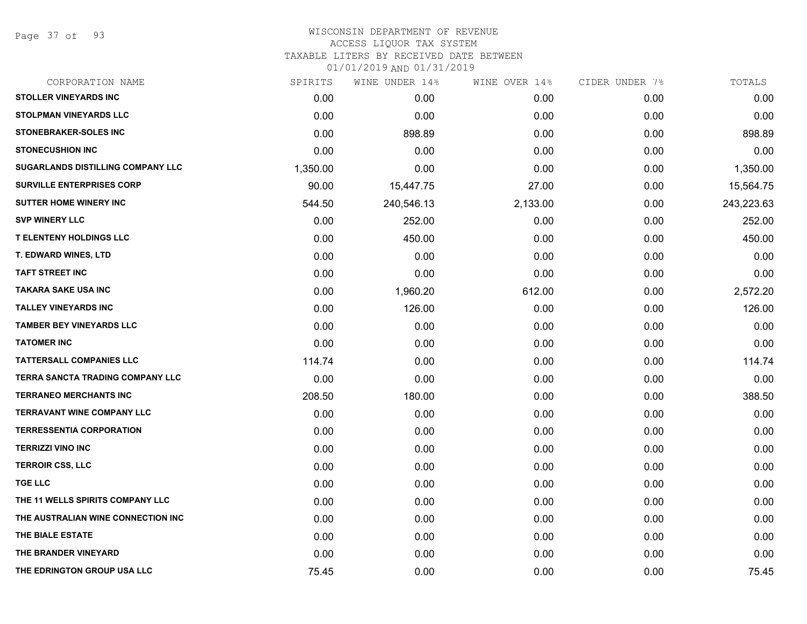Page 37 of 93

#### WISCONSIN DEPARTMENT OF REVENUE ACCESS LIQUOR TAX SYSTEM

TAXABLE LITERS BY RECEIVED DATE BETWEEN

| CORPORATION NAME                        | SPIRITS  | WINE UNDER 14% | WINE OVER 14% | CIDER UNDER 7% | TOTALS     |
|-----------------------------------------|----------|----------------|---------------|----------------|------------|
| <b>STOLLER VINEYARDS INC</b>            | 0.00     | 0.00           | 0.00          | 0.00           | 0.00       |
| <b>STOLPMAN VINEYARDS LLC</b>           | 0.00     | 0.00           | 0.00          | 0.00           | 0.00       |
| <b>STONEBRAKER-SOLES INC</b>            | 0.00     | 898.89         | 0.00          | 0.00           | 898.89     |
| <b>STONECUSHION INC</b>                 | 0.00     | 0.00           | 0.00          | 0.00           | 0.00       |
| SUGARLANDS DISTILLING COMPANY LLC       | 1,350.00 | 0.00           | 0.00          | 0.00           | 1,350.00   |
| <b>SURVILLE ENTERPRISES CORP</b>        | 90.00    | 15,447.75      | 27.00         | 0.00           | 15,564.75  |
| <b>SUTTER HOME WINERY INC</b>           | 544.50   | 240,546.13     | 2,133.00      | 0.00           | 243,223.63 |
| <b>SVP WINERY LLC</b>                   | 0.00     | 252.00         | 0.00          | 0.00           | 252.00     |
| <b>T ELENTENY HOLDINGS LLC</b>          | 0.00     | 450.00         | 0.00          | 0.00           | 450.00     |
| <b>T. EDWARD WINES, LTD</b>             | 0.00     | 0.00           | 0.00          | 0.00           | 0.00       |
| <b>TAFT STREET INC</b>                  | 0.00     | 0.00           | 0.00          | 0.00           | 0.00       |
| <b>TAKARA SAKE USA INC</b>              | 0.00     | 1,960.20       | 612.00        | 0.00           | 2,572.20   |
| <b>TALLEY VINEYARDS INC</b>             | 0.00     | 126.00         | 0.00          | 0.00           | 126.00     |
| <b>TAMBER BEY VINEYARDS LLC</b>         | 0.00     | 0.00           | 0.00          | 0.00           | 0.00       |
| <b>TATOMER INC</b>                      | 0.00     | 0.00           | 0.00          | 0.00           | 0.00       |
| <b>TATTERSALL COMPANIES LLC</b>         | 114.74   | 0.00           | 0.00          | 0.00           | 114.74     |
| <b>TERRA SANCTA TRADING COMPANY LLC</b> | 0.00     | 0.00           | 0.00          | 0.00           | 0.00       |
| <b>TERRANEO MERCHANTS INC</b>           | 208.50   | 180.00         | 0.00          | 0.00           | 388.50     |
| <b>TERRAVANT WINE COMPANY LLC</b>       | 0.00     | 0.00           | 0.00          | 0.00           | 0.00       |
| <b>TERRESSENTIA CORPORATION</b>         | 0.00     | 0.00           | 0.00          | 0.00           | 0.00       |
| <b>TERRIZZI VINO INC</b>                | 0.00     | 0.00           | 0.00          | 0.00           | 0.00       |
| <b>TERROIR CSS, LLC</b>                 | 0.00     | 0.00           | 0.00          | 0.00           | 0.00       |
| <b>TGE LLC</b>                          | 0.00     | 0.00           | 0.00          | 0.00           | 0.00       |
| THE 11 WELLS SPIRITS COMPANY LLC        | 0.00     | 0.00           | 0.00          | 0.00           | 0.00       |
| THE AUSTRALIAN WINE CONNECTION INC      | 0.00     | 0.00           | 0.00          | 0.00           | 0.00       |
| THE BIALE ESTATE                        | 0.00     | 0.00           | 0.00          | 0.00           | 0.00       |
| THE BRANDER VINEYARD                    | 0.00     | 0.00           | 0.00          | 0.00           | 0.00       |
| THE EDRINGTON GROUP USA LLC             | 75.45    | 0.00           | 0.00          | 0.00           | 75.45      |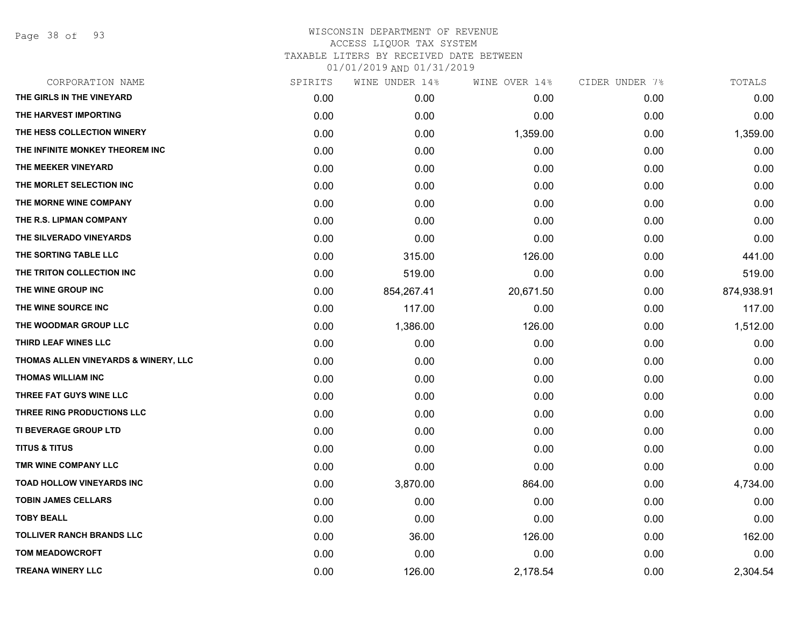Page 38 of 93

## WISCONSIN DEPARTMENT OF REVENUE ACCESS LIQUOR TAX SYSTEM TAXABLE LITERS BY RECEIVED DATE BETWEEN 01/01/2019 AND 01/31/2019

|      | WINE UNDER 14% |           |               | TOTALS         |
|------|----------------|-----------|---------------|----------------|
| 0.00 | 0.00           | 0.00      | 0.00          | 0.00           |
| 0.00 | 0.00           | 0.00      | 0.00          | 0.00           |
| 0.00 | 0.00           | 1,359.00  | 0.00          | 1,359.00       |
| 0.00 | 0.00           | 0.00      | 0.00          | 0.00           |
| 0.00 | 0.00           | 0.00      | 0.00          | 0.00           |
| 0.00 | 0.00           | 0.00      | 0.00          | 0.00           |
| 0.00 | 0.00           | 0.00      | 0.00          | 0.00           |
| 0.00 | 0.00           | 0.00      | 0.00          | 0.00           |
| 0.00 | 0.00           | 0.00      | 0.00          | 0.00           |
| 0.00 | 315.00         | 126.00    | 0.00          | 441.00         |
| 0.00 | 519.00         | 0.00      | 0.00          | 519.00         |
| 0.00 | 854,267.41     | 20,671.50 | 0.00          | 874,938.91     |
| 0.00 | 117.00         | 0.00      | 0.00          | 117.00         |
| 0.00 | 1,386.00       | 126.00    | 0.00          | 1,512.00       |
| 0.00 | 0.00           | 0.00      | 0.00          | 0.00           |
| 0.00 | 0.00           | 0.00      | 0.00          | 0.00           |
| 0.00 | 0.00           | 0.00      | 0.00          | 0.00           |
| 0.00 | 0.00           | 0.00      | 0.00          | 0.00           |
| 0.00 | 0.00           | 0.00      | 0.00          | 0.00           |
| 0.00 | 0.00           | 0.00      | 0.00          | 0.00           |
| 0.00 | 0.00           | 0.00      | 0.00          | 0.00           |
| 0.00 | 0.00           | 0.00      | 0.00          | 0.00           |
| 0.00 | 3,870.00       | 864.00    | 0.00          | 4,734.00       |
| 0.00 | 0.00           | 0.00      | 0.00          | 0.00           |
| 0.00 | 0.00           | 0.00      | 0.00          | 0.00           |
| 0.00 | 36.00          | 126.00    | 0.00          | 162.00         |
| 0.00 | 0.00           | 0.00      | 0.00          | 0.00           |
| 0.00 | 126.00         | 2,178.54  | 0.00          | 2,304.54       |
|      | SPIRITS        |           | WINE OVER 14% | CIDER UNDER 7% |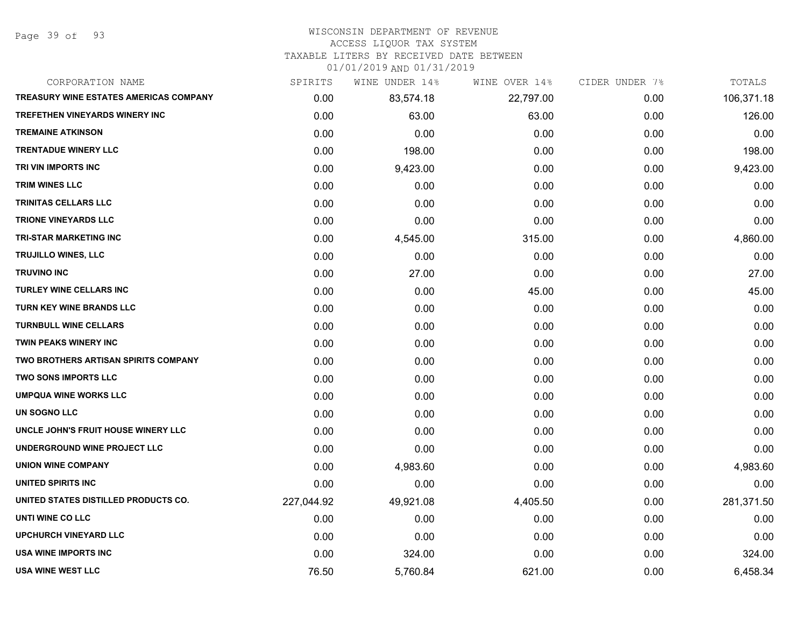Page 39 of 93

### WISCONSIN DEPARTMENT OF REVENUE

### ACCESS LIQUOR TAX SYSTEM

TAXABLE LITERS BY RECEIVED DATE BETWEEN

| CORPORATION NAME                              | SPIRITS    | WINE UNDER 14% | WINE OVER 14% | CIDER UNDER 7% | TOTALS     |
|-----------------------------------------------|------------|----------------|---------------|----------------|------------|
| <b>TREASURY WINE ESTATES AMERICAS COMPANY</b> | 0.00       | 83,574.18      | 22,797.00     | 0.00           | 106,371.18 |
| <b>TREFETHEN VINEYARDS WINERY INC</b>         | 0.00       | 63.00          | 63.00         | 0.00           | 126.00     |
| <b>TREMAINE ATKINSON</b>                      | 0.00       | 0.00           | 0.00          | 0.00           | 0.00       |
| <b>TRENTADUE WINERY LLC</b>                   | 0.00       | 198.00         | 0.00          | 0.00           | 198.00     |
| TRI VIN IMPORTS INC                           | 0.00       | 9,423.00       | 0.00          | 0.00           | 9,423.00   |
| TRIM WINES LLC                                | 0.00       | 0.00           | 0.00          | 0.00           | 0.00       |
| TRINITAS CELLARS LLC                          | 0.00       | 0.00           | 0.00          | 0.00           | 0.00       |
| <b>TRIONE VINEYARDS LLC</b>                   | 0.00       | 0.00           | 0.00          | 0.00           | 0.00       |
| <b>TRI-STAR MARKETING INC</b>                 | 0.00       | 4,545.00       | 315.00        | 0.00           | 4,860.00   |
| TRUJILLO WINES, LLC                           | 0.00       | 0.00           | 0.00          | 0.00           | 0.00       |
| <b>TRUVINO INC</b>                            | 0.00       | 27.00          | 0.00          | 0.00           | 27.00      |
| TURLEY WINE CELLARS INC                       | 0.00       | 0.00           | 45.00         | 0.00           | 45.00      |
| TURN KEY WINE BRANDS LLC                      | 0.00       | 0.00           | 0.00          | 0.00           | 0.00       |
| <b>TURNBULL WINE CELLARS</b>                  | 0.00       | 0.00           | 0.00          | 0.00           | 0.00       |
| <b>TWIN PEAKS WINERY INC</b>                  | 0.00       | 0.00           | 0.00          | 0.00           | 0.00       |
| <b>TWO BROTHERS ARTISAN SPIRITS COMPANY</b>   | 0.00       | 0.00           | 0.00          | 0.00           | 0.00       |
| <b>TWO SONS IMPORTS LLC</b>                   | 0.00       | 0.00           | 0.00          | 0.00           | 0.00       |
| <b>UMPQUA WINE WORKS LLC</b>                  | 0.00       | 0.00           | 0.00          | 0.00           | 0.00       |
| UN SOGNO LLC                                  | 0.00       | 0.00           | 0.00          | 0.00           | 0.00       |
| UNCLE JOHN'S FRUIT HOUSE WINERY LLC           | 0.00       | 0.00           | 0.00          | 0.00           | 0.00       |
| UNDERGROUND WINE PROJECT LLC                  | 0.00       | 0.00           | 0.00          | 0.00           | 0.00       |
| <b>UNION WINE COMPANY</b>                     | 0.00       | 4,983.60       | 0.00          | 0.00           | 4,983.60   |
| <b>UNITED SPIRITS INC</b>                     | 0.00       | 0.00           | 0.00          | 0.00           | 0.00       |
| UNITED STATES DISTILLED PRODUCTS CO.          | 227,044.92 | 49,921.08      | 4,405.50      | 0.00           | 281,371.50 |
| UNTI WINE CO LLC                              | 0.00       | 0.00           | 0.00          | 0.00           | 0.00       |
| <b>UPCHURCH VINEYARD LLC</b>                  | 0.00       | 0.00           | 0.00          | 0.00           | 0.00       |
| <b>USA WINE IMPORTS INC</b>                   | 0.00       | 324.00         | 0.00          | 0.00           | 324.00     |
| <b>USA WINE WEST LLC</b>                      | 76.50      | 5,760.84       | 621.00        | 0.00           | 6,458.34   |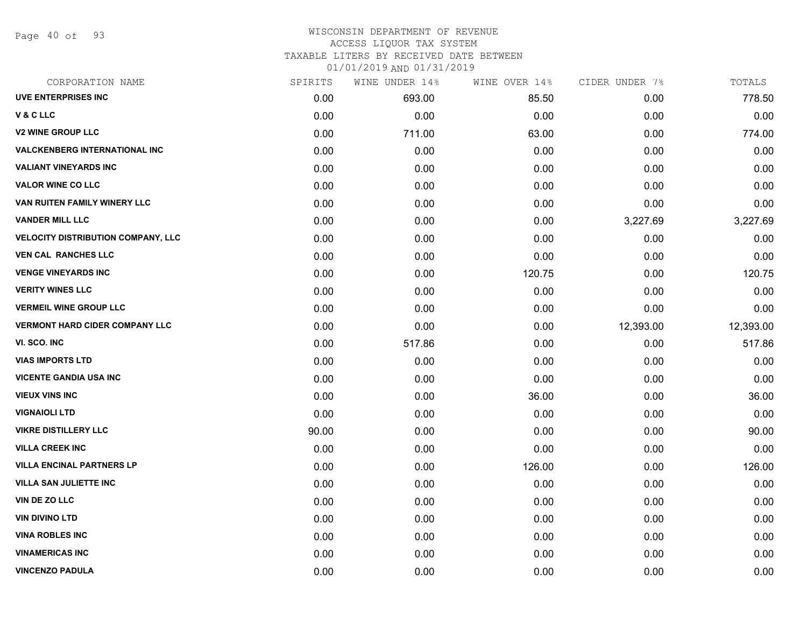Page 40 of 93

#### WISCONSIN DEPARTMENT OF REVENUE ACCESS LIQUOR TAX SYSTEM

TAXABLE LITERS BY RECEIVED DATE BETWEEN

| CORPORATION NAME                          | SPIRITS | WINE UNDER 14% | WINE OVER 14% | CIDER UNDER 7% | TOTALS    |
|-------------------------------------------|---------|----------------|---------------|----------------|-----------|
| <b>UVE ENTERPRISES INC</b>                | 0.00    | 693.00         | 85.50         | 0.00           | 778.50    |
| V & C LLC                                 | 0.00    | 0.00           | 0.00          | 0.00           | 0.00      |
| <b>V2 WINE GROUP LLC</b>                  | 0.00    | 711.00         | 63.00         | 0.00           | 774.00    |
| <b>VALCKENBERG INTERNATIONAL INC</b>      | 0.00    | 0.00           | 0.00          | 0.00           | 0.00      |
| <b>VALIANT VINEYARDS INC</b>              | 0.00    | 0.00           | 0.00          | 0.00           | 0.00      |
| <b>VALOR WINE CO LLC</b>                  | 0.00    | 0.00           | 0.00          | 0.00           | 0.00      |
| VAN RUITEN FAMILY WINERY LLC              | 0.00    | 0.00           | 0.00          | 0.00           | 0.00      |
| <b>VANDER MILL LLC</b>                    | 0.00    | 0.00           | 0.00          | 3,227.69       | 3,227.69  |
| <b>VELOCITY DISTRIBUTION COMPANY, LLC</b> | 0.00    | 0.00           | 0.00          | 0.00           | 0.00      |
| <b>VEN CAL RANCHES LLC</b>                | 0.00    | 0.00           | 0.00          | 0.00           | 0.00      |
| <b>VENGE VINEYARDS INC</b>                | 0.00    | 0.00           | 120.75        | 0.00           | 120.75    |
| <b>VERITY WINES LLC</b>                   | 0.00    | 0.00           | 0.00          | 0.00           | 0.00      |
| <b>VERMEIL WINE GROUP LLC</b>             | 0.00    | 0.00           | 0.00          | 0.00           | 0.00      |
| <b>VERMONT HARD CIDER COMPANY LLC</b>     | 0.00    | 0.00           | 0.00          | 12,393.00      | 12,393.00 |
| VI. SCO. INC                              | 0.00    | 517.86         | 0.00          | 0.00           | 517.86    |
| <b>VIAS IMPORTS LTD</b>                   | 0.00    | 0.00           | 0.00          | 0.00           | 0.00      |
| <b>VICENTE GANDIA USA INC</b>             | 0.00    | 0.00           | 0.00          | 0.00           | 0.00      |
| <b>VIEUX VINS INC</b>                     | 0.00    | 0.00           | 36.00         | 0.00           | 36.00     |
| <b>VIGNAIOLI LTD</b>                      | 0.00    | 0.00           | 0.00          | 0.00           | 0.00      |
| <b>VIKRE DISTILLERY LLC</b>               | 90.00   | 0.00           | 0.00          | 0.00           | 90.00     |
| <b>VILLA CREEK INC</b>                    | 0.00    | 0.00           | 0.00          | 0.00           | 0.00      |
| <b>VILLA ENCINAL PARTNERS LP</b>          | 0.00    | 0.00           | 126.00        | 0.00           | 126.00    |
| <b>VILLA SAN JULIETTE INC</b>             | 0.00    | 0.00           | 0.00          | 0.00           | 0.00      |
| VIN DE ZO LLC                             | 0.00    | 0.00           | 0.00          | 0.00           | 0.00      |
| <b>VIN DIVINO LTD</b>                     | 0.00    | 0.00           | 0.00          | 0.00           | 0.00      |
| <b>VINA ROBLES INC</b>                    | 0.00    | 0.00           | 0.00          | 0.00           | 0.00      |
| <b>VINAMERICAS INC</b>                    | 0.00    | 0.00           | 0.00          | 0.00           | 0.00      |
| <b>VINCENZO PADULA</b>                    | 0.00    | 0.00           | 0.00          | 0.00           | 0.00      |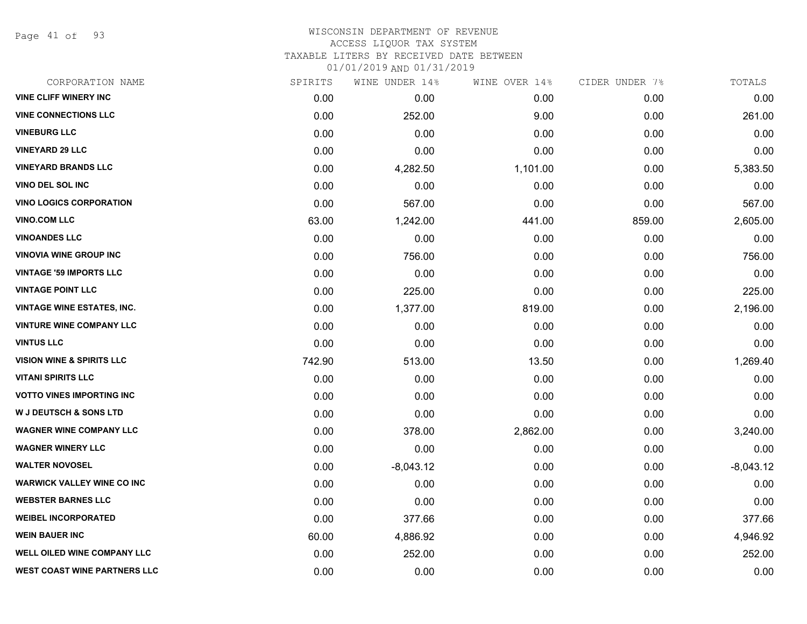Page 41 of 93

#### WISCONSIN DEPARTMENT OF REVENUE ACCESS LIQUOR TAX SYSTEM

TAXABLE LITERS BY RECEIVED DATE BETWEEN

| CORPORATION NAME                     | SPIRITS | WINE UNDER 14% | WINE OVER 14% | CIDER UNDER 7% | TOTALS      |
|--------------------------------------|---------|----------------|---------------|----------------|-------------|
| <b>VINE CLIFF WINERY INC</b>         | 0.00    | 0.00           | 0.00          | 0.00           | 0.00        |
| <b>VINE CONNECTIONS LLC</b>          | 0.00    | 252.00         | 9.00          | 0.00           | 261.00      |
| <b>VINEBURG LLC</b>                  | 0.00    | 0.00           | 0.00          | 0.00           | 0.00        |
| <b>VINEYARD 29 LLC</b>               | 0.00    | 0.00           | 0.00          | 0.00           | 0.00        |
| <b>VINEYARD BRANDS LLC</b>           | 0.00    | 4,282.50       | 1,101.00      | 0.00           | 5,383.50    |
| <b>VINO DEL SOL INC</b>              | 0.00    | 0.00           | 0.00          | 0.00           | 0.00        |
| <b>VINO LOGICS CORPORATION</b>       | 0.00    | 567.00         | 0.00          | 0.00           | 567.00      |
| <b>VINO.COM LLC</b>                  | 63.00   | 1,242.00       | 441.00        | 859.00         | 2,605.00    |
| <b>VINOANDES LLC</b>                 | 0.00    | 0.00           | 0.00          | 0.00           | 0.00        |
| <b>VINOVIA WINE GROUP INC</b>        | 0.00    | 756.00         | 0.00          | 0.00           | 756.00      |
| <b>VINTAGE '59 IMPORTS LLC</b>       | 0.00    | 0.00           | 0.00          | 0.00           | 0.00        |
| <b>VINTAGE POINT LLC</b>             | 0.00    | 225.00         | 0.00          | 0.00           | 225.00      |
| <b>VINTAGE WINE ESTATES, INC.</b>    | 0.00    | 1,377.00       | 819.00        | 0.00           | 2,196.00    |
| <b>VINTURE WINE COMPANY LLC</b>      | 0.00    | 0.00           | 0.00          | 0.00           | 0.00        |
| <b>VINTUS LLC</b>                    | 0.00    | 0.00           | 0.00          | 0.00           | 0.00        |
| <b>VISION WINE &amp; SPIRITS LLC</b> | 742.90  | 513.00         | 13.50         | 0.00           | 1,269.40    |
| <b>VITANI SPIRITS LLC</b>            | 0.00    | 0.00           | 0.00          | 0.00           | 0.00        |
| <b>VOTTO VINES IMPORTING INC.</b>    | 0.00    | 0.00           | 0.00          | 0.00           | 0.00        |
| <b>W J DEUTSCH &amp; SONS LTD</b>    | 0.00    | 0.00           | 0.00          | 0.00           | 0.00        |
| <b>WAGNER WINE COMPANY LLC</b>       | 0.00    | 378.00         | 2,862.00      | 0.00           | 3,240.00    |
| <b>WAGNER WINERY LLC</b>             | 0.00    | 0.00           | 0.00          | 0.00           | 0.00        |
| <b>WALTER NOVOSEL</b>                | 0.00    | $-8,043.12$    | 0.00          | 0.00           | $-8,043.12$ |
| <b>WARWICK VALLEY WINE CO INC</b>    | 0.00    | 0.00           | 0.00          | 0.00           | 0.00        |
| <b>WEBSTER BARNES LLC</b>            | 0.00    | 0.00           | 0.00          | 0.00           | 0.00        |
| <b>WEIBEL INCORPORATED</b>           | 0.00    | 377.66         | 0.00          | 0.00           | 377.66      |
| <b>WEIN BAUER INC</b>                | 60.00   | 4,886.92       | 0.00          | 0.00           | 4,946.92    |
| WELL OILED WINE COMPANY LLC          | 0.00    | 252.00         | 0.00          | 0.00           | 252.00      |
| <b>WEST COAST WINE PARTNERS LLC</b>  | 0.00    | 0.00           | 0.00          | 0.00           | 0.00        |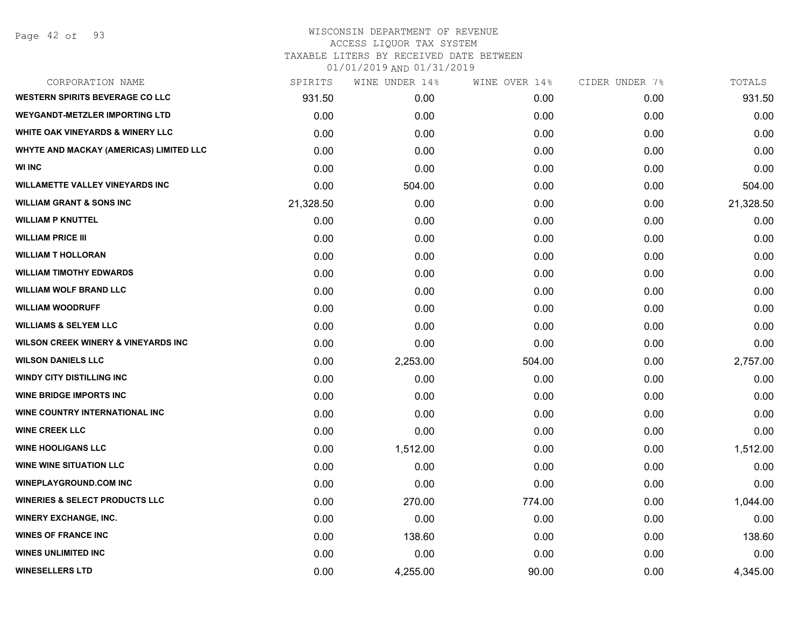Page 42 of 93

#### WISCONSIN DEPARTMENT OF REVENUE ACCESS LIQUOR TAX SYSTEM

TAXABLE LITERS BY RECEIVED DATE BETWEEN

| CORPORATION NAME                               | SPIRITS   | WINE UNDER 14% | WINE OVER 14% | CIDER UNDER 7% | TOTALS    |
|------------------------------------------------|-----------|----------------|---------------|----------------|-----------|
| <b>WESTERN SPIRITS BEVERAGE CO LLC</b>         | 931.50    | 0.00           | 0.00          | 0.00           | 931.50    |
| <b>WEYGANDT-METZLER IMPORTING LTD</b>          | 0.00      | 0.00           | 0.00          | 0.00           | 0.00      |
| <b>WHITE OAK VINEYARDS &amp; WINERY LLC</b>    | 0.00      | 0.00           | 0.00          | 0.00           | 0.00      |
| <b>WHYTE AND MACKAY (AMERICAS) LIMITED LLC</b> | 0.00      | 0.00           | 0.00          | 0.00           | 0.00      |
| <b>WI INC</b>                                  | 0.00      | 0.00           | 0.00          | 0.00           | 0.00      |
| <b>WILLAMETTE VALLEY VINEYARDS INC</b>         | 0.00      | 504.00         | 0.00          | 0.00           | 504.00    |
| <b>WILLIAM GRANT &amp; SONS INC</b>            | 21,328.50 | 0.00           | 0.00          | 0.00           | 21,328.50 |
| <b>WILLIAM P KNUTTEL</b>                       | 0.00      | 0.00           | 0.00          | 0.00           | 0.00      |
| <b>WILLIAM PRICE III</b>                       | 0.00      | 0.00           | 0.00          | 0.00           | 0.00      |
| <b>WILLIAM T HOLLORAN</b>                      | 0.00      | 0.00           | 0.00          | 0.00           | 0.00      |
| <b>WILLIAM TIMOTHY EDWARDS</b>                 | 0.00      | 0.00           | 0.00          | 0.00           | 0.00      |
| <b>WILLIAM WOLF BRAND LLC</b>                  | 0.00      | 0.00           | 0.00          | 0.00           | 0.00      |
| <b>WILLIAM WOODRUFF</b>                        | 0.00      | 0.00           | 0.00          | 0.00           | 0.00      |
| <b>WILLIAMS &amp; SELYEM LLC</b>               | 0.00      | 0.00           | 0.00          | 0.00           | 0.00      |
| <b>WILSON CREEK WINERY &amp; VINEYARDS INC</b> | 0.00      | 0.00           | 0.00          | 0.00           | 0.00      |
| <b>WILSON DANIELS LLC</b>                      | 0.00      | 2,253.00       | 504.00        | 0.00           | 2,757.00  |
| <b>WINDY CITY DISTILLING INC</b>               | 0.00      | 0.00           | 0.00          | 0.00           | 0.00      |
| <b>WINE BRIDGE IMPORTS INC</b>                 | 0.00      | 0.00           | 0.00          | 0.00           | 0.00      |
| WINE COUNTRY INTERNATIONAL INC                 | 0.00      | 0.00           | 0.00          | 0.00           | 0.00      |
| <b>WINE CREEK LLC</b>                          | 0.00      | 0.00           | 0.00          | 0.00           | 0.00      |
| <b>WINE HOOLIGANS LLC</b>                      | 0.00      | 1,512.00       | 0.00          | 0.00           | 1,512.00  |
| <b>WINE WINE SITUATION LLC</b>                 | 0.00      | 0.00           | 0.00          | 0.00           | 0.00      |
| <b>WINEPLAYGROUND.COM INC</b>                  | 0.00      | 0.00           | 0.00          | 0.00           | 0.00      |
| <b>WINERIES &amp; SELECT PRODUCTS LLC</b>      | 0.00      | 270.00         | 774.00        | 0.00           | 1,044.00  |
| <b>WINERY EXCHANGE, INC.</b>                   | 0.00      | 0.00           | 0.00          | 0.00           | 0.00      |
| <b>WINES OF FRANCE INC</b>                     | 0.00      | 138.60         | 0.00          | 0.00           | 138.60    |
| <b>WINES UNLIMITED INC</b>                     | 0.00      | 0.00           | 0.00          | 0.00           | 0.00      |
| <b>WINESELLERS LTD</b>                         | 0.00      | 4,255.00       | 90.00         | 0.00           | 4,345.00  |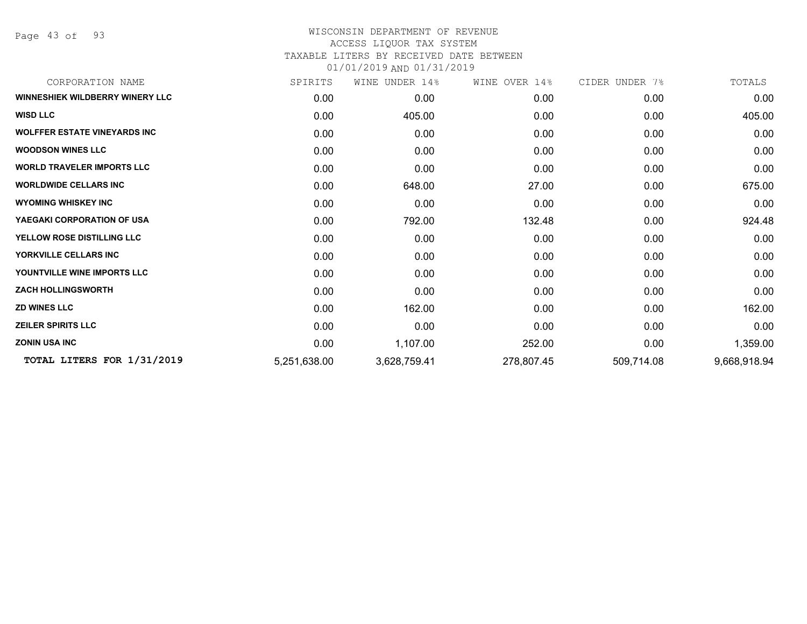Page 43 of 93

# WISCONSIN DEPARTMENT OF REVENUE ACCESS LIQUOR TAX SYSTEM TAXABLE LITERS BY RECEIVED DATE BETWEEN

| CORPORATION NAME                       | SPIRITS      | UNDER 14%<br>WINE | WINE OVER 14% | CIDER UNDER 7% | TOTALS       |
|----------------------------------------|--------------|-------------------|---------------|----------------|--------------|
| <b>WINNESHIEK WILDBERRY WINERY LLC</b> | 0.00         | 0.00              | 0.00          | 0.00           | 0.00         |
| <b>WISD LLC</b>                        | 0.00         | 405.00            | 0.00          | 0.00           | 405.00       |
| <b>WOLFFER ESTATE VINEYARDS INC</b>    | 0.00         | 0.00              | 0.00          | 0.00           | 0.00         |
| <b>WOODSON WINES LLC</b>               | 0.00         | 0.00              | 0.00          | 0.00           | 0.00         |
| <b>WORLD TRAVELER IMPORTS LLC</b>      | 0.00         | 0.00              | 0.00          | 0.00           | 0.00         |
| <b>WORLDWIDE CELLARS INC</b>           | 0.00         | 648.00            | 27.00         | 0.00           | 675.00       |
| <b>WYOMING WHISKEY INC</b>             | 0.00         | 0.00              | 0.00          | 0.00           | 0.00         |
| YAEGAKI CORPORATION OF USA             | 0.00         | 792.00            | 132.48        | 0.00           | 924.48       |
| YELLOW ROSE DISTILLING LLC             | 0.00         | 0.00              | 0.00          | 0.00           | 0.00         |
| YORKVILLE CELLARS INC                  | 0.00         | 0.00              | 0.00          | 0.00           | 0.00         |
| YOUNTVILLE WINE IMPORTS LLC            | 0.00         | 0.00              | 0.00          | 0.00           | 0.00         |
| <b>ZACH HOLLINGSWORTH</b>              | 0.00         | 0.00              | 0.00          | 0.00           | 0.00         |
| <b>ZD WINES LLC</b>                    | 0.00         | 162.00            | 0.00          | 0.00           | 162.00       |
| <b>ZEILER SPIRITS LLC</b>              | 0.00         | 0.00              | 0.00          | 0.00           | 0.00         |
| <b>ZONIN USA INC</b>                   | 0.00         | 1,107.00          | 252.00        | 0.00           | 1,359.00     |
| TOTAL LITERS FOR 1/31/2019             | 5,251,638.00 | 3,628,759.41      | 278,807.45    | 509,714.08     | 9,668,918.94 |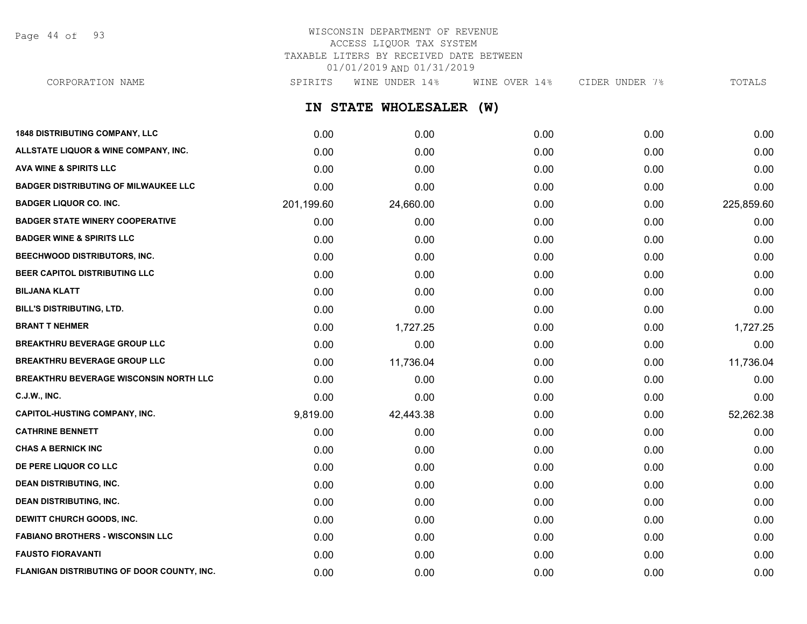Page 44 of 93

# WISCONSIN DEPARTMENT OF REVENUE ACCESS LIQUOR TAX SYSTEM TAXABLE LITERS BY RECEIVED DATE BETWEEN 01/01/2019 AND 01/31/2019

CORPORATION NAME SPIRITS WINE UNDER 14% WINE OVER 14% CIDER UNDER 7% TOTALS

**IN STATE WHOLESALER (W)**

| <b>1848 DISTRIBUTING COMPANY, LLC</b>         | 0.00       | 0.00      | 0.00 | 0.00 | 0.00       |
|-----------------------------------------------|------------|-----------|------|------|------------|
| ALLSTATE LIQUOR & WINE COMPANY, INC.          | 0.00       | 0.00      | 0.00 | 0.00 | 0.00       |
| <b>AVA WINE &amp; SPIRITS LLC</b>             | 0.00       | 0.00      | 0.00 | 0.00 | 0.00       |
| <b>BADGER DISTRIBUTING OF MILWAUKEE LLC</b>   | 0.00       | 0.00      | 0.00 | 0.00 | 0.00       |
| <b>BADGER LIQUOR CO. INC.</b>                 | 201,199.60 | 24,660.00 | 0.00 | 0.00 | 225,859.60 |
| <b>BADGER STATE WINERY COOPERATIVE</b>        | 0.00       | 0.00      | 0.00 | 0.00 | 0.00       |
| <b>BADGER WINE &amp; SPIRITS LLC</b>          | 0.00       | 0.00      | 0.00 | 0.00 | 0.00       |
| <b>BEECHWOOD DISTRIBUTORS, INC.</b>           | 0.00       | 0.00      | 0.00 | 0.00 | 0.00       |
| BEER CAPITOL DISTRIBUTING LLC                 | 0.00       | 0.00      | 0.00 | 0.00 | 0.00       |
| <b>BILJANA KLATT</b>                          | 0.00       | 0.00      | 0.00 | 0.00 | 0.00       |
| BILL'S DISTRIBUTING, LTD.                     | 0.00       | 0.00      | 0.00 | 0.00 | 0.00       |
| <b>BRANT T NEHMER</b>                         | 0.00       | 1,727.25  | 0.00 | 0.00 | 1,727.25   |
| <b>BREAKTHRU BEVERAGE GROUP LLC</b>           | 0.00       | 0.00      | 0.00 | 0.00 | 0.00       |
| <b>BREAKTHRU BEVERAGE GROUP LLC</b>           | 0.00       | 11,736.04 | 0.00 | 0.00 | 11,736.04  |
| <b>BREAKTHRU BEVERAGE WISCONSIN NORTH LLC</b> | 0.00       | 0.00      | 0.00 | 0.00 | 0.00       |
| <b>C.J.W., INC.</b>                           | 0.00       | 0.00      | 0.00 | 0.00 | 0.00       |
| <b>CAPITOL-HUSTING COMPANY, INC.</b>          | 9,819.00   | 42,443.38 | 0.00 | 0.00 | 52,262.38  |
| <b>CATHRINE BENNETT</b>                       | 0.00       | 0.00      | 0.00 | 0.00 | 0.00       |
| <b>CHAS A BERNICK INC</b>                     | 0.00       | 0.00      | 0.00 | 0.00 | 0.00       |
| DE PERE LIQUOR CO LLC                         | 0.00       | 0.00      | 0.00 | 0.00 | 0.00       |
| <b>DEAN DISTRIBUTING, INC.</b>                | 0.00       | 0.00      | 0.00 | 0.00 | 0.00       |
| <b>DEAN DISTRIBUTING, INC.</b>                | 0.00       | 0.00      | 0.00 | 0.00 | 0.00       |
| <b>DEWITT CHURCH GOODS, INC.</b>              | 0.00       | 0.00      | 0.00 | 0.00 | 0.00       |
| <b>FABIANO BROTHERS - WISCONSIN LLC</b>       | 0.00       | 0.00      | 0.00 | 0.00 | 0.00       |
| <b>FAUSTO FIORAVANTI</b>                      | 0.00       | 0.00      | 0.00 | 0.00 | 0.00       |
| FLANIGAN DISTRIBUTING OF DOOR COUNTY, INC.    | 0.00       | 0.00      | 0.00 | 0.00 | 0.00       |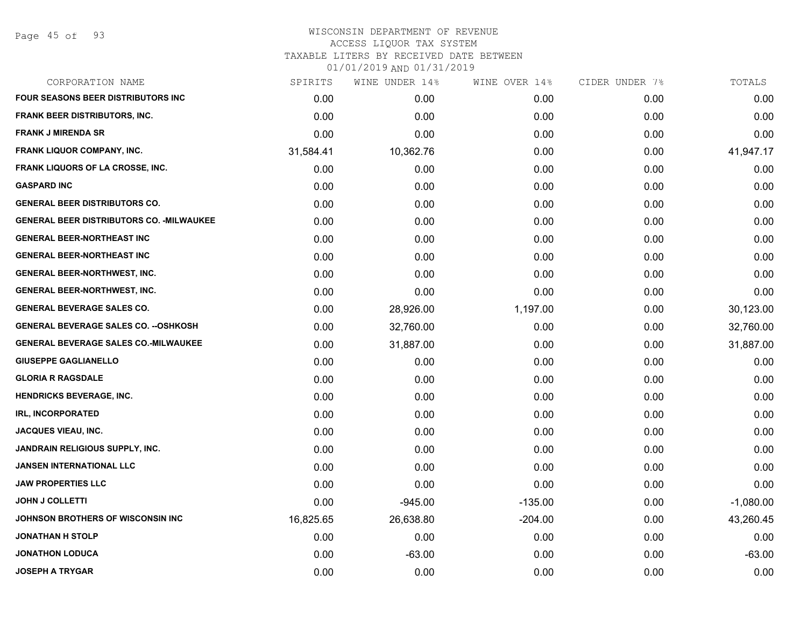Page 45 of 93

### WISCONSIN DEPARTMENT OF REVENUE ACCESS LIQUOR TAX SYSTEM TAXABLE LITERS BY RECEIVED DATE BETWEEN

| CORPORATION NAME                                 | SPIRITS   | WINE UNDER 14% | WINE OVER 14% | CIDER UNDER 7% | TOTALS      |
|--------------------------------------------------|-----------|----------------|---------------|----------------|-------------|
| <b>FOUR SEASONS BEER DISTRIBUTORS INC</b>        | 0.00      | 0.00           | 0.00          | 0.00           | 0.00        |
| <b>FRANK BEER DISTRIBUTORS, INC.</b>             | 0.00      | 0.00           | 0.00          | 0.00           | 0.00        |
| <b>FRANK J MIRENDA SR</b>                        | 0.00      | 0.00           | 0.00          | 0.00           | 0.00        |
| <b>FRANK LIQUOR COMPANY, INC.</b>                | 31,584.41 | 10,362.76      | 0.00          | 0.00           | 41,947.17   |
| FRANK LIQUORS OF LA CROSSE, INC.                 | 0.00      | 0.00           | 0.00          | 0.00           | 0.00        |
| <b>GASPARD INC</b>                               | 0.00      | 0.00           | 0.00          | 0.00           | 0.00        |
| <b>GENERAL BEER DISTRIBUTORS CO.</b>             | 0.00      | 0.00           | 0.00          | 0.00           | 0.00        |
| <b>GENERAL BEER DISTRIBUTORS CO. - MILWAUKEE</b> | 0.00      | 0.00           | 0.00          | 0.00           | 0.00        |
| <b>GENERAL BEER-NORTHEAST INC</b>                | 0.00      | 0.00           | 0.00          | 0.00           | 0.00        |
| <b>GENERAL BEER-NORTHEAST INC</b>                | 0.00      | 0.00           | 0.00          | 0.00           | 0.00        |
| <b>GENERAL BEER-NORTHWEST, INC.</b>              | 0.00      | 0.00           | 0.00          | 0.00           | 0.00        |
| <b>GENERAL BEER-NORTHWEST, INC.</b>              | 0.00      | 0.00           | 0.00          | 0.00           | 0.00        |
| <b>GENERAL BEVERAGE SALES CO.</b>                | 0.00      | 28,926.00      | 1,197.00      | 0.00           | 30,123.00   |
| <b>GENERAL BEVERAGE SALES CO. -- OSHKOSH</b>     | 0.00      | 32,760.00      | 0.00          | 0.00           | 32,760.00   |
| <b>GENERAL BEVERAGE SALES CO.-MILWAUKEE</b>      | 0.00      | 31,887.00      | 0.00          | 0.00           | 31,887.00   |
| <b>GIUSEPPE GAGLIANELLO</b>                      | 0.00      | 0.00           | 0.00          | 0.00           | 0.00        |
| <b>GLORIA R RAGSDALE</b>                         | 0.00      | 0.00           | 0.00          | 0.00           | 0.00        |
| <b>HENDRICKS BEVERAGE, INC.</b>                  | 0.00      | 0.00           | 0.00          | 0.00           | 0.00        |
| <b>IRL, INCORPORATED</b>                         | 0.00      | 0.00           | 0.00          | 0.00           | 0.00        |
| <b>JACQUES VIEAU, INC.</b>                       | 0.00      | 0.00           | 0.00          | 0.00           | 0.00        |
| JANDRAIN RELIGIOUS SUPPLY, INC.                  | 0.00      | 0.00           | 0.00          | 0.00           | 0.00        |
| <b>JANSEN INTERNATIONAL LLC</b>                  | 0.00      | 0.00           | 0.00          | 0.00           | 0.00        |
| <b>JAW PROPERTIES LLC</b>                        | 0.00      | 0.00           | 0.00          | 0.00           | 0.00        |
| <b>JOHN J COLLETTI</b>                           | 0.00      | $-945.00$      | $-135.00$     | 0.00           | $-1,080.00$ |
| JOHNSON BROTHERS OF WISCONSIN INC                | 16,825.65 | 26,638.80      | $-204.00$     | 0.00           | 43,260.45   |
| JONATHAN H STOLP                                 | 0.00      | 0.00           | 0.00          | 0.00           | 0.00        |
| <b>JONATHON LODUCA</b>                           | 0.00      | $-63.00$       | 0.00          | 0.00           | $-63.00$    |
| <b>JOSEPH A TRYGAR</b>                           | 0.00      | 0.00           | 0.00          | 0.00           | 0.00        |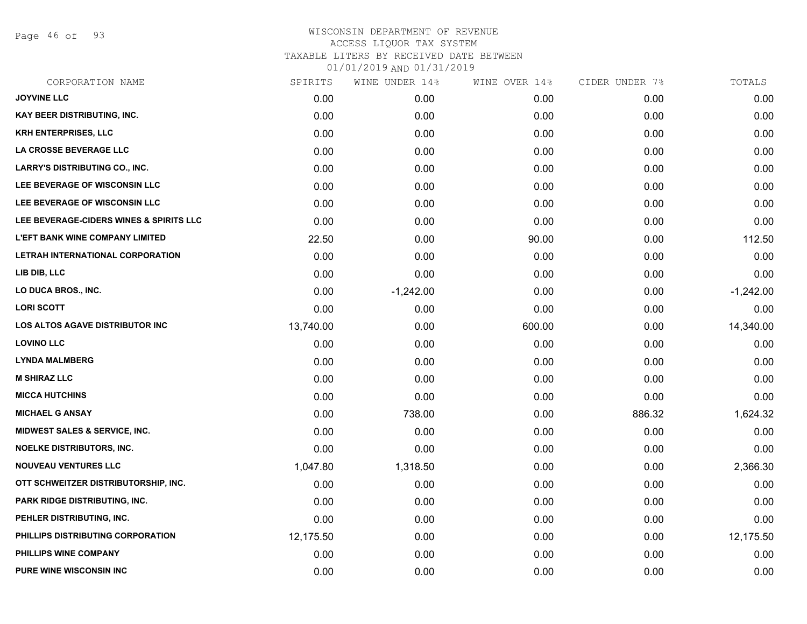Page 46 of 93

### WISCONSIN DEPARTMENT OF REVENUE ACCESS LIQUOR TAX SYSTEM TAXABLE LITERS BY RECEIVED DATE BETWEEN 01/01/2019 AND 01/31/2019

| CORPORATION NAME                        | SPIRITS   | WINE UNDER 14% | WINE OVER 14% | CIDER UNDER 7% | TOTALS      |
|-----------------------------------------|-----------|----------------|---------------|----------------|-------------|
| <b>JOYVINE LLC</b>                      | 0.00      | 0.00           | 0.00          | 0.00           | 0.00        |
| KAY BEER DISTRIBUTING, INC.             | 0.00      | 0.00           | 0.00          | 0.00           | 0.00        |
| KRH ENTERPRISES, LLC                    | 0.00      | 0.00           | 0.00          | 0.00           | 0.00        |
| LA CROSSE BEVERAGE LLC                  | 0.00      | 0.00           | 0.00          | 0.00           | 0.00        |
| <b>LARRY'S DISTRIBUTING CO., INC.</b>   | 0.00      | 0.00           | 0.00          | 0.00           | 0.00        |
| LEE BEVERAGE OF WISCONSIN LLC           | 0.00      | 0.00           | 0.00          | 0.00           | 0.00        |
| LEE BEVERAGE OF WISCONSIN LLC           | 0.00      | 0.00           | 0.00          | 0.00           | 0.00        |
| LEE BEVERAGE-CIDERS WINES & SPIRITS LLC | 0.00      | 0.00           | 0.00          | 0.00           | 0.00        |
| <b>L'EFT BANK WINE COMPANY LIMITED</b>  | 22.50     | 0.00           | 90.00         | 0.00           | 112.50      |
| LETRAH INTERNATIONAL CORPORATION        | 0.00      | 0.00           | 0.00          | 0.00           | 0.00        |
| LIB DIB, LLC                            | 0.00      | 0.00           | 0.00          | 0.00           | 0.00        |
| LO DUCA BROS., INC.                     | 0.00      | $-1,242.00$    | 0.00          | 0.00           | $-1,242.00$ |
| <b>LORI SCOTT</b>                       | 0.00      | 0.00           | 0.00          | 0.00           | 0.00        |
| LOS ALTOS AGAVE DISTRIBUTOR INC         | 13,740.00 | 0.00           | 600.00        | 0.00           | 14,340.00   |
| <b>LOVINO LLC</b>                       | 0.00      | 0.00           | 0.00          | 0.00           | 0.00        |
| <b>LYNDA MALMBERG</b>                   | 0.00      | 0.00           | 0.00          | 0.00           | 0.00        |
| <b>M SHIRAZ LLC</b>                     | 0.00      | 0.00           | 0.00          | 0.00           | 0.00        |
| <b>MICCA HUTCHINS</b>                   | 0.00      | 0.00           | 0.00          | 0.00           | 0.00        |
| <b>MICHAEL G ANSAY</b>                  | 0.00      | 738.00         | 0.00          | 886.32         | 1,624.32    |
| MIDWEST SALES & SERVICE, INC.           | 0.00      | 0.00           | 0.00          | 0.00           | 0.00        |
| NOELKE DISTRIBUTORS, INC.               | 0.00      | 0.00           | 0.00          | 0.00           | 0.00        |
| <b>NOUVEAU VENTURES LLC</b>             | 1,047.80  | 1,318.50       | 0.00          | 0.00           | 2,366.30    |
| OTT SCHWEITZER DISTRIBUTORSHIP, INC.    | 0.00      | 0.00           | 0.00          | 0.00           | 0.00        |
| PARK RIDGE DISTRIBUTING, INC.           | 0.00      | 0.00           | 0.00          | 0.00           | 0.00        |
| PEHLER DISTRIBUTING, INC.               | 0.00      | 0.00           | 0.00          | 0.00           | 0.00        |
| PHILLIPS DISTRIBUTING CORPORATION       | 12,175.50 | 0.00           | 0.00          | 0.00           | 12,175.50   |
| PHILLIPS WINE COMPANY                   | 0.00      | 0.00           | 0.00          | 0.00           | 0.00        |
| <b>PURE WINE WISCONSIN INC.</b>         | 0.00      | 0.00           | 0.00          | 0.00           | 0.00        |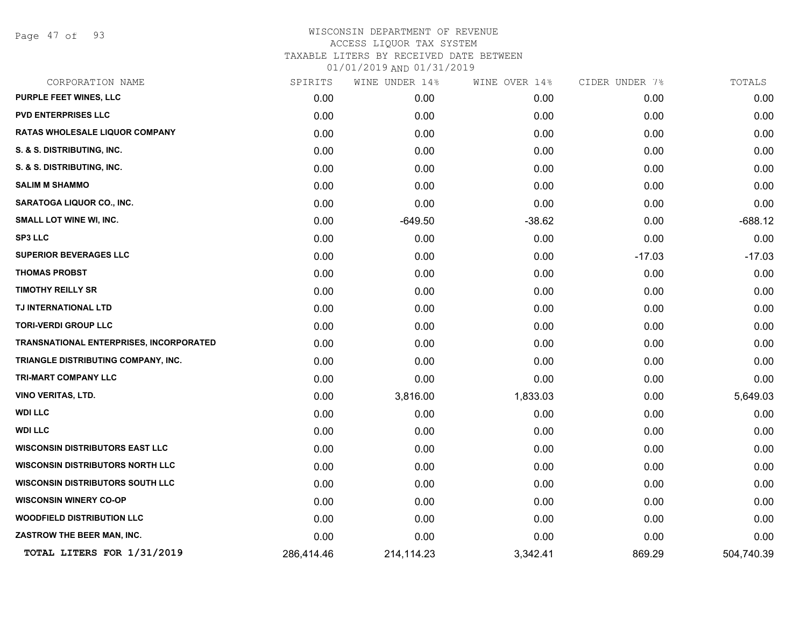Page 47 of 93

# WISCONSIN DEPARTMENT OF REVENUE ACCESS LIQUOR TAX SYSTEM TAXABLE LITERS BY RECEIVED DATE BETWEEN

| CORPORATION NAME                        | SPIRITS    | WINE UNDER 14% | WINE OVER 14% | CIDER UNDER 7% | TOTALS     |
|-----------------------------------------|------------|----------------|---------------|----------------|------------|
| PURPLE FEET WINES, LLC                  | 0.00       | 0.00           | 0.00          | 0.00           | 0.00       |
| <b>PVD ENTERPRISES LLC</b>              | 0.00       | 0.00           | 0.00          | 0.00           | 0.00       |
| RATAS WHOLESALE LIQUOR COMPANY          | 0.00       | 0.00           | 0.00          | 0.00           | 0.00       |
| S. & S. DISTRIBUTING, INC.              | 0.00       | 0.00           | 0.00          | 0.00           | 0.00       |
| S. & S. DISTRIBUTING, INC.              | 0.00       | 0.00           | 0.00          | 0.00           | 0.00       |
| <b>SALIM M SHAMMO</b>                   | 0.00       | 0.00           | 0.00          | 0.00           | 0.00       |
| SARATOGA LIQUOR CO., INC.               | 0.00       | 0.00           | 0.00          | 0.00           | 0.00       |
| <b>SMALL LOT WINE WI, INC.</b>          | 0.00       | $-649.50$      | $-38.62$      | 0.00           | $-688.12$  |
| <b>SP3 LLC</b>                          | 0.00       | 0.00           | 0.00          | 0.00           | 0.00       |
| <b>SUPERIOR BEVERAGES LLC</b>           | 0.00       | 0.00           | 0.00          | $-17.03$       | $-17.03$   |
| <b>THOMAS PROBST</b>                    | 0.00       | 0.00           | 0.00          | 0.00           | 0.00       |
| <b>TIMOTHY REILLY SR</b>                | 0.00       | 0.00           | 0.00          | 0.00           | 0.00       |
| TJ INTERNATIONAL LTD                    | 0.00       | 0.00           | 0.00          | 0.00           | 0.00       |
| <b>TORI-VERDI GROUP LLC</b>             | 0.00       | 0.00           | 0.00          | 0.00           | 0.00       |
| TRANSNATIONAL ENTERPRISES, INCORPORATED | 0.00       | 0.00           | 0.00          | 0.00           | 0.00       |
| TRIANGLE DISTRIBUTING COMPANY, INC.     | 0.00       | 0.00           | 0.00          | 0.00           | 0.00       |
| <b>TRI-MART COMPANY LLC</b>             | 0.00       | 0.00           | 0.00          | 0.00           | 0.00       |
| VINO VERITAS, LTD.                      | 0.00       | 3,816.00       | 1,833.03      | 0.00           | 5,649.03   |
| <b>WDI LLC</b>                          | 0.00       | 0.00           | 0.00          | 0.00           | 0.00       |
| <b>WDI LLC</b>                          | 0.00       | 0.00           | 0.00          | 0.00           | 0.00       |
| <b>WISCONSIN DISTRIBUTORS EAST LLC</b>  | 0.00       | 0.00           | 0.00          | 0.00           | 0.00       |
| <b>WISCONSIN DISTRIBUTORS NORTH LLC</b> | 0.00       | 0.00           | 0.00          | 0.00           | 0.00       |
| <b>WISCONSIN DISTRIBUTORS SOUTH LLC</b> | 0.00       | 0.00           | 0.00          | 0.00           | 0.00       |
| <b>WISCONSIN WINERY CO-OP</b>           | 0.00       | 0.00           | 0.00          | 0.00           | 0.00       |
| <b>WOODFIELD DISTRIBUTION LLC</b>       | 0.00       | 0.00           | 0.00          | 0.00           | 0.00       |
| ZASTROW THE BEER MAN, INC.              | 0.00       | 0.00           | 0.00          | 0.00           | 0.00       |
| TOTAL LITERS FOR 1/31/2019              | 286,414.46 | 214,114.23     | 3,342.41      | 869.29         | 504,740.39 |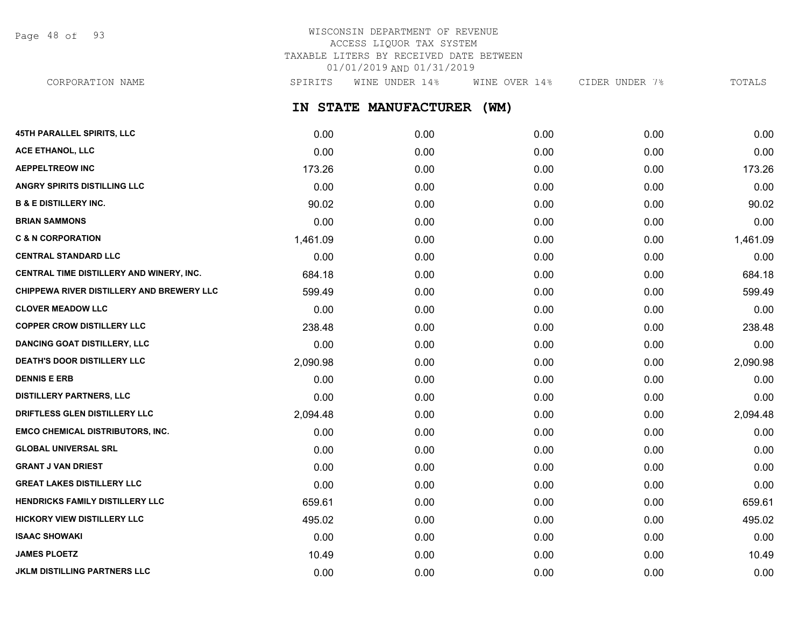Page 48 of 93

# WISCONSIN DEPARTMENT OF REVENUE ACCESS LIQUOR TAX SYSTEM TAXABLE LITERS BY RECEIVED DATE BETWEEN 01/01/2019 AND 01/31/2019

CORPORATION NAME SPIRITS WINE UNDER 14% WINE OVER 14% CIDER UNDER 7% TOTALS

**IN STATE MANUFACTURER (WM)**

| 45TH PARALLEL SPIRITS, LLC                | 0.00     | 0.00 | 0.00 | 0.00 | 0.00     |
|-------------------------------------------|----------|------|------|------|----------|
| ACE ETHANOL, LLC                          | 0.00     | 0.00 | 0.00 | 0.00 | 0.00     |
| <b>AEPPELTREOW INC</b>                    | 173.26   | 0.00 | 0.00 | 0.00 | 173.26   |
| <b>ANGRY SPIRITS DISTILLING LLC</b>       | 0.00     | 0.00 | 0.00 | 0.00 | 0.00     |
| <b>B &amp; E DISTILLERY INC.</b>          | 90.02    | 0.00 | 0.00 | 0.00 | 90.02    |
| <b>BRIAN SAMMONS</b>                      | 0.00     | 0.00 | 0.00 | 0.00 | 0.00     |
| <b>C &amp; N CORPORATION</b>              | 1,461.09 | 0.00 | 0.00 | 0.00 | 1,461.09 |
| <b>CENTRAL STANDARD LLC</b>               | 0.00     | 0.00 | 0.00 | 0.00 | 0.00     |
| CENTRAL TIME DISTILLERY AND WINERY, INC.  | 684.18   | 0.00 | 0.00 | 0.00 | 684.18   |
| CHIPPEWA RIVER DISTILLERY AND BREWERY LLC | 599.49   | 0.00 | 0.00 | 0.00 | 599.49   |
| <b>CLOVER MEADOW LLC</b>                  | 0.00     | 0.00 | 0.00 | 0.00 | 0.00     |
| <b>COPPER CROW DISTILLERY LLC</b>         | 238.48   | 0.00 | 0.00 | 0.00 | 238.48   |
| <b>DANCING GOAT DISTILLERY, LLC</b>       | 0.00     | 0.00 | 0.00 | 0.00 | 0.00     |
| <b>DEATH'S DOOR DISTILLERY LLC</b>        | 2,090.98 | 0.00 | 0.00 | 0.00 | 2,090.98 |
| <b>DENNIS E ERB</b>                       | 0.00     | 0.00 | 0.00 | 0.00 | 0.00     |
| <b>DISTILLERY PARTNERS, LLC</b>           | 0.00     | 0.00 | 0.00 | 0.00 | 0.00     |
| DRIFTLESS GLEN DISTILLERY LLC             | 2,094.48 | 0.00 | 0.00 | 0.00 | 2,094.48 |
| EMCO CHEMICAL DISTRIBUTORS, INC.          | 0.00     | 0.00 | 0.00 | 0.00 | 0.00     |
| <b>GLOBAL UNIVERSAL SRL</b>               | 0.00     | 0.00 | 0.00 | 0.00 | 0.00     |
| <b>GRANT J VAN DRIEST</b>                 | 0.00     | 0.00 | 0.00 | 0.00 | 0.00     |
| <b>GREAT LAKES DISTILLERY LLC</b>         | 0.00     | 0.00 | 0.00 | 0.00 | 0.00     |
| HENDRICKS FAMILY DISTILLERY LLC           | 659.61   | 0.00 | 0.00 | 0.00 | 659.61   |
| HICKORY VIEW DISTILLERY LLC               | 495.02   | 0.00 | 0.00 | 0.00 | 495.02   |
| <b>ISAAC SHOWAKI</b>                      | 0.00     | 0.00 | 0.00 | 0.00 | 0.00     |
| <b>JAMES PLOETZ</b>                       | 10.49    | 0.00 | 0.00 | 0.00 | 10.49    |
| JKLM DISTILLING PARTNERS LLC              | 0.00     | 0.00 | 0.00 | 0.00 | 0.00     |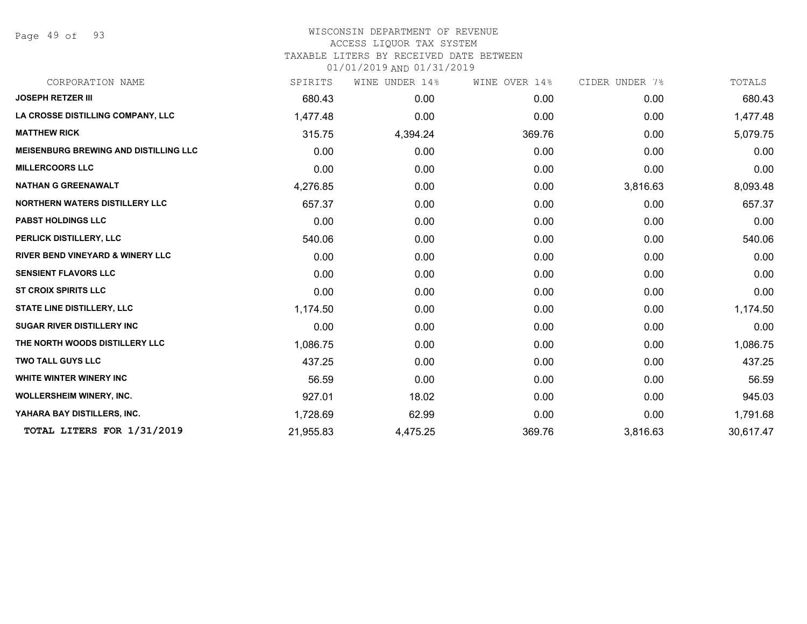Page 49 of 93

### WISCONSIN DEPARTMENT OF REVENUE ACCESS LIQUOR TAX SYSTEM

TAXABLE LITERS BY RECEIVED DATE BETWEEN

| CORPORATION NAME                             | SPIRITS   | WINE UNDER 14% | WINE OVER 14% | CIDER UNDER 7% | TOTALS    |
|----------------------------------------------|-----------|----------------|---------------|----------------|-----------|
| <b>JOSEPH RETZER III</b>                     | 680.43    | 0.00           | 0.00          | 0.00           | 680.43    |
| LA CROSSE DISTILLING COMPANY, LLC            | 1,477.48  | 0.00           | 0.00          | 0.00           | 1,477.48  |
| <b>MATTHEW RICK</b>                          | 315.75    | 4,394.24       | 369.76        | 0.00           | 5,079.75  |
| <b>MEISENBURG BREWING AND DISTILLING LLC</b> | 0.00      | 0.00           | 0.00          | 0.00           | 0.00      |
| <b>MILLERCOORS LLC</b>                       | 0.00      | 0.00           | 0.00          | 0.00           | 0.00      |
| <b>NATHAN G GREENAWALT</b>                   | 4,276.85  | 0.00           | 0.00          | 3,816.63       | 8,093.48  |
| <b>NORTHERN WATERS DISTILLERY LLC</b>        | 657.37    | 0.00           | 0.00          | 0.00           | 657.37    |
| <b>PABST HOLDINGS LLC</b>                    | 0.00      | 0.00           | 0.00          | 0.00           | 0.00      |
| PERLICK DISTILLERY, LLC                      | 540.06    | 0.00           | 0.00          | 0.00           | 540.06    |
| <b>RIVER BEND VINEYARD &amp; WINERY LLC</b>  | 0.00      | 0.00           | 0.00          | 0.00           | 0.00      |
| <b>SENSIENT FLAVORS LLC</b>                  | 0.00      | 0.00           | 0.00          | 0.00           | 0.00      |
| <b>ST CROIX SPIRITS LLC</b>                  | 0.00      | 0.00           | 0.00          | 0.00           | 0.00      |
| <b>STATE LINE DISTILLERY, LLC</b>            | 1,174.50  | 0.00           | 0.00          | 0.00           | 1,174.50  |
| <b>SUGAR RIVER DISTILLERY INC</b>            | 0.00      | 0.00           | 0.00          | 0.00           | 0.00      |
| THE NORTH WOODS DISTILLERY LLC               | 1,086.75  | 0.00           | 0.00          | 0.00           | 1,086.75  |
| <b>TWO TALL GUYS LLC</b>                     | 437.25    | 0.00           | 0.00          | 0.00           | 437.25    |
| WHITE WINTER WINERY INC                      | 56.59     | 0.00           | 0.00          | 0.00           | 56.59     |
| <b>WOLLERSHEIM WINERY, INC.</b>              | 927.01    | 18.02          | 0.00          | 0.00           | 945.03    |
| YAHARA BAY DISTILLERS, INC.                  | 1,728.69  | 62.99          | 0.00          | 0.00           | 1,791.68  |
| TOTAL LITERS FOR 1/31/2019                   | 21,955.83 | 4,475.25       | 369.76        | 3,816.63       | 30,617.47 |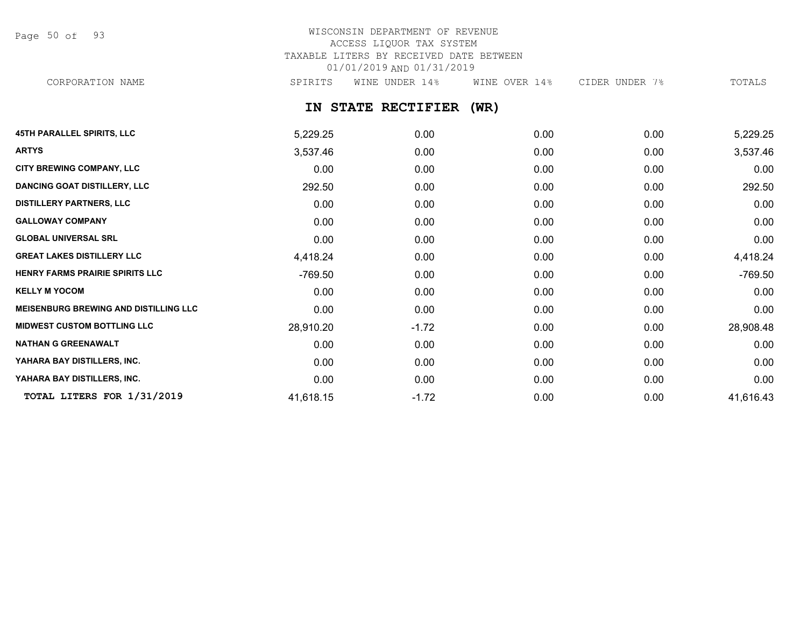Page 50 of 93

## WISCONSIN DEPARTMENT OF REVENUE ACCESS LIQUOR TAX SYSTEM TAXABLE LITERS BY RECEIVED DATE BETWEEN 01/01/2019 AND 01/31/2019 CORPORATION NAME SPIRITS WINE UNDER 14% WINE OVER 14% CIDER UNDER 7% TOTALS

## **IN STATE RECTIFIER (WR)**

| <b>45TH PARALLEL SPIRITS, LLC</b>            | 5,229.25  | 0.00    | 0.00 | 0.00 | 5,229.25  |
|----------------------------------------------|-----------|---------|------|------|-----------|
| <b>ARTYS</b>                                 | 3,537.46  | 0.00    | 0.00 | 0.00 | 3,537.46  |
| <b>CITY BREWING COMPANY, LLC</b>             | 0.00      | 0.00    | 0.00 | 0.00 | 0.00      |
| <b>DANCING GOAT DISTILLERY, LLC</b>          | 292.50    | 0.00    | 0.00 | 0.00 | 292.50    |
| <b>DISTILLERY PARTNERS, LLC</b>              | 0.00      | 0.00    | 0.00 | 0.00 | 0.00      |
| <b>GALLOWAY COMPANY</b>                      | 0.00      | 0.00    | 0.00 | 0.00 | 0.00      |
| <b>GLOBAL UNIVERSAL SRL</b>                  | 0.00      | 0.00    | 0.00 | 0.00 | 0.00      |
| <b>GREAT LAKES DISTILLERY LLC</b>            | 4,418.24  | 0.00    | 0.00 | 0.00 | 4,418.24  |
| HENRY FARMS PRAIRIE SPIRITS LLC              | -769.50   | 0.00    | 0.00 | 0.00 | $-769.50$ |
| <b>KELLY M YOCOM</b>                         | 0.00      | 0.00    | 0.00 | 0.00 | 0.00      |
| <b>MEISENBURG BREWING AND DISTILLING LLC</b> | 0.00      | 0.00    | 0.00 | 0.00 | 0.00      |
| <b>MIDWEST CUSTOM BOTTLING LLC</b>           | 28,910.20 | $-1.72$ | 0.00 | 0.00 | 28,908.48 |
| <b>NATHAN G GREENAWALT</b>                   | 0.00      | 0.00    | 0.00 | 0.00 | 0.00      |
| YAHARA BAY DISTILLERS, INC.                  | 0.00      | 0.00    | 0.00 | 0.00 | 0.00      |
| YAHARA BAY DISTILLERS, INC.                  | 0.00      | 0.00    | 0.00 | 0.00 | 0.00      |
| TOTAL LITERS FOR 1/31/2019                   | 41,618.15 | $-1.72$ | 0.00 | 0.00 | 41,616.43 |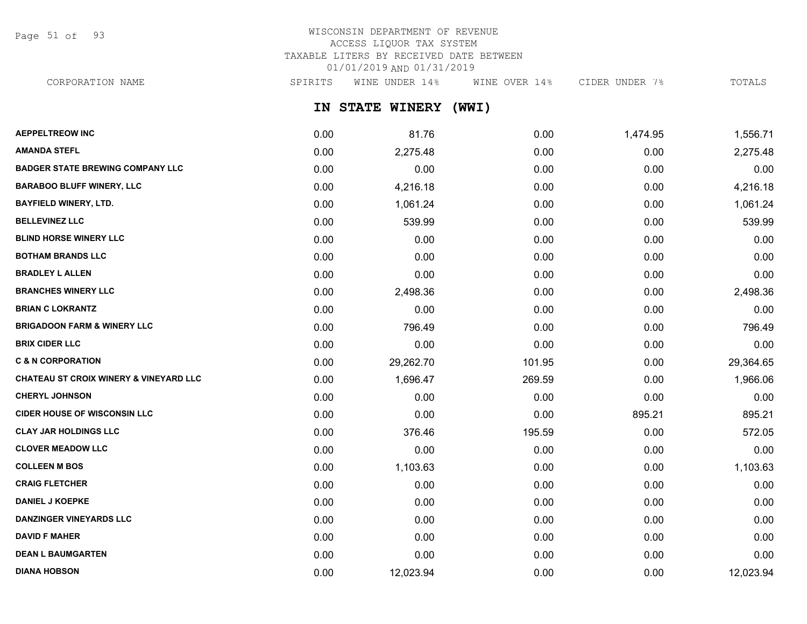Page 51 of 93

# WISCONSIN DEPARTMENT OF REVENUE ACCESS LIQUOR TAX SYSTEM TAXABLE LITERS BY RECEIVED DATE BETWEEN 01/01/2019 AND 01/31/2019

CORPORATION NAME SPIRITS WINE UNDER 14% WINE OVER 14% CIDER UNDER 7% TOTALS

**IN STATE WINERY (WWI)**

| <b>AEPPELTREOW INC</b>                            | 0.00 | 81.76     | 0.00   | 1,474.95 | 1,556.71  |
|---------------------------------------------------|------|-----------|--------|----------|-----------|
| <b>AMANDA STEFL</b>                               | 0.00 | 2,275.48  | 0.00   | 0.00     | 2,275.48  |
| <b>BADGER STATE BREWING COMPANY LLC</b>           | 0.00 | 0.00      | 0.00   | 0.00     | 0.00      |
| <b>BARABOO BLUFF WINERY, LLC</b>                  | 0.00 | 4,216.18  | 0.00   | 0.00     | 4,216.18  |
| <b>BAYFIELD WINERY, LTD.</b>                      | 0.00 | 1,061.24  | 0.00   | 0.00     | 1,061.24  |
| <b>BELLEVINEZ LLC</b>                             | 0.00 | 539.99    | 0.00   | 0.00     | 539.99    |
| <b>BLIND HORSE WINERY LLC</b>                     | 0.00 | 0.00      | 0.00   | 0.00     | 0.00      |
| <b>BOTHAM BRANDS LLC</b>                          | 0.00 | 0.00      | 0.00   | 0.00     | 0.00      |
| <b>BRADLEY L ALLEN</b>                            | 0.00 | 0.00      | 0.00   | 0.00     | 0.00      |
| <b>BRANCHES WINERY LLC</b>                        | 0.00 | 2,498.36  | 0.00   | 0.00     | 2,498.36  |
| <b>BRIAN C LOKRANTZ</b>                           | 0.00 | 0.00      | 0.00   | 0.00     | 0.00      |
| <b>BRIGADOON FARM &amp; WINERY LLC</b>            | 0.00 | 796.49    | 0.00   | 0.00     | 796.49    |
| <b>BRIX CIDER LLC</b>                             | 0.00 | 0.00      | 0.00   | 0.00     | 0.00      |
| <b>C &amp; N CORPORATION</b>                      | 0.00 | 29,262.70 | 101.95 | 0.00     | 29,364.65 |
| <b>CHATEAU ST CROIX WINERY &amp; VINEYARD LLC</b> | 0.00 | 1,696.47  | 269.59 | 0.00     | 1,966.06  |
| <b>CHERYL JOHNSON</b>                             | 0.00 | 0.00      | 0.00   | 0.00     | 0.00      |
| <b>CIDER HOUSE OF WISCONSIN LLC</b>               | 0.00 | 0.00      | 0.00   | 895.21   | 895.21    |
| <b>CLAY JAR HOLDINGS LLC</b>                      | 0.00 | 376.46    | 195.59 | 0.00     | 572.05    |
| <b>CLOVER MEADOW LLC</b>                          | 0.00 | 0.00      | 0.00   | 0.00     | 0.00      |
| <b>COLLEEN M BOS</b>                              | 0.00 | 1,103.63  | 0.00   | 0.00     | 1,103.63  |
| <b>CRAIG FLETCHER</b>                             | 0.00 | 0.00      | 0.00   | 0.00     | 0.00      |
| <b>DANIEL J KOEPKE</b>                            | 0.00 | 0.00      | 0.00   | 0.00     | 0.00      |
| <b>DANZINGER VINEYARDS LLC</b>                    | 0.00 | 0.00      | 0.00   | 0.00     | 0.00      |
| <b>DAVID F MAHER</b>                              | 0.00 | 0.00      | 0.00   | 0.00     | 0.00      |
| <b>DEAN L BAUMGARTEN</b>                          | 0.00 | 0.00      | 0.00   | 0.00     | 0.00      |
| <b>DIANA HOBSON</b>                               | 0.00 | 12,023.94 | 0.00   | 0.00     | 12,023.94 |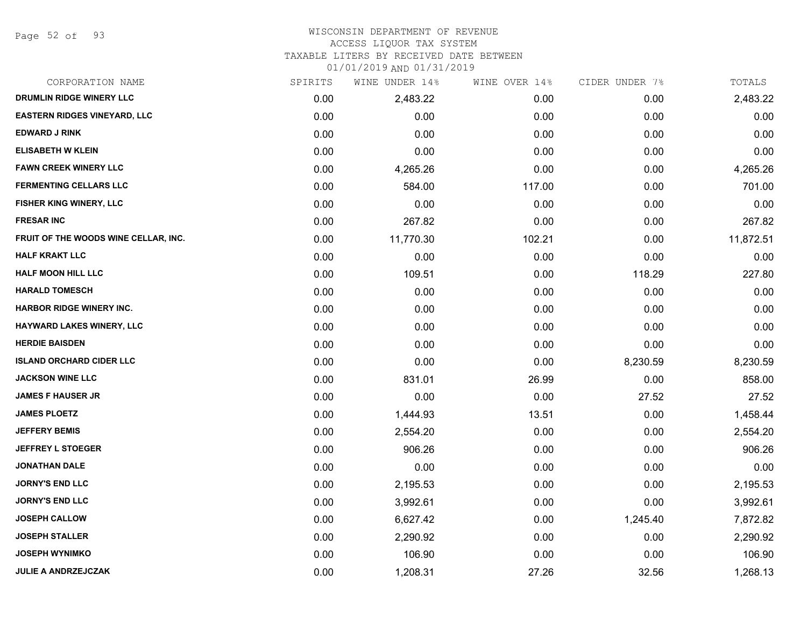Page 52 of 93

### WISCONSIN DEPARTMENT OF REVENUE

#### ACCESS LIQUOR TAX SYSTEM

TAXABLE LITERS BY RECEIVED DATE BETWEEN

| CORPORATION NAME                     | SPIRITS | WINE UNDER 14% | WINE OVER 14% | CIDER UNDER 7% | TOTALS    |
|--------------------------------------|---------|----------------|---------------|----------------|-----------|
| DRUMLIN RIDGE WINERY LLC             | 0.00    | 2,483.22       | 0.00          | 0.00           | 2,483.22  |
| <b>EASTERN RIDGES VINEYARD, LLC</b>  | 0.00    | 0.00           | 0.00          | 0.00           | 0.00      |
| <b>EDWARD J RINK</b>                 | 0.00    | 0.00           | 0.00          | 0.00           | 0.00      |
| <b>ELISABETH W KLEIN</b>             | 0.00    | 0.00           | 0.00          | 0.00           | 0.00      |
| <b>FAWN CREEK WINERY LLC</b>         | 0.00    | 4,265.26       | 0.00          | 0.00           | 4,265.26  |
| <b>FERMENTING CELLARS LLC</b>        | 0.00    | 584.00         | 117.00        | 0.00           | 701.00    |
| FISHER KING WINERY, LLC              | 0.00    | 0.00           | 0.00          | 0.00           | 0.00      |
| <b>FRESAR INC</b>                    | 0.00    | 267.82         | 0.00          | 0.00           | 267.82    |
| FRUIT OF THE WOODS WINE CELLAR, INC. | 0.00    | 11,770.30      | 102.21        | 0.00           | 11,872.51 |
| <b>HALF KRAKT LLC</b>                | 0.00    | 0.00           | 0.00          | 0.00           | 0.00      |
| <b>HALF MOON HILL LLC</b>            | 0.00    | 109.51         | 0.00          | 118.29         | 227.80    |
| <b>HARALD TOMESCH</b>                | 0.00    | 0.00           | 0.00          | 0.00           | 0.00      |
| <b>HARBOR RIDGE WINERY INC.</b>      | 0.00    | 0.00           | 0.00          | 0.00           | 0.00      |
| HAYWARD LAKES WINERY, LLC            | 0.00    | 0.00           | 0.00          | 0.00           | 0.00      |
| <b>HERDIE BAISDEN</b>                | 0.00    | 0.00           | 0.00          | 0.00           | 0.00      |
| <b>ISLAND ORCHARD CIDER LLC</b>      | 0.00    | 0.00           | 0.00          | 8,230.59       | 8,230.59  |
| <b>JACKSON WINE LLC</b>              | 0.00    | 831.01         | 26.99         | 0.00           | 858.00    |
| <b>JAMES F HAUSER JR</b>             | 0.00    | 0.00           | 0.00          | 27.52          | 27.52     |
| <b>JAMES PLOETZ</b>                  | 0.00    | 1,444.93       | 13.51         | 0.00           | 1,458.44  |
| <b>JEFFERY BEMIS</b>                 | 0.00    | 2,554.20       | 0.00          | 0.00           | 2,554.20  |
| <b>JEFFREY L STOEGER</b>             | 0.00    | 906.26         | 0.00          | 0.00           | 906.26    |
| <b>JONATHAN DALE</b>                 | 0.00    | 0.00           | 0.00          | 0.00           | 0.00      |
| <b>JORNY'S END LLC</b>               | 0.00    | 2,195.53       | 0.00          | 0.00           | 2,195.53  |
| <b>JORNY'S END LLC</b>               | 0.00    | 3,992.61       | 0.00          | 0.00           | 3,992.61  |
| <b>JOSEPH CALLOW</b>                 | 0.00    | 6,627.42       | 0.00          | 1,245.40       | 7,872.82  |
| <b>JOSEPH STALLER</b>                | 0.00    | 2,290.92       | 0.00          | 0.00           | 2,290.92  |
| <b>JOSEPH WYNIMKO</b>                | 0.00    | 106.90         | 0.00          | 0.00           | 106.90    |
| <b>JULIE A ANDRZEJCZAK</b>           | 0.00    | 1,208.31       | 27.26         | 32.56          | 1,268.13  |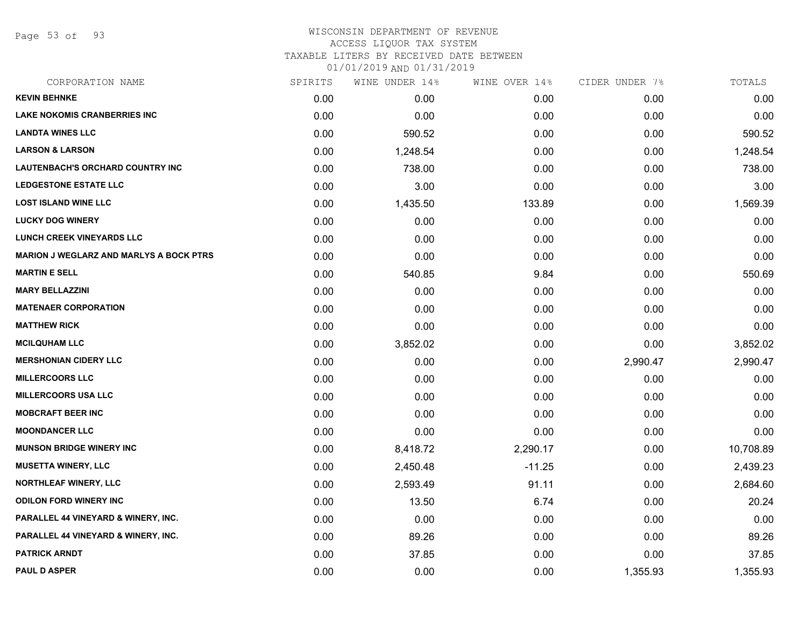Page 53 of 93

#### WISCONSIN DEPARTMENT OF REVENUE ACCESS LIQUOR TAX SYSTEM

TAXABLE LITERS BY RECEIVED DATE BETWEEN

| CORPORATION NAME                               | SPIRITS | WINE UNDER 14% | WINE OVER 14% | CIDER UNDER 7% | TOTALS    |
|------------------------------------------------|---------|----------------|---------------|----------------|-----------|
| <b>KEVIN BEHNKE</b>                            | 0.00    | 0.00           | 0.00          | 0.00           | 0.00      |
| <b>LAKE NOKOMIS CRANBERRIES INC</b>            | 0.00    | 0.00           | 0.00          | 0.00           | 0.00      |
| <b>LANDTA WINES LLC</b>                        | 0.00    | 590.52         | 0.00          | 0.00           | 590.52    |
| <b>LARSON &amp; LARSON</b>                     | 0.00    | 1,248.54       | 0.00          | 0.00           | 1,248.54  |
| <b>LAUTENBACH'S ORCHARD COUNTRY INC</b>        | 0.00    | 738.00         | 0.00          | 0.00           | 738.00    |
| <b>LEDGESTONE ESTATE LLC</b>                   | 0.00    | 3.00           | 0.00          | 0.00           | 3.00      |
| <b>LOST ISLAND WINE LLC</b>                    | 0.00    | 1,435.50       | 133.89        | 0.00           | 1,569.39  |
| <b>LUCKY DOG WINERY</b>                        | 0.00    | 0.00           | 0.00          | 0.00           | 0.00      |
| <b>LUNCH CREEK VINEYARDS LLC</b>               | 0.00    | 0.00           | 0.00          | 0.00           | 0.00      |
| <b>MARION J WEGLARZ AND MARLYS A BOCK PTRS</b> | 0.00    | 0.00           | 0.00          | 0.00           | 0.00      |
| <b>MARTIN E SELL</b>                           | 0.00    | 540.85         | 9.84          | 0.00           | 550.69    |
| <b>MARY BELLAZZINI</b>                         | 0.00    | 0.00           | 0.00          | 0.00           | 0.00      |
| <b>MATENAER CORPORATION</b>                    | 0.00    | 0.00           | 0.00          | 0.00           | 0.00      |
| <b>MATTHEW RICK</b>                            | 0.00    | 0.00           | 0.00          | 0.00           | 0.00      |
| <b>MCILQUHAM LLC</b>                           | 0.00    | 3,852.02       | 0.00          | 0.00           | 3,852.02  |
| <b>MERSHONIAN CIDERY LLC</b>                   | 0.00    | 0.00           | 0.00          | 2,990.47       | 2,990.47  |
| <b>MILLERCOORS LLC</b>                         | 0.00    | 0.00           | 0.00          | 0.00           | 0.00      |
| <b>MILLERCOORS USA LLC</b>                     | 0.00    | 0.00           | 0.00          | 0.00           | 0.00      |
| <b>MOBCRAFT BEER INC</b>                       | 0.00    | 0.00           | 0.00          | 0.00           | 0.00      |
| <b>MOONDANCER LLC</b>                          | 0.00    | 0.00           | 0.00          | 0.00           | 0.00      |
| <b>MUNSON BRIDGE WINERY INC</b>                | 0.00    | 8,418.72       | 2,290.17      | 0.00           | 10,708.89 |
| <b>MUSETTA WINERY, LLC</b>                     | 0.00    | 2,450.48       | $-11.25$      | 0.00           | 2,439.23  |
| <b>NORTHLEAF WINERY, LLC</b>                   | 0.00    | 2,593.49       | 91.11         | 0.00           | 2,684.60  |
| <b>ODILON FORD WINERY INC</b>                  | 0.00    | 13.50          | 6.74          | 0.00           | 20.24     |
| PARALLEL 44 VINEYARD & WINERY, INC.            | 0.00    | 0.00           | 0.00          | 0.00           | 0.00      |
| PARALLEL 44 VINEYARD & WINERY, INC.            | 0.00    | 89.26          | 0.00          | 0.00           | 89.26     |
| <b>PATRICK ARNDT</b>                           | 0.00    | 37.85          | 0.00          | 0.00           | 37.85     |
| <b>PAUL D ASPER</b>                            | 0.00    | 0.00           | 0.00          | 1,355.93       | 1,355.93  |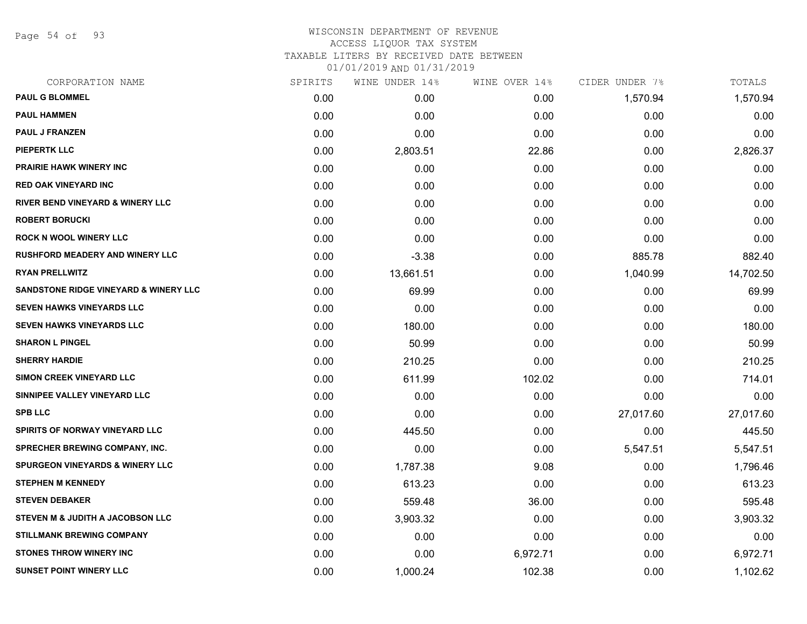Page 54 of 93

### WISCONSIN DEPARTMENT OF REVENUE ACCESS LIQUOR TAX SYSTEM TAXABLE LITERS BY RECEIVED DATE BETWEEN

| CORPORATION NAME                            | SPIRITS | WINE UNDER 14% | WINE OVER 14% | CIDER UNDER 7% | TOTALS    |
|---------------------------------------------|---------|----------------|---------------|----------------|-----------|
| <b>PAUL G BLOMMEL</b>                       | 0.00    | 0.00           | 0.00          | 1,570.94       | 1,570.94  |
| <b>PAUL HAMMEN</b>                          | 0.00    | 0.00           | 0.00          | 0.00           | 0.00      |
| PAUL J FRANZEN                              | 0.00    | 0.00           | 0.00          | 0.00           | 0.00      |
| <b>PIEPERTK LLC</b>                         | 0.00    | 2,803.51       | 22.86         | 0.00           | 2,826.37  |
| <b>PRAIRIE HAWK WINERY INC</b>              | 0.00    | 0.00           | 0.00          | 0.00           | 0.00      |
| <b>RED OAK VINEYARD INC</b>                 | 0.00    | 0.00           | 0.00          | 0.00           | 0.00      |
| <b>RIVER BEND VINEYARD &amp; WINERY LLC</b> | 0.00    | 0.00           | 0.00          | 0.00           | 0.00      |
| <b>ROBERT BORUCKI</b>                       | 0.00    | 0.00           | 0.00          | 0.00           | 0.00      |
| <b>ROCK N WOOL WINERY LLC</b>               | 0.00    | 0.00           | 0.00          | 0.00           | 0.00      |
| <b>RUSHFORD MEADERY AND WINERY LLC</b>      | 0.00    | $-3.38$        | 0.00          | 885.78         | 882.40    |
| <b>RYAN PRELLWITZ</b>                       | 0.00    | 13,661.51      | 0.00          | 1,040.99       | 14,702.50 |
| SANDSTONE RIDGE VINEYARD & WINERY LLC       | 0.00    | 69.99          | 0.00          | 0.00           | 69.99     |
| SEVEN HAWKS VINEYARDS LLC                   | 0.00    | 0.00           | 0.00          | 0.00           | 0.00      |
| <b>SEVEN HAWKS VINEYARDS LLC</b>            | 0.00    | 180.00         | 0.00          | 0.00           | 180.00    |
| <b>SHARON L PINGEL</b>                      | 0.00    | 50.99          | 0.00          | 0.00           | 50.99     |
| <b>SHERRY HARDIE</b>                        | 0.00    | 210.25         | 0.00          | 0.00           | 210.25    |
| SIMON CREEK VINEYARD LLC                    | 0.00    | 611.99         | 102.02        | 0.00           | 714.01    |
| SINNIPEE VALLEY VINEYARD LLC                | 0.00    | 0.00           | 0.00          | 0.00           | 0.00      |
| <b>SPB LLC</b>                              | 0.00    | 0.00           | 0.00          | 27,017.60      | 27,017.60 |
| <b>SPIRITS OF NORWAY VINEYARD LLC</b>       | 0.00    | 445.50         | 0.00          | 0.00           | 445.50    |
| <b>SPRECHER BREWING COMPANY, INC.</b>       | 0.00    | 0.00           | 0.00          | 5,547.51       | 5,547.51  |
| <b>SPURGEON VINEYARDS &amp; WINERY LLC</b>  | 0.00    | 1,787.38       | 9.08          | 0.00           | 1,796.46  |
| <b>STEPHEN M KENNEDY</b>                    | 0.00    | 613.23         | 0.00          | 0.00           | 613.23    |
| <b>STEVEN DEBAKER</b>                       | 0.00    | 559.48         | 36.00         | 0.00           | 595.48    |
| STEVEN M & JUDITH A JACOBSON LLC            | 0.00    | 3,903.32       | 0.00          | 0.00           | 3,903.32  |
| <b>STILLMANK BREWING COMPANY</b>            | 0.00    | 0.00           | 0.00          | 0.00           | 0.00      |
| <b>STONES THROW WINERY INC</b>              | 0.00    | 0.00           | 6,972.71      | 0.00           | 6,972.71  |
| <b>SUNSET POINT WINERY LLC</b>              | 0.00    | 1,000.24       | 102.38        | 0.00           | 1,102.62  |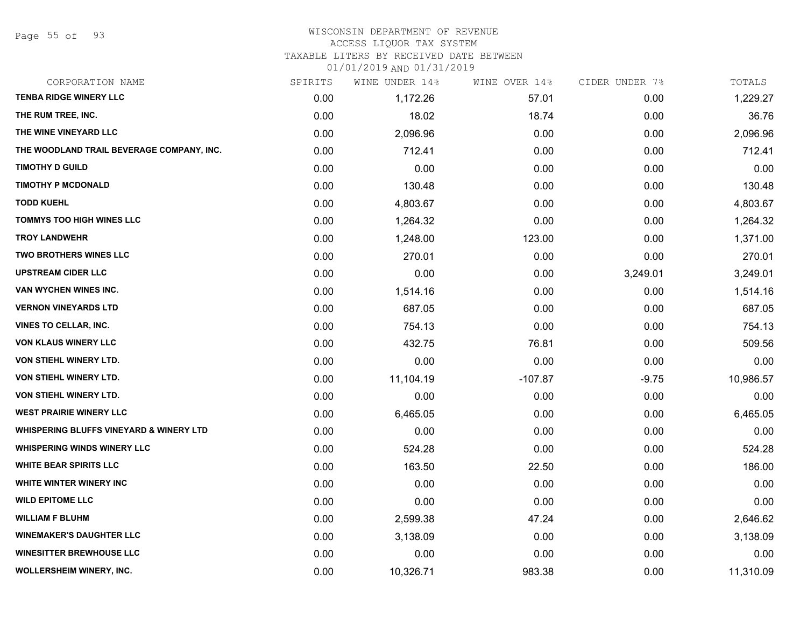### WISCONSIN DEPARTMENT OF REVENUE

#### ACCESS LIQUOR TAX SYSTEM

TAXABLE LITERS BY RECEIVED DATE BETWEEN

| CORPORATION NAME                                   | SPIRITS | WINE UNDER 14% | WINE OVER 14% | CIDER UNDER 7% | TOTALS    |
|----------------------------------------------------|---------|----------------|---------------|----------------|-----------|
| <b>TENBA RIDGE WINERY LLC</b>                      | 0.00    | 1,172.26       | 57.01         | 0.00           | 1,229.27  |
| THE RUM TREE, INC.                                 | 0.00    | 18.02          | 18.74         | 0.00           | 36.76     |
| THE WINE VINEYARD LLC                              | 0.00    | 2,096.96       | 0.00          | 0.00           | 2,096.96  |
| THE WOODLAND TRAIL BEVERAGE COMPANY, INC.          | 0.00    | 712.41         | 0.00          | 0.00           | 712.41    |
| <b>TIMOTHY D GUILD</b>                             | 0.00    | 0.00           | 0.00          | 0.00           | 0.00      |
| <b>TIMOTHY P MCDONALD</b>                          | 0.00    | 130.48         | 0.00          | 0.00           | 130.48    |
| <b>TODD KUEHL</b>                                  | 0.00    | 4,803.67       | 0.00          | 0.00           | 4,803.67  |
| <b>TOMMYS TOO HIGH WINES LLC</b>                   | 0.00    | 1,264.32       | 0.00          | 0.00           | 1,264.32  |
| <b>TROY LANDWEHR</b>                               | 0.00    | 1,248.00       | 123.00        | 0.00           | 1,371.00  |
| <b>TWO BROTHERS WINES LLC</b>                      | 0.00    | 270.01         | 0.00          | 0.00           | 270.01    |
| <b>UPSTREAM CIDER LLC</b>                          | 0.00    | 0.00           | 0.00          | 3,249.01       | 3,249.01  |
| VAN WYCHEN WINES INC.                              | 0.00    | 1,514.16       | 0.00          | 0.00           | 1,514.16  |
| <b>VERNON VINEYARDS LTD</b>                        | 0.00    | 687.05         | 0.00          | 0.00           | 687.05    |
| <b>VINES TO CELLAR, INC.</b>                       | 0.00    | 754.13         | 0.00          | 0.00           | 754.13    |
| <b>VON KLAUS WINERY LLC</b>                        | 0.00    | 432.75         | 76.81         | 0.00           | 509.56    |
| VON STIEHL WINERY LTD.                             | 0.00    | 0.00           | 0.00          | 0.00           | 0.00      |
| VON STIEHL WINERY LTD.                             | 0.00    | 11,104.19      | $-107.87$     | $-9.75$        | 10,986.57 |
| VON STIEHL WINERY LTD.                             | 0.00    | 0.00           | 0.00          | 0.00           | 0.00      |
| <b>WEST PRAIRIE WINERY LLC</b>                     | 0.00    | 6,465.05       | 0.00          | 0.00           | 6,465.05  |
| <b>WHISPERING BLUFFS VINEYARD &amp; WINERY LTD</b> | 0.00    | 0.00           | 0.00          | 0.00           | 0.00      |
| <b>WHISPERING WINDS WINERY LLC</b>                 | 0.00    | 524.28         | 0.00          | 0.00           | 524.28    |
| <b>WHITE BEAR SPIRITS LLC</b>                      | 0.00    | 163.50         | 22.50         | 0.00           | 186.00    |
| WHITE WINTER WINERY INC                            | 0.00    | 0.00           | 0.00          | 0.00           | 0.00      |
| <b>WILD EPITOME LLC</b>                            | 0.00    | 0.00           | 0.00          | 0.00           | 0.00      |
| <b>WILLIAM F BLUHM</b>                             | 0.00    | 2,599.38       | 47.24         | 0.00           | 2,646.62  |
| <b>WINEMAKER'S DAUGHTER LLC</b>                    | 0.00    | 3,138.09       | 0.00          | 0.00           | 3,138.09  |
| <b>WINESITTER BREWHOUSE LLC</b>                    | 0.00    | 0.00           | 0.00          | 0.00           | 0.00      |
| <b>WOLLERSHEIM WINERY, INC.</b>                    | 0.00    | 10,326.71      | 983.38        | 0.00           | 11,310.09 |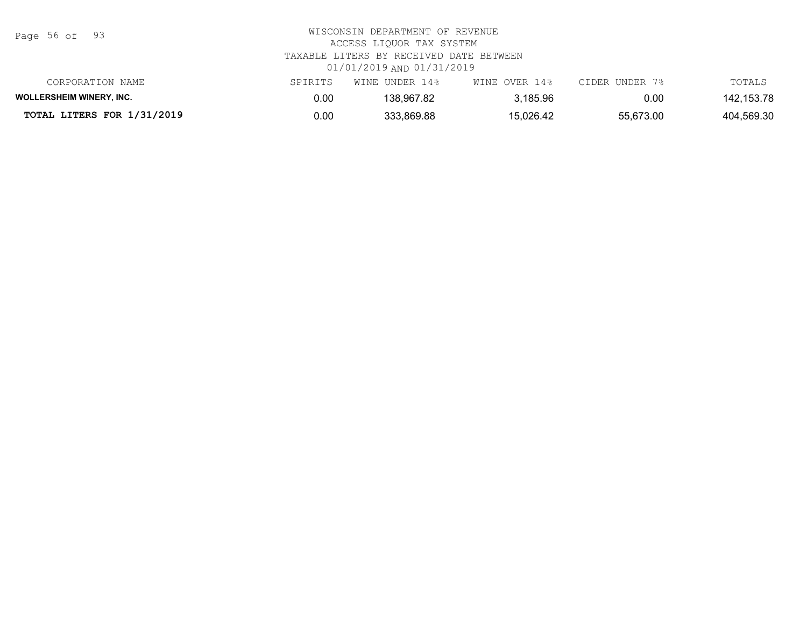Page 56 of 93

# WISCONSIN DEPARTMENT OF REVENUE ACCESS LIQUOR TAX SYSTEM TAXABLE LITERS BY RECEIVED DATE BETWEEN 01/01/2019 AND 01/31/2019

| CORPORATION NAME                | SPIRITS | WINE UNDER 14% | WINE OVER 14% | CIDER UNDER 7% | TOTALS     |
|---------------------------------|---------|----------------|---------------|----------------|------------|
| <b>WOLLERSHEIM WINERY, INC.</b> | 0.00    | 138.967.82     | 3,185.96      | 0.00           | 142,153.78 |
| TOTAL LITERS FOR 1/31/2019      | 0.00    | 333,869.88     | 15,026.42     | 55,673.00      | 404,569.30 |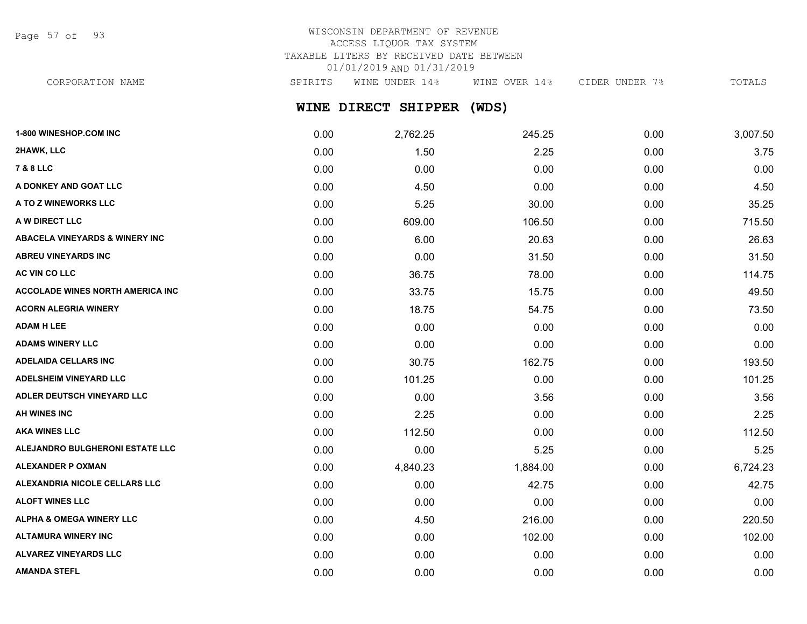Page 57 of 93

# WISCONSIN DEPARTMENT OF REVENUE ACCESS LIQUOR TAX SYSTEM TAXABLE LITERS BY RECEIVED DATE BETWEEN 01/01/2019 AND 01/31/2019

CORPORATION NAME SPIRITS WINE UNDER 14% WINE OVER 14% CIDER UNDER 7% TOTALS

**WINE DIRECT SHIPPER (WDS)**

| 1-800 WINESHOP.COM INC                    | 0.00 | 2,762.25 | 245.25   | 0.00 | 3,007.50 |
|-------------------------------------------|------|----------|----------|------|----------|
| 2HAWK, LLC                                | 0.00 | 1.50     | 2.25     | 0.00 | 3.75     |
| <b>7 &amp; 8 LLC</b>                      | 0.00 | 0.00     | 0.00     | 0.00 | 0.00     |
| A DONKEY AND GOAT LLC                     | 0.00 | 4.50     | 0.00     | 0.00 | 4.50     |
| A TO Z WINEWORKS LLC                      | 0.00 | 5.25     | 30.00    | 0.00 | 35.25    |
| A W DIRECT LLC                            | 0.00 | 609.00   | 106.50   | 0.00 | 715.50   |
| <b>ABACELA VINEYARDS &amp; WINERY INC</b> | 0.00 | 6.00     | 20.63    | 0.00 | 26.63    |
| <b>ABREU VINEYARDS INC</b>                | 0.00 | 0.00     | 31.50    | 0.00 | 31.50    |
| AC VIN CO LLC                             | 0.00 | 36.75    | 78.00    | 0.00 | 114.75   |
| <b>ACCOLADE WINES NORTH AMERICA INC</b>   | 0.00 | 33.75    | 15.75    | 0.00 | 49.50    |
| <b>ACORN ALEGRIA WINERY</b>               | 0.00 | 18.75    | 54.75    | 0.00 | 73.50    |
| <b>ADAM H LEE</b>                         | 0.00 | 0.00     | 0.00     | 0.00 | 0.00     |
| <b>ADAMS WINERY LLC</b>                   | 0.00 | 0.00     | 0.00     | 0.00 | 0.00     |
| <b>ADELAIDA CELLARS INC</b>               | 0.00 | 30.75    | 162.75   | 0.00 | 193.50   |
| <b>ADELSHEIM VINEYARD LLC</b>             | 0.00 | 101.25   | 0.00     | 0.00 | 101.25   |
| ADLER DEUTSCH VINEYARD LLC                | 0.00 | 0.00     | 3.56     | 0.00 | 3.56     |
| <b>AH WINES INC</b>                       | 0.00 | 2.25     | 0.00     | 0.00 | 2.25     |
| <b>AKA WINES LLC</b>                      | 0.00 | 112.50   | 0.00     | 0.00 | 112.50   |
| ALEJANDRO BULGHERONI ESTATE LLC           | 0.00 | 0.00     | 5.25     | 0.00 | 5.25     |
| <b>ALEXANDER P OXMAN</b>                  | 0.00 | 4,840.23 | 1,884.00 | 0.00 | 6,724.23 |
| ALEXANDRIA NICOLE CELLARS LLC             | 0.00 | 0.00     | 42.75    | 0.00 | 42.75    |
| <b>ALOFT WINES LLC</b>                    | 0.00 | 0.00     | 0.00     | 0.00 | 0.00     |
| ALPHA & OMEGA WINERY LLC                  | 0.00 | 4.50     | 216.00   | 0.00 | 220.50   |
| <b>ALTAMURA WINERY INC</b>                | 0.00 | 0.00     | 102.00   | 0.00 | 102.00   |
| <b>ALVAREZ VINEYARDS LLC</b>              | 0.00 | 0.00     | 0.00     | 0.00 | 0.00     |
| <b>AMANDA STEFL</b>                       | 0.00 | 0.00     | 0.00     | 0.00 | 0.00     |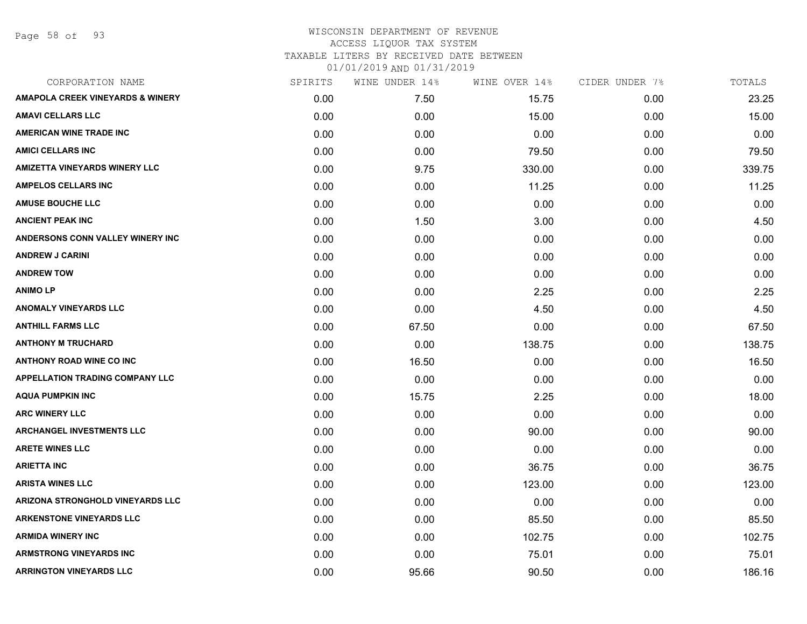Page 58 of 93

### WISCONSIN DEPARTMENT OF REVENUE ACCESS LIQUOR TAX SYSTEM TAXABLE LITERS BY RECEIVED DATE BETWEEN 01/01/2019 AND 01/31/2019

| CORPORATION NAME                            | SPIRITS | WINE UNDER 14% | WINE OVER 14% | CIDER UNDER 7% | TOTALS |
|---------------------------------------------|---------|----------------|---------------|----------------|--------|
| <b>AMAPOLA CREEK VINEYARDS &amp; WINERY</b> | 0.00    | 7.50           | 15.75         | 0.00           | 23.25  |
| <b>AMAVI CELLARS LLC</b>                    | 0.00    | 0.00           | 15.00         | 0.00           | 15.00  |
| <b>AMERICAN WINE TRADE INC</b>              | 0.00    | 0.00           | 0.00          | 0.00           | 0.00   |
| <b>AMICI CELLARS INC</b>                    | 0.00    | 0.00           | 79.50         | 0.00           | 79.50  |
| <b>AMIZETTA VINEYARDS WINERY LLC</b>        | 0.00    | 9.75           | 330.00        | 0.00           | 339.75 |
| <b>AMPELOS CELLARS INC</b>                  | 0.00    | 0.00           | 11.25         | 0.00           | 11.25  |
| <b>AMUSE BOUCHE LLC</b>                     | 0.00    | 0.00           | 0.00          | 0.00           | 0.00   |
| <b>ANCIENT PEAK INC</b>                     | 0.00    | 1.50           | 3.00          | 0.00           | 4.50   |
| ANDERSONS CONN VALLEY WINERY INC            | 0.00    | 0.00           | 0.00          | 0.00           | 0.00   |
| <b>ANDREW J CARINI</b>                      | 0.00    | 0.00           | 0.00          | 0.00           | 0.00   |
| <b>ANDREW TOW</b>                           | 0.00    | 0.00           | 0.00          | 0.00           | 0.00   |
| <b>ANIMOLP</b>                              | 0.00    | 0.00           | 2.25          | 0.00           | 2.25   |
| <b>ANOMALY VINEYARDS LLC</b>                | 0.00    | 0.00           | 4.50          | 0.00           | 4.50   |
| <b>ANTHILL FARMS LLC</b>                    | 0.00    | 67.50          | 0.00          | 0.00           | 67.50  |
| <b>ANTHONY M TRUCHARD</b>                   | 0.00    | 0.00           | 138.75        | 0.00           | 138.75 |
| <b>ANTHONY ROAD WINE CO INC</b>             | 0.00    | 16.50          | 0.00          | 0.00           | 16.50  |
| <b>APPELLATION TRADING COMPANY LLC</b>      | 0.00    | 0.00           | 0.00          | 0.00           | 0.00   |
| <b>AQUA PUMPKIN INC</b>                     | 0.00    | 15.75          | 2.25          | 0.00           | 18.00  |
| <b>ARC WINERY LLC</b>                       | 0.00    | 0.00           | 0.00          | 0.00           | 0.00   |
| <b>ARCHANGEL INVESTMENTS LLC</b>            | 0.00    | 0.00           | 90.00         | 0.00           | 90.00  |
| <b>ARETE WINES LLC</b>                      | 0.00    | 0.00           | 0.00          | 0.00           | 0.00   |
| <b>ARIETTA INC</b>                          | 0.00    | 0.00           | 36.75         | 0.00           | 36.75  |
| <b>ARISTA WINES LLC</b>                     | 0.00    | 0.00           | 123.00        | 0.00           | 123.00 |
| ARIZONA STRONGHOLD VINEYARDS LLC            | 0.00    | 0.00           | 0.00          | 0.00           | 0.00   |
| <b>ARKENSTONE VINEYARDS LLC</b>             | 0.00    | 0.00           | 85.50         | 0.00           | 85.50  |
| <b>ARMIDA WINERY INC</b>                    | 0.00    | 0.00           | 102.75        | 0.00           | 102.75 |
| <b>ARMSTRONG VINEYARDS INC</b>              | 0.00    | 0.00           | 75.01         | 0.00           | 75.01  |
| <b>ARRINGTON VINEYARDS LLC</b>              | 0.00    | 95.66          | 90.50         | 0.00           | 186.16 |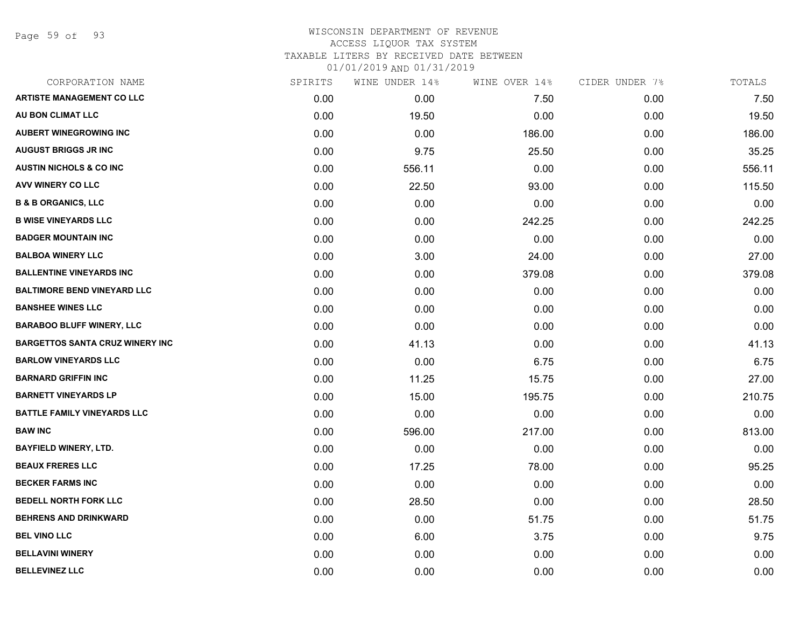Page 59 of 93

## WISCONSIN DEPARTMENT OF REVENUE ACCESS LIQUOR TAX SYSTEM TAXABLE LITERS BY RECEIVED DATE BETWEEN

| CORPORATION NAME                       | SPIRITS | WINE UNDER 14% | WINE OVER 14% | CIDER UNDER 7% | TOTALS |
|----------------------------------------|---------|----------------|---------------|----------------|--------|
| <b>ARTISTE MANAGEMENT CO LLC</b>       | 0.00    | 0.00           | 7.50          | 0.00           | 7.50   |
| AU BON CLIMAT LLC                      | 0.00    | 19.50          | 0.00          | 0.00           | 19.50  |
| <b>AUBERT WINEGROWING INC</b>          | 0.00    | 0.00           | 186.00        | 0.00           | 186.00 |
| <b>AUGUST BRIGGS JR INC</b>            | 0.00    | 9.75           | 25.50         | 0.00           | 35.25  |
| <b>AUSTIN NICHOLS &amp; CO INC</b>     | 0.00    | 556.11         | 0.00          | 0.00           | 556.11 |
| AVV WINERY CO LLC                      | 0.00    | 22.50          | 93.00         | 0.00           | 115.50 |
| <b>B &amp; B ORGANICS, LLC</b>         | 0.00    | 0.00           | 0.00          | 0.00           | 0.00   |
| <b>B WISE VINEYARDS LLC</b>            | 0.00    | 0.00           | 242.25        | 0.00           | 242.25 |
| <b>BADGER MOUNTAIN INC</b>             | 0.00    | 0.00           | 0.00          | 0.00           | 0.00   |
| <b>BALBOA WINERY LLC</b>               | 0.00    | 3.00           | 24.00         | 0.00           | 27.00  |
| <b>BALLENTINE VINEYARDS INC</b>        | 0.00    | 0.00           | 379.08        | 0.00           | 379.08 |
| <b>BALTIMORE BEND VINEYARD LLC</b>     | 0.00    | 0.00           | 0.00          | 0.00           | 0.00   |
| <b>BANSHEE WINES LLC</b>               | 0.00    | 0.00           | 0.00          | 0.00           | 0.00   |
| <b>BARABOO BLUFF WINERY, LLC</b>       | 0.00    | 0.00           | 0.00          | 0.00           | 0.00   |
| <b>BARGETTOS SANTA CRUZ WINERY INC</b> | 0.00    | 41.13          | 0.00          | 0.00           | 41.13  |
| <b>BARLOW VINEYARDS LLC</b>            | 0.00    | 0.00           | 6.75          | 0.00           | 6.75   |
| <b>BARNARD GRIFFIN INC</b>             | 0.00    | 11.25          | 15.75         | 0.00           | 27.00  |
| <b>BARNETT VINEYARDS LP</b>            | 0.00    | 15.00          | 195.75        | 0.00           | 210.75 |
| <b>BATTLE FAMILY VINEYARDS LLC</b>     | 0.00    | 0.00           | 0.00          | 0.00           | 0.00   |
| <b>BAW INC</b>                         | 0.00    | 596.00         | 217.00        | 0.00           | 813.00 |
| <b>BAYFIELD WINERY, LTD.</b>           | 0.00    | 0.00           | 0.00          | 0.00           | 0.00   |
| <b>BEAUX FRERES LLC</b>                | 0.00    | 17.25          | 78.00         | 0.00           | 95.25  |
| <b>BECKER FARMS INC</b>                | 0.00    | 0.00           | 0.00          | 0.00           | 0.00   |
| <b>BEDELL NORTH FORK LLC</b>           | 0.00    | 28.50          | 0.00          | 0.00           | 28.50  |
| <b>BEHRENS AND DRINKWARD</b>           | 0.00    | 0.00           | 51.75         | 0.00           | 51.75  |
| <b>BEL VINO LLC</b>                    | 0.00    | 6.00           | 3.75          | 0.00           | 9.75   |
| <b>BELLAVINI WINERY</b>                | 0.00    | 0.00           | 0.00          | 0.00           | 0.00   |
| <b>BELLEVINEZ LLC</b>                  | 0.00    | 0.00           | 0.00          | 0.00           | 0.00   |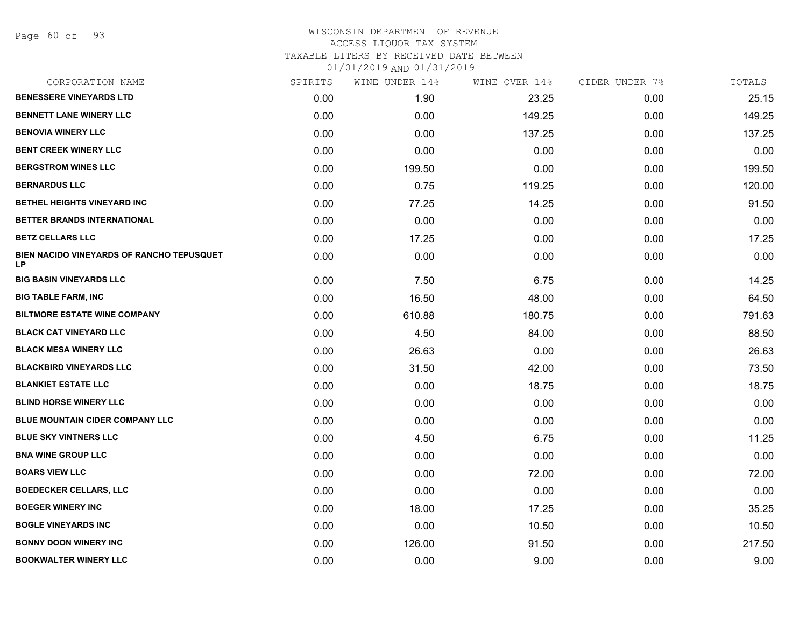Page 60 of 93

## WISCONSIN DEPARTMENT OF REVENUE ACCESS LIQUOR TAX SYSTEM

TAXABLE LITERS BY RECEIVED DATE BETWEEN

| CORPORATION NAME                                | SPIRITS | WINE UNDER 14% | WINE OVER 14% | CIDER UNDER 7% | TOTALS |
|-------------------------------------------------|---------|----------------|---------------|----------------|--------|
| <b>BENESSERE VINEYARDS LTD</b>                  | 0.00    | 1.90           | 23.25         | 0.00           | 25.15  |
| <b>BENNETT LANE WINERY LLC</b>                  | 0.00    | 0.00           | 149.25        | 0.00           | 149.25 |
| <b>BENOVIA WINERY LLC</b>                       | 0.00    | 0.00           | 137.25        | 0.00           | 137.25 |
| <b>BENT CREEK WINERY LLC</b>                    | 0.00    | 0.00           | 0.00          | 0.00           | 0.00   |
| <b>BERGSTROM WINES LLC</b>                      | 0.00    | 199.50         | 0.00          | 0.00           | 199.50 |
| <b>BERNARDUS LLC</b>                            | 0.00    | 0.75           | 119.25        | 0.00           | 120.00 |
| BETHEL HEIGHTS VINEYARD INC                     | 0.00    | 77.25          | 14.25         | 0.00           | 91.50  |
| BETTER BRANDS INTERNATIONAL                     | 0.00    | 0.00           | 0.00          | 0.00           | 0.00   |
| <b>BETZ CELLARS LLC</b>                         | 0.00    | 17.25          | 0.00          | 0.00           | 17.25  |
| BIEN NACIDO VINEYARDS OF RANCHO TEPUSQUET<br>LP | 0.00    | 0.00           | 0.00          | 0.00           | 0.00   |
| <b>BIG BASIN VINEYARDS LLC</b>                  | 0.00    | 7.50           | 6.75          | 0.00           | 14.25  |
| <b>BIG TABLE FARM, INC</b>                      | 0.00    | 16.50          | 48.00         | 0.00           | 64.50  |
| <b>BILTMORE ESTATE WINE COMPANY</b>             | 0.00    | 610.88         | 180.75        | 0.00           | 791.63 |
| <b>BLACK CAT VINEYARD LLC</b>                   | 0.00    | 4.50           | 84.00         | 0.00           | 88.50  |
| <b>BLACK MESA WINERY LLC</b>                    | 0.00    | 26.63          | 0.00          | 0.00           | 26.63  |
| <b>BLACKBIRD VINEYARDS LLC</b>                  | 0.00    | 31.50          | 42.00         | 0.00           | 73.50  |
| <b>BLANKIET ESTATE LLC</b>                      | 0.00    | 0.00           | 18.75         | 0.00           | 18.75  |
| <b>BLIND HORSE WINERY LLC</b>                   | 0.00    | 0.00           | 0.00          | 0.00           | 0.00   |
| <b>BLUE MOUNTAIN CIDER COMPANY LLC</b>          | 0.00    | 0.00           | 0.00          | 0.00           | 0.00   |
| <b>BLUE SKY VINTNERS LLC</b>                    | 0.00    | 4.50           | 6.75          | 0.00           | 11.25  |
| <b>BNA WINE GROUP LLC</b>                       | 0.00    | 0.00           | 0.00          | 0.00           | 0.00   |
| <b>BOARS VIEW LLC</b>                           | 0.00    | 0.00           | 72.00         | 0.00           | 72.00  |
| <b>BOEDECKER CELLARS, LLC</b>                   | 0.00    | 0.00           | 0.00          | 0.00           | 0.00   |
| <b>BOEGER WINERY INC</b>                        | 0.00    | 18.00          | 17.25         | 0.00           | 35.25  |
| <b>BOGLE VINEYARDS INC</b>                      | 0.00    | 0.00           | 10.50         | 0.00           | 10.50  |
| <b>BONNY DOON WINERY INC</b>                    | 0.00    | 126.00         | 91.50         | 0.00           | 217.50 |
| <b>BOOKWALTER WINERY LLC</b>                    | 0.00    | 0.00           | 9.00          | 0.00           | 9.00   |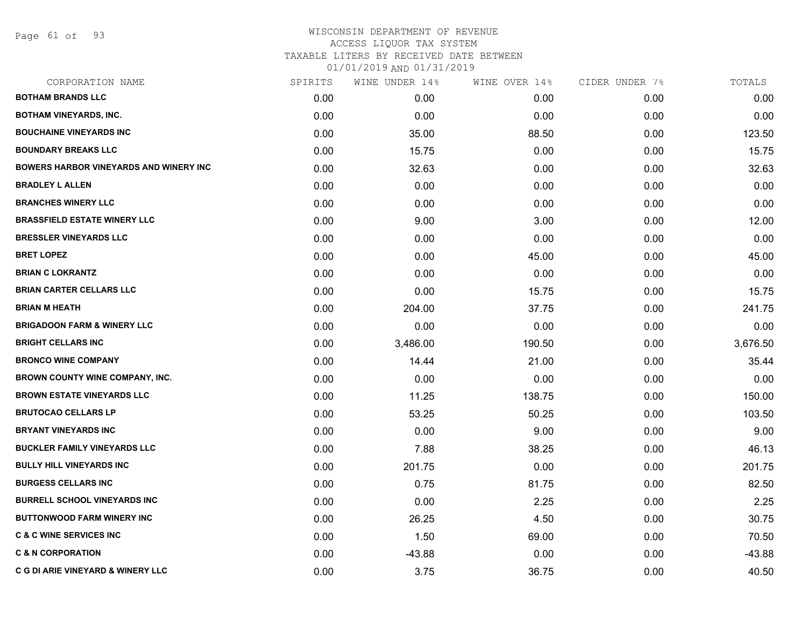Page 61 of 93

## WISCONSIN DEPARTMENT OF REVENUE ACCESS LIQUOR TAX SYSTEM

TAXABLE LITERS BY RECEIVED DATE BETWEEN

| CORPORATION NAME                              | SPIRITS | WINE UNDER 14% | WINE OVER 14% | CIDER UNDER 7% | TOTALS   |
|-----------------------------------------------|---------|----------------|---------------|----------------|----------|
| <b>BOTHAM BRANDS LLC</b>                      | 0.00    | 0.00           | 0.00          | 0.00           | 0.00     |
| <b>BOTHAM VINEYARDS, INC.</b>                 | 0.00    | 0.00           | 0.00          | 0.00           | 0.00     |
| <b>BOUCHAINE VINEYARDS INC</b>                | 0.00    | 35.00          | 88.50         | 0.00           | 123.50   |
| <b>BOUNDARY BREAKS LLC</b>                    | 0.00    | 15.75          | 0.00          | 0.00           | 15.75    |
| <b>BOWERS HARBOR VINEYARDS AND WINERY INC</b> | 0.00    | 32.63          | 0.00          | 0.00           | 32.63    |
| <b>BRADLEY L ALLEN</b>                        | 0.00    | 0.00           | 0.00          | 0.00           | 0.00     |
| <b>BRANCHES WINERY LLC</b>                    | 0.00    | 0.00           | 0.00          | 0.00           | 0.00     |
| <b>BRASSFIELD ESTATE WINERY LLC</b>           | 0.00    | 9.00           | 3.00          | 0.00           | 12.00    |
| <b>BRESSLER VINEYARDS LLC</b>                 | 0.00    | 0.00           | 0.00          | 0.00           | 0.00     |
| <b>BRET LOPEZ</b>                             | 0.00    | 0.00           | 45.00         | 0.00           | 45.00    |
| <b>BRIAN C LOKRANTZ</b>                       | 0.00    | 0.00           | 0.00          | 0.00           | 0.00     |
| <b>BRIAN CARTER CELLARS LLC</b>               | 0.00    | 0.00           | 15.75         | 0.00           | 15.75    |
| <b>BRIAN M HEATH</b>                          | 0.00    | 204.00         | 37.75         | 0.00           | 241.75   |
| <b>BRIGADOON FARM &amp; WINERY LLC</b>        | 0.00    | 0.00           | 0.00          | 0.00           | 0.00     |
| <b>BRIGHT CELLARS INC</b>                     | 0.00    | 3,486.00       | 190.50        | 0.00           | 3,676.50 |
| <b>BRONCO WINE COMPANY</b>                    | 0.00    | 14.44          | 21.00         | 0.00           | 35.44    |
| <b>BROWN COUNTY WINE COMPANY, INC.</b>        | 0.00    | 0.00           | 0.00          | 0.00           | 0.00     |
| <b>BROWN ESTATE VINEYARDS LLC</b>             | 0.00    | 11.25          | 138.75        | 0.00           | 150.00   |
| <b>BRUTOCAO CELLARS LP</b>                    | 0.00    | 53.25          | 50.25         | 0.00           | 103.50   |
| <b>BRYANT VINEYARDS INC</b>                   | 0.00    | 0.00           | 9.00          | 0.00           | 9.00     |
| <b>BUCKLER FAMILY VINEYARDS LLC</b>           | 0.00    | 7.88           | 38.25         | 0.00           | 46.13    |
| <b>BULLY HILL VINEYARDS INC</b>               | 0.00    | 201.75         | 0.00          | 0.00           | 201.75   |
| <b>BURGESS CELLARS INC</b>                    | 0.00    | 0.75           | 81.75         | 0.00           | 82.50    |
| <b>BURRELL SCHOOL VINEYARDS INC</b>           | 0.00    | 0.00           | 2.25          | 0.00           | 2.25     |
| <b>BUTTONWOOD FARM WINERY INC</b>             | 0.00    | 26.25          | 4.50          | 0.00           | 30.75    |
| <b>C &amp; C WINE SERVICES INC</b>            | 0.00    | 1.50           | 69.00         | 0.00           | 70.50    |
| <b>C &amp; N CORPORATION</b>                  | 0.00    | $-43.88$       | 0.00          | 0.00           | $-43.88$ |
| <b>C G DI ARIE VINEYARD &amp; WINERY LLC</b>  | 0.00    | 3.75           | 36.75         | 0.00           | 40.50    |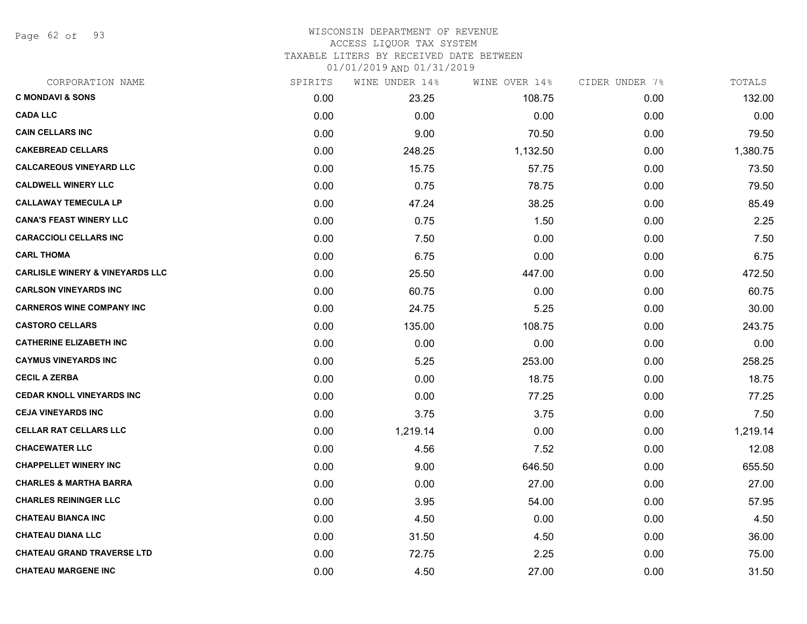Page 62 of 93

# WISCONSIN DEPARTMENT OF REVENUE

# ACCESS LIQUOR TAX SYSTEM

TAXABLE LITERS BY RECEIVED DATE BETWEEN

| CORPORATION NAME                           | SPIRITS | WINE UNDER 14% | WINE OVER 14% | CIDER UNDER 7% | TOTALS   |
|--------------------------------------------|---------|----------------|---------------|----------------|----------|
| <b>C MONDAVI &amp; SONS</b>                | 0.00    | 23.25          | 108.75        | 0.00           | 132.00   |
| <b>CADA LLC</b>                            | 0.00    | 0.00           | 0.00          | 0.00           | 0.00     |
| <b>CAIN CELLARS INC</b>                    | 0.00    | 9.00           | 70.50         | 0.00           | 79.50    |
| <b>CAKEBREAD CELLARS</b>                   | 0.00    | 248.25         | 1,132.50      | 0.00           | 1,380.75 |
| <b>CALCAREOUS VINEYARD LLC</b>             | 0.00    | 15.75          | 57.75         | 0.00           | 73.50    |
| <b>CALDWELL WINERY LLC</b>                 | 0.00    | 0.75           | 78.75         | 0.00           | 79.50    |
| <b>CALLAWAY TEMECULA LP</b>                | 0.00    | 47.24          | 38.25         | 0.00           | 85.49    |
| <b>CANA'S FEAST WINERY LLC</b>             | 0.00    | 0.75           | 1.50          | 0.00           | 2.25     |
| <b>CARACCIOLI CELLARS INC</b>              | 0.00    | 7.50           | 0.00          | 0.00           | 7.50     |
| <b>CARL THOMA</b>                          | 0.00    | 6.75           | 0.00          | 0.00           | 6.75     |
| <b>CARLISLE WINERY &amp; VINEYARDS LLC</b> | 0.00    | 25.50          | 447.00        | 0.00           | 472.50   |
| <b>CARLSON VINEYARDS INC</b>               | 0.00    | 60.75          | 0.00          | 0.00           | 60.75    |
| <b>CARNEROS WINE COMPANY INC</b>           | 0.00    | 24.75          | 5.25          | 0.00           | 30.00    |
| <b>CASTORO CELLARS</b>                     | 0.00    | 135.00         | 108.75        | 0.00           | 243.75   |
| <b>CATHERINE ELIZABETH INC</b>             | 0.00    | 0.00           | 0.00          | 0.00           | 0.00     |
| <b>CAYMUS VINEYARDS INC</b>                | 0.00    | 5.25           | 253.00        | 0.00           | 258.25   |
| <b>CECIL A ZERBA</b>                       | 0.00    | 0.00           | 18.75         | 0.00           | 18.75    |
| <b>CEDAR KNOLL VINEYARDS INC</b>           | 0.00    | 0.00           | 77.25         | 0.00           | 77.25    |
| <b>CEJA VINEYARDS INC</b>                  | 0.00    | 3.75           | 3.75          | 0.00           | 7.50     |
| <b>CELLAR RAT CELLARS LLC</b>              | 0.00    | 1,219.14       | 0.00          | 0.00           | 1,219.14 |
| <b>CHACEWATER LLC</b>                      | 0.00    | 4.56           | 7.52          | 0.00           | 12.08    |
| <b>CHAPPELLET WINERY INC</b>               | 0.00    | 9.00           | 646.50        | 0.00           | 655.50   |
| <b>CHARLES &amp; MARTHA BARRA</b>          | 0.00    | 0.00           | 27.00         | 0.00           | 27.00    |
| <b>CHARLES REININGER LLC</b>               | 0.00    | 3.95           | 54.00         | 0.00           | 57.95    |
| <b>CHATEAU BIANCA INC</b>                  | 0.00    | 4.50           | 0.00          | 0.00           | 4.50     |
| <b>CHATEAU DIANA LLC</b>                   | 0.00    | 31.50          | 4.50          | 0.00           | 36.00    |
| <b>CHATEAU GRAND TRAVERSE LTD</b>          | 0.00    | 72.75          | 2.25          | 0.00           | 75.00    |
| <b>CHATEAU MARGENE INC</b>                 | 0.00    | 4.50           | 27.00         | 0.00           | 31.50    |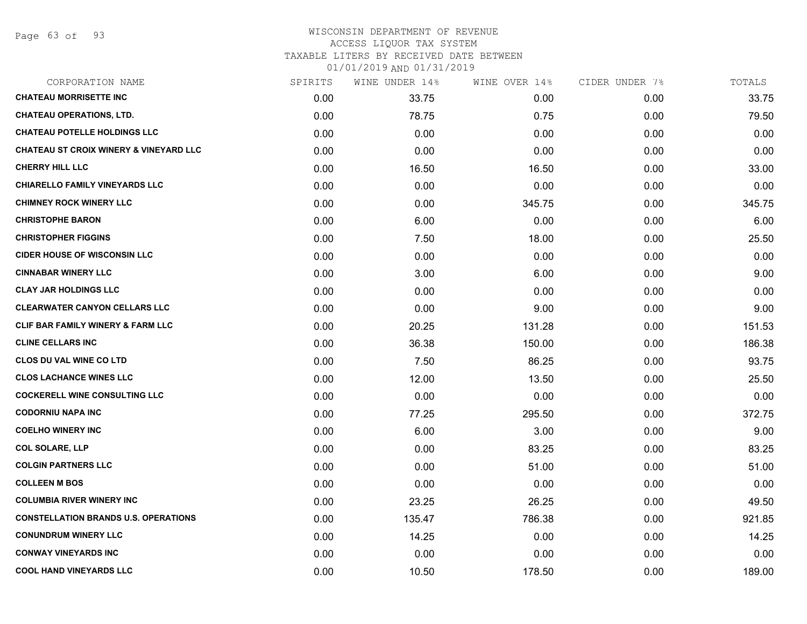# WISCONSIN DEPARTMENT OF REVENUE

# ACCESS LIQUOR TAX SYSTEM

TAXABLE LITERS BY RECEIVED DATE BETWEEN

| CORPORATION NAME                                  | SPIRITS | WINE UNDER 14% | WINE OVER 14% | CIDER UNDER 7% | TOTALS |
|---------------------------------------------------|---------|----------------|---------------|----------------|--------|
| <b>CHATEAU MORRISETTE INC</b>                     | 0.00    | 33.75          | 0.00          | 0.00           | 33.75  |
| <b>CHATEAU OPERATIONS, LTD.</b>                   | 0.00    | 78.75          | 0.75          | 0.00           | 79.50  |
| <b>CHATEAU POTELLE HOLDINGS LLC</b>               | 0.00    | 0.00           | 0.00          | 0.00           | 0.00   |
| <b>CHATEAU ST CROIX WINERY &amp; VINEYARD LLC</b> | 0.00    | 0.00           | 0.00          | 0.00           | 0.00   |
| <b>CHERRY HILL LLC</b>                            | 0.00    | 16.50          | 16.50         | 0.00           | 33.00  |
| <b>CHIARELLO FAMILY VINEYARDS LLC</b>             | 0.00    | 0.00           | 0.00          | 0.00           | 0.00   |
| <b>CHIMNEY ROCK WINERY LLC</b>                    | 0.00    | 0.00           | 345.75        | 0.00           | 345.75 |
| <b>CHRISTOPHE BARON</b>                           | 0.00    | 6.00           | 0.00          | 0.00           | 6.00   |
| <b>CHRISTOPHER FIGGINS</b>                        | 0.00    | 7.50           | 18.00         | 0.00           | 25.50  |
| <b>CIDER HOUSE OF WISCONSIN LLC</b>               | 0.00    | 0.00           | 0.00          | 0.00           | 0.00   |
| <b>CINNABAR WINERY LLC</b>                        | 0.00    | 3.00           | 6.00          | 0.00           | 9.00   |
| <b>CLAY JAR HOLDINGS LLC</b>                      | 0.00    | 0.00           | 0.00          | 0.00           | 0.00   |
| <b>CLEARWATER CANYON CELLARS LLC</b>              | 0.00    | 0.00           | 9.00          | 0.00           | 9.00   |
| <b>CLIF BAR FAMILY WINERY &amp; FARM LLC</b>      | 0.00    | 20.25          | 131.28        | 0.00           | 151.53 |
| <b>CLINE CELLARS INC</b>                          | 0.00    | 36.38          | 150.00        | 0.00           | 186.38 |
| <b>CLOS DU VAL WINE CO LTD</b>                    | 0.00    | 7.50           | 86.25         | 0.00           | 93.75  |
| <b>CLOS LACHANCE WINES LLC</b>                    | 0.00    | 12.00          | 13.50         | 0.00           | 25.50  |
| <b>COCKERELL WINE CONSULTING LLC</b>              | 0.00    | 0.00           | 0.00          | 0.00           | 0.00   |
| <b>CODORNIU NAPA INC</b>                          | 0.00    | 77.25          | 295.50        | 0.00           | 372.75 |
| <b>COELHO WINERY INC</b>                          | 0.00    | 6.00           | 3.00          | 0.00           | 9.00   |
| <b>COL SOLARE, LLP</b>                            | 0.00    | 0.00           | 83.25         | 0.00           | 83.25  |
| <b>COLGIN PARTNERS LLC</b>                        | 0.00    | 0.00           | 51.00         | 0.00           | 51.00  |
| <b>COLLEEN M BOS</b>                              | 0.00    | 0.00           | 0.00          | 0.00           | 0.00   |
| <b>COLUMBIA RIVER WINERY INC</b>                  | 0.00    | 23.25          | 26.25         | 0.00           | 49.50  |
| <b>CONSTELLATION BRANDS U.S. OPERATIONS</b>       | 0.00    | 135.47         | 786.38        | 0.00           | 921.85 |
| <b>CONUNDRUM WINERY LLC</b>                       | 0.00    | 14.25          | 0.00          | 0.00           | 14.25  |
| <b>CONWAY VINEYARDS INC</b>                       | 0.00    | 0.00           | 0.00          | 0.00           | 0.00   |
| <b>COOL HAND VINEYARDS LLC</b>                    | 0.00    | 10.50          | 178.50        | 0.00           | 189.00 |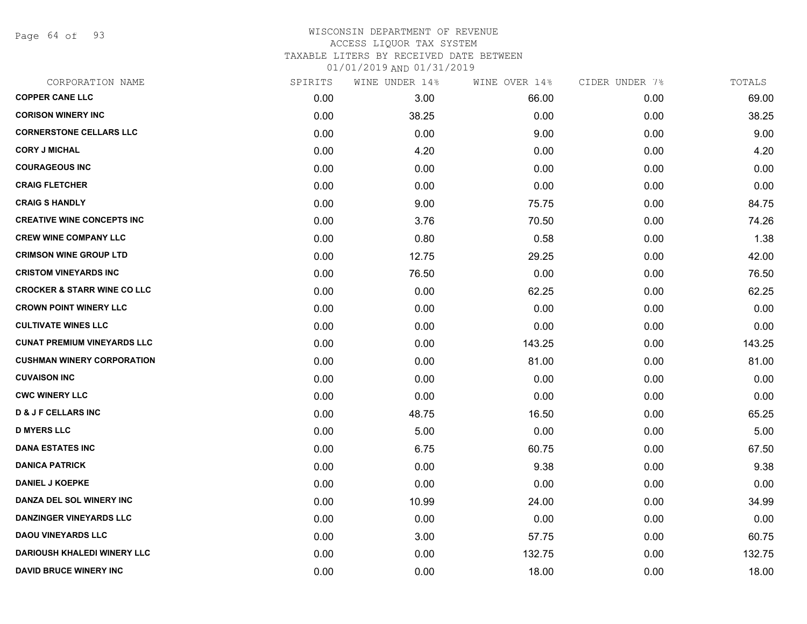Page 64 of 93

# WISCONSIN DEPARTMENT OF REVENUE ACCESS LIQUOR TAX SYSTEM

TAXABLE LITERS BY RECEIVED DATE BETWEEN

| CORPORATION NAME                       | SPIRITS | WINE UNDER 14% | WINE OVER 14% | CIDER UNDER 7% | TOTALS |
|----------------------------------------|---------|----------------|---------------|----------------|--------|
| <b>COPPER CANE LLC</b>                 | 0.00    | 3.00           | 66.00         | 0.00           | 69.00  |
| <b>CORISON WINERY INC</b>              | 0.00    | 38.25          | 0.00          | 0.00           | 38.25  |
| <b>CORNERSTONE CELLARS LLC</b>         | 0.00    | 0.00           | 9.00          | 0.00           | 9.00   |
| <b>CORY J MICHAL</b>                   | 0.00    | 4.20           | 0.00          | 0.00           | 4.20   |
| <b>COURAGEOUS INC</b>                  | 0.00    | 0.00           | 0.00          | 0.00           | 0.00   |
| <b>CRAIG FLETCHER</b>                  | 0.00    | 0.00           | 0.00          | 0.00           | 0.00   |
| <b>CRAIG S HANDLY</b>                  | 0.00    | 9.00           | 75.75         | 0.00           | 84.75  |
| <b>CREATIVE WINE CONCEPTS INC</b>      | 0.00    | 3.76           | 70.50         | 0.00           | 74.26  |
| <b>CREW WINE COMPANY LLC</b>           | 0.00    | 0.80           | 0.58          | 0.00           | 1.38   |
| <b>CRIMSON WINE GROUP LTD</b>          | 0.00    | 12.75          | 29.25         | 0.00           | 42.00  |
| <b>CRISTOM VINEYARDS INC</b>           | 0.00    | 76.50          | 0.00          | 0.00           | 76.50  |
| <b>CROCKER &amp; STARR WINE CO LLC</b> | 0.00    | 0.00           | 62.25         | 0.00           | 62.25  |
| <b>CROWN POINT WINERY LLC</b>          | 0.00    | 0.00           | 0.00          | 0.00           | 0.00   |
| <b>CULTIVATE WINES LLC</b>             | 0.00    | 0.00           | 0.00          | 0.00           | 0.00   |
| <b>CUNAT PREMIUM VINEYARDS LLC</b>     | 0.00    | 0.00           | 143.25        | 0.00           | 143.25 |
| <b>CUSHMAN WINERY CORPORATION</b>      | 0.00    | 0.00           | 81.00         | 0.00           | 81.00  |
| <b>CUVAISON INC</b>                    | 0.00    | 0.00           | 0.00          | 0.00           | 0.00   |
| <b>CWC WINERY LLC</b>                  | 0.00    | 0.00           | 0.00          | 0.00           | 0.00   |
| <b>D &amp; J F CELLARS INC</b>         | 0.00    | 48.75          | 16.50         | 0.00           | 65.25  |
| <b>D MYERS LLC</b>                     | 0.00    | 5.00           | 0.00          | 0.00           | 5.00   |
| <b>DANA ESTATES INC</b>                | 0.00    | 6.75           | 60.75         | 0.00           | 67.50  |
| <b>DANICA PATRICK</b>                  | 0.00    | 0.00           | 9.38          | 0.00           | 9.38   |
| <b>DANIEL J KOEPKE</b>                 | 0.00    | 0.00           | 0.00          | 0.00           | 0.00   |
| DANZA DEL SOL WINERY INC               | 0.00    | 10.99          | 24.00         | 0.00           | 34.99  |
| <b>DANZINGER VINEYARDS LLC</b>         | 0.00    | 0.00           | 0.00          | 0.00           | 0.00   |
| <b>DAOU VINEYARDS LLC</b>              | 0.00    | 3.00           | 57.75         | 0.00           | 60.75  |
| <b>DARIOUSH KHALEDI WINERY LLC</b>     | 0.00    | 0.00           | 132.75        | 0.00           | 132.75 |
| <b>DAVID BRUCE WINERY INC</b>          | 0.00    | 0.00           | 18.00         | 0.00           | 18.00  |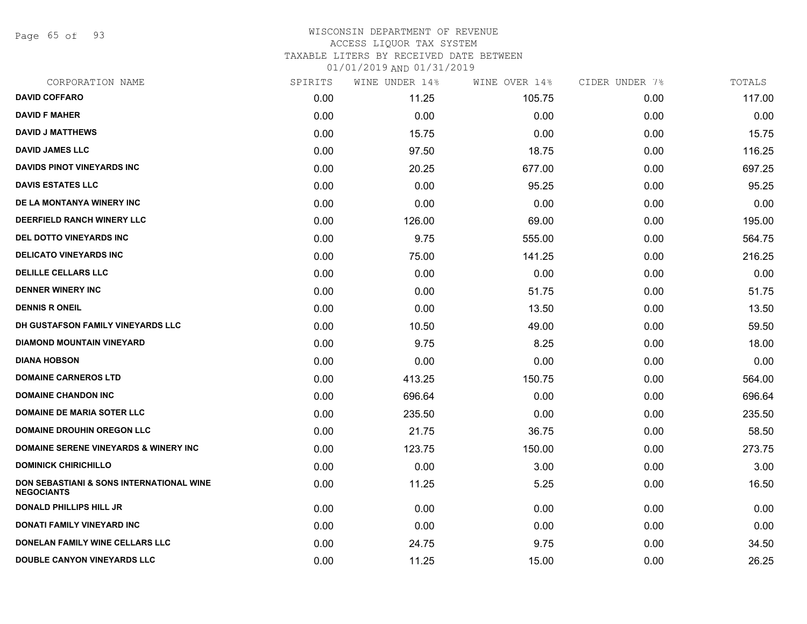Page 65 of 93

### WISCONSIN DEPARTMENT OF REVENUE ACCESS LIQUOR TAX SYSTEM TAXABLE LITERS BY RECEIVED DATE BETWEEN

| CORPORATION NAME                                                         | SPIRITS | WINE UNDER 14% | WINE OVER 14% | CIDER UNDER 7% | TOTALS |
|--------------------------------------------------------------------------|---------|----------------|---------------|----------------|--------|
| <b>DAVID COFFARO</b>                                                     | 0.00    | 11.25          | 105.75        | 0.00           | 117.00 |
| <b>DAVID F MAHER</b>                                                     | 0.00    | 0.00           | 0.00          | 0.00           | 0.00   |
| <b>DAVID J MATTHEWS</b>                                                  | 0.00    | 15.75          | 0.00          | 0.00           | 15.75  |
| <b>DAVID JAMES LLC</b>                                                   | 0.00    | 97.50          | 18.75         | 0.00           | 116.25 |
| DAVIDS PINOT VINEYARDS INC                                               | 0.00    | 20.25          | 677.00        | 0.00           | 697.25 |
| <b>DAVIS ESTATES LLC</b>                                                 | 0.00    | 0.00           | 95.25         | 0.00           | 95.25  |
| DE LA MONTANYA WINERY INC                                                | 0.00    | 0.00           | 0.00          | 0.00           | 0.00   |
| <b>DEERFIELD RANCH WINERY LLC</b>                                        | 0.00    | 126.00         | 69.00         | 0.00           | 195.00 |
| <b>DEL DOTTO VINEYARDS INC</b>                                           | 0.00    | 9.75           | 555.00        | 0.00           | 564.75 |
| <b>DELICATO VINEYARDS INC</b>                                            | 0.00    | 75.00          | 141.25        | 0.00           | 216.25 |
| <b>DELILLE CELLARS LLC</b>                                               | 0.00    | 0.00           | 0.00          | 0.00           | 0.00   |
| <b>DENNER WINERY INC</b>                                                 | 0.00    | 0.00           | 51.75         | 0.00           | 51.75  |
| <b>DENNIS R ONEIL</b>                                                    | 0.00    | 0.00           | 13.50         | 0.00           | 13.50  |
| DH GUSTAFSON FAMILY VINEYARDS LLC                                        | 0.00    | 10.50          | 49.00         | 0.00           | 59.50  |
| <b>DIAMOND MOUNTAIN VINEYARD</b>                                         | 0.00    | 9.75           | 8.25          | 0.00           | 18.00  |
| <b>DIANA HOBSON</b>                                                      | 0.00    | 0.00           | 0.00          | 0.00           | 0.00   |
| <b>DOMAINE CARNEROS LTD</b>                                              | 0.00    | 413.25         | 150.75        | 0.00           | 564.00 |
| <b>DOMAINE CHANDON INC</b>                                               | 0.00    | 696.64         | 0.00          | 0.00           | 696.64 |
| <b>DOMAINE DE MARIA SOTER LLC</b>                                        | 0.00    | 235.50         | 0.00          | 0.00           | 235.50 |
| <b>DOMAINE DROUHIN OREGON LLC</b>                                        | 0.00    | 21.75          | 36.75         | 0.00           | 58.50  |
| <b>DOMAINE SERENE VINEYARDS &amp; WINERY INC</b>                         | 0.00    | 123.75         | 150.00        | 0.00           | 273.75 |
| <b>DOMINICK CHIRICHILLO</b>                                              | 0.00    | 0.00           | 3.00          | 0.00           | 3.00   |
| <b>DON SEBASTIANI &amp; SONS INTERNATIONAL WINE</b><br><b>NEGOCIANTS</b> | 0.00    | 11.25          | 5.25          | 0.00           | 16.50  |
| <b>DONALD PHILLIPS HILL JR</b>                                           | 0.00    | 0.00           | 0.00          | 0.00           | 0.00   |
| <b>DONATI FAMILY VINEYARD INC</b>                                        | 0.00    | 0.00           | 0.00          | 0.00           | 0.00   |
| DONELAN FAMILY WINE CELLARS LLC                                          | 0.00    | 24.75          | 9.75          | 0.00           | 34.50  |
| <b>DOUBLE CANYON VINEYARDS LLC</b>                                       | 0.00    | 11.25          | 15.00         | 0.00           | 26.25  |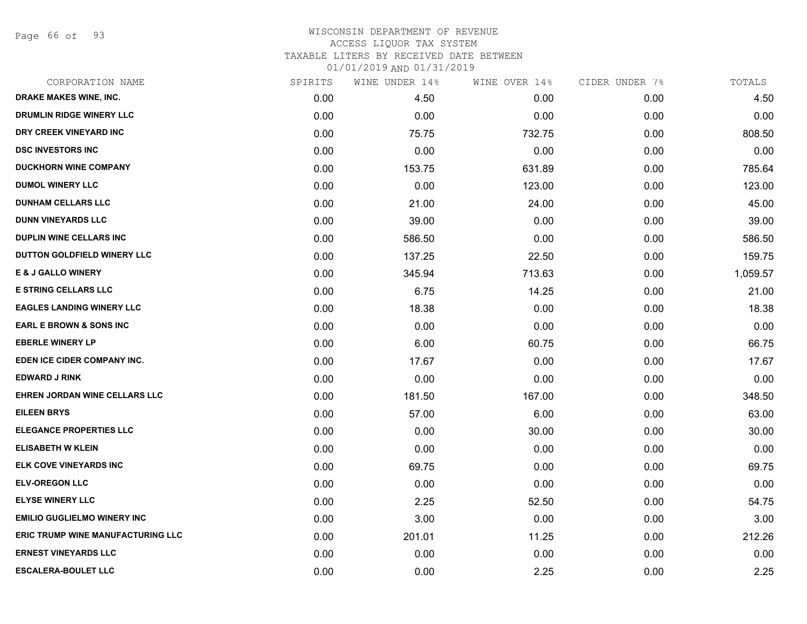Page 66 of 93

# WISCONSIN DEPARTMENT OF REVENUE ACCESS LIQUOR TAX SYSTEM TAXABLE LITERS BY RECEIVED DATE BETWEEN

| CORPORATION NAME                         | SPIRITS | WINE UNDER 14% | WINE OVER 14% | CIDER UNDER 7% | TOTALS   |
|------------------------------------------|---------|----------------|---------------|----------------|----------|
| <b>DRAKE MAKES WINE, INC.</b>            | 0.00    | 4.50           | 0.00          | 0.00           | 4.50     |
| DRUMLIN RIDGE WINERY LLC                 | 0.00    | 0.00           | 0.00          | 0.00           | 0.00     |
| DRY CREEK VINEYARD INC                   | 0.00    | 75.75          | 732.75        | 0.00           | 808.50   |
| <b>DSC INVESTORS INC</b>                 | 0.00    | 0.00           | 0.00          | 0.00           | 0.00     |
| DUCKHORN WINE COMPANY                    | 0.00    | 153.75         | 631.89        | 0.00           | 785.64   |
| <b>DUMOL WINERY LLC</b>                  | 0.00    | 0.00           | 123.00        | 0.00           | 123.00   |
| <b>DUNHAM CELLARS LLC</b>                | 0.00    | 21.00          | 24.00         | 0.00           | 45.00    |
| <b>DUNN VINEYARDS LLC</b>                | 0.00    | 39.00          | 0.00          | 0.00           | 39.00    |
| <b>DUPLIN WINE CELLARS INC</b>           | 0.00    | 586.50         | 0.00          | 0.00           | 586.50   |
| DUTTON GOLDFIELD WINERY LLC              | 0.00    | 137.25         | 22.50         | 0.00           | 159.75   |
| <b>E &amp; J GALLO WINERY</b>            | 0.00    | 345.94         | 713.63        | 0.00           | 1,059.57 |
| <b>E STRING CELLARS LLC</b>              | 0.00    | 6.75           | 14.25         | 0.00           | 21.00    |
| <b>EAGLES LANDING WINERY LLC</b>         | 0.00    | 18.38          | 0.00          | 0.00           | 18.38    |
| <b>EARL E BROWN &amp; SONS INC</b>       | 0.00    | 0.00           | 0.00          | 0.00           | 0.00     |
| <b>EBERLE WINERY LP</b>                  | 0.00    | 6.00           | 60.75         | 0.00           | 66.75    |
| EDEN ICE CIDER COMPANY INC.              | 0.00    | 17.67          | 0.00          | 0.00           | 17.67    |
| <b>EDWARD J RINK</b>                     | 0.00    | 0.00           | 0.00          | 0.00           | 0.00     |
| EHREN JORDAN WINE CELLARS LLC            | 0.00    | 181.50         | 167.00        | 0.00           | 348.50   |
| <b>EILEEN BRYS</b>                       | 0.00    | 57.00          | 6.00          | 0.00           | 63.00    |
| <b>ELEGANCE PROPERTIES LLC</b>           | 0.00    | 0.00           | 30.00         | 0.00           | 30.00    |
| <b>ELISABETH W KLEIN</b>                 | 0.00    | 0.00           | 0.00          | 0.00           | 0.00     |
| ELK COVE VINEYARDS INC                   | 0.00    | 69.75          | 0.00          | 0.00           | 69.75    |
| <b>ELV-OREGON LLC</b>                    | 0.00    | 0.00           | 0.00          | 0.00           | 0.00     |
| <b>ELYSE WINERY LLC</b>                  | 0.00    | 2.25           | 52.50         | 0.00           | 54.75    |
| <b>EMILIO GUGLIELMO WINERY INC</b>       | 0.00    | 3.00           | 0.00          | 0.00           | 3.00     |
| <b>ERIC TRUMP WINE MANUFACTURING LLC</b> | 0.00    | 201.01         | 11.25         | 0.00           | 212.26   |
| <b>ERNEST VINEYARDS LLC</b>              | 0.00    | 0.00           | 0.00          | 0.00           | 0.00     |
| <b>ESCALERA-BOULET LLC</b>               | 0.00    | 0.00           | 2.25          | 0.00           | 2.25     |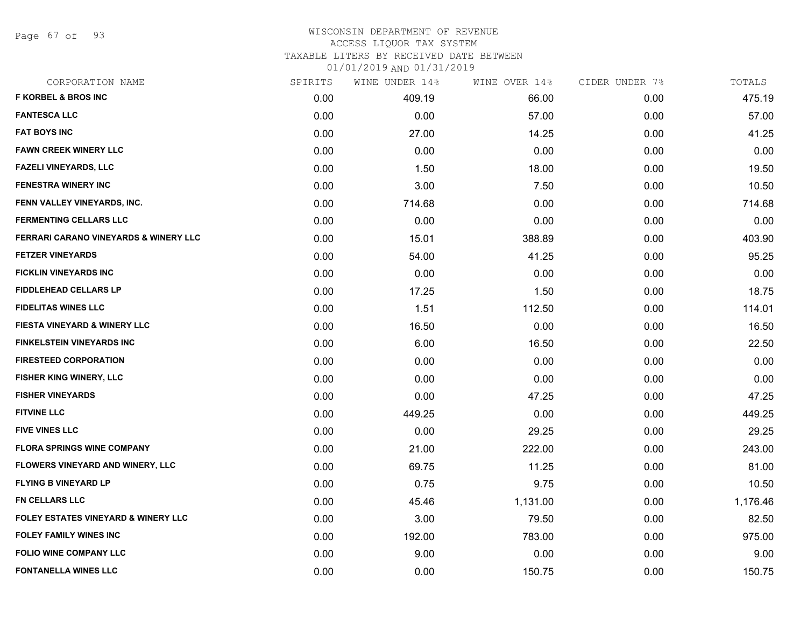Page 67 of 93

#### WISCONSIN DEPARTMENT OF REVENUE ACCESS LIQUOR TAX SYSTEM

## TAXABLE LITERS BY RECEIVED DATE BETWEEN

| CORPORATION NAME                               | SPIRITS | WINE UNDER 14% | WINE OVER 14% | CIDER UNDER 7% | TOTALS   |
|------------------------------------------------|---------|----------------|---------------|----------------|----------|
| <b>F KORBEL &amp; BROS INC</b>                 | 0.00    | 409.19         | 66.00         | 0.00           | 475.19   |
| <b>FANTESCA LLC</b>                            | 0.00    | 0.00           | 57.00         | 0.00           | 57.00    |
| <b>FAT BOYS INC</b>                            | 0.00    | 27.00          | 14.25         | 0.00           | 41.25    |
| <b>FAWN CREEK WINERY LLC</b>                   | 0.00    | 0.00           | 0.00          | 0.00           | 0.00     |
| <b>FAZELI VINEYARDS, LLC</b>                   | 0.00    | 1.50           | 18.00         | 0.00           | 19.50    |
| <b>FENESTRA WINERY INC</b>                     | 0.00    | 3.00           | 7.50          | 0.00           | 10.50    |
| FENN VALLEY VINEYARDS, INC.                    | 0.00    | 714.68         | 0.00          | 0.00           | 714.68   |
| <b>FERMENTING CELLARS LLC</b>                  | 0.00    | 0.00           | 0.00          | 0.00           | 0.00     |
| FERRARI CARANO VINEYARDS & WINERY LLC          | 0.00    | 15.01          | 388.89        | 0.00           | 403.90   |
| <b>FETZER VINEYARDS</b>                        | 0.00    | 54.00          | 41.25         | 0.00           | 95.25    |
| <b>FICKLIN VINEYARDS INC</b>                   | 0.00    | 0.00           | 0.00          | 0.00           | 0.00     |
| <b>FIDDLEHEAD CELLARS LP</b>                   | 0.00    | 17.25          | 1.50          | 0.00           | 18.75    |
| <b>FIDELITAS WINES LLC</b>                     | 0.00    | 1.51           | 112.50        | 0.00           | 114.01   |
| <b>FIESTA VINEYARD &amp; WINERY LLC</b>        | 0.00    | 16.50          | 0.00          | 0.00           | 16.50    |
| <b>FINKELSTEIN VINEYARDS INC</b>               | 0.00    | 6.00           | 16.50         | 0.00           | 22.50    |
| <b>FIRESTEED CORPORATION</b>                   | 0.00    | 0.00           | 0.00          | 0.00           | 0.00     |
| <b>FISHER KING WINERY, LLC</b>                 | 0.00    | 0.00           | 0.00          | 0.00           | 0.00     |
| <b>FISHER VINEYARDS</b>                        | 0.00    | 0.00           | 47.25         | 0.00           | 47.25    |
| <b>FITVINE LLC</b>                             | 0.00    | 449.25         | 0.00          | 0.00           | 449.25   |
| <b>FIVE VINES LLC</b>                          | 0.00    | 0.00           | 29.25         | 0.00           | 29.25    |
| <b>FLORA SPRINGS WINE COMPANY</b>              | 0.00    | 21.00          | 222.00        | 0.00           | 243.00   |
| FLOWERS VINEYARD AND WINERY, LLC               | 0.00    | 69.75          | 11.25         | 0.00           | 81.00    |
| <b>FLYING B VINEYARD LP</b>                    | 0.00    | 0.75           | 9.75          | 0.00           | 10.50    |
| <b>FN CELLARS LLC</b>                          | 0.00    | 45.46          | 1,131.00      | 0.00           | 1,176.46 |
| <b>FOLEY ESTATES VINEYARD &amp; WINERY LLC</b> | 0.00    | 3.00           | 79.50         | 0.00           | 82.50    |
| <b>FOLEY FAMILY WINES INC</b>                  | 0.00    | 192.00         | 783.00        | 0.00           | 975.00   |
| <b>FOLIO WINE COMPANY LLC</b>                  | 0.00    | 9.00           | 0.00          | 0.00           | 9.00     |
| <b>FONTANELLA WINES LLC</b>                    | 0.00    | 0.00           | 150.75        | 0.00           | 150.75   |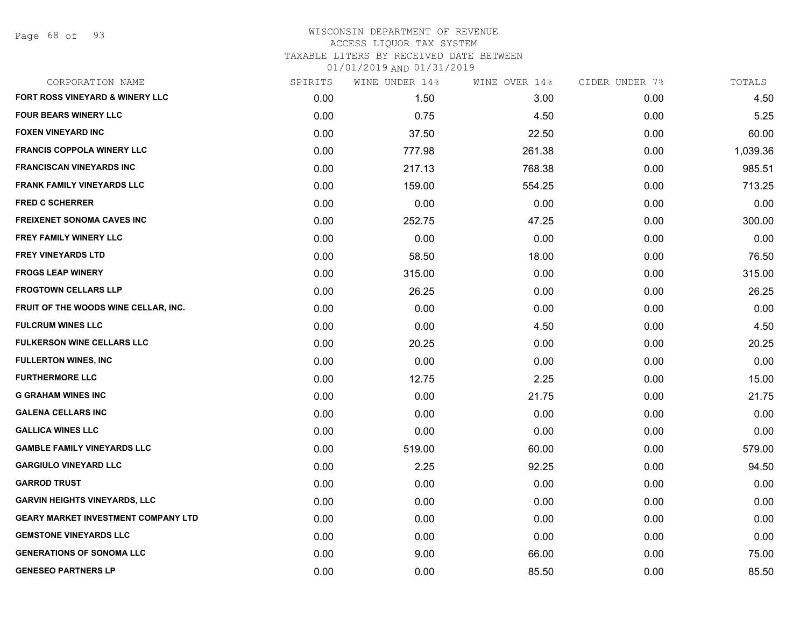Page 68 of 93

### WISCONSIN DEPARTMENT OF REVENUE ACCESS LIQUOR TAX SYSTEM TAXABLE LITERS BY RECEIVED DATE BETWEEN 01/01/2019 AND 01/31/2019

| CORPORATION NAME                           | SPIRITS | WINE UNDER 14% | WINE OVER 14% | CIDER UNDER 7% | TOTALS   |
|--------------------------------------------|---------|----------------|---------------|----------------|----------|
| <b>FORT ROSS VINEYARD &amp; WINERY LLC</b> | 0.00    | 1.50           | 3.00          | 0.00           | 4.50     |
| <b>FOUR BEARS WINERY LLC</b>               | 0.00    | 0.75           | 4.50          | 0.00           | 5.25     |
| <b>FOXEN VINEYARD INC</b>                  | 0.00    | 37.50          | 22.50         | 0.00           | 60.00    |
| <b>FRANCIS COPPOLA WINERY LLC</b>          | 0.00    | 777.98         | 261.38        | 0.00           | 1,039.36 |
| <b>FRANCISCAN VINEYARDS INC</b>            | 0.00    | 217.13         | 768.38        | 0.00           | 985.51   |
| <b>FRANK FAMILY VINEYARDS LLC</b>          | 0.00    | 159.00         | 554.25        | 0.00           | 713.25   |
| <b>FRED C SCHERRER</b>                     | 0.00    | 0.00           | 0.00          | 0.00           | 0.00     |
| FREIXENET SONOMA CAVES INC                 | 0.00    | 252.75         | 47.25         | 0.00           | 300.00   |
| FREY FAMILY WINERY LLC                     | 0.00    | 0.00           | 0.00          | 0.00           | 0.00     |
| <b>FREY VINEYARDS LTD</b>                  | 0.00    | 58.50          | 18.00         | 0.00           | 76.50    |
| <b>FROGS LEAP WINERY</b>                   | 0.00    | 315.00         | 0.00          | 0.00           | 315.00   |
| <b>FROGTOWN CELLARS LLP</b>                | 0.00    | 26.25          | 0.00          | 0.00           | 26.25    |
| FRUIT OF THE WOODS WINE CELLAR, INC.       | 0.00    | 0.00           | 0.00          | 0.00           | 0.00     |
| <b>FULCRUM WINES LLC</b>                   | 0.00    | 0.00           | 4.50          | 0.00           | 4.50     |
| FULKERSON WINE CELLARS LLC                 | 0.00    | 20.25          | 0.00          | 0.00           | 20.25    |
| <b>FULLERTON WINES, INC</b>                | 0.00    | 0.00           | 0.00          | 0.00           | 0.00     |
| <b>FURTHERMORE LLC</b>                     | 0.00    | 12.75          | 2.25          | 0.00           | 15.00    |
| <b>G GRAHAM WINES INC</b>                  | 0.00    | 0.00           | 21.75         | 0.00           | 21.75    |
| <b>GALENA CELLARS INC</b>                  | 0.00    | 0.00           | 0.00          | 0.00           | 0.00     |
| <b>GALLICA WINES LLC</b>                   | 0.00    | 0.00           | 0.00          | 0.00           | 0.00     |
| <b>GAMBLE FAMILY VINEYARDS LLC</b>         | 0.00    | 519.00         | 60.00         | 0.00           | 579.00   |
| <b>GARGIULO VINEYARD LLC</b>               | 0.00    | 2.25           | 92.25         | 0.00           | 94.50    |
| <b>GARROD TRUST</b>                        | 0.00    | 0.00           | 0.00          | 0.00           | 0.00     |
| <b>GARVIN HEIGHTS VINEYARDS, LLC</b>       | 0.00    | 0.00           | 0.00          | 0.00           | 0.00     |
| <b>GEARY MARKET INVESTMENT COMPANY LTD</b> | 0.00    | 0.00           | 0.00          | 0.00           | 0.00     |
| <b>GEMSTONE VINEYARDS LLC</b>              | 0.00    | 0.00           | 0.00          | 0.00           | 0.00     |
| <b>GENERATIONS OF SONOMA LLC</b>           | 0.00    | 9.00           | 66.00         | 0.00           | 75.00    |
| <b>GENESEO PARTNERS LP</b>                 | 0.00    | 0.00           | 85.50         | 0.00           | 85.50    |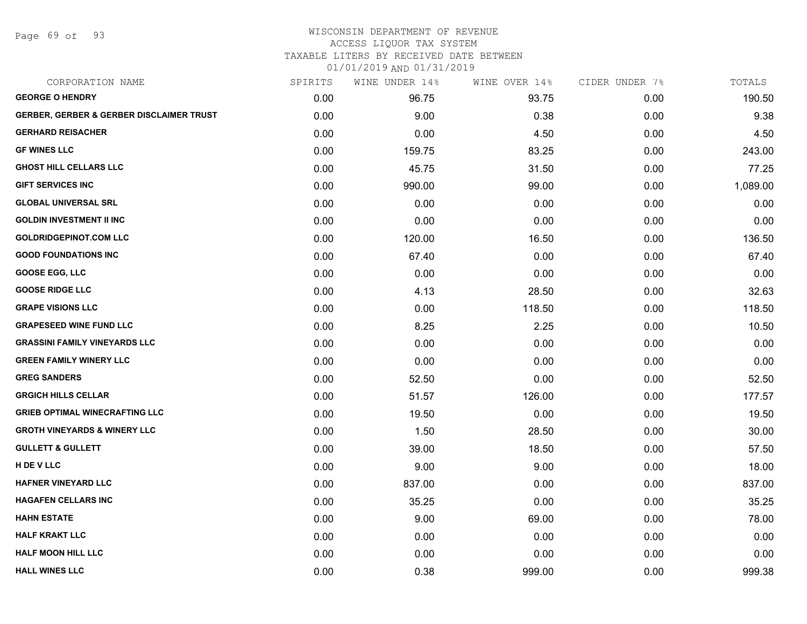Page 69 of 93

# WISCONSIN DEPARTMENT OF REVENUE

## ACCESS LIQUOR TAX SYSTEM

TAXABLE LITERS BY RECEIVED DATE BETWEEN

| CORPORATION NAME                                    | SPIRITS | WINE UNDER 14% | WINE OVER 14% | CIDER UNDER 7% | TOTALS   |
|-----------------------------------------------------|---------|----------------|---------------|----------------|----------|
| <b>GEORGE O HENDRY</b>                              | 0.00    | 96.75          | 93.75         | 0.00           | 190.50   |
| <b>GERBER, GERBER &amp; GERBER DISCLAIMER TRUST</b> | 0.00    | 9.00           | 0.38          | 0.00           | 9.38     |
| <b>GERHARD REISACHER</b>                            | 0.00    | 0.00           | 4.50          | 0.00           | 4.50     |
| <b>GF WINES LLC</b>                                 | 0.00    | 159.75         | 83.25         | 0.00           | 243.00   |
| <b>GHOST HILL CELLARS LLC</b>                       | 0.00    | 45.75          | 31.50         | 0.00           | 77.25    |
| <b>GIFT SERVICES INC</b>                            | 0.00    | 990.00         | 99.00         | 0.00           | 1,089.00 |
| <b>GLOBAL UNIVERSAL SRL</b>                         | 0.00    | 0.00           | 0.00          | 0.00           | 0.00     |
| <b>GOLDIN INVESTMENT II INC</b>                     | 0.00    | 0.00           | 0.00          | 0.00           | 0.00     |
| <b>GOLDRIDGEPINOT.COM LLC</b>                       | 0.00    | 120.00         | 16.50         | 0.00           | 136.50   |
| <b>GOOD FOUNDATIONS INC</b>                         | 0.00    | 67.40          | 0.00          | 0.00           | 67.40    |
| <b>GOOSE EGG, LLC</b>                               | 0.00    | 0.00           | 0.00          | 0.00           | 0.00     |
| <b>GOOSE RIDGE LLC</b>                              | 0.00    | 4.13           | 28.50         | 0.00           | 32.63    |
| <b>GRAPE VISIONS LLC</b>                            | 0.00    | 0.00           | 118.50        | 0.00           | 118.50   |
| <b>GRAPESEED WINE FUND LLC</b>                      | 0.00    | 8.25           | 2.25          | 0.00           | 10.50    |
| <b>GRASSINI FAMILY VINEYARDS LLC</b>                | 0.00    | 0.00           | 0.00          | 0.00           | 0.00     |
| <b>GREEN FAMILY WINERY LLC</b>                      | 0.00    | 0.00           | 0.00          | 0.00           | 0.00     |
| <b>GREG SANDERS</b>                                 | 0.00    | 52.50          | 0.00          | 0.00           | 52.50    |
| <b>GRGICH HILLS CELLAR</b>                          | 0.00    | 51.57          | 126.00        | 0.00           | 177.57   |
| <b>GRIEB OPTIMAL WINECRAFTING LLC</b>               | 0.00    | 19.50          | 0.00          | 0.00           | 19.50    |
| <b>GROTH VINEYARDS &amp; WINERY LLC</b>             | 0.00    | 1.50           | 28.50         | 0.00           | 30.00    |
| <b>GULLETT &amp; GULLETT</b>                        | 0.00    | 39.00          | 18.50         | 0.00           | 57.50    |
| H DE V LLC                                          | 0.00    | 9.00           | 9.00          | 0.00           | 18.00    |
| HAFNER VINEYARD LLC                                 | 0.00    | 837.00         | 0.00          | 0.00           | 837.00   |
| <b>HAGAFEN CELLARS INC</b>                          | 0.00    | 35.25          | 0.00          | 0.00           | 35.25    |
| <b>HAHN ESTATE</b>                                  | 0.00    | 9.00           | 69.00         | 0.00           | 78.00    |
| <b>HALF KRAKT LLC</b>                               | 0.00    | 0.00           | 0.00          | 0.00           | 0.00     |
| <b>HALF MOON HILL LLC</b>                           | 0.00    | 0.00           | 0.00          | 0.00           | 0.00     |
| <b>HALL WINES LLC</b>                               | 0.00    | 0.38           | 999.00        | 0.00           | 999.38   |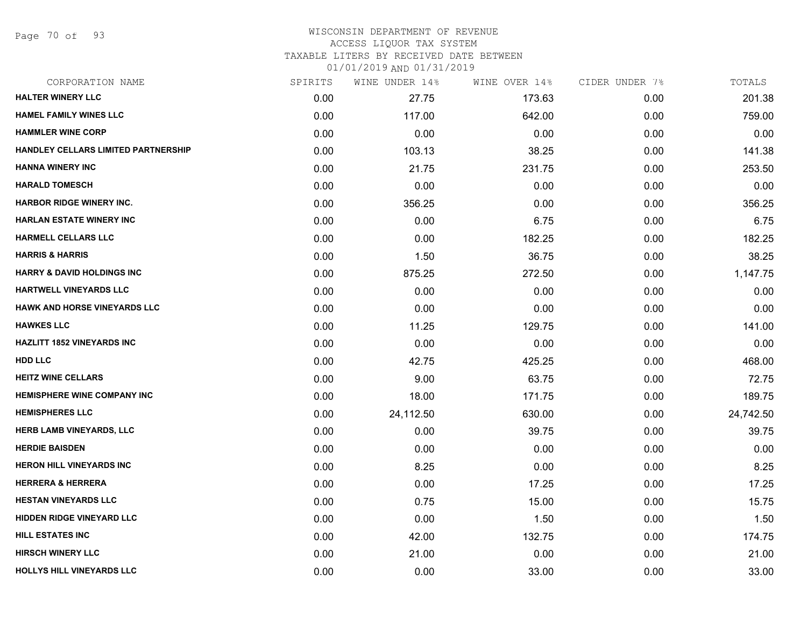Page 70 of 93

### WISCONSIN DEPARTMENT OF REVENUE ACCESS LIQUOR TAX SYSTEM TAXABLE LITERS BY RECEIVED DATE BETWEEN

| CORPORATION NAME                           | SPIRITS | WINE UNDER 14% | WINE OVER 14% | CIDER UNDER 7% | TOTALS    |
|--------------------------------------------|---------|----------------|---------------|----------------|-----------|
| <b>HALTER WINERY LLC</b>                   | 0.00    | 27.75          | 173.63        | 0.00           | 201.38    |
| <b>HAMEL FAMILY WINES LLC</b>              | 0.00    | 117.00         | 642.00        | 0.00           | 759.00    |
| <b>HAMMLER WINE CORP</b>                   | 0.00    | 0.00           | 0.00          | 0.00           | 0.00      |
| <b>HANDLEY CELLARS LIMITED PARTNERSHIP</b> | 0.00    | 103.13         | 38.25         | 0.00           | 141.38    |
| <b>HANNA WINERY INC</b>                    | 0.00    | 21.75          | 231.75        | 0.00           | 253.50    |
| <b>HARALD TOMESCH</b>                      | 0.00    | 0.00           | 0.00          | 0.00           | 0.00      |
| <b>HARBOR RIDGE WINERY INC.</b>            | 0.00    | 356.25         | 0.00          | 0.00           | 356.25    |
| <b>HARLAN ESTATE WINERY INC</b>            | 0.00    | 0.00           | 6.75          | 0.00           | 6.75      |
| <b>HARMELL CELLARS LLC</b>                 | 0.00    | 0.00           | 182.25        | 0.00           | 182.25    |
| <b>HARRIS &amp; HARRIS</b>                 | 0.00    | 1.50           | 36.75         | 0.00           | 38.25     |
| <b>HARRY &amp; DAVID HOLDINGS INC</b>      | 0.00    | 875.25         | 272.50        | 0.00           | 1,147.75  |
| HARTWELL VINEYARDS LLC                     | 0.00    | 0.00           | 0.00          | 0.00           | 0.00      |
| <b>HAWK AND HORSE VINEYARDS LLC</b>        | 0.00    | 0.00           | 0.00          | 0.00           | 0.00      |
| <b>HAWKES LLC</b>                          | 0.00    | 11.25          | 129.75        | 0.00           | 141.00    |
| <b>HAZLITT 1852 VINEYARDS INC</b>          | 0.00    | 0.00           | 0.00          | 0.00           | 0.00      |
| HDD LLC                                    | 0.00    | 42.75          | 425.25        | 0.00           | 468.00    |
| <b>HEITZ WINE CELLARS</b>                  | 0.00    | 9.00           | 63.75         | 0.00           | 72.75     |
| <b>HEMISPHERE WINE COMPANY INC</b>         | 0.00    | 18.00          | 171.75        | 0.00           | 189.75    |
| <b>HEMISPHERES LLC</b>                     | 0.00    | 24,112.50      | 630.00        | 0.00           | 24,742.50 |
| HERB LAMB VINEYARDS, LLC                   | 0.00    | 0.00           | 39.75         | 0.00           | 39.75     |
| <b>HERDIE BAISDEN</b>                      | 0.00    | 0.00           | 0.00          | 0.00           | 0.00      |
| <b>HERON HILL VINEYARDS INC</b>            | 0.00    | 8.25           | 0.00          | 0.00           | 8.25      |
| <b>HERRERA &amp; HERRERA</b>               | 0.00    | 0.00           | 17.25         | 0.00           | 17.25     |
| <b>HESTAN VINEYARDS LLC</b>                | 0.00    | 0.75           | 15.00         | 0.00           | 15.75     |
| <b>HIDDEN RIDGE VINEYARD LLC</b>           | 0.00    | 0.00           | 1.50          | 0.00           | 1.50      |
| <b>HILL ESTATES INC</b>                    | 0.00    | 42.00          | 132.75        | 0.00           | 174.75    |
| <b>HIRSCH WINERY LLC</b>                   | 0.00    | 21.00          | 0.00          | 0.00           | 21.00     |
| HOLLYS HILL VINEYARDS LLC                  | 0.00    | 0.00           | 33.00         | 0.00           | 33.00     |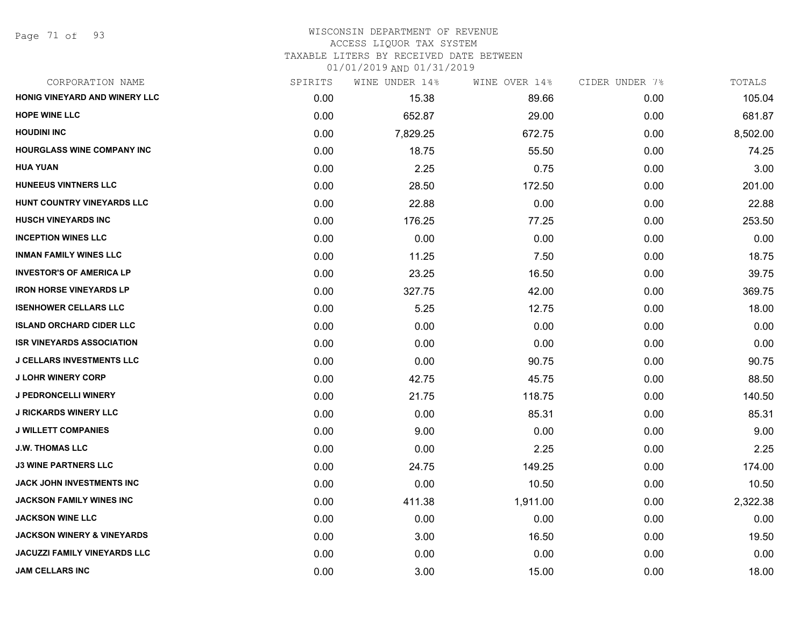# WISCONSIN DEPARTMENT OF REVENUE

# ACCESS LIQUOR TAX SYSTEM

TAXABLE LITERS BY RECEIVED DATE BETWEEN

| CORPORATION NAME                     | SPIRITS | WINE UNDER 14% | WINE OVER 14% | CIDER UNDER 7% | TOTALS   |
|--------------------------------------|---------|----------------|---------------|----------------|----------|
| <b>HONIG VINEYARD AND WINERY LLC</b> | 0.00    | 15.38          | 89.66         | 0.00           | 105.04   |
| <b>HOPE WINE LLC</b>                 | 0.00    | 652.87         | 29.00         | 0.00           | 681.87   |
| <b>HOUDINI INC</b>                   | 0.00    | 7,829.25       | 672.75        | 0.00           | 8,502.00 |
| <b>HOURGLASS WINE COMPANY INC</b>    | 0.00    | 18.75          | 55.50         | 0.00           | 74.25    |
| HUA YUAN                             | 0.00    | 2.25           | 0.75          | 0.00           | 3.00     |
| <b>HUNEEUS VINTNERS LLC</b>          | 0.00    | 28.50          | 172.50        | 0.00           | 201.00   |
| HUNT COUNTRY VINEYARDS LLC           | 0.00    | 22.88          | 0.00          | 0.00           | 22.88    |
| <b>HUSCH VINEYARDS INC</b>           | 0.00    | 176.25         | 77.25         | 0.00           | 253.50   |
| <b>INCEPTION WINES LLC</b>           | 0.00    | 0.00           | 0.00          | 0.00           | 0.00     |
| <b>INMAN FAMILY WINES LLC</b>        | 0.00    | 11.25          | 7.50          | 0.00           | 18.75    |
| <b>INVESTOR'S OF AMERICA LP</b>      | 0.00    | 23.25          | 16.50         | 0.00           | 39.75    |
| <b>IRON HORSE VINEYARDS LP</b>       | 0.00    | 327.75         | 42.00         | 0.00           | 369.75   |
| <b>ISENHOWER CELLARS LLC</b>         | 0.00    | 5.25           | 12.75         | 0.00           | 18.00    |
| <b>ISLAND ORCHARD CIDER LLC</b>      | 0.00    | 0.00           | 0.00          | 0.00           | 0.00     |
| <b>ISR VINEYARDS ASSOCIATION</b>     | 0.00    | 0.00           | 0.00          | 0.00           | 0.00     |
| <b>J CELLARS INVESTMENTS LLC</b>     | 0.00    | 0.00           | 90.75         | 0.00           | 90.75    |
| <b>J LOHR WINERY CORP</b>            | 0.00    | 42.75          | 45.75         | 0.00           | 88.50    |
| <b>J PEDRONCELLI WINERY</b>          | 0.00    | 21.75          | 118.75        | 0.00           | 140.50   |
| <b>J RICKARDS WINERY LLC</b>         | 0.00    | 0.00           | 85.31         | 0.00           | 85.31    |
| <b>J WILLETT COMPANIES</b>           | 0.00    | 9.00           | 0.00          | 0.00           | 9.00     |
| <b>J.W. THOMAS LLC</b>               | 0.00    | 0.00           | 2.25          | 0.00           | 2.25     |
| <b>J3 WINE PARTNERS LLC</b>          | 0.00    | 24.75          | 149.25        | 0.00           | 174.00   |
| JACK JOHN INVESTMENTS INC            | 0.00    | 0.00           | 10.50         | 0.00           | 10.50    |
| JACKSON FAMILY WINES INC             | 0.00    | 411.38         | 1,911.00      | 0.00           | 2,322.38 |
| <b>JACKSON WINE LLC</b>              | 0.00    | 0.00           | 0.00          | 0.00           | 0.00     |
| JACKSON WINERY & VINEYARDS           | 0.00    | 3.00           | 16.50         | 0.00           | 19.50    |
| <b>JACUZZI FAMILY VINEYARDS LLC</b>  | 0.00    | 0.00           | 0.00          | 0.00           | 0.00     |
| <b>JAM CELLARS INC</b>               | 0.00    | 3.00           | 15.00         | 0.00           | 18.00    |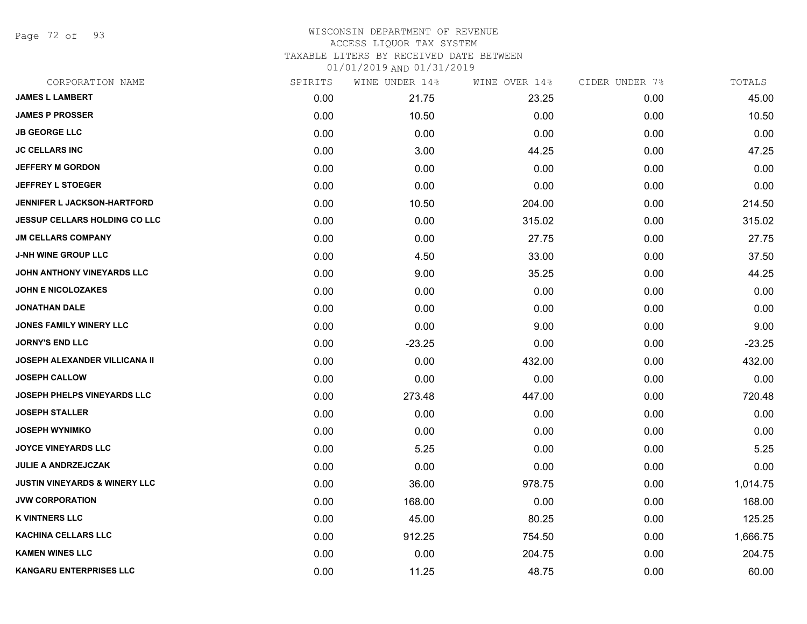Page 72 of 93

#### WISCONSIN DEPARTMENT OF REVENUE ACCESS LIQUOR TAX SYSTEM

TAXABLE LITERS BY RECEIVED DATE BETWEEN

| CORPORATION NAME                         | SPIRITS | WINE UNDER 14% | WINE OVER 14% | CIDER UNDER 7% | TOTALS   |
|------------------------------------------|---------|----------------|---------------|----------------|----------|
| <b>JAMES L LAMBERT</b>                   | 0.00    | 21.75          | 23.25         | 0.00           | 45.00    |
| <b>JAMES P PROSSER</b>                   | 0.00    | 10.50          | 0.00          | 0.00           | 10.50    |
| <b>JB GEORGE LLC</b>                     | 0.00    | 0.00           | 0.00          | 0.00           | 0.00     |
| <b>JC CELLARS INC</b>                    | 0.00    | 3.00           | 44.25         | 0.00           | 47.25    |
| <b>JEFFERY M GORDON</b>                  | 0.00    | 0.00           | 0.00          | 0.00           | 0.00     |
| <b>JEFFREY L STOEGER</b>                 | 0.00    | 0.00           | 0.00          | 0.00           | 0.00     |
| JENNIFER L JACKSON-HARTFORD              | 0.00    | 10.50          | 204.00        | 0.00           | 214.50   |
| <b>JESSUP CELLARS HOLDING CO LLC</b>     | 0.00    | 0.00           | 315.02        | 0.00           | 315.02   |
| <b>JM CELLARS COMPANY</b>                | 0.00    | 0.00           | 27.75         | 0.00           | 27.75    |
| <b>J-NH WINE GROUP LLC</b>               | 0.00    | 4.50           | 33.00         | 0.00           | 37.50    |
| JOHN ANTHONY VINEYARDS LLC               | 0.00    | 9.00           | 35.25         | 0.00           | 44.25    |
| <b>JOHN E NICOLOZAKES</b>                | 0.00    | 0.00           | 0.00          | 0.00           | 0.00     |
| <b>JONATHAN DALE</b>                     | 0.00    | 0.00           | 0.00          | 0.00           | 0.00     |
| <b>JONES FAMILY WINERY LLC</b>           | 0.00    | 0.00           | 9.00          | 0.00           | 9.00     |
| <b>JORNY'S END LLC</b>                   | 0.00    | $-23.25$       | 0.00          | 0.00           | $-23.25$ |
| <b>JOSEPH ALEXANDER VILLICANA II</b>     | 0.00    | 0.00           | 432.00        | 0.00           | 432.00   |
| <b>JOSEPH CALLOW</b>                     | 0.00    | 0.00           | 0.00          | 0.00           | 0.00     |
| JOSEPH PHELPS VINEYARDS LLC              | 0.00    | 273.48         | 447.00        | 0.00           | 720.48   |
| <b>JOSEPH STALLER</b>                    | 0.00    | 0.00           | 0.00          | 0.00           | 0.00     |
| <b>JOSEPH WYNIMKO</b>                    | 0.00    | 0.00           | 0.00          | 0.00           | 0.00     |
| <b>JOYCE VINEYARDS LLC</b>               | 0.00    | 5.25           | 0.00          | 0.00           | 5.25     |
| JULIE A ANDRZEJCZAK                      | 0.00    | 0.00           | 0.00          | 0.00           | 0.00     |
| <b>JUSTIN VINEYARDS &amp; WINERY LLC</b> | 0.00    | 36.00          | 978.75        | 0.00           | 1,014.75 |
| <b>JVW CORPORATION</b>                   | 0.00    | 168.00         | 0.00          | 0.00           | 168.00   |
| <b>K VINTNERS LLC</b>                    | 0.00    | 45.00          | 80.25         | 0.00           | 125.25   |
| <b>KACHINA CELLARS LLC</b>               | 0.00    | 912.25         | 754.50        | 0.00           | 1,666.75 |
| <b>KAMEN WINES LLC</b>                   | 0.00    | 0.00           | 204.75        | 0.00           | 204.75   |
| <b>KANGARU ENTERPRISES LLC</b>           | 0.00    | 11.25          | 48.75         | 0.00           | 60.00    |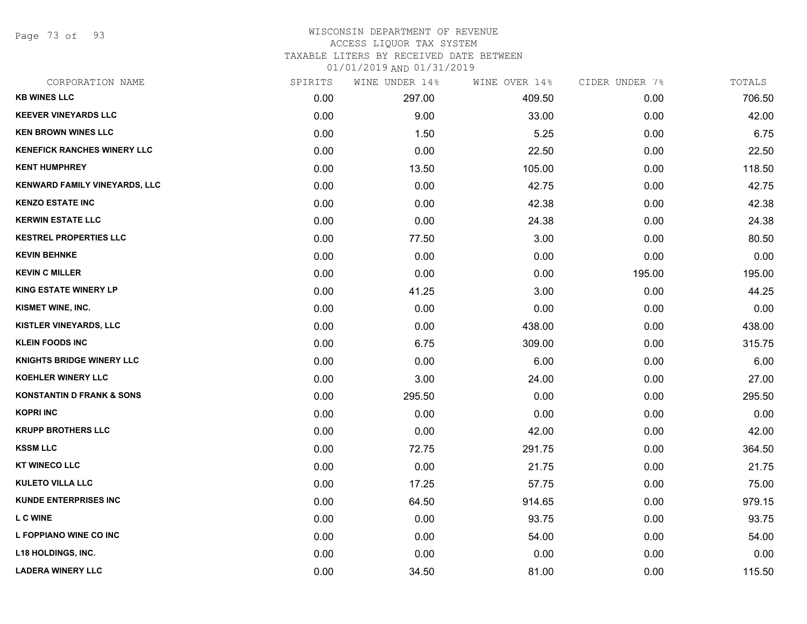Page 73 of 93

#### WISCONSIN DEPARTMENT OF REVENUE ACCESS LIQUOR TAX SYSTEM

TAXABLE LITERS BY RECEIVED DATE BETWEEN

| CORPORATION NAME                     | SPIRITS | WINE UNDER 14% | WINE OVER 14% | CIDER UNDER 7% | TOTALS |
|--------------------------------------|---------|----------------|---------------|----------------|--------|
| <b>KB WINES LLC</b>                  | 0.00    | 297.00         | 409.50        | 0.00           | 706.50 |
| <b>KEEVER VINEYARDS LLC</b>          | 0.00    | 9.00           | 33.00         | 0.00           | 42.00  |
| <b>KEN BROWN WINES LLC</b>           | 0.00    | 1.50           | 5.25          | 0.00           | 6.75   |
| <b>KENEFICK RANCHES WINERY LLC</b>   | 0.00    | 0.00           | 22.50         | 0.00           | 22.50  |
| <b>KENT HUMPHREY</b>                 | 0.00    | 13.50          | 105.00        | 0.00           | 118.50 |
| KENWARD FAMILY VINEYARDS, LLC        | 0.00    | 0.00           | 42.75         | 0.00           | 42.75  |
| <b>KENZO ESTATE INC</b>              | 0.00    | 0.00           | 42.38         | 0.00           | 42.38  |
| <b>KERWIN ESTATE LLC</b>             | 0.00    | 0.00           | 24.38         | 0.00           | 24.38  |
| <b>KESTREL PROPERTIES LLC</b>        | 0.00    | 77.50          | 3.00          | 0.00           | 80.50  |
| <b>KEVIN BEHNKE</b>                  | 0.00    | 0.00           | 0.00          | 0.00           | 0.00   |
| <b>KEVIN C MILLER</b>                | 0.00    | 0.00           | 0.00          | 195.00         | 195.00 |
| <b>KING ESTATE WINERY LP</b>         | 0.00    | 41.25          | 3.00          | 0.00           | 44.25  |
| KISMET WINE, INC.                    | 0.00    | 0.00           | 0.00          | 0.00           | 0.00   |
| <b>KISTLER VINEYARDS, LLC</b>        | 0.00    | 0.00           | 438.00        | 0.00           | 438.00 |
| <b>KLEIN FOODS INC</b>               | 0.00    | 6.75           | 309.00        | 0.00           | 315.75 |
| <b>KNIGHTS BRIDGE WINERY LLC</b>     | 0.00    | 0.00           | 6.00          | 0.00           | 6.00   |
| <b>KOEHLER WINERY LLC</b>            | 0.00    | 3.00           | 24.00         | 0.00           | 27.00  |
| <b>KONSTANTIN D FRANK &amp; SONS</b> | 0.00    | 295.50         | 0.00          | 0.00           | 295.50 |
| <b>KOPRI INC</b>                     | 0.00    | 0.00           | 0.00          | 0.00           | 0.00   |
| <b>KRUPP BROTHERS LLC</b>            | 0.00    | 0.00           | 42.00         | 0.00           | 42.00  |
| <b>KSSM LLC</b>                      | 0.00    | 72.75          | 291.75        | 0.00           | 364.50 |
| <b>KT WINECO LLC</b>                 | 0.00    | 0.00           | 21.75         | 0.00           | 21.75  |
| <b>KULETO VILLA LLC</b>              | 0.00    | 17.25          | 57.75         | 0.00           | 75.00  |
| <b>KUNDE ENTERPRISES INC</b>         | 0.00    | 64.50          | 914.65        | 0.00           | 979.15 |
| <b>L C WINE</b>                      | 0.00    | 0.00           | 93.75         | 0.00           | 93.75  |
| L FOPPIANO WINE CO INC               | 0.00    | 0.00           | 54.00         | 0.00           | 54.00  |
| <b>L18 HOLDINGS, INC.</b>            | 0.00    | 0.00           | 0.00          | 0.00           | 0.00   |
| <b>LADERA WINERY LLC</b>             | 0.00    | 34.50          | 81.00         | 0.00           | 115.50 |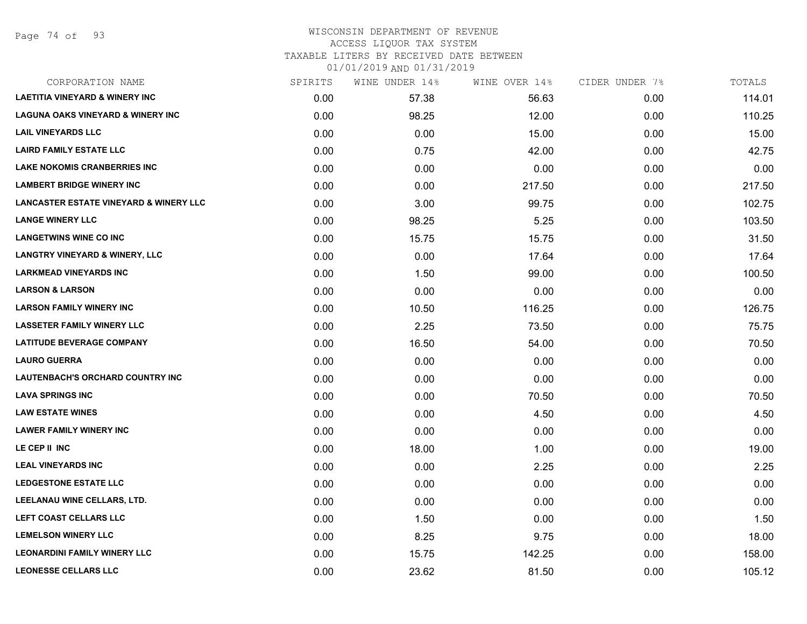# WISCONSIN DEPARTMENT OF REVENUE ACCESS LIQUOR TAX SYSTEM

TAXABLE LITERS BY RECEIVED DATE BETWEEN

| CORPORATION NAME                                  | SPIRITS | WINE UNDER 14% | WINE OVER 14% | CIDER UNDER 7% | TOTALS |
|---------------------------------------------------|---------|----------------|---------------|----------------|--------|
| <b>LAETITIA VINEYARD &amp; WINERY INC</b>         | 0.00    | 57.38          | 56.63         | 0.00           | 114.01 |
| <b>LAGUNA OAKS VINEYARD &amp; WINERY INC</b>      | 0.00    | 98.25          | 12.00         | 0.00           | 110.25 |
| <b>LAIL VINEYARDS LLC</b>                         | 0.00    | 0.00           | 15.00         | 0.00           | 15.00  |
| <b>LAIRD FAMILY ESTATE LLC</b>                    | 0.00    | 0.75           | 42.00         | 0.00           | 42.75  |
| <b>LAKE NOKOMIS CRANBERRIES INC</b>               | 0.00    | 0.00           | 0.00          | 0.00           | 0.00   |
| <b>LAMBERT BRIDGE WINERY INC</b>                  | 0.00    | 0.00           | 217.50        | 0.00           | 217.50 |
| <b>LANCASTER ESTATE VINEYARD &amp; WINERY LLC</b> | 0.00    | 3.00           | 99.75         | 0.00           | 102.75 |
| <b>LANGE WINERY LLC</b>                           | 0.00    | 98.25          | 5.25          | 0.00           | 103.50 |
| <b>LANGETWINS WINE CO INC</b>                     | 0.00    | 15.75          | 15.75         | 0.00           | 31.50  |
| <b>LANGTRY VINEYARD &amp; WINERY, LLC</b>         | 0.00    | 0.00           | 17.64         | 0.00           | 17.64  |
| <b>LARKMEAD VINEYARDS INC</b>                     | 0.00    | 1.50           | 99.00         | 0.00           | 100.50 |
| <b>LARSON &amp; LARSON</b>                        | 0.00    | 0.00           | 0.00          | 0.00           | 0.00   |
| <b>LARSON FAMILY WINERY INC</b>                   | 0.00    | 10.50          | 116.25        | 0.00           | 126.75 |
| <b>LASSETER FAMILY WINERY LLC</b>                 | 0.00    | 2.25           | 73.50         | 0.00           | 75.75  |
| <b>LATITUDE BEVERAGE COMPANY</b>                  | 0.00    | 16.50          | 54.00         | 0.00           | 70.50  |
| <b>LAURO GUERRA</b>                               | 0.00    | 0.00           | 0.00          | 0.00           | 0.00   |
| <b>LAUTENBACH'S ORCHARD COUNTRY INC</b>           | 0.00    | 0.00           | 0.00          | 0.00           | 0.00   |
| <b>LAVA SPRINGS INC</b>                           | 0.00    | 0.00           | 70.50         | 0.00           | 70.50  |
| <b>LAW ESTATE WINES</b>                           | 0.00    | 0.00           | 4.50          | 0.00           | 4.50   |
| <b>LAWER FAMILY WINERY INC</b>                    | 0.00    | 0.00           | 0.00          | 0.00           | 0.00   |
| LE CEP II INC                                     | 0.00    | 18.00          | 1.00          | 0.00           | 19.00  |
| <b>LEAL VINEYARDS INC</b>                         | 0.00    | 0.00           | 2.25          | 0.00           | 2.25   |
| <b>LEDGESTONE ESTATE LLC</b>                      | 0.00    | 0.00           | 0.00          | 0.00           | 0.00   |
| LEELANAU WINE CELLARS, LTD.                       | 0.00    | 0.00           | 0.00          | 0.00           | 0.00   |
| LEFT COAST CELLARS LLC                            | 0.00    | 1.50           | 0.00          | 0.00           | 1.50   |
| <b>LEMELSON WINERY LLC</b>                        | 0.00    | 8.25           | 9.75          | 0.00           | 18.00  |
| <b>LEONARDINI FAMILY WINERY LLC</b>               | 0.00    | 15.75          | 142.25        | 0.00           | 158.00 |
| <b>LEONESSE CELLARS LLC</b>                       | 0.00    | 23.62          | 81.50         | 0.00           | 105.12 |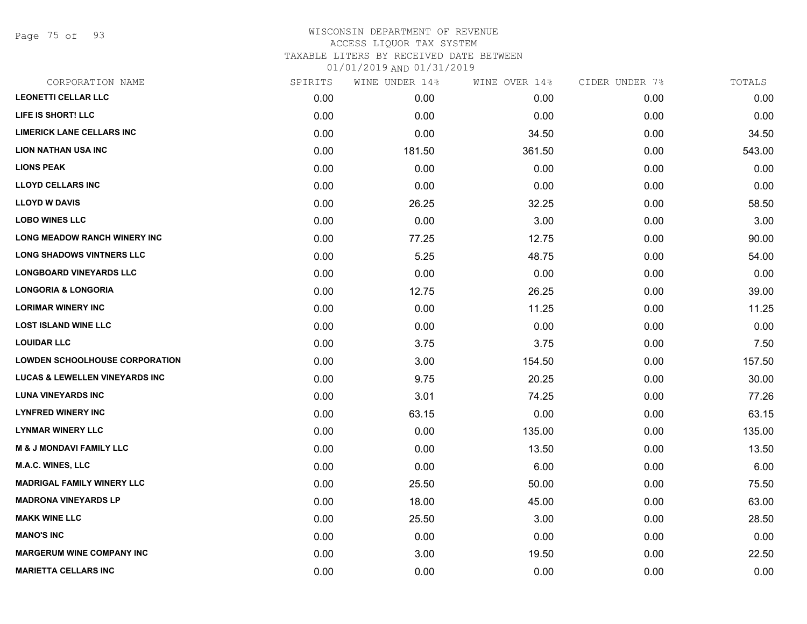Page 75 of 93

## WISCONSIN DEPARTMENT OF REVENUE ACCESS LIQUOR TAX SYSTEM TAXABLE LITERS BY RECEIVED DATE BETWEEN

| CORPORATION NAME                          | SPIRITS | WINE UNDER 14% | WINE OVER 14% | CIDER UNDER 7% | TOTALS |
|-------------------------------------------|---------|----------------|---------------|----------------|--------|
| <b>LEONETTI CELLAR LLC</b>                | 0.00    | 0.00           | 0.00          | 0.00           | 0.00   |
| LIFE IS SHORT! LLC                        | 0.00    | 0.00           | 0.00          | 0.00           | 0.00   |
| <b>LIMERICK LANE CELLARS INC</b>          | 0.00    | 0.00           | 34.50         | 0.00           | 34.50  |
| <b>LION NATHAN USA INC</b>                | 0.00    | 181.50         | 361.50        | 0.00           | 543.00 |
| <b>LIONS PEAK</b>                         | 0.00    | 0.00           | 0.00          | 0.00           | 0.00   |
| <b>LLOYD CELLARS INC</b>                  | 0.00    | 0.00           | 0.00          | 0.00           | 0.00   |
| <b>LLOYD W DAVIS</b>                      | 0.00    | 26.25          | 32.25         | 0.00           | 58.50  |
| <b>LOBO WINES LLC</b>                     | 0.00    | 0.00           | 3.00          | 0.00           | 3.00   |
| LONG MEADOW RANCH WINERY INC              | 0.00    | 77.25          | 12.75         | 0.00           | 90.00  |
| <b>LONG SHADOWS VINTNERS LLC</b>          | 0.00    | 5.25           | 48.75         | 0.00           | 54.00  |
| <b>LONGBOARD VINEYARDS LLC</b>            | 0.00    | 0.00           | 0.00          | 0.00           | 0.00   |
| <b>LONGORIA &amp; LONGORIA</b>            | 0.00    | 12.75          | 26.25         | 0.00           | 39.00  |
| <b>LORIMAR WINERY INC</b>                 | 0.00    | 0.00           | 11.25         | 0.00           | 11.25  |
| <b>LOST ISLAND WINE LLC</b>               | 0.00    | 0.00           | 0.00          | 0.00           | 0.00   |
| <b>LOUIDAR LLC</b>                        | 0.00    | 3.75           | 3.75          | 0.00           | 7.50   |
| <b>LOWDEN SCHOOLHOUSE CORPORATION</b>     | 0.00    | 3.00           | 154.50        | 0.00           | 157.50 |
| <b>LUCAS &amp; LEWELLEN VINEYARDS INC</b> | 0.00    | 9.75           | 20.25         | 0.00           | 30.00  |
| <b>LUNA VINEYARDS INC</b>                 | 0.00    | 3.01           | 74.25         | 0.00           | 77.26  |
| <b>LYNFRED WINERY INC</b>                 | 0.00    | 63.15          | 0.00          | 0.00           | 63.15  |
| <b>LYNMAR WINERY LLC</b>                  | 0.00    | 0.00           | 135.00        | 0.00           | 135.00 |
| <b>M &amp; J MONDAVI FAMILY LLC</b>       | 0.00    | 0.00           | 13.50         | 0.00           | 13.50  |
| M.A.C. WINES, LLC                         | 0.00    | 0.00           | 6.00          | 0.00           | 6.00   |
| <b>MADRIGAL FAMILY WINERY LLC</b>         | 0.00    | 25.50          | 50.00         | 0.00           | 75.50  |
| <b>MADRONA VINEYARDS LP</b>               | 0.00    | 18.00          | 45.00         | 0.00           | 63.00  |
| <b>MAKK WINE LLC</b>                      | 0.00    | 25.50          | 3.00          | 0.00           | 28.50  |
| <b>MANO'S INC</b>                         | 0.00    | 0.00           | 0.00          | 0.00           | 0.00   |
| <b>MARGERUM WINE COMPANY INC</b>          | 0.00    | 3.00           | 19.50         | 0.00           | 22.50  |
| <b>MARIETTA CELLARS INC</b>               | 0.00    | 0.00           | 0.00          | 0.00           | 0.00   |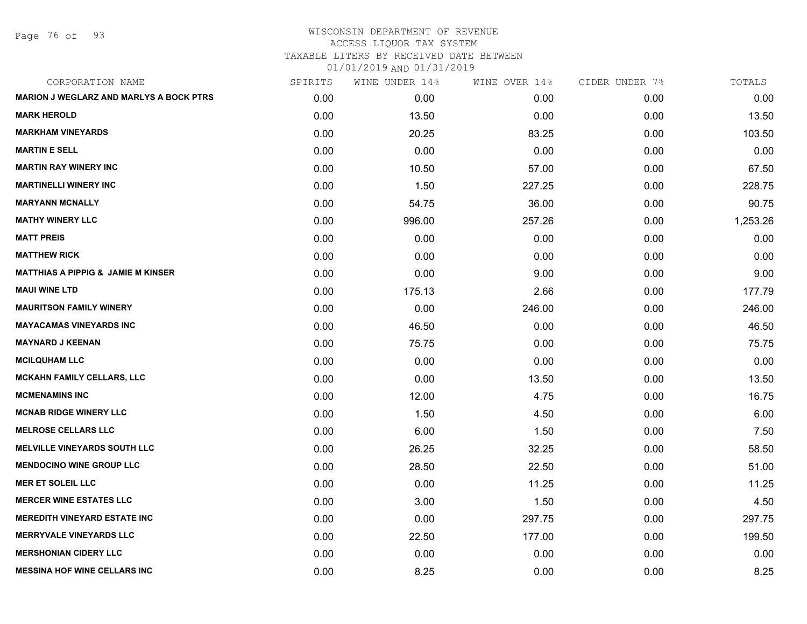Page 76 of 93

# WISCONSIN DEPARTMENT OF REVENUE ACCESS LIQUOR TAX SYSTEM TAXABLE LITERS BY RECEIVED DATE BETWEEN

| CORPORATION NAME                               | SPIRITS | WINE UNDER 14% | WINE OVER 14% | CIDER UNDER 7% | TOTALS   |
|------------------------------------------------|---------|----------------|---------------|----------------|----------|
| <b>MARION J WEGLARZ AND MARLYS A BOCK PTRS</b> | 0.00    | 0.00           | 0.00          | 0.00           | 0.00     |
| <b>MARK HEROLD</b>                             | 0.00    | 13.50          | 0.00          | 0.00           | 13.50    |
| <b>MARKHAM VINEYARDS</b>                       | 0.00    | 20.25          | 83.25         | 0.00           | 103.50   |
| <b>MARTIN E SELL</b>                           | 0.00    | 0.00           | 0.00          | 0.00           | 0.00     |
| <b>MARTIN RAY WINERY INC</b>                   | 0.00    | 10.50          | 57.00         | 0.00           | 67.50    |
| <b>MARTINELLI WINERY INC</b>                   | 0.00    | 1.50           | 227.25        | 0.00           | 228.75   |
| <b>MARYANN MCNALLY</b>                         | 0.00    | 54.75          | 36.00         | 0.00           | 90.75    |
| <b>MATHY WINERY LLC</b>                        | 0.00    | 996.00         | 257.26        | 0.00           | 1,253.26 |
| <b>MATT PREIS</b>                              | 0.00    | 0.00           | 0.00          | 0.00           | 0.00     |
| <b>MATTHEW RICK</b>                            | 0.00    | 0.00           | 0.00          | 0.00           | 0.00     |
| <b>MATTHIAS A PIPPIG &amp; JAMIE M KINSER</b>  | 0.00    | 0.00           | 9.00          | 0.00           | 9.00     |
| <b>MAUI WINE LTD</b>                           | 0.00    | 175.13         | 2.66          | 0.00           | 177.79   |
| <b>MAURITSON FAMILY WINERY</b>                 | 0.00    | 0.00           | 246.00        | 0.00           | 246.00   |
| <b>MAYACAMAS VINEYARDS INC</b>                 | 0.00    | 46.50          | 0.00          | 0.00           | 46.50    |
| <b>MAYNARD J KEENAN</b>                        | 0.00    | 75.75          | 0.00          | 0.00           | 75.75    |
| <b>MCILQUHAM LLC</b>                           | 0.00    | 0.00           | 0.00          | 0.00           | 0.00     |
| <b>MCKAHN FAMILY CELLARS, LLC</b>              | 0.00    | 0.00           | 13.50         | 0.00           | 13.50    |
| <b>MCMENAMINS INC</b>                          | 0.00    | 12.00          | 4.75          | 0.00           | 16.75    |
| <b>MCNAB RIDGE WINERY LLC</b>                  | 0.00    | 1.50           | 4.50          | 0.00           | 6.00     |
| <b>MELROSE CELLARS LLC</b>                     | 0.00    | 6.00           | 1.50          | 0.00           | 7.50     |
| <b>MELVILLE VINEYARDS SOUTH LLC</b>            | 0.00    | 26.25          | 32.25         | 0.00           | 58.50    |
| <b>MENDOCINO WINE GROUP LLC</b>                | 0.00    | 28.50          | 22.50         | 0.00           | 51.00    |
| <b>MER ET SOLEIL LLC</b>                       | 0.00    | 0.00           | 11.25         | 0.00           | 11.25    |
| <b>MERCER WINE ESTATES LLC</b>                 | 0.00    | 3.00           | 1.50          | 0.00           | 4.50     |
| <b>MEREDITH VINEYARD ESTATE INC</b>            | 0.00    | 0.00           | 297.75        | 0.00           | 297.75   |
| <b>MERRYVALE VINEYARDS LLC</b>                 | 0.00    | 22.50          | 177.00        | 0.00           | 199.50   |
| <b>MERSHONIAN CIDERY LLC</b>                   | 0.00    | 0.00           | 0.00          | 0.00           | 0.00     |
| <b>MESSINA HOF WINE CELLARS INC</b>            | 0.00    | 8.25           | 0.00          | 0.00           | 8.25     |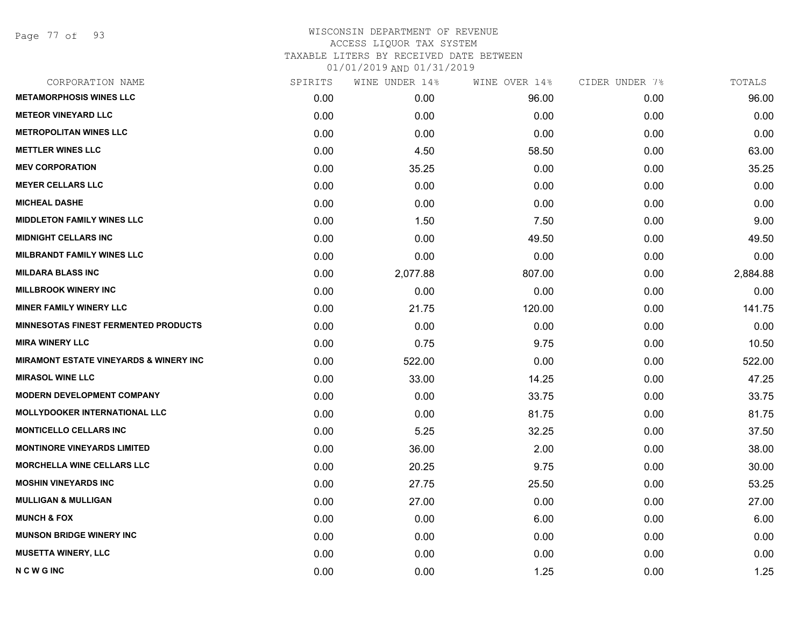Page 77 of 93

## WISCONSIN DEPARTMENT OF REVENUE ACCESS LIQUOR TAX SYSTEM TAXABLE LITERS BY RECEIVED DATE BETWEEN

| CORPORATION NAME                                   | SPIRITS | WINE UNDER 14% | WINE OVER 14% | CIDER UNDER 7% | TOTALS   |
|----------------------------------------------------|---------|----------------|---------------|----------------|----------|
| <b>METAMORPHOSIS WINES LLC</b>                     | 0.00    | 0.00           | 96.00         | 0.00           | 96.00    |
| <b>METEOR VINEYARD LLC</b>                         | 0.00    | 0.00           | 0.00          | 0.00           | 0.00     |
| <b>METROPOLITAN WINES LLC</b>                      | 0.00    | 0.00           | 0.00          | 0.00           | 0.00     |
| <b>METTLER WINES LLC</b>                           | 0.00    | 4.50           | 58.50         | 0.00           | 63.00    |
| <b>MEV CORPORATION</b>                             | 0.00    | 35.25          | 0.00          | 0.00           | 35.25    |
| <b>MEYER CELLARS LLC</b>                           | 0.00    | 0.00           | 0.00          | 0.00           | 0.00     |
| <b>MICHEAL DASHE</b>                               | 0.00    | 0.00           | 0.00          | 0.00           | 0.00     |
| <b>MIDDLETON FAMILY WINES LLC</b>                  | 0.00    | 1.50           | 7.50          | 0.00           | 9.00     |
| <b>MIDNIGHT CELLARS INC</b>                        | 0.00    | 0.00           | 49.50         | 0.00           | 49.50    |
| <b>MILBRANDT FAMILY WINES LLC</b>                  | 0.00    | 0.00           | 0.00          | 0.00           | 0.00     |
| <b>MILDARA BLASS INC</b>                           | 0.00    | 2,077.88       | 807.00        | 0.00           | 2,884.88 |
| <b>MILLBROOK WINERY INC</b>                        | 0.00    | 0.00           | 0.00          | 0.00           | 0.00     |
| <b>MINER FAMILY WINERY LLC</b>                     | 0.00    | 21.75          | 120.00        | 0.00           | 141.75   |
| <b>MINNESOTAS FINEST FERMENTED PRODUCTS</b>        | 0.00    | 0.00           | 0.00          | 0.00           | 0.00     |
| <b>MIRA WINERY LLC</b>                             | 0.00    | 0.75           | 9.75          | 0.00           | 10.50    |
| <b>MIRAMONT ESTATE VINEYARDS &amp; WINERY INC.</b> | 0.00    | 522.00         | 0.00          | 0.00           | 522.00   |
| <b>MIRASOL WINE LLC</b>                            | 0.00    | 33.00          | 14.25         | 0.00           | 47.25    |
| <b>MODERN DEVELOPMENT COMPANY</b>                  | 0.00    | 0.00           | 33.75         | 0.00           | 33.75    |
| <b>MOLLYDOOKER INTERNATIONAL LLC</b>               | 0.00    | 0.00           | 81.75         | 0.00           | 81.75    |
| <b>MONTICELLO CELLARS INC</b>                      | 0.00    | 5.25           | 32.25         | 0.00           | 37.50    |
| <b>MONTINORE VINEYARDS LIMITED</b>                 | 0.00    | 36.00          | 2.00          | 0.00           | 38.00    |
| <b>MORCHELLA WINE CELLARS LLC</b>                  | 0.00    | 20.25          | 9.75          | 0.00           | 30.00    |
| <b>MOSHIN VINEYARDS INC</b>                        | 0.00    | 27.75          | 25.50         | 0.00           | 53.25    |
| <b>MULLIGAN &amp; MULLIGAN</b>                     | 0.00    | 27.00          | 0.00          | 0.00           | 27.00    |
| <b>MUNCH &amp; FOX</b>                             | 0.00    | 0.00           | 6.00          | 0.00           | 6.00     |
| <b>MUNSON BRIDGE WINERY INC</b>                    | 0.00    | 0.00           | 0.00          | 0.00           | 0.00     |
| <b>MUSETTA WINERY, LLC</b>                         | 0.00    | 0.00           | 0.00          | 0.00           | 0.00     |
| <b>NCWGINC</b>                                     | 0.00    | 0.00           | 1.25          | 0.00           | 1.25     |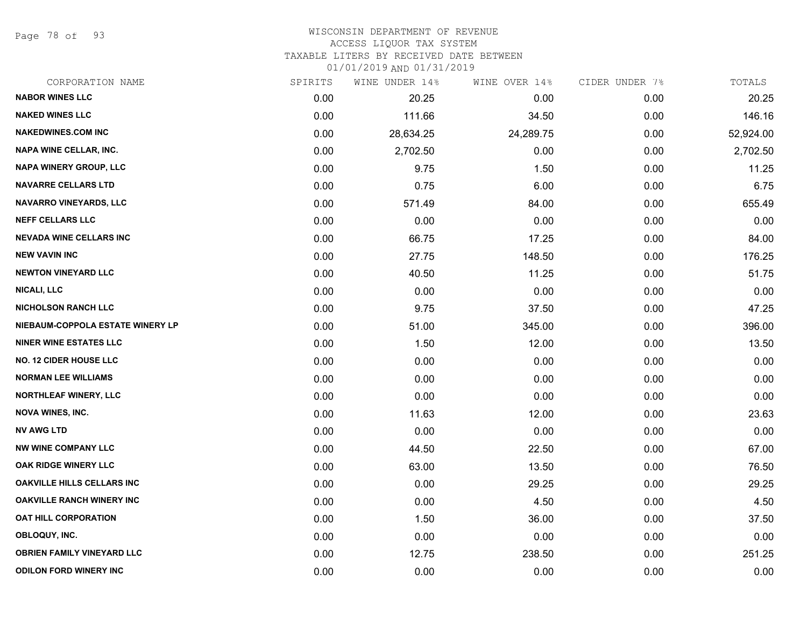Page 78 of 93

# WISCONSIN DEPARTMENT OF REVENUE

# ACCESS LIQUOR TAX SYSTEM

TAXABLE LITERS BY RECEIVED DATE BETWEEN

| CORPORATION NAME                  | SPIRITS | WINE UNDER 14% | WINE OVER 14% | CIDER UNDER 7% | TOTALS    |
|-----------------------------------|---------|----------------|---------------|----------------|-----------|
| <b>NABOR WINES LLC</b>            | 0.00    | 20.25          | 0.00          | 0.00           | 20.25     |
| <b>NAKED WINES LLC</b>            | 0.00    | 111.66         | 34.50         | 0.00           | 146.16    |
| <b>NAKEDWINES.COM INC</b>         | 0.00    | 28,634.25      | 24,289.75     | 0.00           | 52,924.00 |
| <b>NAPA WINE CELLAR, INC.</b>     | 0.00    | 2,702.50       | 0.00          | 0.00           | 2,702.50  |
| <b>NAPA WINERY GROUP, LLC</b>     | 0.00    | 9.75           | 1.50          | 0.00           | 11.25     |
| <b>NAVARRE CELLARS LTD</b>        | 0.00    | 0.75           | 6.00          | 0.00           | 6.75      |
| NAVARRO VINEYARDS, LLC            | 0.00    | 571.49         | 84.00         | 0.00           | 655.49    |
| <b>NEFF CELLARS LLC</b>           | 0.00    | 0.00           | 0.00          | 0.00           | 0.00      |
| <b>NEVADA WINE CELLARS INC</b>    | 0.00    | 66.75          | 17.25         | 0.00           | 84.00     |
| <b>NEW VAVIN INC</b>              | 0.00    | 27.75          | 148.50        | 0.00           | 176.25    |
| <b>NEWTON VINEYARD LLC</b>        | 0.00    | 40.50          | 11.25         | 0.00           | 51.75     |
| <b>NICALI, LLC</b>                | 0.00    | 0.00           | 0.00          | 0.00           | 0.00      |
| <b>NICHOLSON RANCH LLC</b>        | 0.00    | 9.75           | 37.50         | 0.00           | 47.25     |
| NIEBAUM-COPPOLA ESTATE WINERY LP  | 0.00    | 51.00          | 345.00        | 0.00           | 396.00    |
| <b>NINER WINE ESTATES LLC</b>     | 0.00    | 1.50           | 12.00         | 0.00           | 13.50     |
| <b>NO. 12 CIDER HOUSE LLC</b>     | 0.00    | 0.00           | 0.00          | 0.00           | 0.00      |
| <b>NORMAN LEE WILLIAMS</b>        | 0.00    | 0.00           | 0.00          | 0.00           | 0.00      |
| NORTHLEAF WINERY, LLC             | 0.00    | 0.00           | 0.00          | 0.00           | 0.00      |
| <b>NOVA WINES, INC.</b>           | 0.00    | 11.63          | 12.00         | 0.00           | 23.63     |
| <b>NV AWG LTD</b>                 | 0.00    | 0.00           | 0.00          | 0.00           | 0.00      |
| <b>NW WINE COMPANY LLC</b>        | 0.00    | 44.50          | 22.50         | 0.00           | 67.00     |
| OAK RIDGE WINERY LLC              | 0.00    | 63.00          | 13.50         | 0.00           | 76.50     |
| <b>OAKVILLE HILLS CELLARS INC</b> | 0.00    | 0.00           | 29.25         | 0.00           | 29.25     |
| <b>OAKVILLE RANCH WINERY INC</b>  | 0.00    | 0.00           | 4.50          | 0.00           | 4.50      |
| <b>OAT HILL CORPORATION</b>       | 0.00    | 1.50           | 36.00         | 0.00           | 37.50     |
| OBLOQUY, INC.                     | 0.00    | 0.00           | 0.00          | 0.00           | 0.00      |
| <b>OBRIEN FAMILY VINEYARD LLC</b> | 0.00    | 12.75          | 238.50        | 0.00           | 251.25    |
| <b>ODILON FORD WINERY INC</b>     | 0.00    | 0.00           | 0.00          | 0.00           | 0.00      |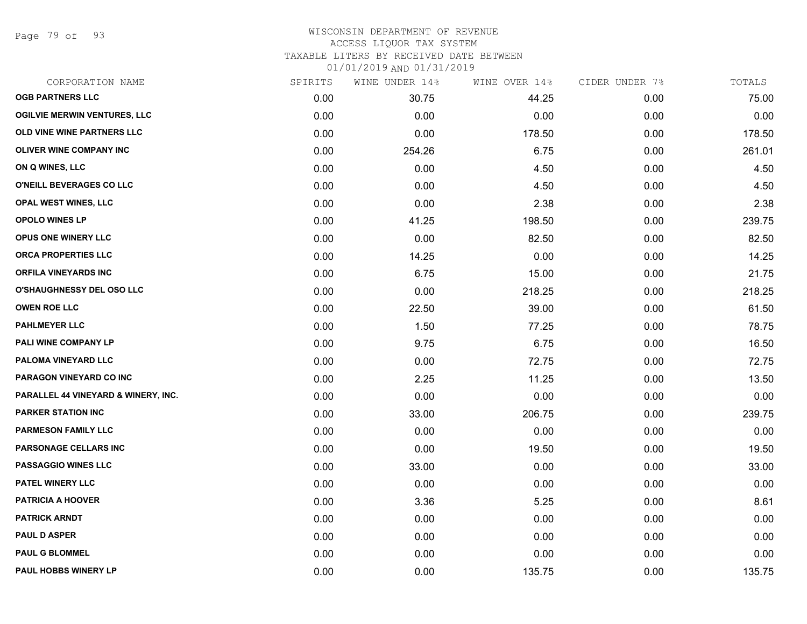Page 79 of 93

#### WISCONSIN DEPARTMENT OF REVENUE ACCESS LIQUOR TAX SYSTEM

TAXABLE LITERS BY RECEIVED DATE BETWEEN

| CORPORATION NAME                    | SPIRITS | WINE UNDER 14% | WINE OVER 14% | CIDER UNDER 7% | TOTALS |
|-------------------------------------|---------|----------------|---------------|----------------|--------|
| <b>OGB PARTNERS LLC</b>             | 0.00    | 30.75          | 44.25         | 0.00           | 75.00  |
| <b>OGILVIE MERWIN VENTURES, LLC</b> | 0.00    | 0.00           | 0.00          | 0.00           | 0.00   |
| OLD VINE WINE PARTNERS LLC          | 0.00    | 0.00           | 178.50        | 0.00           | 178.50 |
| OLIVER WINE COMPANY INC             | 0.00    | 254.26         | 6.75          | 0.00           | 261.01 |
| ON Q WINES, LLC                     | 0.00    | 0.00           | 4.50          | 0.00           | 4.50   |
| O'NEILL BEVERAGES CO LLC            | 0.00    | 0.00           | 4.50          | 0.00           | 4.50   |
| OPAL WEST WINES, LLC                | 0.00    | 0.00           | 2.38          | 0.00           | 2.38   |
| <b>OPOLO WINES LP</b>               | 0.00    | 41.25          | 198.50        | 0.00           | 239.75 |
| OPUS ONE WINERY LLC                 | 0.00    | 0.00           | 82.50         | 0.00           | 82.50  |
| ORCA PROPERTIES LLC                 | 0.00    | 14.25          | 0.00          | 0.00           | 14.25  |
| <b>ORFILA VINEYARDS INC</b>         | 0.00    | 6.75           | 15.00         | 0.00           | 21.75  |
| <b>O'SHAUGHNESSY DEL OSO LLC</b>    | 0.00    | 0.00           | 218.25        | 0.00           | 218.25 |
| <b>OWEN ROE LLC</b>                 | 0.00    | 22.50          | 39.00         | 0.00           | 61.50  |
| <b>PAHLMEYER LLC</b>                | 0.00    | 1.50           | 77.25         | 0.00           | 78.75  |
| PALI WINE COMPANY LP                | 0.00    | 9.75           | 6.75          | 0.00           | 16.50  |
| PALOMA VINEYARD LLC                 | 0.00    | 0.00           | 72.75         | 0.00           | 72.75  |
| PARAGON VINEYARD CO INC             | 0.00    | 2.25           | 11.25         | 0.00           | 13.50  |
| PARALLEL 44 VINEYARD & WINERY, INC. | 0.00    | 0.00           | 0.00          | 0.00           | 0.00   |
| <b>PARKER STATION INC</b>           | 0.00    | 33.00          | 206.75        | 0.00           | 239.75 |
| <b>PARMESON FAMILY LLC</b>          | 0.00    | 0.00           | 0.00          | 0.00           | 0.00   |
| PARSONAGE CELLARS INC               | 0.00    | 0.00           | 19.50         | 0.00           | 19.50  |
| <b>PASSAGGIO WINES LLC</b>          | 0.00    | 33.00          | 0.00          | 0.00           | 33.00  |
| <b>PATEL WINERY LLC</b>             | 0.00    | 0.00           | 0.00          | 0.00           | 0.00   |
| <b>PATRICIA A HOOVER</b>            | 0.00    | 3.36           | 5.25          | 0.00           | 8.61   |
| <b>PATRICK ARNDT</b>                | 0.00    | 0.00           | 0.00          | 0.00           | 0.00   |
| <b>PAUL D ASPER</b>                 | 0.00    | 0.00           | 0.00          | 0.00           | 0.00   |
| <b>PAUL G BLOMMEL</b>               | 0.00    | 0.00           | 0.00          | 0.00           | 0.00   |
| PAUL HOBBS WINERY LP                | 0.00    | 0.00           | 135.75        | 0.00           | 135.75 |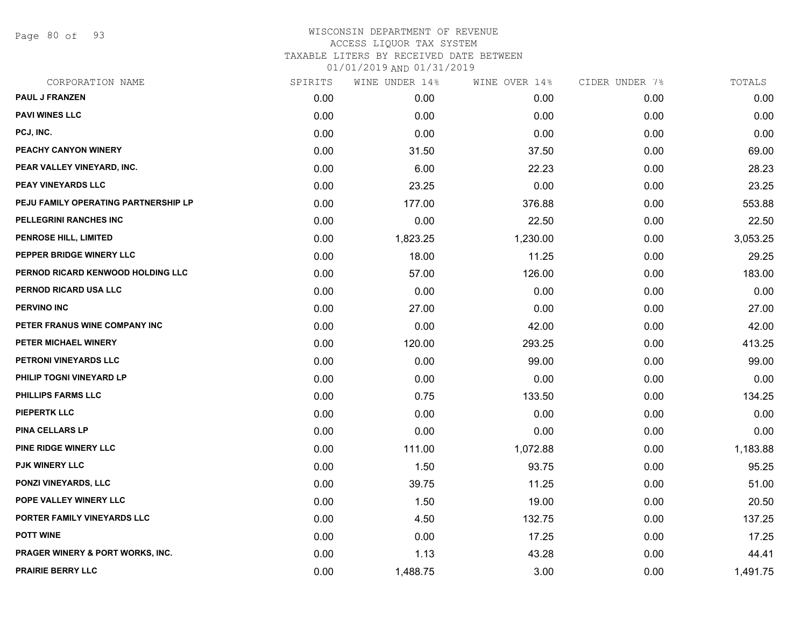Page 80 of 93

### WISCONSIN DEPARTMENT OF REVENUE ACCESS LIQUOR TAX SYSTEM TAXABLE LITERS BY RECEIVED DATE BETWEEN

| CORPORATION NAME                     | SPIRITS | WINE UNDER 14% | WINE OVER 14% | CIDER UNDER 7% | TOTALS   |
|--------------------------------------|---------|----------------|---------------|----------------|----------|
| <b>PAUL J FRANZEN</b>                | 0.00    | 0.00           | 0.00          | 0.00           | 0.00     |
| <b>PAVI WINES LLC</b>                | 0.00    | 0.00           | 0.00          | 0.00           | 0.00     |
| PCJ, INC.                            | 0.00    | 0.00           | 0.00          | 0.00           | 0.00     |
| PEACHY CANYON WINERY                 | 0.00    | 31.50          | 37.50         | 0.00           | 69.00    |
| PEAR VALLEY VINEYARD, INC.           | 0.00    | 6.00           | 22.23         | 0.00           | 28.23    |
| PEAY VINEYARDS LLC                   | 0.00    | 23.25          | 0.00          | 0.00           | 23.25    |
| PEJU FAMILY OPERATING PARTNERSHIP LP | 0.00    | 177.00         | 376.88        | 0.00           | 553.88   |
| PELLEGRINI RANCHES INC               | 0.00    | 0.00           | 22.50         | 0.00           | 22.50    |
| <b>PENROSE HILL, LIMITED</b>         | 0.00    | 1,823.25       | 1,230.00      | 0.00           | 3,053.25 |
| PEPPER BRIDGE WINERY LLC             | 0.00    | 18.00          | 11.25         | 0.00           | 29.25    |
| PERNOD RICARD KENWOOD HOLDING LLC    | 0.00    | 57.00          | 126.00        | 0.00           | 183.00   |
| PERNOD RICARD USA LLC                | 0.00    | 0.00           | 0.00          | 0.00           | 0.00     |
| <b>PERVINO INC</b>                   | 0.00    | 27.00          | 0.00          | 0.00           | 27.00    |
| PETER FRANUS WINE COMPANY INC        | 0.00    | 0.00           | 42.00         | 0.00           | 42.00    |
| PETER MICHAEL WINERY                 | 0.00    | 120.00         | 293.25        | 0.00           | 413.25   |
| PETRONI VINEYARDS LLC                | 0.00    | 0.00           | 99.00         | 0.00           | 99.00    |
| PHILIP TOGNI VINEYARD LP             | 0.00    | 0.00           | 0.00          | 0.00           | 0.00     |
| PHILLIPS FARMS LLC                   | 0.00    | 0.75           | 133.50        | 0.00           | 134.25   |
| <b>PIEPERTK LLC</b>                  | 0.00    | 0.00           | 0.00          | 0.00           | 0.00     |
| <b>PINA CELLARS LP</b>               | 0.00    | 0.00           | 0.00          | 0.00           | 0.00     |
| PINE RIDGE WINERY LLC                | 0.00    | 111.00         | 1,072.88      | 0.00           | 1,183.88 |
| <b>PJK WINERY LLC</b>                | 0.00    | 1.50           | 93.75         | 0.00           | 95.25    |
| <b>PONZI VINEYARDS, LLC</b>          | 0.00    | 39.75          | 11.25         | 0.00           | 51.00    |
| POPE VALLEY WINERY LLC               | 0.00    | 1.50           | 19.00         | 0.00           | 20.50    |
| PORTER FAMILY VINEYARDS LLC          | 0.00    | 4.50           | 132.75        | 0.00           | 137.25   |
| <b>POTT WINE</b>                     | 0.00    | 0.00           | 17.25         | 0.00           | 17.25    |
| PRAGER WINERY & PORT WORKS, INC.     | 0.00    | 1.13           | 43.28         | 0.00           | 44.41    |
| <b>PRAIRIE BERRY LLC</b>             | 0.00    | 1,488.75       | 3.00          | 0.00           | 1,491.75 |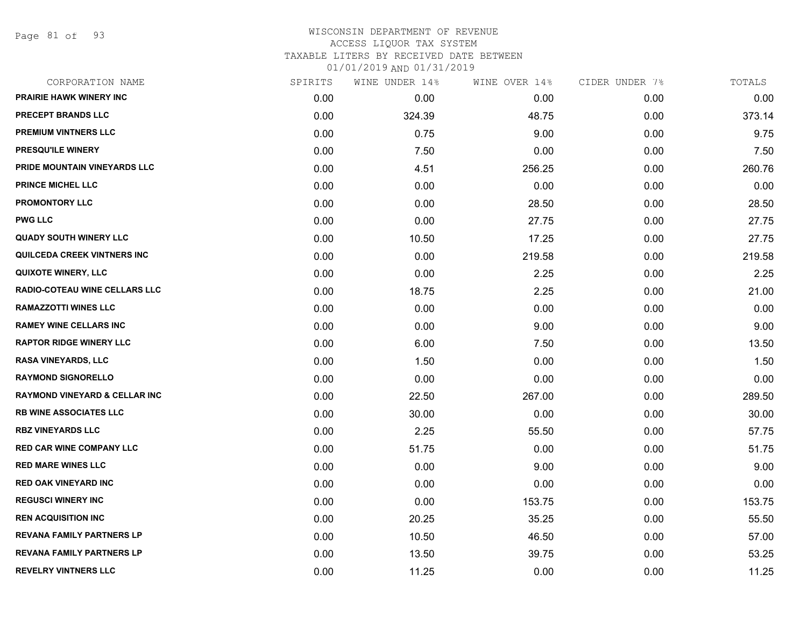Page 81 of 93

### WISCONSIN DEPARTMENT OF REVENUE ACCESS LIQUOR TAX SYSTEM TAXABLE LITERS BY RECEIVED DATE BETWEEN

| CORPORATION NAME                         | SPIRITS | WINE UNDER 14% | WINE OVER 14% | CIDER UNDER 7% | TOTALS |
|------------------------------------------|---------|----------------|---------------|----------------|--------|
| <b>PRAIRIE HAWK WINERY INC</b>           | 0.00    | 0.00           | 0.00          | 0.00           | 0.00   |
| PRECEPT BRANDS LLC                       | 0.00    | 324.39         | 48.75         | 0.00           | 373.14 |
| PREMIUM VINTNERS LLC                     | 0.00    | 0.75           | 9.00          | 0.00           | 9.75   |
| <b>PRESQU'ILE WINERY</b>                 | 0.00    | 7.50           | 0.00          | 0.00           | 7.50   |
| PRIDE MOUNTAIN VINEYARDS LLC             | 0.00    | 4.51           | 256.25        | 0.00           | 260.76 |
| <b>PRINCE MICHEL LLC</b>                 | 0.00    | 0.00           | 0.00          | 0.00           | 0.00   |
| <b>PROMONTORY LLC</b>                    | 0.00    | 0.00           | 28.50         | 0.00           | 28.50  |
| PWG LLC                                  | 0.00    | 0.00           | 27.75         | 0.00           | 27.75  |
| <b>QUADY SOUTH WINERY LLC</b>            | 0.00    | 10.50          | 17.25         | 0.00           | 27.75  |
| QUILCEDA CREEK VINTNERS INC              | 0.00    | 0.00           | 219.58        | 0.00           | 219.58 |
| <b>QUIXOTE WINERY, LLC</b>               | 0.00    | 0.00           | 2.25          | 0.00           | 2.25   |
| <b>RADIO-COTEAU WINE CELLARS LLC</b>     | 0.00    | 18.75          | 2.25          | 0.00           | 21.00  |
| <b>RAMAZZOTTI WINES LLC</b>              | 0.00    | 0.00           | 0.00          | 0.00           | 0.00   |
| <b>RAMEY WINE CELLARS INC</b>            | 0.00    | 0.00           | 9.00          | 0.00           | 9.00   |
| <b>RAPTOR RIDGE WINERY LLC</b>           | 0.00    | 6.00           | 7.50          | 0.00           | 13.50  |
| RASA VINEYARDS, LLC                      | 0.00    | 1.50           | 0.00          | 0.00           | 1.50   |
| <b>RAYMOND SIGNORELLO</b>                | 0.00    | 0.00           | 0.00          | 0.00           | 0.00   |
| <b>RAYMOND VINEYARD &amp; CELLAR INC</b> | 0.00    | 22.50          | 267.00        | 0.00           | 289.50 |
| <b>RB WINE ASSOCIATES LLC</b>            | 0.00    | 30.00          | 0.00          | 0.00           | 30.00  |
| <b>RBZ VINEYARDS LLC</b>                 | 0.00    | 2.25           | 55.50         | 0.00           | 57.75  |
| <b>RED CAR WINE COMPANY LLC</b>          | 0.00    | 51.75          | 0.00          | 0.00           | 51.75  |
| <b>RED MARE WINES LLC</b>                | 0.00    | 0.00           | 9.00          | 0.00           | 9.00   |
| <b>RED OAK VINEYARD INC</b>              | 0.00    | 0.00           | 0.00          | 0.00           | 0.00   |
| <b>REGUSCI WINERY INC</b>                | 0.00    | 0.00           | 153.75        | 0.00           | 153.75 |
| <b>REN ACQUISITION INC</b>               | 0.00    | 20.25          | 35.25         | 0.00           | 55.50  |
| <b>REVANA FAMILY PARTNERS LP</b>         | 0.00    | 10.50          | 46.50         | 0.00           | 57.00  |
| <b>REVANA FAMILY PARTNERS LP</b>         | 0.00    | 13.50          | 39.75         | 0.00           | 53.25  |
| <b>REVELRY VINTNERS LLC</b>              | 0.00    | 11.25          | 0.00          | 0.00           | 11.25  |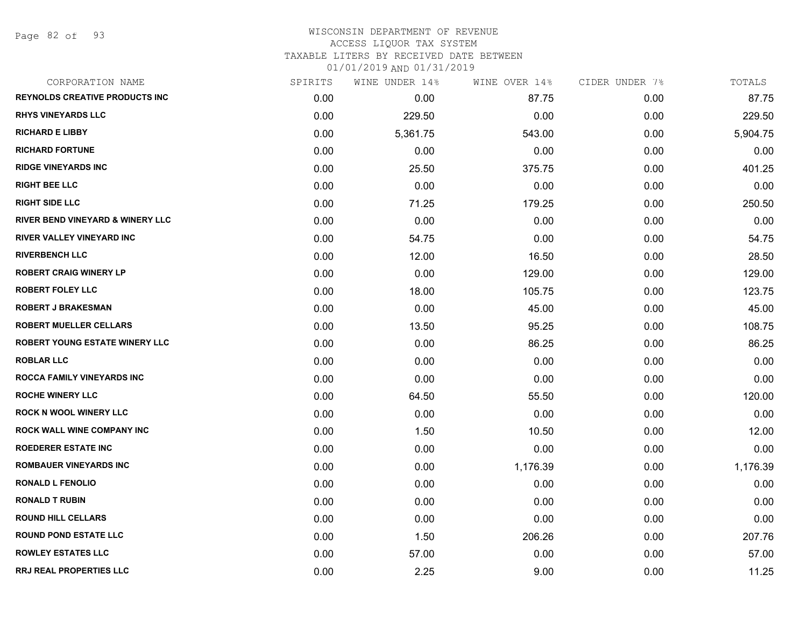Page 82 of 93

#### WISCONSIN DEPARTMENT OF REVENUE ACCESS LIQUOR TAX SYSTEM

TAXABLE LITERS BY RECEIVED DATE BETWEEN

| CORPORATION NAME                            | SPIRITS | WINE UNDER 14% | WINE OVER 14% | CIDER UNDER 7% | TOTALS   |
|---------------------------------------------|---------|----------------|---------------|----------------|----------|
| <b>REYNOLDS CREATIVE PRODUCTS INC</b>       | 0.00    | 0.00           | 87.75         | 0.00           | 87.75    |
| <b>RHYS VINEYARDS LLC</b>                   | 0.00    | 229.50         | 0.00          | 0.00           | 229.50   |
| <b>RICHARD E LIBBY</b>                      | 0.00    | 5,361.75       | 543.00        | 0.00           | 5,904.75 |
| <b>RICHARD FORTUNE</b>                      | 0.00    | 0.00           | 0.00          | 0.00           | 0.00     |
| <b>RIDGE VINEYARDS INC</b>                  | 0.00    | 25.50          | 375.75        | 0.00           | 401.25   |
| <b>RIGHT BEE LLC</b>                        | 0.00    | 0.00           | 0.00          | 0.00           | 0.00     |
| <b>RIGHT SIDE LLC</b>                       | 0.00    | 71.25          | 179.25        | 0.00           | 250.50   |
| <b>RIVER BEND VINEYARD &amp; WINERY LLC</b> | 0.00    | 0.00           | 0.00          | 0.00           | 0.00     |
| <b>RIVER VALLEY VINEYARD INC</b>            | 0.00    | 54.75          | 0.00          | 0.00           | 54.75    |
| <b>RIVERBENCH LLC</b>                       | 0.00    | 12.00          | 16.50         | 0.00           | 28.50    |
| <b>ROBERT CRAIG WINERY LP</b>               | 0.00    | 0.00           | 129.00        | 0.00           | 129.00   |
| <b>ROBERT FOLEY LLC</b>                     | 0.00    | 18.00          | 105.75        | 0.00           | 123.75   |
| <b>ROBERT J BRAKESMAN</b>                   | 0.00    | 0.00           | 45.00         | 0.00           | 45.00    |
| <b>ROBERT MUELLER CELLARS</b>               | 0.00    | 13.50          | 95.25         | 0.00           | 108.75   |
| <b>ROBERT YOUNG ESTATE WINERY LLC</b>       | 0.00    | 0.00           | 86.25         | 0.00           | 86.25    |
| <b>ROBLAR LLC</b>                           | 0.00    | 0.00           | 0.00          | 0.00           | 0.00     |
| <b>ROCCA FAMILY VINEYARDS INC</b>           | 0.00    | 0.00           | 0.00          | 0.00           | 0.00     |
| <b>ROCHE WINERY LLC</b>                     | 0.00    | 64.50          | 55.50         | 0.00           | 120.00   |
| <b>ROCK N WOOL WINERY LLC</b>               | 0.00    | 0.00           | 0.00          | 0.00           | 0.00     |
| <b>ROCK WALL WINE COMPANY INC</b>           | 0.00    | 1.50           | 10.50         | 0.00           | 12.00    |
| <b>ROEDERER ESTATE INC</b>                  | 0.00    | 0.00           | 0.00          | 0.00           | 0.00     |
| <b>ROMBAUER VINEYARDS INC</b>               | 0.00    | 0.00           | 1,176.39      | 0.00           | 1,176.39 |
| <b>RONALD L FENOLIO</b>                     | 0.00    | 0.00           | 0.00          | 0.00           | 0.00     |
| <b>RONALD T RUBIN</b>                       | 0.00    | 0.00           | 0.00          | 0.00           | 0.00     |
| <b>ROUND HILL CELLARS</b>                   | 0.00    | 0.00           | 0.00          | 0.00           | 0.00     |
| <b>ROUND POND ESTATE LLC</b>                | 0.00    | 1.50           | 206.26        | 0.00           | 207.76   |
| <b>ROWLEY ESTATES LLC</b>                   | 0.00    | 57.00          | 0.00          | 0.00           | 57.00    |
| <b>RRJ REAL PROPERTIES LLC</b>              | 0.00    | 2.25           | 9.00          | 0.00           | 11.25    |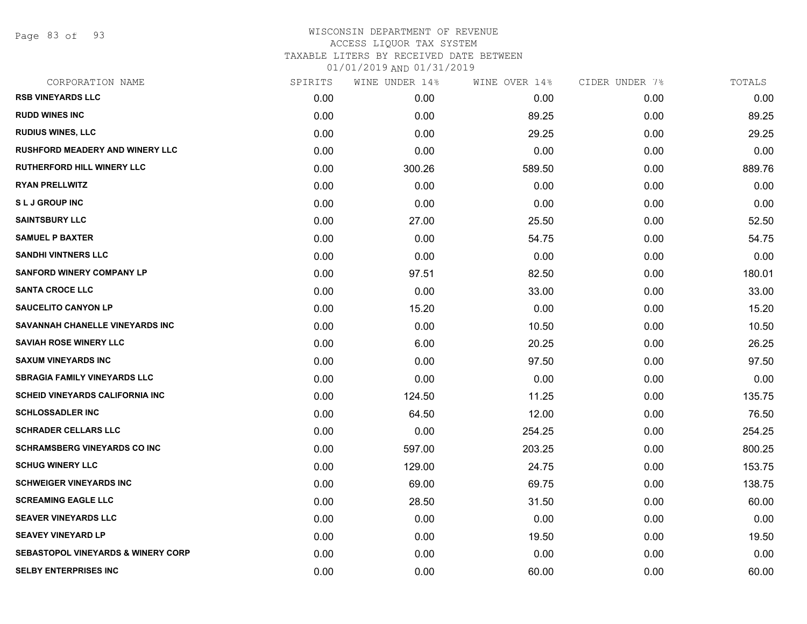Page 83 of 93

## WISCONSIN DEPARTMENT OF REVENUE ACCESS LIQUOR TAX SYSTEM TAXABLE LITERS BY RECEIVED DATE BETWEEN

| CORPORATION NAME                              | SPIRITS | WINE UNDER 14% | WINE OVER 14% | CIDER UNDER 7% | TOTALS |
|-----------------------------------------------|---------|----------------|---------------|----------------|--------|
| <b>RSB VINEYARDS LLC</b>                      | 0.00    | 0.00           | 0.00          | 0.00           | 0.00   |
| <b>RUDD WINES INC</b>                         | 0.00    | 0.00           | 89.25         | 0.00           | 89.25  |
| <b>RUDIUS WINES, LLC</b>                      | 0.00    | 0.00           | 29.25         | 0.00           | 29.25  |
| <b>RUSHFORD MEADERY AND WINERY LLC</b>        | 0.00    | 0.00           | 0.00          | 0.00           | 0.00   |
| <b>RUTHERFORD HILL WINERY LLC</b>             | 0.00    | 300.26         | 589.50        | 0.00           | 889.76 |
| <b>RYAN PRELLWITZ</b>                         | 0.00    | 0.00           | 0.00          | 0.00           | 0.00   |
| <b>SLJ GROUP INC</b>                          | 0.00    | 0.00           | 0.00          | 0.00           | 0.00   |
| <b>SAINTSBURY LLC</b>                         | 0.00    | 27.00          | 25.50         | 0.00           | 52.50  |
| <b>SAMUEL P BAXTER</b>                        | 0.00    | 0.00           | 54.75         | 0.00           | 54.75  |
| <b>SANDHI VINTNERS LLC</b>                    | 0.00    | 0.00           | 0.00          | 0.00           | 0.00   |
| <b>SANFORD WINERY COMPANY LP</b>              | 0.00    | 97.51          | 82.50         | 0.00           | 180.01 |
| <b>SANTA CROCE LLC</b>                        | 0.00    | 0.00           | 33.00         | 0.00           | 33.00  |
| <b>SAUCELITO CANYON LP</b>                    | 0.00    | 15.20          | 0.00          | 0.00           | 15.20  |
| SAVANNAH CHANELLE VINEYARDS INC               | 0.00    | 0.00           | 10.50         | 0.00           | 10.50  |
| <b>SAVIAH ROSE WINERY LLC</b>                 | 0.00    | 6.00           | 20.25         | 0.00           | 26.25  |
| <b>SAXUM VINEYARDS INC</b>                    | 0.00    | 0.00           | 97.50         | 0.00           | 97.50  |
| <b>SBRAGIA FAMILY VINEYARDS LLC</b>           | 0.00    | 0.00           | 0.00          | 0.00           | 0.00   |
| <b>SCHEID VINEYARDS CALIFORNIA INC.</b>       | 0.00    | 124.50         | 11.25         | 0.00           | 135.75 |
| <b>SCHLOSSADLER INC</b>                       | 0.00    | 64.50          | 12.00         | 0.00           | 76.50  |
| <b>SCHRADER CELLARS LLC</b>                   | 0.00    | 0.00           | 254.25        | 0.00           | 254.25 |
| <b>SCHRAMSBERG VINEYARDS CO INC</b>           | 0.00    | 597.00         | 203.25        | 0.00           | 800.25 |
| <b>SCHUG WINERY LLC</b>                       | 0.00    | 129.00         | 24.75         | 0.00           | 153.75 |
| <b>SCHWEIGER VINEYARDS INC</b>                | 0.00    | 69.00          | 69.75         | 0.00           | 138.75 |
| <b>SCREAMING EAGLE LLC</b>                    | 0.00    | 28.50          | 31.50         | 0.00           | 60.00  |
| <b>SEAVER VINEYARDS LLC</b>                   | 0.00    | 0.00           | 0.00          | 0.00           | 0.00   |
| <b>SEAVEY VINEYARD LP</b>                     | 0.00    | 0.00           | 19.50         | 0.00           | 19.50  |
| <b>SEBASTOPOL VINEYARDS &amp; WINERY CORP</b> | 0.00    | 0.00           | 0.00          | 0.00           | 0.00   |
| <b>SELBY ENTERPRISES INC</b>                  | 0.00    | 0.00           | 60.00         | 0.00           | 60.00  |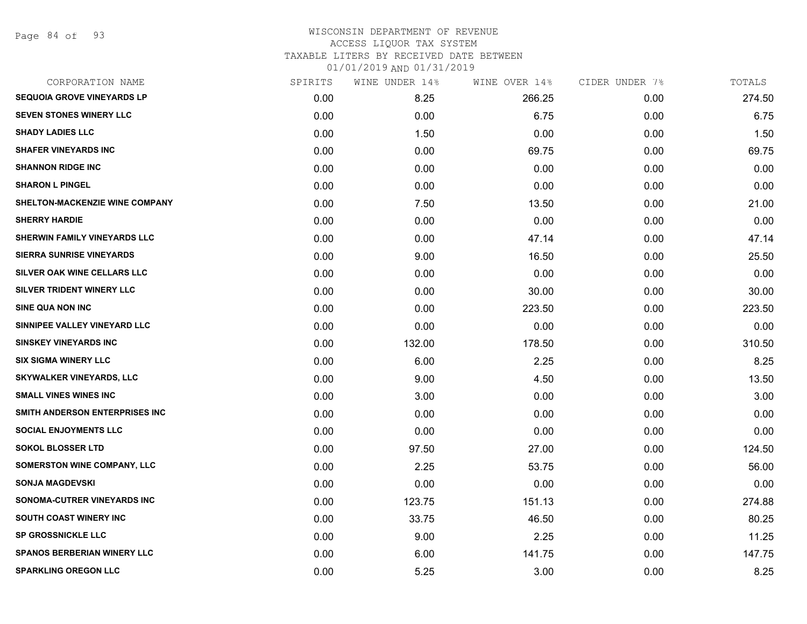Page 84 of 93

#### WISCONSIN DEPARTMENT OF REVENUE ACCESS LIQUOR TAX SYSTEM

TAXABLE LITERS BY RECEIVED DATE BETWEEN

| CORPORATION NAME                   | SPIRITS | WINE UNDER 14% | WINE OVER 14% | CIDER UNDER 7% | TOTALS |
|------------------------------------|---------|----------------|---------------|----------------|--------|
| <b>SEQUOIA GROVE VINEYARDS LP</b>  | 0.00    | 8.25           | 266.25        | 0.00           | 274.50 |
| <b>SEVEN STONES WINERY LLC</b>     | 0.00    | 0.00           | 6.75          | 0.00           | 6.75   |
| <b>SHADY LADIES LLC</b>            | 0.00    | 1.50           | 0.00          | 0.00           | 1.50   |
| <b>SHAFER VINEYARDS INC</b>        | 0.00    | 0.00           | 69.75         | 0.00           | 69.75  |
| <b>SHANNON RIDGE INC</b>           | 0.00    | 0.00           | 0.00          | 0.00           | 0.00   |
| <b>SHARON L PINGEL</b>             | 0.00    | 0.00           | 0.00          | 0.00           | 0.00   |
| SHELTON-MACKENZIE WINE COMPANY     | 0.00    | 7.50           | 13.50         | 0.00           | 21.00  |
| <b>SHERRY HARDIE</b>               | 0.00    | 0.00           | 0.00          | 0.00           | 0.00   |
| SHERWIN FAMILY VINEYARDS LLC       | 0.00    | 0.00           | 47.14         | 0.00           | 47.14  |
| <b>SIERRA SUNRISE VINEYARDS</b>    | 0.00    | 9.00           | 16.50         | 0.00           | 25.50  |
| SILVER OAK WINE CELLARS LLC        | 0.00    | 0.00           | 0.00          | 0.00           | 0.00   |
| SILVER TRIDENT WINERY LLC          | 0.00    | 0.00           | 30.00         | 0.00           | 30.00  |
| <b>SINE QUA NON INC</b>            | 0.00    | 0.00           | 223.50        | 0.00           | 223.50 |
| SINNIPEE VALLEY VINEYARD LLC       | 0.00    | 0.00           | 0.00          | 0.00           | 0.00   |
| <b>SINSKEY VINEYARDS INC</b>       | 0.00    | 132.00         | 178.50        | 0.00           | 310.50 |
| <b>SIX SIGMA WINERY LLC</b>        | 0.00    | 6.00           | 2.25          | 0.00           | 8.25   |
| <b>SKYWALKER VINEYARDS, LLC</b>    | 0.00    | 9.00           | 4.50          | 0.00           | 13.50  |
| <b>SMALL VINES WINES INC</b>       | 0.00    | 3.00           | 0.00          | 0.00           | 3.00   |
| SMITH ANDERSON ENTERPRISES INC     | 0.00    | 0.00           | 0.00          | 0.00           | 0.00   |
| <b>SOCIAL ENJOYMENTS LLC</b>       | 0.00    | 0.00           | 0.00          | 0.00           | 0.00   |
| <b>SOKOL BLOSSER LTD</b>           | 0.00    | 97.50          | 27.00         | 0.00           | 124.50 |
| <b>SOMERSTON WINE COMPANY, LLC</b> | 0.00    | 2.25           | 53.75         | 0.00           | 56.00  |
| <b>SONJA MAGDEVSKI</b>             | 0.00    | 0.00           | 0.00          | 0.00           | 0.00   |
| <b>SONOMA-CUTRER VINEYARDS INC</b> | 0.00    | 123.75         | 151.13        | 0.00           | 274.88 |
| <b>SOUTH COAST WINERY INC</b>      | 0.00    | 33.75          | 46.50         | 0.00           | 80.25  |
| <b>SP GROSSNICKLE LLC</b>          | 0.00    | 9.00           | 2.25          | 0.00           | 11.25  |
| <b>SPANOS BERBERIAN WINERY LLC</b> | 0.00    | 6.00           | 141.75        | 0.00           | 147.75 |
| <b>SPARKLING OREGON LLC</b>        | 0.00    | 5.25           | 3.00          | 0.00           | 8.25   |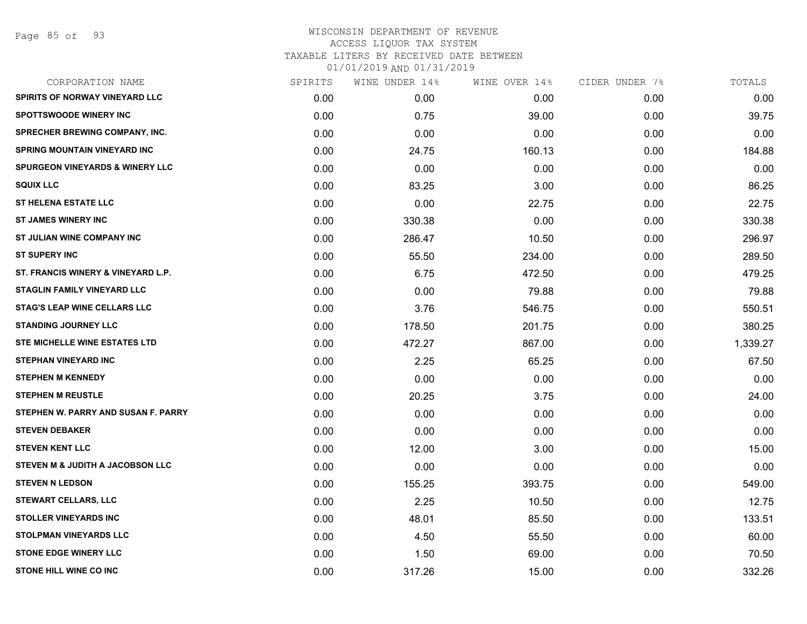Page 85 of 93

# WISCONSIN DEPARTMENT OF REVENUE ACCESS LIQUOR TAX SYSTEM TAXABLE LITERS BY RECEIVED DATE BETWEEN

| CORPORATION NAME                           | SPIRITS | WINE UNDER 14% | WINE OVER 14% | CIDER UNDER 7% | TOTALS   |
|--------------------------------------------|---------|----------------|---------------|----------------|----------|
| <b>SPIRITS OF NORWAY VINEYARD LLC</b>      | 0.00    | 0.00           | 0.00          | 0.00           | 0.00     |
| <b>SPOTTSWOODE WINERY INC</b>              | 0.00    | 0.75           | 39.00         | 0.00           | 39.75    |
| <b>SPRECHER BREWING COMPANY, INC.</b>      | 0.00    | 0.00           | 0.00          | 0.00           | 0.00     |
| <b>SPRING MOUNTAIN VINEYARD INC</b>        | 0.00    | 24.75          | 160.13        | 0.00           | 184.88   |
| <b>SPURGEON VINEYARDS &amp; WINERY LLC</b> | 0.00    | 0.00           | 0.00          | 0.00           | 0.00     |
| <b>SQUIX LLC</b>                           | 0.00    | 83.25          | 3.00          | 0.00           | 86.25    |
| <b>ST HELENA ESTATE LLC</b>                | 0.00    | 0.00           | 22.75         | 0.00           | 22.75    |
| ST JAMES WINERY INC                        | 0.00    | 330.38         | 0.00          | 0.00           | 330.38   |
| ST JULIAN WINE COMPANY INC                 | 0.00    | 286.47         | 10.50         | 0.00           | 296.97   |
| <b>ST SUPERY INC</b>                       | 0.00    | 55.50          | 234.00        | 0.00           | 289.50   |
| ST. FRANCIS WINERY & VINEYARD L.P.         | 0.00    | 6.75           | 472.50        | 0.00           | 479.25   |
| <b>STAGLIN FAMILY VINEYARD LLC</b>         | 0.00    | 0.00           | 79.88         | 0.00           | 79.88    |
| <b>STAG'S LEAP WINE CELLARS LLC</b>        | 0.00    | 3.76           | 546.75        | 0.00           | 550.51   |
| <b>STANDING JOURNEY LLC</b>                | 0.00    | 178.50         | 201.75        | 0.00           | 380.25   |
| <b>STE MICHELLE WINE ESTATES LTD</b>       | 0.00    | 472.27         | 867.00        | 0.00           | 1,339.27 |
| <b>STEPHAN VINEYARD INC</b>                | 0.00    | 2.25           | 65.25         | 0.00           | 67.50    |
| <b>STEPHEN M KENNEDY</b>                   | 0.00    | 0.00           | 0.00          | 0.00           | 0.00     |
| <b>STEPHEN M REUSTLE</b>                   | 0.00    | 20.25          | 3.75          | 0.00           | 24.00    |
| STEPHEN W. PARRY AND SUSAN F. PARRY        | 0.00    | 0.00           | 0.00          | 0.00           | 0.00     |
| <b>STEVEN DEBAKER</b>                      | 0.00    | 0.00           | 0.00          | 0.00           | 0.00     |
| <b>STEVEN KENT LLC</b>                     | 0.00    | 12.00          | 3.00          | 0.00           | 15.00    |
| STEVEN M & JUDITH A JACOBSON LLC           | 0.00    | 0.00           | 0.00          | 0.00           | 0.00     |
| <b>STEVEN N LEDSON</b>                     | 0.00    | 155.25         | 393.75        | 0.00           | 549.00   |
| <b>STEWART CELLARS, LLC</b>                | 0.00    | 2.25           | 10.50         | 0.00           | 12.75    |
| <b>STOLLER VINEYARDS INC</b>               | 0.00    | 48.01          | 85.50         | 0.00           | 133.51   |
| <b>STOLPMAN VINEYARDS LLC</b>              | 0.00    | 4.50           | 55.50         | 0.00           | 60.00    |
| <b>STONE EDGE WINERY LLC</b>               | 0.00    | 1.50           | 69.00         | 0.00           | 70.50    |
| <b>STONE HILL WINE CO INC</b>              | 0.00    | 317.26         | 15.00         | 0.00           | 332.26   |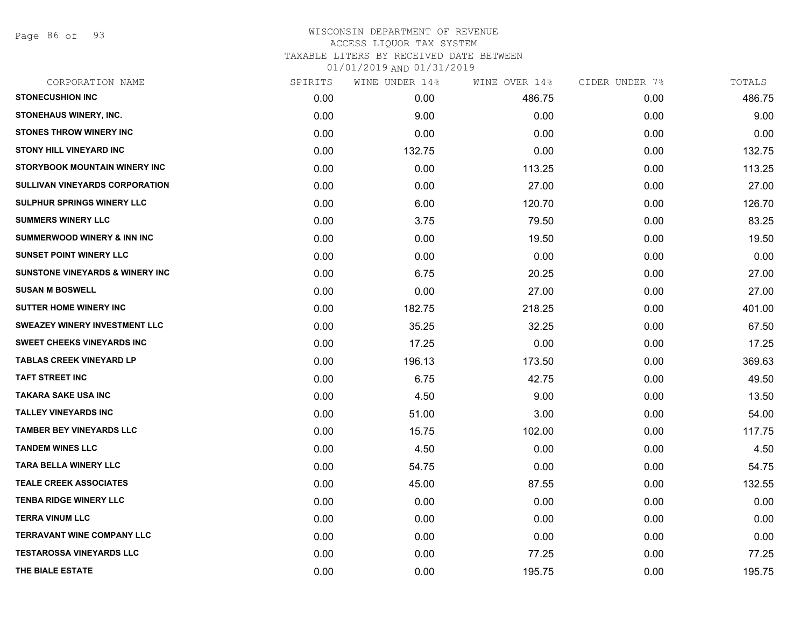Page 86 of 93

# WISCONSIN DEPARTMENT OF REVENUE ACCESS LIQUOR TAX SYSTEM TAXABLE LITERS BY RECEIVED DATE BETWEEN 01/01/2019 AND 01/31/2019

| CORPORATION NAME                           | SPIRITS | WINE UNDER 14% | WINE OVER 14% | CIDER UNDER 7% | TOTALS |
|--------------------------------------------|---------|----------------|---------------|----------------|--------|
| <b>STONECUSHION INC</b>                    | 0.00    | 0.00           | 486.75        | 0.00           | 486.75 |
| STONEHAUS WINERY, INC.                     | 0.00    | 9.00           | 0.00          | 0.00           | 9.00   |
| <b>STONES THROW WINERY INC</b>             | 0.00    | 0.00           | 0.00          | 0.00           | 0.00   |
| <b>STONY HILL VINEYARD INC</b>             | 0.00    | 132.75         | 0.00          | 0.00           | 132.75 |
| STORYBOOK MOUNTAIN WINERY INC              | 0.00    | 0.00           | 113.25        | 0.00           | 113.25 |
| SULLIVAN VINEYARDS CORPORATION             | 0.00    | 0.00           | 27.00         | 0.00           | 27.00  |
| <b>SULPHUR SPRINGS WINERY LLC</b>          | 0.00    | 6.00           | 120.70        | 0.00           | 126.70 |
| <b>SUMMERS WINERY LLC</b>                  | 0.00    | 3.75           | 79.50         | 0.00           | 83.25  |
| <b>SUMMERWOOD WINERY &amp; INN INC</b>     | 0.00    | 0.00           | 19.50         | 0.00           | 19.50  |
| <b>SUNSET POINT WINERY LLC</b>             | 0.00    | 0.00           | 0.00          | 0.00           | 0.00   |
| <b>SUNSTONE VINEYARDS &amp; WINERY INC</b> | 0.00    | 6.75           | 20.25         | 0.00           | 27.00  |
| <b>SUSAN M BOSWELL</b>                     | 0.00    | 0.00           | 27.00         | 0.00           | 27.00  |
| <b>SUTTER HOME WINERY INC</b>              | 0.00    | 182.75         | 218.25        | 0.00           | 401.00 |
| <b>SWEAZEY WINERY INVESTMENT LLC</b>       | 0.00    | 35.25          | 32.25         | 0.00           | 67.50  |
| <b>SWEET CHEEKS VINEYARDS INC</b>          | 0.00    | 17.25          | 0.00          | 0.00           | 17.25  |
| <b>TABLAS CREEK VINEYARD LP</b>            | 0.00    | 196.13         | 173.50        | 0.00           | 369.63 |
| <b>TAFT STREET INC</b>                     | 0.00    | 6.75           | 42.75         | 0.00           | 49.50  |
| <b>TAKARA SAKE USA INC</b>                 | 0.00    | 4.50           | 9.00          | 0.00           | 13.50  |
| <b>TALLEY VINEYARDS INC</b>                | 0.00    | 51.00          | 3.00          | 0.00           | 54.00  |
| <b>TAMBER BEY VINEYARDS LLC</b>            | 0.00    | 15.75          | 102.00        | 0.00           | 117.75 |
| <b>TANDEM WINES LLC</b>                    | 0.00    | 4.50           | 0.00          | 0.00           | 4.50   |
| <b>TARA BELLA WINERY LLC</b>               | 0.00    | 54.75          | 0.00          | 0.00           | 54.75  |
| <b>TEALE CREEK ASSOCIATES</b>              | 0.00    | 45.00          | 87.55         | 0.00           | 132.55 |
| <b>TENBA RIDGE WINERY LLC</b>              | 0.00    | 0.00           | 0.00          | 0.00           | 0.00   |
| <b>TERRA VINUM LLC</b>                     | 0.00    | 0.00           | 0.00          | 0.00           | 0.00   |
| <b>TERRAVANT WINE COMPANY LLC</b>          | 0.00    | 0.00           | 0.00          | 0.00           | 0.00   |
| <b>TESTAROSSA VINEYARDS LLC</b>            | 0.00    | 0.00           | 77.25         | 0.00           | 77.25  |
| THE BIALE ESTATE                           | 0.00    | 0.00           | 195.75        | 0.00           | 195.75 |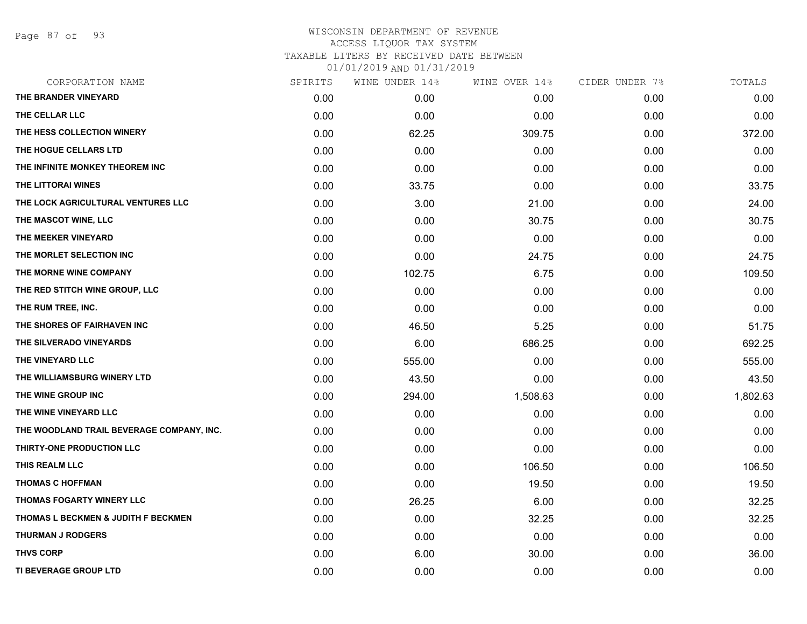Page 87 of 93

# WISCONSIN DEPARTMENT OF REVENUE ACCESS LIQUOR TAX SYSTEM TAXABLE LITERS BY RECEIVED DATE BETWEEN 01/01/2019 AND 01/31/2019

| CORPORATION NAME                          | SPIRITS | WINE UNDER 14% | WINE OVER 14% | CIDER UNDER 7%    | TOTALS   |
|-------------------------------------------|---------|----------------|---------------|-------------------|----------|
| THE BRANDER VINEYARD                      | 0.00    | 0.00           | 0.00          | 0.00              | 0.00     |
| THE CELLAR LLC                            | 0.00    | 0.00           | 0.00          | 0.00              | 0.00     |
| <b>THE HESS COLLECTION WINERY</b>         | 0.00    | 62.25          | 309.75        | 0.00 <sub>1</sub> | 372.00   |
| THE HOGUE CELLARS LTD                     | 0.00    | 0.00           | 0.00          | 0.00              | 0.00     |
| THE INFINITE MONKEY THEOREM INC           | 0.00    | 0.00           | 0.00          | 0.00              | 0.00     |
| THE LITTORAI WINES                        | 0.00    | 33.75          | 0.00          | 0.00              | 33.75    |
| THE LOCK AGRICULTURAL VENTURES LLC        | 0.00    | 3.00           | 21.00         | 0.00              | 24.00    |
| THE MASCOT WINE, LLC                      | 0.00    | 0.00           | 30.75         | 0.00              | 30.75    |
| THE MEEKER VINEYARD                       | 0.00    | 0.00           | 0.00          | 0.00              | 0.00     |
| THE MORLET SELECTION INC                  | 0.00    | 0.00           | 24.75         | 0.00              | 24.75    |
| THE MORNE WINE COMPANY                    | 0.00    | 102.75         | 6.75          | 0.00              | 109.50   |
| THE RED STITCH WINE GROUP, LLC            | 0.00    | 0.00           | 0.00          | 0.00              | 0.00     |
| THE RUM TREE, INC.                        | 0.00    | 0.00           | 0.00          | 0.00              | 0.00     |
| THE SHORES OF FAIRHAVEN INC               | 0.00    | 46.50          | 5.25          | 0.00              | 51.75    |
| THE SILVERADO VINEYARDS                   | 0.00    | 6.00           | 686.25        | 0.00              | 692.25   |
| THE VINEYARD LLC                          | 0.00    | 555.00         | 0.00          | 0.00              | 555.00   |
| THE WILLIAMSBURG WINERY LTD               | 0.00    | 43.50          | 0.00          | 0.00              | 43.50    |
| <b>THE WINE GROUP INC</b>                 | 0.00    | 294.00         | 1,508.63      | 0.00              | 1,802.63 |
| THE WINE VINEYARD LLC                     | 0.00    | 0.00           | 0.00          | 0.00              | 0.00     |
| THE WOODLAND TRAIL BEVERAGE COMPANY, INC. | 0.00    | 0.00           | 0.00          | 0.00              | 0.00     |
| <b>THIRTY-ONE PRODUCTION LLC</b>          | 0.00    | 0.00           | 0.00          | 0.00              | 0.00     |
| THIS REALM LLC                            | 0.00    | 0.00           | 106.50        | 0.00              | 106.50   |
| THOMAS C HOFFMAN                          | 0.00    | 0.00           | 19.50         | 0.00              | 19.50    |
| <b>THOMAS FOGARTY WINERY LLC</b>          | 0.00    | 26.25          | 6.00          | 0.00              | 32.25    |
| THOMAS L BECKMEN & JUDITH F BECKMEN       | 0.00    | 0.00           | 32.25         | 0.00              | 32.25    |
| <b>THURMAN J RODGERS</b>                  | 0.00    | 0.00           | 0.00          | 0.00              | 0.00     |
| <b>THVS CORP</b>                          | 0.00    | 6.00           | 30.00         | 0.00              | 36.00    |
| TI BEVERAGE GROUP LTD                     | 0.00    | 0.00           | 0.00          | 0.00              | 0.00     |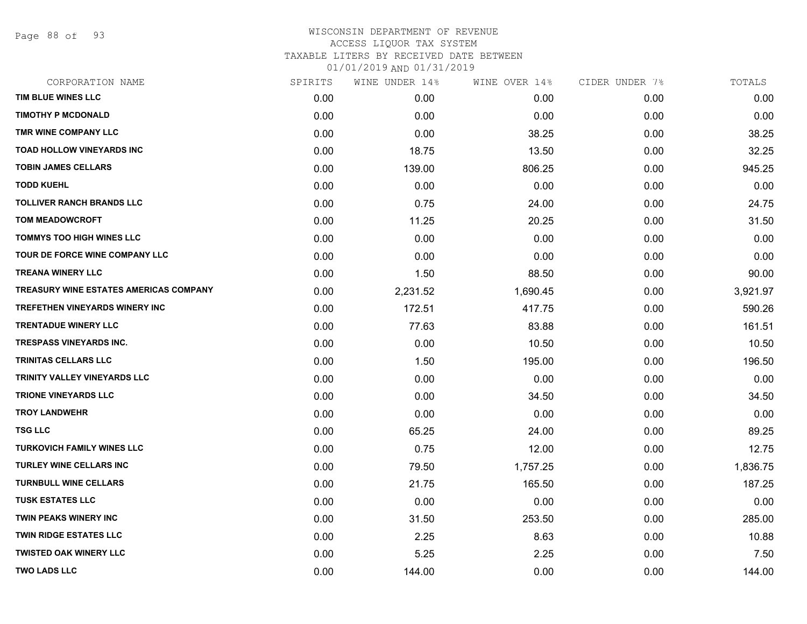Page 88 of 93

# WISCONSIN DEPARTMENT OF REVENUE ACCESS LIQUOR TAX SYSTEM TAXABLE LITERS BY RECEIVED DATE BETWEEN

| CORPORATION NAME                       | SPIRITS | WINE UNDER 14% | WINE OVER 14% | CIDER UNDER 7% | TOTALS   |
|----------------------------------------|---------|----------------|---------------|----------------|----------|
| TIM BLUE WINES LLC                     | 0.00    | 0.00           | 0.00          | 0.00           | 0.00     |
| <b>TIMOTHY P MCDONALD</b>              | 0.00    | 0.00           | 0.00          | 0.00           | 0.00     |
| TMR WINE COMPANY LLC                   | 0.00    | 0.00           | 38.25         | 0.00           | 38.25    |
| <b>TOAD HOLLOW VINEYARDS INC</b>       | 0.00    | 18.75          | 13.50         | 0.00           | 32.25    |
| <b>TOBIN JAMES CELLARS</b>             | 0.00    | 139.00         | 806.25        | 0.00           | 945.25   |
| <b>TODD KUEHL</b>                      | 0.00    | 0.00           | 0.00          | 0.00           | 0.00     |
| <b>TOLLIVER RANCH BRANDS LLC</b>       | 0.00    | 0.75           | 24.00         | 0.00           | 24.75    |
| <b>TOM MEADOWCROFT</b>                 | 0.00    | 11.25          | 20.25         | 0.00           | 31.50    |
| <b>TOMMYS TOO HIGH WINES LLC</b>       | 0.00    | 0.00           | 0.00          | 0.00           | 0.00     |
| TOUR DE FORCE WINE COMPANY LLC         | 0.00    | 0.00           | 0.00          | 0.00           | 0.00     |
| <b>TREANA WINERY LLC</b>               | 0.00    | 1.50           | 88.50         | 0.00           | 90.00    |
| TREASURY WINE ESTATES AMERICAS COMPANY | 0.00    | 2,231.52       | 1,690.45      | 0.00           | 3,921.97 |
| <b>TREFETHEN VINEYARDS WINERY INC</b>  | 0.00    | 172.51         | 417.75        | 0.00           | 590.26   |
| <b>TRENTADUE WINERY LLC</b>            | 0.00    | 77.63          | 83.88         | 0.00           | 161.51   |
| <b>TRESPASS VINEYARDS INC.</b>         | 0.00    | 0.00           | 10.50         | 0.00           | 10.50    |
| <b>TRINITAS CELLARS LLC</b>            | 0.00    | 1.50           | 195.00        | 0.00           | 196.50   |
| TRINITY VALLEY VINEYARDS LLC           | 0.00    | 0.00           | 0.00          | 0.00           | 0.00     |
| <b>TRIONE VINEYARDS LLC</b>            | 0.00    | 0.00           | 34.50         | 0.00           | 34.50    |
| <b>TROY LANDWEHR</b>                   | 0.00    | 0.00           | 0.00          | 0.00           | 0.00     |
| <b>TSG LLC</b>                         | 0.00    | 65.25          | 24.00         | 0.00           | 89.25    |
| <b>TURKOVICH FAMILY WINES LLC</b>      | 0.00    | 0.75           | 12.00         | 0.00           | 12.75    |
| <b>TURLEY WINE CELLARS INC</b>         | 0.00    | 79.50          | 1,757.25      | 0.00           | 1,836.75 |
| <b>TURNBULL WINE CELLARS</b>           | 0.00    | 21.75          | 165.50        | 0.00           | 187.25   |
| <b>TUSK ESTATES LLC</b>                | 0.00    | 0.00           | 0.00          | 0.00           | 0.00     |
| <b>TWIN PEAKS WINERY INC</b>           | 0.00    | 31.50          | 253.50        | 0.00           | 285.00   |
| <b>TWIN RIDGE ESTATES LLC</b>          | 0.00    | 2.25           | 8.63          | 0.00           | 10.88    |
| <b>TWISTED OAK WINERY LLC</b>          | 0.00    | 5.25           | 2.25          | 0.00           | 7.50     |
| <b>TWO LADS LLC</b>                    | 0.00    | 144.00         | 0.00          | 0.00           | 144.00   |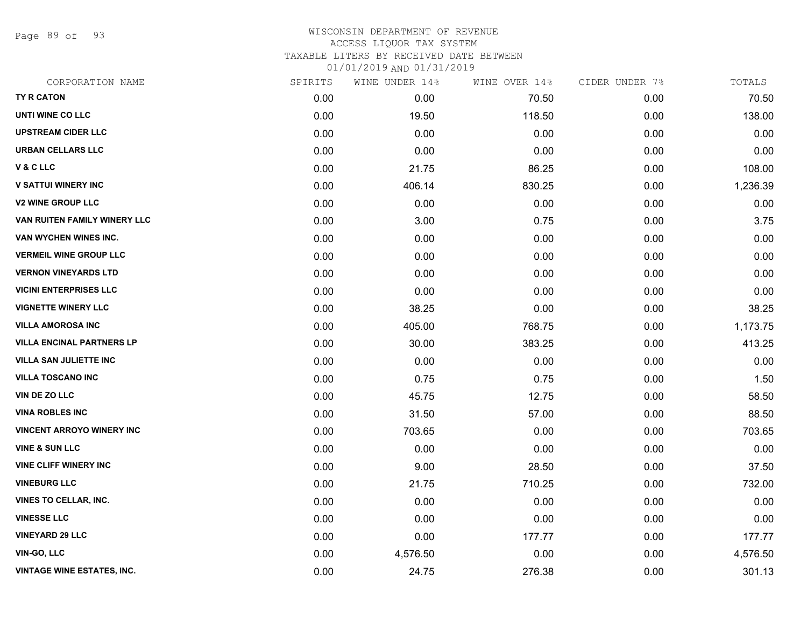Page 89 of 93

# WISCONSIN DEPARTMENT OF REVENUE ACCESS LIQUOR TAX SYSTEM

TAXABLE LITERS BY RECEIVED DATE BETWEEN

| CORPORATION NAME                  | SPIRITS | WINE UNDER 14% | WINE OVER 14% | CIDER UNDER 7% | TOTALS   |
|-----------------------------------|---------|----------------|---------------|----------------|----------|
| TY R CATON                        | 0.00    | 0.00           | 70.50         | 0.00           | 70.50    |
| UNTI WINE CO LLC                  | 0.00    | 19.50          | 118.50        | 0.00           | 138.00   |
| <b>UPSTREAM CIDER LLC</b>         | 0.00    | 0.00           | 0.00          | 0.00           | 0.00     |
| URBAN CELLARS LLC                 | 0.00    | 0.00           | 0.00          | 0.00           | 0.00     |
| V & C LLC                         | 0.00    | 21.75          | 86.25         | 0.00           | 108.00   |
| <b>V SATTUI WINERY INC</b>        | 0.00    | 406.14         | 830.25        | 0.00           | 1,236.39 |
| <b>V2 WINE GROUP LLC</b>          | 0.00    | 0.00           | 0.00          | 0.00           | 0.00     |
| VAN RUITEN FAMILY WINERY LLC      | 0.00    | 3.00           | 0.75          | 0.00           | 3.75     |
| VAN WYCHEN WINES INC.             | 0.00    | 0.00           | 0.00          | 0.00           | 0.00     |
| <b>VERMEIL WINE GROUP LLC</b>     | 0.00    | 0.00           | 0.00          | 0.00           | 0.00     |
| <b>VERNON VINEYARDS LTD</b>       | 0.00    | 0.00           | 0.00          | 0.00           | 0.00     |
| <b>VICINI ENTERPRISES LLC</b>     | 0.00    | 0.00           | 0.00          | 0.00           | 0.00     |
| <b>VIGNETTE WINERY LLC</b>        | 0.00    | 38.25          | 0.00          | 0.00           | 38.25    |
| <b>VILLA AMOROSA INC</b>          | 0.00    | 405.00         | 768.75        | 0.00           | 1,173.75 |
| <b>VILLA ENCINAL PARTNERS LP</b>  | 0.00    | 30.00          | 383.25        | 0.00           | 413.25   |
| <b>VILLA SAN JULIETTE INC</b>     | 0.00    | 0.00           | 0.00          | 0.00           | 0.00     |
| <b>VILLA TOSCANO INC</b>          | 0.00    | 0.75           | 0.75          | 0.00           | 1.50     |
| <b>VIN DE ZO LLC</b>              | 0.00    | 45.75          | 12.75         | 0.00           | 58.50    |
| <b>VINA ROBLES INC</b>            | 0.00    | 31.50          | 57.00         | 0.00           | 88.50    |
| <b>VINCENT ARROYO WINERY INC</b>  | 0.00    | 703.65         | 0.00          | 0.00           | 703.65   |
| <b>VINE &amp; SUN LLC</b>         | 0.00    | 0.00           | 0.00          | 0.00           | 0.00     |
| <b>VINE CLIFF WINERY INC</b>      | 0.00    | 9.00           | 28.50         | 0.00           | 37.50    |
| <b>VINEBURG LLC</b>               | 0.00    | 21.75          | 710.25        | 0.00           | 732.00   |
| VINES TO CELLAR, INC.             | 0.00    | 0.00           | 0.00          | 0.00           | 0.00     |
| <b>VINESSE LLC</b>                | 0.00    | 0.00           | 0.00          | 0.00           | 0.00     |
| <b>VINEYARD 29 LLC</b>            | 0.00    | 0.00           | 177.77        | 0.00           | 177.77   |
| VIN-GO, LLC                       | 0.00    | 4,576.50       | 0.00          | 0.00           | 4,576.50 |
| <b>VINTAGE WINE ESTATES, INC.</b> | 0.00    | 24.75          | 276.38        | 0.00           | 301.13   |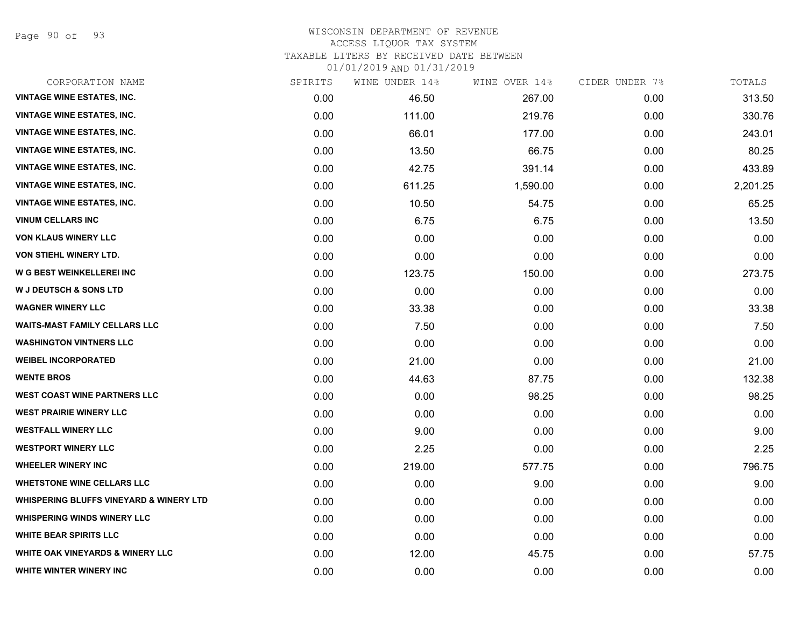Page 90 of 93

#### WISCONSIN DEPARTMENT OF REVENUE ACCESS LIQUOR TAX SYSTEM

TAXABLE LITERS BY RECEIVED DATE BETWEEN

| CORPORATION NAME                                   | SPIRITS | WINE UNDER 14% | WINE OVER 14% | CIDER UNDER 7% | TOTALS   |
|----------------------------------------------------|---------|----------------|---------------|----------------|----------|
| <b>VINTAGE WINE ESTATES, INC.</b>                  | 0.00    | 46.50          | 267.00        | 0.00           | 313.50   |
| <b>VINTAGE WINE ESTATES, INC.</b>                  | 0.00    | 111.00         | 219.76        | 0.00           | 330.76   |
| <b>VINTAGE WINE ESTATES, INC.</b>                  | 0.00    | 66.01          | 177.00        | 0.00           | 243.01   |
| <b>VINTAGE WINE ESTATES, INC.</b>                  | 0.00    | 13.50          | 66.75         | 0.00           | 80.25    |
| <b>VINTAGE WINE ESTATES, INC.</b>                  | 0.00    | 42.75          | 391.14        | 0.00           | 433.89   |
| <b>VINTAGE WINE ESTATES, INC.</b>                  | 0.00    | 611.25         | 1,590.00      | 0.00           | 2,201.25 |
| <b>VINTAGE WINE ESTATES, INC.</b>                  | 0.00    | 10.50          | 54.75         | 0.00           | 65.25    |
| <b>VINUM CELLARS INC</b>                           | 0.00    | 6.75           | 6.75          | 0.00           | 13.50    |
| <b>VON KLAUS WINERY LLC</b>                        | 0.00    | 0.00           | 0.00          | 0.00           | 0.00     |
| VON STIEHL WINERY LTD.                             | 0.00    | 0.00           | 0.00          | 0.00           | 0.00     |
| W G BEST WEINKELLEREI INC                          | 0.00    | 123.75         | 150.00        | 0.00           | 273.75   |
| <b>W J DEUTSCH &amp; SONS LTD</b>                  | 0.00    | 0.00           | 0.00          | 0.00           | 0.00     |
| <b>WAGNER WINERY LLC</b>                           | 0.00    | 33.38          | 0.00          | 0.00           | 33.38    |
| <b>WAITS-MAST FAMILY CELLARS LLC</b>               | 0.00    | 7.50           | 0.00          | 0.00           | 7.50     |
| <b>WASHINGTON VINTNERS LLC</b>                     | 0.00    | 0.00           | 0.00          | 0.00           | 0.00     |
| <b>WEIBEL INCORPORATED</b>                         | 0.00    | 21.00          | 0.00          | 0.00           | 21.00    |
| <b>WENTE BROS</b>                                  | 0.00    | 44.63          | 87.75         | 0.00           | 132.38   |
| <b>WEST COAST WINE PARTNERS LLC</b>                | 0.00    | 0.00           | 98.25         | 0.00           | 98.25    |
| <b>WEST PRAIRIE WINERY LLC</b>                     | 0.00    | 0.00           | 0.00          | 0.00           | 0.00     |
| <b>WESTFALL WINERY LLC</b>                         | 0.00    | 9.00           | 0.00          | 0.00           | 9.00     |
| <b>WESTPORT WINERY LLC</b>                         | 0.00    | 2.25           | 0.00          | 0.00           | 2.25     |
| <b>WHEELER WINERY INC</b>                          | 0.00    | 219.00         | 577.75        | 0.00           | 796.75   |
| <b>WHETSTONE WINE CELLARS LLC</b>                  | 0.00    | 0.00           | 9.00          | 0.00           | 9.00     |
| <b>WHISPERING BLUFFS VINEYARD &amp; WINERY LTD</b> | 0.00    | 0.00           | 0.00          | 0.00           | 0.00     |
| <b>WHISPERING WINDS WINERY LLC</b>                 | 0.00    | 0.00           | 0.00          | 0.00           | 0.00     |
| <b>WHITE BEAR SPIRITS LLC</b>                      | 0.00    | 0.00           | 0.00          | 0.00           | 0.00     |
| <b>WHITE OAK VINEYARDS &amp; WINERY LLC</b>        | 0.00    | 12.00          | 45.75         | 0.00           | 57.75    |
| WHITE WINTER WINERY INC                            | 0.00    | 0.00           | 0.00          | 0.00           | 0.00     |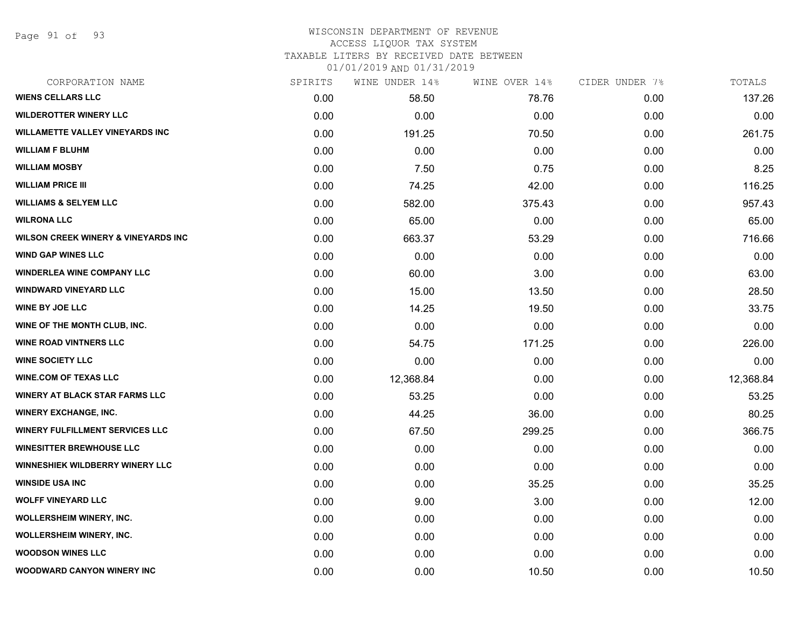Page 91 of 93

#### WISCONSIN DEPARTMENT OF REVENUE ACCESS LIQUOR TAX SYSTEM

TAXABLE LITERS BY RECEIVED DATE BETWEEN

| CORPORATION NAME                               | SPIRITS | WINE UNDER 14% | WINE OVER 14% | CIDER UNDER 7% | TOTALS    |
|------------------------------------------------|---------|----------------|---------------|----------------|-----------|
| <b>WIENS CELLARS LLC</b>                       | 0.00    | 58.50          | 78.76         | 0.00           | 137.26    |
| <b>WILDEROTTER WINERY LLC</b>                  | 0.00    | 0.00           | 0.00          | 0.00           | 0.00      |
| <b>WILLAMETTE VALLEY VINEYARDS INC</b>         | 0.00    | 191.25         | 70.50         | 0.00           | 261.75    |
| <b>WILLIAM F BLUHM</b>                         | 0.00    | 0.00           | 0.00          | 0.00           | 0.00      |
| <b>WILLIAM MOSBY</b>                           | 0.00    | 7.50           | 0.75          | 0.00           | 8.25      |
| <b>WILLIAM PRICE III</b>                       | 0.00    | 74.25          | 42.00         | 0.00           | 116.25    |
| <b>WILLIAMS &amp; SELYEM LLC</b>               | 0.00    | 582.00         | 375.43        | 0.00           | 957.43    |
| <b>WILRONA LLC</b>                             | 0.00    | 65.00          | 0.00          | 0.00           | 65.00     |
| <b>WILSON CREEK WINERY &amp; VINEYARDS INC</b> | 0.00    | 663.37         | 53.29         | 0.00           | 716.66    |
| <b>WIND GAP WINES LLC</b>                      | 0.00    | 0.00           | 0.00          | 0.00           | 0.00      |
| <b>WINDERLEA WINE COMPANY LLC</b>              | 0.00    | 60.00          | 3.00          | 0.00           | 63.00     |
| <b>WINDWARD VINEYARD LLC</b>                   | 0.00    | 15.00          | 13.50         | 0.00           | 28.50     |
| <b>WINE BY JOE LLC</b>                         | 0.00    | 14.25          | 19.50         | 0.00           | 33.75     |
| WINE OF THE MONTH CLUB, INC.                   | 0.00    | 0.00           | 0.00          | 0.00           | 0.00      |
| <b>WINE ROAD VINTNERS LLC</b>                  | 0.00    | 54.75          | 171.25        | 0.00           | 226.00    |
| <b>WINE SOCIETY LLC</b>                        | 0.00    | 0.00           | 0.00          | 0.00           | 0.00      |
| <b>WINE.COM OF TEXAS LLC</b>                   | 0.00    | 12,368.84      | 0.00          | 0.00           | 12,368.84 |
| <b>WINERY AT BLACK STAR FARMS LLC</b>          | 0.00    | 53.25          | 0.00          | 0.00           | 53.25     |
| <b>WINERY EXCHANGE, INC.</b>                   | 0.00    | 44.25          | 36.00         | 0.00           | 80.25     |
| <b>WINERY FULFILLMENT SERVICES LLC</b>         | 0.00    | 67.50          | 299.25        | 0.00           | 366.75    |
| <b>WINESITTER BREWHOUSE LLC</b>                | 0.00    | 0.00           | 0.00          | 0.00           | 0.00      |
| WINNESHIEK WILDBERRY WINERY LLC                | 0.00    | 0.00           | 0.00          | 0.00           | 0.00      |
| <b>WINSIDE USA INC</b>                         | 0.00    | 0.00           | 35.25         | 0.00           | 35.25     |
| <b>WOLFF VINEYARD LLC</b>                      | 0.00    | 9.00           | 3.00          | 0.00           | 12.00     |
| <b>WOLLERSHEIM WINERY, INC.</b>                | 0.00    | 0.00           | 0.00          | 0.00           | 0.00      |
| WOLLERSHEIM WINERY, INC.                       | 0.00    | 0.00           | 0.00          | 0.00           | 0.00      |
| <b>WOODSON WINES LLC</b>                       | 0.00    | 0.00           | 0.00          | 0.00           | 0.00      |
| WOODWARD CANYON WINERY INC                     | 0.00    | 0.00           | 10.50         | 0.00           | 10.50     |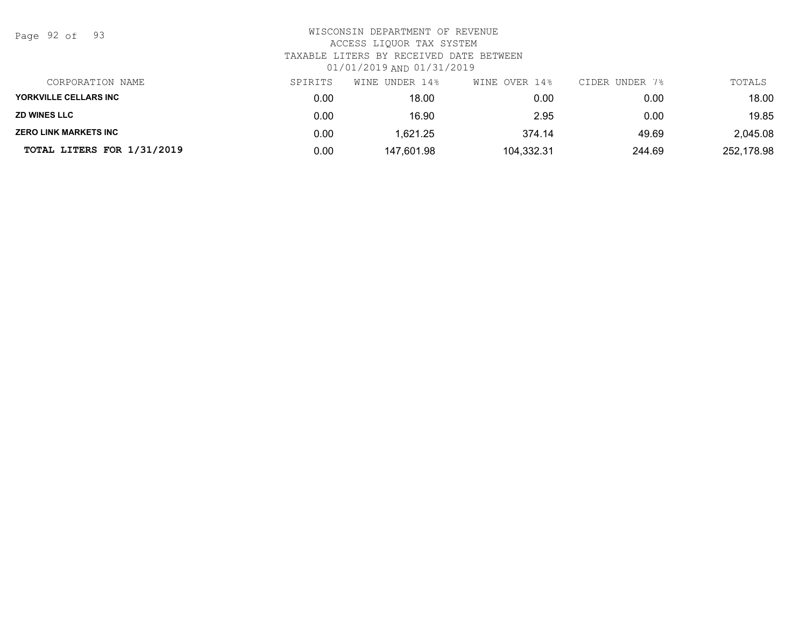Page 92 of 93

# WISCONSIN DEPARTMENT OF REVENUE ACCESS LIQUOR TAX SYSTEM TAXABLE LITERS BY RECEIVED DATE BETWEEN 01/01/2019 AND 01/31/2019

| CORPORATION NAME             | SPIRITS | WINE UNDER 14% | WINE OVER 14% | CIDER UNDER 7% | TOTALS     |
|------------------------------|---------|----------------|---------------|----------------|------------|
| YORKVILLE CELLARS INC        | 0.00    | 18.00          | 0.00          | 0.00           | 18.00      |
| <b>ZD WINES LLC</b>          | 0.00    | 16.90          | 2.95          | 0.00           | 19.85      |
| <b>ZERO LINK MARKETS INC</b> | 0.00    | 1.621.25       | 374.14        | 49.69          | 2,045.08   |
| TOTAL LITERS FOR 1/31/2019   | 0.00    | 147,601.98     | 104,332.31    | 244.69         | 252,178.98 |